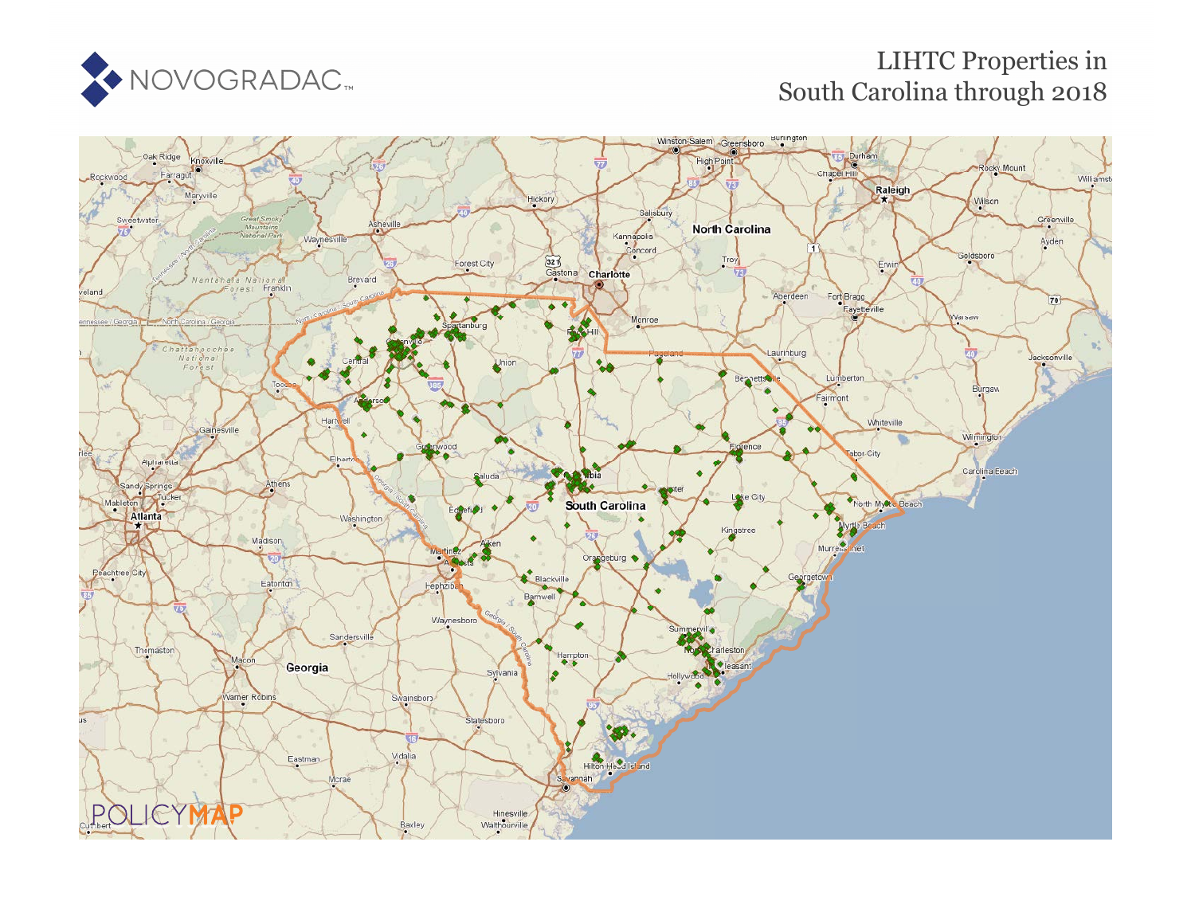

## LIHTC Properties in South Carolina th[rou](https://www.policymap.com/our-data-directory.html#HUD%20LIHTC)gh 2018

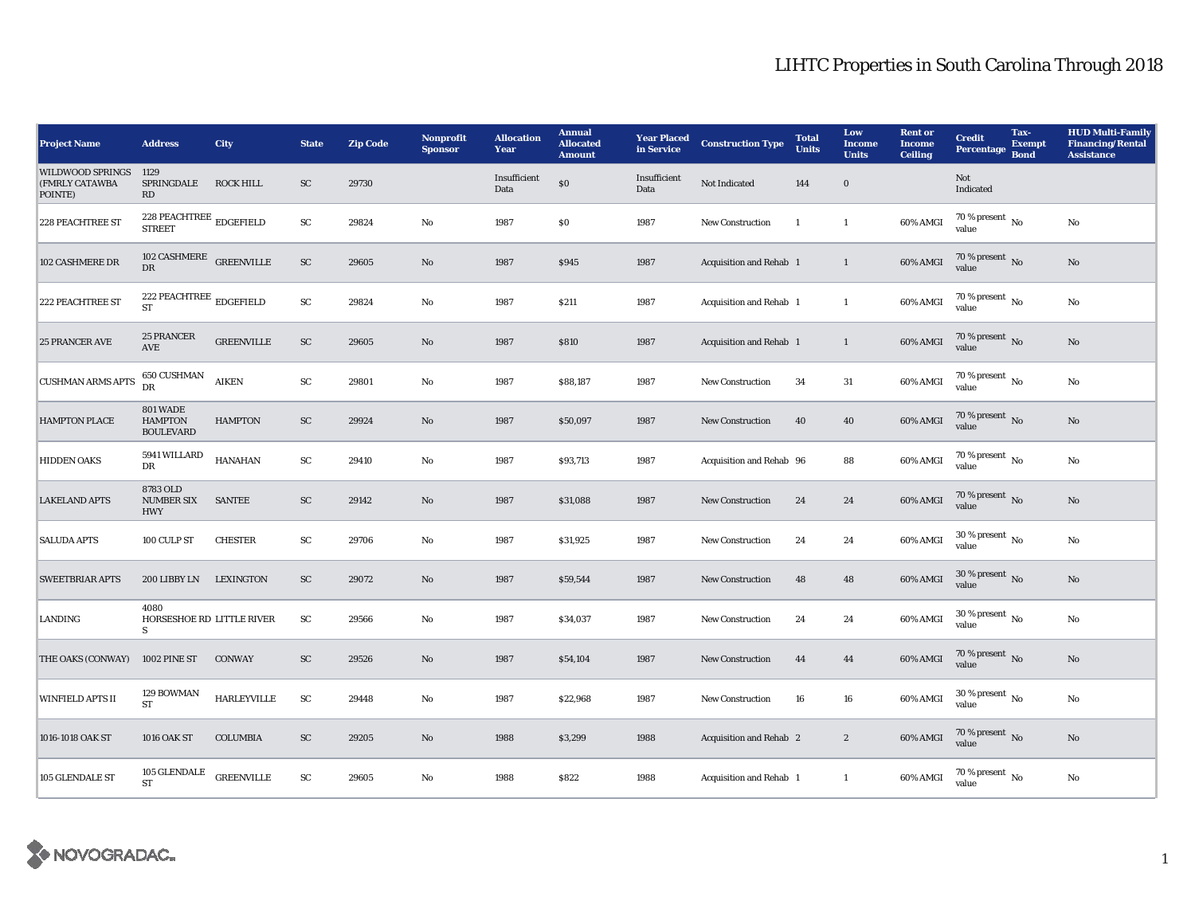| <b>Project Name</b>                                  | <b>Address</b>                                          | City               | <b>State</b>           | <b>Zip Code</b> | <b>Nonprofit</b><br><b>Sponsor</b> | <b>Allocation</b><br>Year | <b>Annual</b><br><b>Allocated</b><br><b>Amount</b> | <b>Year Placed</b><br>in Service | <b>Construction Type</b>       | <b>Total</b><br><b>Units</b> | Low<br><b>Income</b><br><b>Units</b> | <b>Rent</b> or<br><b>Income</b><br><b>Ceiling</b> | <b>Credit</b><br><b>Percentage</b>       | Tax-<br><b>Exempt</b><br><b>Bond</b> | <b>HUD Multi-Family</b><br><b>Financing/Rental</b><br><b>Assistance</b> |
|------------------------------------------------------|---------------------------------------------------------|--------------------|------------------------|-----------------|------------------------------------|---------------------------|----------------------------------------------------|----------------------------------|--------------------------------|------------------------------|--------------------------------------|---------------------------------------------------|------------------------------------------|--------------------------------------|-------------------------------------------------------------------------|
| <b>WILDWOOD SPRINGS</b><br>(FMRLY CATAWBA<br>POINTE) | 1129<br>SPRINGDALE<br>RD                                | <b>ROCK HILL</b>   | ${\rm SC}$             | 29730           |                                    | Insufficient<br>Data      | $\$0$                                              | Insufficient<br>Data             | Not Indicated                  | 144                          | $\mathbf 0$                          |                                                   | Not<br>Indicated                         |                                      |                                                                         |
| <b>228 PEACHTREE ST</b>                              | <b>STREET</b>                                           |                    | ${\rm SC}$             | 29824           | $\rm No$                           | 1987                      | \$0                                                | 1987                             | New Construction               | <sup>1</sup>                 | $\mathbf{1}$                         | 60% AMGI                                          | $70\%$ present $\overline{N_0}$<br>value |                                      | No                                                                      |
| 102 CASHMERE DR                                      | 102 CASHMERE GREENVILLE<br>DR                           |                    | SC                     | 29605           | No                                 | 1987                      | \$945                                              | 1987                             | Acquisition and Rehab 1        |                              | $\mathbf{1}$                         | 60% AMGI                                          | 70 % present $\overline{N_0}$<br>value   |                                      | No                                                                      |
| 222 PEACHTREE ST                                     | 222 PEACHTREE $\overline{\text{EDGEFIED}}$<br><b>ST</b> |                    | $\mathbf{S}\mathbf{C}$ | 29824           | No                                 | 1987                      | <b>\$211</b>                                       | 1987                             | Acquisition and Rehab 1        |                              | $\mathbf{1}$                         | $60\%$ AMGI                                       | $70\%$ present $\overline{N_0}$<br>value |                                      | No                                                                      |
| <b>25 PRANCER AVE</b>                                | 25 PRANCER<br><b>AVE</b>                                | <b>GREENVILLE</b>  | ${\rm SC}$             | 29605           | $\rm No$                           | 1987                      | \$810                                              | 1987                             | Acquisition and Rehab 1        |                              | $\mathbf{1}$                         | 60% AMGI                                          | 70 % present $\,$ No $\,$<br>value       |                                      | No                                                                      |
| <b>CUSHMAN ARMS APTS</b>                             | 650 CUSHMAN<br>DR                                       | <b>AIKEN</b>       | ${\rm SC}$             | 29801           | No                                 | 1987                      | \$88,187                                           | 1987                             | New Construction               | 34                           | 31                                   | 60% AMGI                                          | $70\,\%$ present $_{\rm{No}}$            |                                      | No                                                                      |
| <b>HAMPTON PLACE</b>                                 | <b>801 WADE</b><br><b>HAMPTON</b><br><b>BOULEVARD</b>   | <b>HAMPTON</b>     | <b>SC</b>              | 29924           | No                                 | 1987                      | \$50,097                                           | 1987                             | <b>New Construction</b>        | 40                           | 40                                   | 60% AMGI                                          | 70 % present $\,$ No $\,$<br>value       |                                      | No                                                                      |
| <b>HIDDEN OAKS</b>                                   | 5941 WILLARD<br>DR                                      | <b>HANAHAN</b>     | SC                     | 29410           | No                                 | 1987                      | \$93,713                                           | 1987                             | Acquisition and Rehab 96       |                              | 88                                   | 60% AMGI                                          | $70\%$ present $\overline{N_0}$<br>value |                                      | No                                                                      |
| <b>LAKELAND APTS</b>                                 | 8783 OLD<br><b>NUMBER SIX</b><br><b>HWY</b>             | <b>SANTEE</b>      | <b>SC</b>              | 29142           | No                                 | 1987                      | \$31,088                                           | 1987                             | <b>New Construction</b>        | 24                           | 24                                   | 60% AMGI                                          | 70 % present $\overline{N_0}$<br>value   |                                      | No                                                                      |
| <b>SALUDA APTS</b>                                   | 100 CULP ST                                             | <b>CHESTER</b>     | ${\rm SC}$             | 29706           | No                                 | 1987                      | \$31,925                                           | 1987                             | <b>New Construction</b>        | 24                           | 24                                   | 60% AMGI                                          | 30 % present $\overline{N_0}$<br>value   |                                      | No                                                                      |
| <b>SWEETBRIAR APTS</b>                               | 200 LIBBY LN                                            | LEXINGTON          | SC                     | 29072           | $\rm No$                           | 1987                      | \$59,544                                           | 1987                             | <b>New Construction</b>        | 48                           | 48                                   | 60% AMGI                                          | 30 % present $\overline{N_0}$<br>value   |                                      | $\mathbf{No}$                                                           |
| <b>LANDING</b>                                       | 4080<br>HORSESHOE RD LITTLE RIVER<br>S                  |                    | ${\rm SC}$             | 29566           | $\mathbf{No}$                      | 1987                      | \$34,037                                           | 1987                             | <b>New Construction</b>        | 24                           | 24                                   | $60\%$ AMGI                                       | 30 % present $\,$ No $\,$<br>value       |                                      | No                                                                      |
| THE OAKS (CONWAY)                                    | <b>1002 PINE ST</b>                                     | <b>CONWAY</b>      | SC                     | 29526           | $\mathbf{N}\mathbf{o}$             | 1987                      | \$54,104                                           | 1987                             | New Construction               | 44                           | 44                                   | $60\%$ AMGI                                       | $70\,\%$ present $\,$ No value           |                                      | $\mathbf{N}\mathbf{o}$                                                  |
| <b>WINFIELD APTS II</b>                              | 129 BOWMAN<br>ST                                        | <b>HARLEYVILLE</b> | ${\rm SC}$             | 29448           | No                                 | 1987                      | \$22,968                                           | 1987                             | <b>New Construction</b>        | 16                           | 16                                   | 60% AMGI                                          | 30 % present $\,$ No $\,$<br>value       |                                      | No                                                                      |
| 1016-1018 OAK ST                                     | 1016 OAK ST                                             | <b>COLUMBIA</b>    | SC                     | 29205           | No                                 | 1988                      | \$3,299                                            | 1988                             | <b>Acquisition and Rehab 2</b> |                              | $\boldsymbol{2}$                     | 60% AMGI                                          | 70 % present $\overline{N_0}$<br>value   |                                      | No                                                                      |
| 105 GLENDALE ST                                      | 105 GLENDALE<br><b>ST</b>                               | <b>GREENVILLE</b>  | SC                     | 29605           | No                                 | 1988                      | \$822                                              | 1988                             | Acquisition and Rehab 1        |                              | $\mathbf{1}$                         | 60% AMGI                                          | $70\%$ present $\overline{N_0}$<br>value |                                      | No                                                                      |

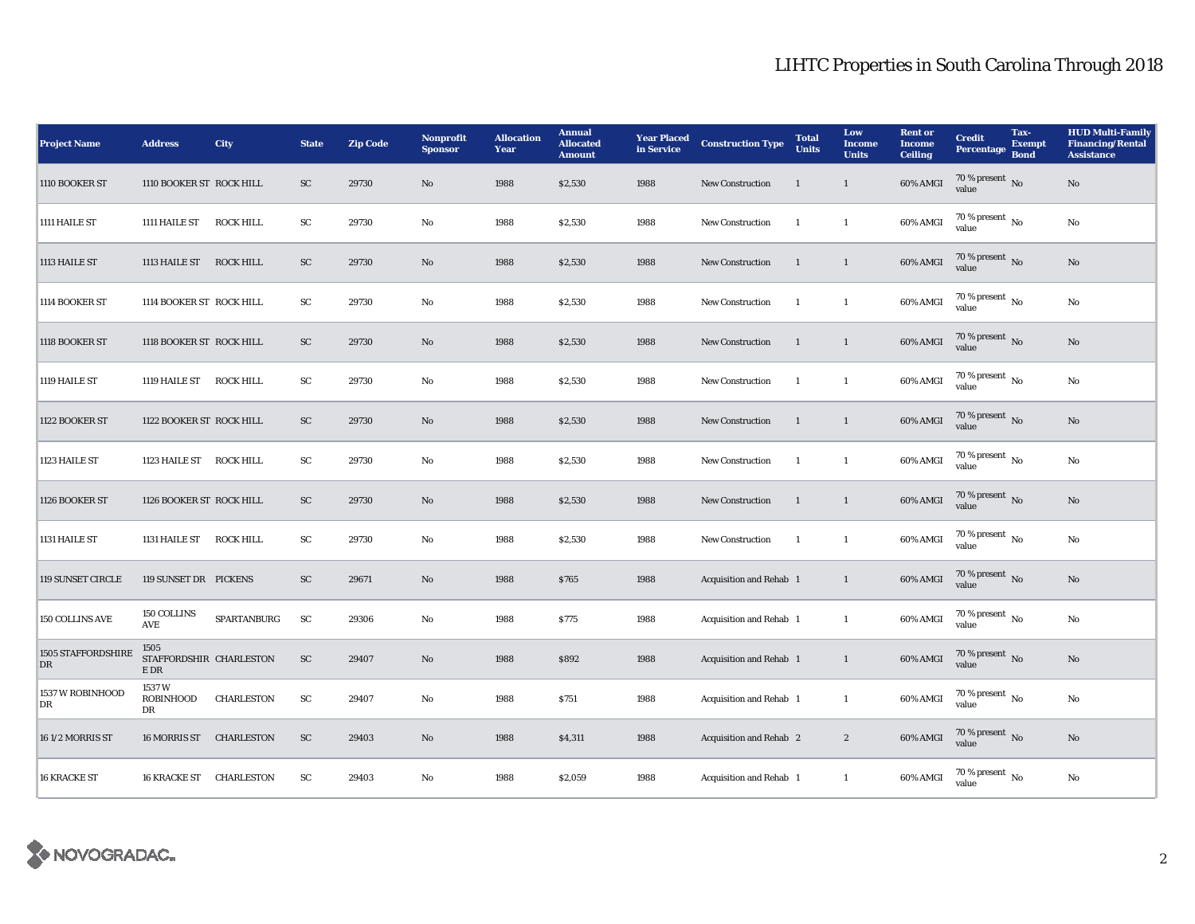| <b>Project Name</b>      | <b>Address</b>                                | City              | <b>State</b> | <b>Zip Code</b> | <b>Nonprofit</b><br><b>Sponsor</b> | <b>Allocation</b><br>Year | <b>Annual</b><br><b>Allocated</b><br><b>Amount</b> | <b>Year Placed</b><br>in Service | <b>Construction Type</b>       | <b>Total</b><br><b>Units</b> | Low<br><b>Income</b><br><b>Units</b> | <b>Rent</b> or<br><b>Income</b><br><b>Ceiling</b> | <b>Credit</b><br><b>Percentage</b>       | Tax-<br><b>Exempt</b><br><b>Bond</b> | <b>HUD Multi-Family</b><br><b>Financing/Rental</b><br><b>Assistance</b> |
|--------------------------|-----------------------------------------------|-------------------|--------------|-----------------|------------------------------------|---------------------------|----------------------------------------------------|----------------------------------|--------------------------------|------------------------------|--------------------------------------|---------------------------------------------------|------------------------------------------|--------------------------------------|-------------------------------------------------------------------------|
| 1110 BOOKER ST           | 1110 BOOKER ST ROCK HILL                      |                   | SC           | 29730           | $\rm No$                           | 1988                      | \$2,530                                            | 1988                             | New Construction               | $\mathbf{1}$                 | $\mathbf{1}$                         | 60% AMGI                                          | 70 % present $\overline{N}$<br>value     |                                      | $\rm No$                                                                |
| 1111 HAILE ST            | 1111 HAILE ST                                 | <b>ROCK HILL</b>  | ${\rm SC}$   | 29730           | No                                 | 1988                      | \$2,530                                            | 1988                             | New Construction               | -1                           | $\mathbf{1}$                         | 60% AMGI                                          | $70\%$ present $\overline{N_0}$<br>value |                                      | No                                                                      |
| 1113 HAILE ST            | 1113 HAILE ST ROCK HILL                       |                   | SC           | 29730           | No                                 | 1988                      | \$2,530                                            | 1988                             | <b>New Construction</b>        | -1                           | $\mathbf{1}$                         | 60% AMGI                                          | 70 % present $\overline{N_0}$<br>value   |                                      | No                                                                      |
| 1114 BOOKER ST           | 1114 BOOKER ST ROCK HILL                      |                   | ${\rm SC}$   | 29730           | $\rm No$                           | 1988                      | \$2,530                                            | 1988                             | <b>New Construction</b>        | -1                           | $\mathbf{1}$                         | 60% AMGI                                          | $70\%$ present $\overline{N_0}$<br>value |                                      | No                                                                      |
| 1118 BOOKER ST           | 1118 BOOKER ST ROCK HILL                      |                   | SC           | 29730           | No                                 | 1988                      | \$2,530                                            | 1988                             | <b>New Construction</b>        | $\overline{1}$               | $\mathbf{1}$                         | 60% AMGI                                          | 70 % present $\,$ No $\,$<br>value       |                                      | No                                                                      |
| 1119 HAILE ST            | 1119 HAILE ST                                 | <b>ROCK HILL</b>  | ${\rm SC}$   | 29730           | No                                 | 1988                      | \$2,530                                            | 1988                             | New Construction               | -1                           | $\mathbf{1}$                         | 60% AMGI                                          | $70\%$ present $\overline{N_0}$<br>value |                                      | No                                                                      |
| 1122 BOOKER ST           | 1122 BOOKER ST ROCK HILL                      |                   | SC           | 29730           | No                                 | 1988                      | \$2,530                                            | 1988                             | <b>New Construction</b>        | -1                           | $\mathbf{1}$                         | 60% AMGI                                          | 70 % present $\overline{N}$<br>value     |                                      | No                                                                      |
| 1123 HAILE ST            | 1123 HAILE ST ROCK HILL                       |                   | ${\rm SC}$   | 29730           | No                                 | 1988                      | \$2,530                                            | 1988                             | <b>New Construction</b>        | 1                            | $\mathbf{1}$                         | 60% AMGI                                          | $70\%$ present $\overline{N_0}$<br>value |                                      | No                                                                      |
| 1126 BOOKER ST           | 1126 BOOKER ST ROCK HILL                      |                   | SC           | 29730           | No                                 | 1988                      | \$2,530                                            | 1988                             | New Construction               | -1                           | 1                                    | 60% AMGI                                          | 70 % present $\,$ No $\,$<br>value       |                                      | No                                                                      |
| 1131 HAILE ST            | 1131 HAILE ST                                 | <b>ROCK HILL</b>  | ${\rm SC}$   | 29730           | No                                 | 1988                      | \$2,530                                            | 1988                             | New Construction               | -1                           | $\mathbf{1}$                         | 60% AMGI                                          | $70\%$ present $\overline{N_0}$<br>value |                                      | No                                                                      |
| <b>119 SUNSET CIRCLE</b> | 119 SUNSET DR PICKENS                         |                   | SC           | 29671           | No                                 | 1988                      | \$765                                              | 1988                             | Acquisition and Rehab 1        |                              | $\mathbf{1}$                         | 60% AMGI                                          | 70 % present No<br>value                 |                                      | No                                                                      |
| 150 COLLINS AVE          | 150 COLLINS<br>AVE                            | SPARTANBURG       | SC           | 29306           | $\rm No$                           | 1988                      | <b>S775</b>                                        | 1988                             | Acquisition and Rehab 1        |                              | $\mathbf{1}$                         | 60% AMGI                                          | 70 % present $\,$ No $\,$<br>value       |                                      | No                                                                      |
| 1505 STAFFORDSHIRE<br>DR | 1505<br>STAFFORDSHIR CHARLESTON<br>$\rm E~DR$ |                   | ${\rm SC}$   | 29407           | No                                 | 1988                      | \$892                                              | 1988                             | Acquisition and Rehab 1        |                              | $\mathbf{1}$                         | 60% AMGI                                          | 70 % present $\overline{N_0}$<br>value   |                                      | No                                                                      |
| 1537 W ROBINHOOD<br>DR   | 1537W<br><b>ROBINHOOD</b><br>DR               | <b>CHARLESTON</b> | ${\rm SC}$   | 29407           | No                                 | 1988                      | <b>S751</b>                                        | 1988                             | Acquisition and Rehab 1        |                              | $\mathbf{1}$                         | 60% AMGI                                          | 70 % present $\,$ No $\,$<br>value       |                                      | No                                                                      |
| 16 1/2 MORRIS ST         | 16 MORRIS ST                                  | <b>CHARLESTON</b> | SC           | 29403           | No                                 | 1988                      | \$4,311                                            | 1988                             | <b>Acquisition and Rehab 2</b> |                              | $\boldsymbol{2}$                     | 60% AMGI                                          | 70 % present $\overline{N_0}$<br>value   |                                      | No                                                                      |
| <b>16 KRACKE ST</b>      | <b>16 KRACKE ST CHARLESTON</b>                |                   | SC           | 29403           | No                                 | 1988                      | \$2,059                                            | 1988                             | Acquisition and Rehab 1        |                              | $\mathbf{1}$                         | 60% AMGI                                          | 70 % present $\overline{N_0}$<br>value   |                                      | No                                                                      |

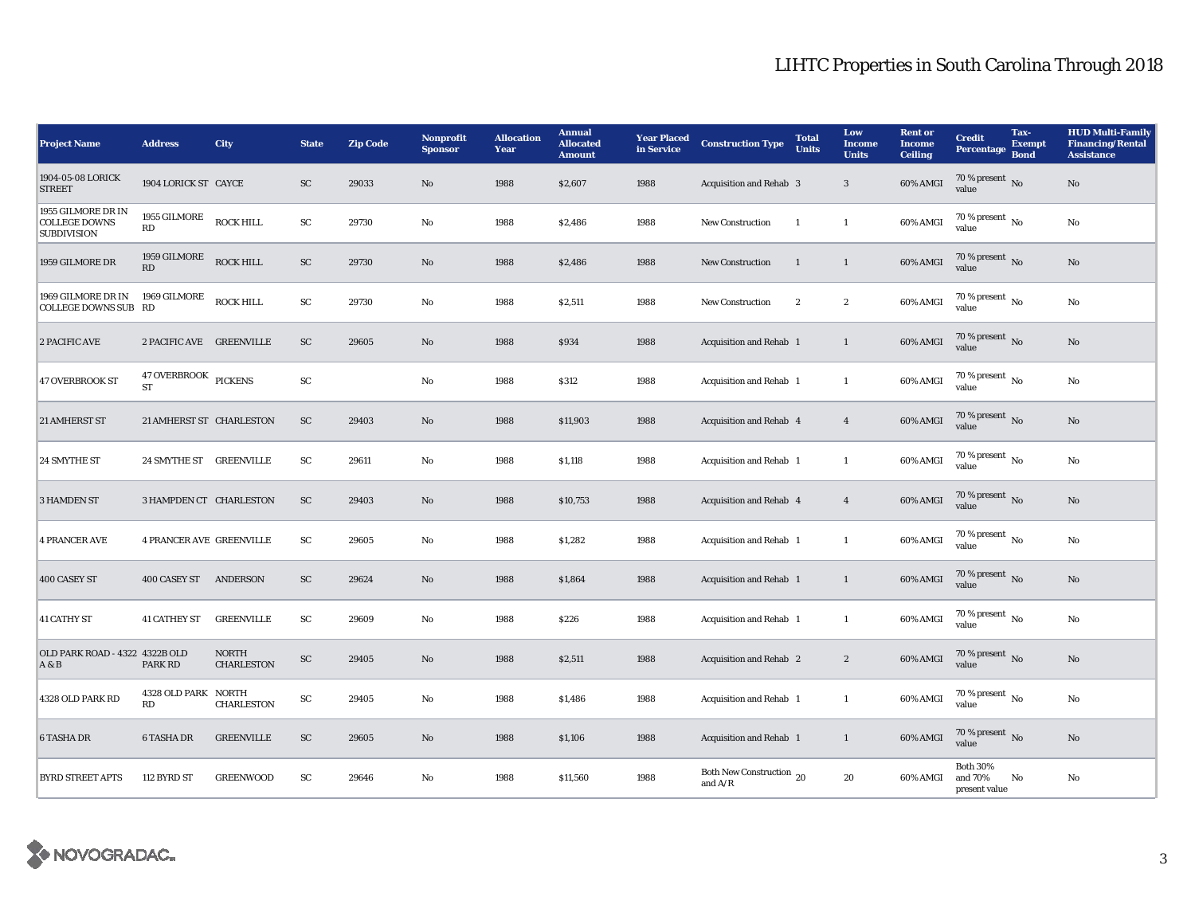| <b>Project Name</b>                                              | <b>Address</b>                    | <b>City</b>                       | <b>State</b>           | <b>Zip Code</b> | Nonprofit<br><b>Sponsor</b> | <b>Allocation</b><br>Year | <b>Annual</b><br><b>Allocated</b><br><b>Amount</b> | <b>Year Placed<br/>in Service</b> | <b>Construction Type</b>              | <b>Total</b><br><b>Units</b> | Low<br><b>Income</b><br><b>Units</b> | <b>Rent</b> or<br><b>Income</b><br><b>Ceiling</b> | <b>Credit</b><br>Percentage              | Tax-<br><b>Exempt</b><br><b>Bond</b> | <b>HUD Multi-Family</b><br><b>Financing/Rental</b><br><b>Assistance</b> |
|------------------------------------------------------------------|-----------------------------------|-----------------------------------|------------------------|-----------------|-----------------------------|---------------------------|----------------------------------------------------|-----------------------------------|---------------------------------------|------------------------------|--------------------------------------|---------------------------------------------------|------------------------------------------|--------------------------------------|-------------------------------------------------------------------------|
| 1904-05-08 LORICK<br><b>STREET</b>                               | 1904 LORICK ST CAYCE              |                                   | SC                     | 29033           | No                          | 1988                      | \$2,607                                            | 1988                              | Acquisition and Rehab 3               |                              | 3                                    | 60% AMGI                                          | $70\,\%$ present $\,$ No value           |                                      | $\rm No$                                                                |
| 1955 GILMORE DR IN<br><b>COLLEGE DOWNS</b><br><b>SUBDIVISION</b> | 1955 GILMORE<br>RD                | <b>ROCK HILL</b>                  | ${\rm SC}$             | 29730           | No                          | 1988                      | \$2,486                                            | 1988                              | New Construction                      | $\mathbf{1}$                 | $\mathbf{1}$                         | 60% AMGI                                          | $70\%$ present $\overline{N_0}$<br>value |                                      | $\rm No$                                                                |
| 1959 GILMORE DR                                                  | 1959 GILMORE ROCK HILL<br>RD      |                                   | ${\rm SC}$             | 29730           | No                          | 1988                      | \$2,486                                            | 1988                              | <b>New Construction</b>               | <sup>1</sup>                 | $\mathbf{1}$                         | 60% AMGI                                          | $70\,\%$ present $\,$ No value           |                                      | No                                                                      |
| 1969 GILMORE DR IN<br><b>COLLEGE DOWNS SUB RD</b>                | 1969 GILMORE                      | <b>ROCK HILL</b>                  | $\mathbf{S}\mathbf{C}$ | 29730           | No                          | 1988                      | \$2,511                                            | 1988                              | <b>New Construction</b>               | $\overline{2}$               | $\boldsymbol{2}$                     | 60% AMGI                                          | $70\%$ present $\overline{N_0}$<br>value |                                      | No                                                                      |
| 2 PACIFIC AVE                                                    | 2 PACIFIC AVE GREENVILLE          |                                   | SC                     | 29605           | $\mathbf{No}$               | 1988                      | \$934                                              | 1988                              | Acquisition and Rehab 1               |                              | $\mathbf{1}$                         | 60% AMGI                                          | $70\,\%$ present $\,$ No value           |                                      | $\mathbf{No}$                                                           |
| <b>47 OVERBROOK ST</b>                                           | 47 OVERBROOK PICKENS<br><b>ST</b> |                                   | ${\rm SC}$             |                 | $\mathbf{No}$               | 1988                      | \$312                                              | 1988                              | Acquisition and Rehab 1               |                              | $\mathbf{1}$                         | 60% AMGI                                          | $70\,\%$ present $\,$ No value           |                                      | No                                                                      |
| 21 AMHERST ST                                                    | 21 AMHERST ST CHARLESTON          |                                   | ${\rm SC}$             | 29403           | No                          | 1988                      | \$11,903                                           | 1988                              | Acquisition and Rehab 4               |                              | $\overline{4}$                       | 60% AMGI                                          | 70 % present $\,$ No $\,$<br>value       |                                      | $\rm No$                                                                |
| 24 SMYTHE ST                                                     | 24 SMYTHE ST GREENVILLE           |                                   | SC                     | 29611           | No                          | 1988                      | \$1,118                                            | 1988                              | Acquisition and Rehab 1               |                              | $\mathbf{1}$                         | 60% AMGI                                          | $70\%$ present No<br>value               |                                      | No                                                                      |
| <b>3 HAMDEN ST</b>                                               | 3 HAMPDEN CT CHARLESTON           |                                   | SC                     | 29403           | No                          | 1988                      | \$10,753                                           | 1988                              | Acquisition and Rehab 4               |                              | $\overline{4}$                       | 60% AMGI                                          | 70 % present No<br>value                 |                                      | $\mathbf{No}$                                                           |
| <b>4 PRANCER AVE</b>                                             | <b>4 PRANCER AVE GREENVILLE</b>   |                                   | ${\rm SC}$             | 29605           | No                          | 1988                      | \$1,282                                            | 1988                              | Acquisition and Rehab 1               |                              | $\mathbf{1}$                         | 60% AMGI                                          | $70\%$ present $\overline{N_0}$<br>value |                                      | No                                                                      |
| 400 CASEY ST                                                     | 400 CASEY ST                      | ANDERSON                          | SC                     | 29624           | No                          | 1988                      | \$1,864                                            | 1988                              | Acquisition and Rehab 1               |                              | $\mathbf{1}$                         | 60% AMGI                                          | $70\,\%$ present $\,$ No value           |                                      | $\rm No$                                                                |
| <b>41 CATHY ST</b>                                               | <b>41 CATHEY ST</b>               | <b>GREENVILLE</b>                 | SC                     | 29609           | $\mathbf{No}$               | 1988                      | \$226                                              | 1988                              | Acquisition and Rehab 1               |                              | $\mathbf{1}$                         | 60% AMGI                                          | 70 % present No<br>value                 |                                      | No                                                                      |
| OLD PARK ROAD - 4322 4322B OLD<br>A & B                          | PARK RD                           | <b>NORTH</b><br><b>CHARLESTON</b> | ${\rm SC}$             | 29405           | No                          | 1988                      | \$2,511                                            | 1988                              | Acquisition and Rehab 2               |                              | $\boldsymbol{2}$                     | 60% AMGI                                          | $70\,\%$ present $\,$ No value           |                                      | No                                                                      |
| 4328 OLD PARK RD                                                 | 4328 OLD PARK NORTH<br>RD         | CHARLESTON                        | ${\rm SC}$             | 29405           | No                          | 1988                      | \$1,486                                            | 1988                              | Acquisition and Rehab 1               |                              | $\mathbf{1}$                         | 60% AMGI                                          | 70 % present $\,$ No $\,$<br>value       |                                      | No                                                                      |
| <b>6 TASHA DR</b>                                                | <b>6 TASHA DR</b>                 | <b>GREENVILLE</b>                 | SC                     | 29605           | No                          | 1988                      | \$1,106                                            | 1988                              | Acquisition and Rehab 1               |                              | $\mathbf{1}$                         | 60% AMGI                                          | $70$ % present $\,$ No value             |                                      | No                                                                      |
| <b>BYRD STREET APTS</b>                                          | 112 BYRD ST                       | <b>GREENWOOD</b>                  | SC                     | 29646           | No                          | 1988                      | \$11,560                                           | 1988                              | Both New Construction 20<br>and $A/R$ |                              | 20                                   | 60% AMGI and 70%                                  | <b>Both 30%</b><br>present value         | No                                   | No                                                                      |

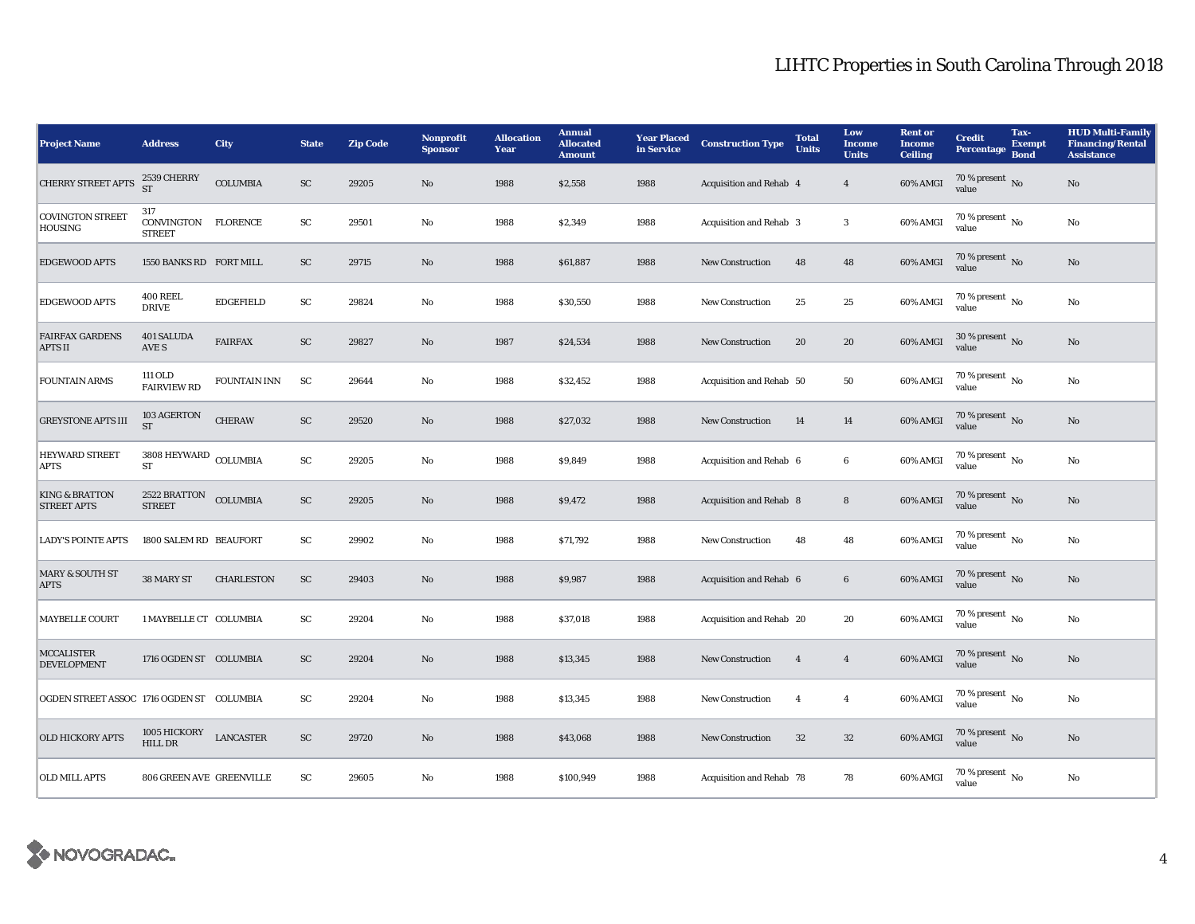| <b>Project Name</b>                             | <b>Address</b>                               | City                | <b>State</b>               | <b>Zip Code</b> | Nonprofit<br><b>Sponsor</b> | <b>Allocation</b><br>Year | <b>Annual</b><br><b>Allocated</b><br><b>Amount</b> | <b>Year Placed</b><br>in Service | <b>Construction Type</b> | <b>Total</b><br><b>Units</b> | Low<br><b>Income</b><br><b>Units</b> | <b>Rent or</b><br><b>Income</b><br><b>Ceiling</b> | <b>Credit</b><br><b>Percentage</b>       | Tax-<br><b>Exempt</b><br><b>Bond</b> | <b>HUD Multi-Family</b><br><b>Financing/Rental</b><br><b>Assistance</b> |
|-------------------------------------------------|----------------------------------------------|---------------------|----------------------------|-----------------|-----------------------------|---------------------------|----------------------------------------------------|----------------------------------|--------------------------|------------------------------|--------------------------------------|---------------------------------------------------|------------------------------------------|--------------------------------------|-------------------------------------------------------------------------|
| <b>CHERRY STREET APTS</b>                       | 2539 CHERRY<br>ST                            | <b>COLUMBIA</b>     | SC                         | 29205           | No                          | 1988                      | \$2,558                                            | 1988                             | Acquisition and Rehab 4  |                              | $\overline{4}$                       | 60% AMGI                                          | 70 % present $\overline{N_0}$<br>value   |                                      | $\rm No$                                                                |
| <b>COVINGTON STREET</b><br><b>HOUSING</b>       | 317<br>CONVINGTON FLORENCE<br><b>STREET</b>  |                     | SC                         | 29501           | No                          | 1988                      | \$2,349                                            | 1988                             | Acquisition and Rehab 3  |                              | 3                                    | 60% AMGI                                          | 70 % present $\,$ No $\,$<br>value       |                                      | No                                                                      |
| <b>EDGEWOOD APTS</b>                            | 1550 BANKS RD FORT MILL                      |                     | SC                         | 29715           | No                          | 1988                      | \$61,887                                           | 1988                             | <b>New Construction</b>  | 48                           | 48                                   | 60% AMGI                                          | 70 % present $\overline{N_0}$<br>value   |                                      | No                                                                      |
| <b>EDGEWOOD APTS</b>                            | <b>400 REEL</b><br><b>DRIVE</b>              | <b>EDGEFIELD</b>    | SC                         | 29824           | No                          | 1988                      | \$30,550                                           | 1988                             | <b>New Construction</b>  | 25                           | 25                                   | 60% AMGI                                          | 70 % present $\overline{N_0}$<br>value   |                                      | No                                                                      |
| <b>FAIRFAX GARDENS</b><br><b>APTS II</b>        | 401 SALUDA<br>AVE S                          | <b>FAIRFAX</b>      | SC                         | 29827           | No                          | 1987                      | \$24,534                                           | 1988                             | <b>New Construction</b>  | 20                           | 20                                   | 60% AMGI                                          | 30 % present $\,$ No $\,$<br>value       |                                      | $\mathbf{No}$                                                           |
| <b>FOUNTAIN ARMS</b>                            | 111 OLD<br><b>FAIRVIEW RD</b>                | <b>FOUNTAIN INN</b> | SC                         | 29644           | No                          | 1988                      | \$32,452                                           | 1988                             | Acquisition and Rehab 50 |                              | 50                                   | 60% AMGI                                          | $70\%$ present $\overline{N_0}$<br>value |                                      | No                                                                      |
| <b>GREYSTONE APTS III</b>                       | 103 AGERTON<br>${\cal ST}$                   | <b>CHERAW</b>       | SC                         | 29520           | $\mathbf{N}\mathbf{o}$      | 1988                      | \$27,032                                           | 1988                             | <b>New Construction</b>  | 14                           | 14                                   | 60% AMGI                                          | 70 % present $\,$ No $\,$<br>value       |                                      | $\rm No$                                                                |
| <b>HEYWARD STREET</b><br><b>APTS</b>            | $3808\,{\rm HEYWARD}$ COLUMBIA<br>${\rm ST}$ |                     | SC                         | 29205           | No                          | 1988                      | \$9,849                                            | 1988                             | Acquisition and Rehab 6  |                              | 6                                    | 60% AMGI                                          | $70\%$ present $\overline{N_0}$<br>value |                                      | No                                                                      |
| <b>KING &amp; BRATTON</b><br><b>STREET APTS</b> | 2522 BRATTON<br><b>STREET</b>                | <b>COLUMBIA</b>     | $\ensuremath{\mathsf{SC}}$ | 29205           | $\mathbf{N}\mathbf{o}$      | 1988                      | \$9,472                                            | 1988                             | Acquisition and Rehab 8  |                              | ${\bf 8}$                            | 60% AMGI                                          | 70 % present $\,$ No $\,$<br>value       |                                      | $\rm No$                                                                |
| <b>LADY'S POINTE APTS</b>                       | 1800 SALEM RD BEAUFORT                       |                     | ${\rm SC}$                 | 29902           | $\mathbf{N}\mathbf{o}$      | 1988                      | \$71,792                                           | 1988                             | New Construction         | 48                           | 48                                   | 60% AMGI                                          | 70 % present $\overline{N_0}$<br>value   |                                      | $\rm No$                                                                |
| <b>MARY &amp; SOUTH ST</b><br><b>APTS</b>       | 38 MARY ST                                   | <b>CHARLESTON</b>   | ${\rm SC}$                 | 29403           | No                          | 1988                      | \$9,987                                            | 1988                             | Acquisition and Rehab 6  |                              | $6\phantom{.0}$                      | 60% AMGI                                          | 70 % present No<br>value                 |                                      | No                                                                      |
| <b>MAYBELLE COURT</b>                           | 1 MAYBELLE CT COLUMBIA                       |                     | SC                         | 29204           | No                          | 1988                      | \$37,018                                           | 1988                             | Acquisition and Rehab 20 |                              | 20                                   | 60% AMGI                                          | 70 % present $\overline{N_0}$<br>value   |                                      | No                                                                      |
| <b>MCCALISTER</b><br><b>DEVELOPMENT</b>         | 1716 OGDEN ST COLUMBIA                       |                     | <b>SC</b>                  | 29204           | No                          | 1988                      | \$13,345                                           | 1988                             | <b>New Construction</b>  | $\overline{4}$               | $\overline{4}$                       | 60% AMGI                                          | 70 % present No<br>value                 |                                      | No                                                                      |
| OGDEN STREET ASSOC 1716 OGDEN ST COLUMBIA       |                                              |                     | ${\rm SC}$                 | 29204           | $\mathbf{N}\mathbf{o}$      | 1988                      | \$13,345                                           | 1988                             | <b>New Construction</b>  | $\overline{4}$               | $\overline{4}$                       | 60% AMGI                                          | 70 % present $\overline{N_0}$<br>value   |                                      | No                                                                      |
| <b>OLD HICKORY APTS</b>                         | 1005 HICKORY<br><b>HILL DR</b>               | <b>LANCASTER</b>    | SC                         | 29720           | $\mathbf{N}\mathbf{o}$      | 1988                      | \$43,068                                           | 1988                             | New Construction         | $32\,$                       | $32\,$                               | 60% AMGI                                          | 70 % present $\overline{N_0}$<br>value   |                                      | $\mathbf{N}\mathbf{o}$                                                  |
| <b>OLD MILL APTS</b>                            | 806 GREEN AVE GREENVILLE                     |                     | SC                         | 29605           | No                          | 1988                      | \$100,949                                          | 1988                             | Acquisition and Rehab 78 |                              | 78                                   | 60% AMGI                                          | 70 % present $\overline{N_0}$<br>value   |                                      | No                                                                      |

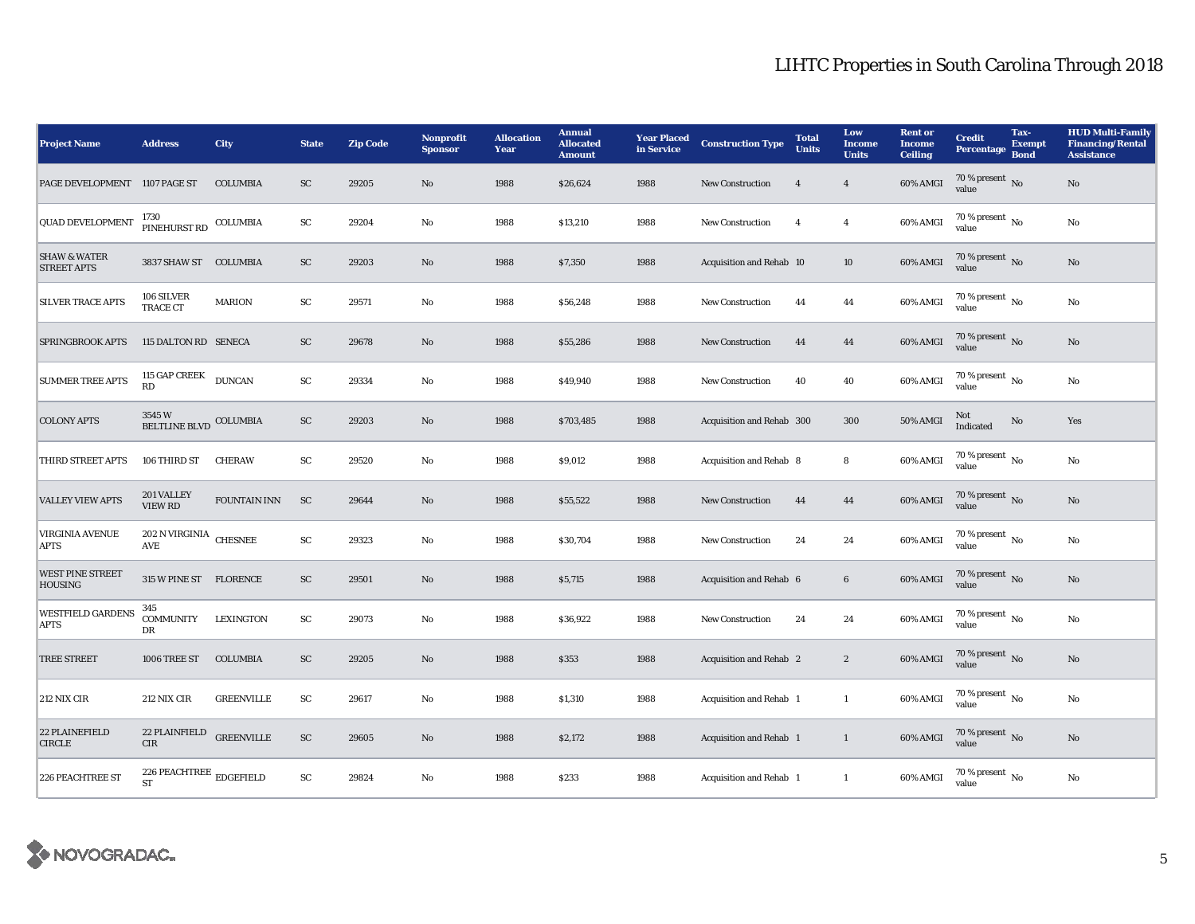| <b>Project Name</b>                           | <b>Address</b>                                               | <b>City</b>       | <b>State</b> | <b>Zip Code</b> | <b>Nonprofit</b><br><b>Sponsor</b> | <b>Allocation</b><br>Year | <b>Annual</b><br><b>Allocated</b><br><b>Amount</b> | <b>Year Placed</b><br>in Service | <b>Construction Type</b>       | <b>Total</b><br><b>Units</b> | Low<br><b>Income</b><br><b>Units</b> | <b>Rent or</b><br><b>Income</b><br><b>Ceiling</b> | <b>Credit</b><br><b>Percentage</b>       | Tax-<br><b>Exempt</b><br><b>Bond</b> | <b>HUD Multi-Family</b><br><b>Financing/Rental</b><br><b>Assistance</b> |
|-----------------------------------------------|--------------------------------------------------------------|-------------------|--------------|-----------------|------------------------------------|---------------------------|----------------------------------------------------|----------------------------------|--------------------------------|------------------------------|--------------------------------------|---------------------------------------------------|------------------------------------------|--------------------------------------|-------------------------------------------------------------------------|
| PAGE DEVELOPMENT 1107 PAGE ST                 |                                                              | <b>COLUMBIA</b>   | ${\rm SC}$   | 29205           | No                                 | 1988                      | \$26,624                                           | 1988                             | New Construction               | $\overline{4}$               | $\overline{4}$                       | 60% AMGI                                          | $70\,\%$ present $\,$ No value           |                                      | $\rm No$                                                                |
| <b>QUAD DEVELOPMENT</b>                       | 1730<br>PINEHURST RD                                         | COLUMBIA          | ${\rm SC}$   | 29204           | No                                 | 1988                      | \$13,210                                           | 1988                             | <b>New Construction</b>        | $\overline{4}$               | $\overline{4}$                       | 60% AMGI                                          | 70 % present $\overline{N_0}$<br>value   |                                      | No                                                                      |
| <b>SHAW &amp; WATER</b><br><b>STREET APTS</b> | 3837 SHAW ST COLUMBIA                                        |                   | ${\rm SC}$   | 29203           | No                                 | 1988                      | \$7,350                                            | 1988                             | Acquisition and Rehab 10       |                              | 10                                   | $60\%$ AMGI                                       | 70 % present $N_{\rm O}$<br>value        |                                      | $\mathbf{No}$                                                           |
| <b>SILVER TRACE APTS</b>                      | 106 SILVER<br>TRACE CT                                       | <b>MARION</b>     | SC           | 29571           | $\mathbf{No}$                      | 1988                      | \$56,248                                           | 1988                             | New Construction               | 44                           | 44                                   | 60% AMGI                                          | $70\%$ present $\overline{N_0}$<br>value |                                      | No                                                                      |
| SPRINGBROOK APTS                              | 115 DALTON RD SENECA                                         |                   | SC           | 29678           | $\mathbf{No}$                      | 1988                      | \$55,286                                           | 1988                             | New Construction               | 44                           | 44                                   | 60% AMGI                                          | 70 % present $\,$ No $\,$<br>value       |                                      | $\mathbf{No}$                                                           |
| <b>SUMMER TREE APTS</b>                       | 115 GAP CREEK<br>RD                                          | <b>DUNCAN</b>     | ${\rm SC}$   | 29334           | No                                 | 1988                      | \$49,940                                           | 1988                             | <b>New Construction</b>        | 40                           | 40                                   | 60% AMGI                                          | $70\,\%$ present $\,$ No value           |                                      | No                                                                      |
| <b>COLONY APTS</b>                            | 3545 W<br>BELTLINE BLVD COLUMBIA                             |                   | SC           | 29203           | No                                 | 1988                      | \$703,485                                          | 1988                             | Acquisition and Rehab 300      |                              | 300                                  | <b>50% AMGI</b>                                   | Not<br>Indicated                         | No                                   | Yes                                                                     |
| THIRD STREET APTS                             | 106 THIRD ST                                                 | <b>CHERAW</b>     | SC           | 29520           | No                                 | 1988                      | \$9,012                                            | 1988                             | Acquisition and Rehab 8        |                              | 8                                    | 60% AMGI                                          | $70\%$ present $\overline{N_0}$<br>value |                                      | No                                                                      |
| <b>VALLEY VIEW APTS</b>                       | 201 VALLEY<br><b>VIEW RD</b>                                 | FOUNTAIN INN      | <b>SC</b>    | 29644           | $\mathbf{No}$                      | 1988                      | \$55,522                                           | 1988                             | New Construction               | 44                           | 44                                   | 60% AMGI                                          | 70 % present $\overline{N_0}$<br>value   |                                      | $\mathbf{No}$                                                           |
| <b>VIRGINIA AVENUE</b><br><b>APTS</b>         | $202$ N VIRGINIA $\,$ CHESNEE<br>AVE                         |                   | ${\rm SC}$   | 29323           | $\mathbf{No}$                      | 1988                      | \$30,704                                           | 1988                             | <b>New Construction</b>        | 24                           | 24                                   | 60% AMGI                                          | 70 % present $\overline{N_0}$<br>value   |                                      | No                                                                      |
| <b>WEST PINE STREET</b><br><b>HOUSING</b>     | 315 W PINE ST FLORENCE                                       |                   | ${\rm SC}$   | 29501           | $\mathbf{No}$                      | 1988                      | \$5,715                                            | 1988                             | Acquisition and Rehab 6        |                              | $\bf 6$                              | 60% AMGI                                          | $70\,\%$ present $\,$ No value           |                                      | $\mathbf{No}$                                                           |
| <b>WESTFIELD GARDENS</b><br><b>APTS</b>       | 345<br><b>COMMUNITY</b><br>DR                                | <b>LEXINGTON</b>  | ${\rm SC}$   | 29073           | No                                 | 1988                      | \$36,922                                           | 1988                             | <b>New Construction</b>        | 24                           | 24                                   | 60% AMGI                                          | $70\%$ present $\overline{N_0}$<br>value |                                      | No                                                                      |
| <b>TREE STREET</b>                            | 1006 TREE ST                                                 | <b>COLUMBIA</b>   | ${\rm SC}$   | 29205           | No                                 | 1988                      | \$353                                              | 1988                             | Acquisition and Rehab 2        |                              | $\mathbf{2}$                         | 60% AMGI                                          | $70\%$ present No<br>value               |                                      | $\mathbf{No}$                                                           |
| 212 NIX CIR                                   | 212 NIX CIR                                                  | <b>GREENVILLE</b> | ${\rm SC}$   | 29617           | No                                 | 1988                      | \$1,310                                            | 1988                             | <b>Acquisition and Rehab 1</b> |                              | $\mathbf{1}$                         | 60% AMGI                                          | $70\%$ present $\overline{N_0}$<br>value |                                      | No                                                                      |
| 22 PLAINEFIELD<br><b>CIRCLE</b>               | 22 PLAINFIELD<br><b>CIR</b>                                  | <b>GREENVILLE</b> | ${\rm SC}$   | 29605           | $\mathbf{No}$                      | 1988                      | \$2,172                                            | 1988                             | Acquisition and Rehab 1        |                              | $\mathbf{1}$                         | 60% AMGI                                          | $70\%$ present No<br>value               |                                      | $\rm No$                                                                |
| <b>226 PEACHTREE ST</b>                       | 226 PEACHTREE $_{\rm\bf \underline{E}DGEFIELD}$<br><b>ST</b> |                   | SC           | 29824           | No                                 | 1988                      | \$233                                              | 1988                             | Acquisition and Rehab 1        |                              | $\mathbf{1}$                         | 60% AMGI                                          | $70\%$ present $\overline{N_0}$<br>value |                                      | No                                                                      |

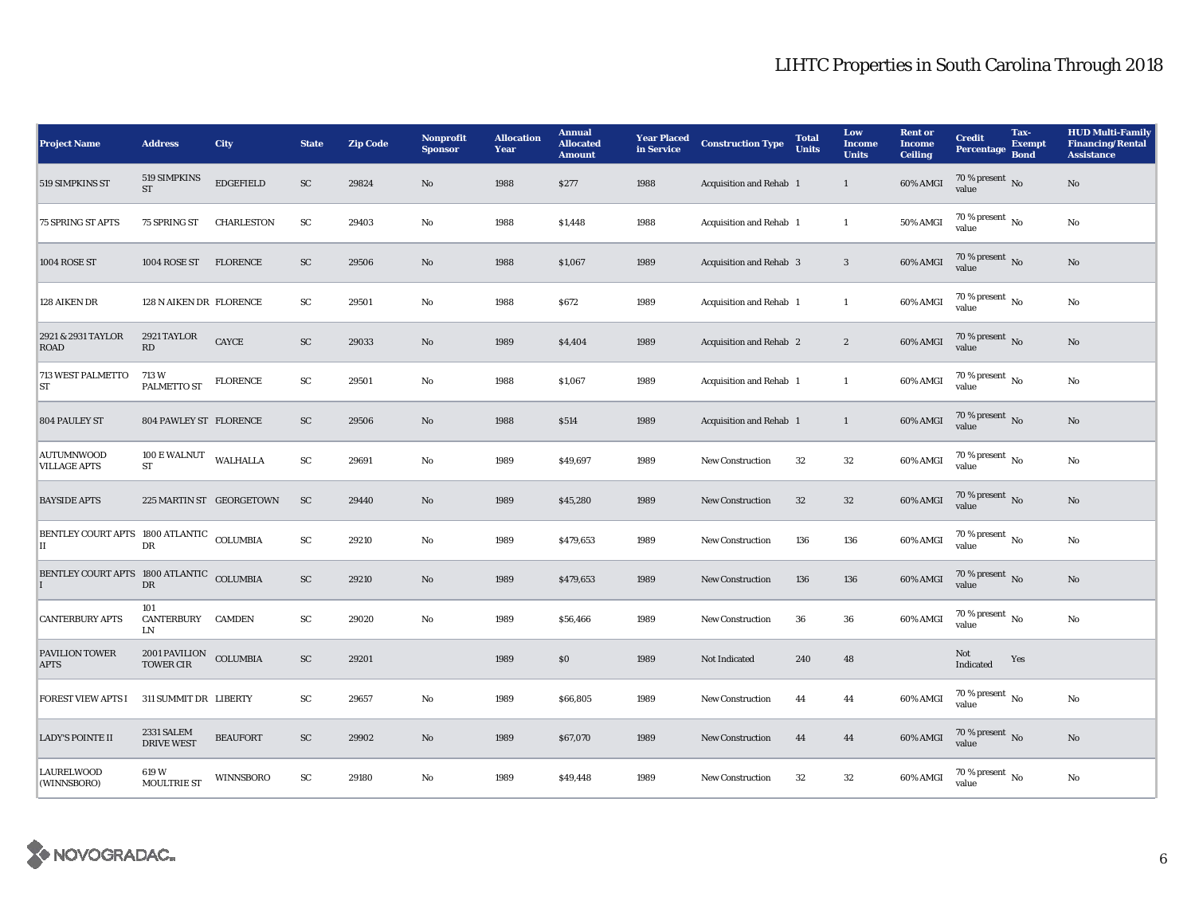| <b>Project Name</b>                             | <b>Address</b>                                       | City                     | <b>State</b> | <b>Zip Code</b> | <b>Nonprofit</b><br><b>Sponsor</b> | <b>Allocation</b><br>Year | <b>Annual</b><br><b>Allocated</b><br><b>Amount</b> | <b>Year Placed</b><br>in Service | <b>Construction Type</b> | <b>Total</b><br><b>Units</b> | Low<br><b>Income</b><br><b>Units</b> | <b>Rent</b> or<br><b>Income</b><br><b>Ceiling</b> | <b>Credit</b><br><b>Percentage</b>       | Tax-<br><b>Exempt</b><br><b>Bond</b> | <b>HUD Multi-Family</b><br><b>Financing/Rental</b><br><b>Assistance</b> |
|-------------------------------------------------|------------------------------------------------------|--------------------------|--------------|-----------------|------------------------------------|---------------------------|----------------------------------------------------|----------------------------------|--------------------------|------------------------------|--------------------------------------|---------------------------------------------------|------------------------------------------|--------------------------------------|-------------------------------------------------------------------------|
| 519 SIMPKINS ST                                 | 519 SIMPKINS<br><b>ST</b>                            | <b>EDGEFIELD</b>         | SC           | 29824           | No                                 | 1988                      | \$277                                              | 1988                             | Acquisition and Rehab 1  |                              | $\mathbf{1}$                         | 60% AMGI                                          | 70 % present $\,$ No $\,$<br>value       |                                      | $\rm No$                                                                |
| <b>75 SPRING ST APTS</b>                        | 75 SPRING ST                                         | <b>CHARLESTON</b>        | SC           | 29403           | No                                 | 1988                      | \$1,448                                            | 1988                             | Acquisition and Rehab 1  |                              | $\mathbf{1}$                         | 50% AMGI                                          | $70\%$ present $\overline{N_0}$<br>value |                                      | No                                                                      |
| 1004 ROSE ST                                    | 1004 ROSE ST                                         | <b>FLORENCE</b>          | SC           | 29506           | No                                 | 1988                      | \$1,067                                            | 1989                             | Acquisition and Rehab 3  |                              | $\sqrt{3}$                           | 60% AMGI                                          | 70 % present $\overline{N_0}$<br>value   |                                      | No                                                                      |
| 128 AIKEN DR                                    | 128 N AIKEN DR FLORENCE                              |                          | SC           | 29501           | No                                 | 1988                      | \$672                                              | 1989                             | Acquisition and Rehab 1  |                              | $\mathbf{1}$                         | 60% AMGI                                          | $70\%$ present $\overline{N_0}$<br>value |                                      | No                                                                      |
| 2921 & 2931 TAYLOR<br><b>ROAD</b>               | 2921 TAYLOR<br>RD                                    | CAYCE                    | ${\rm SC}$   | 29033           | No                                 | 1989                      | \$4,404                                            | 1989                             | Acquisition and Rehab 2  |                              | $\boldsymbol{2}$                     | 60% AMGI                                          | 70 % present $\,$ No $\,$<br>value       |                                      | No                                                                      |
| <b>713 WEST PALMETTO</b><br><b>ST</b>           | 713 W<br>PALMETTO ST                                 | <b>FLORENCE</b>          | ${\rm SC}$   | 29501           | No                                 | 1988                      | \$1,067                                            | 1989                             | Acquisition and Rehab 1  |                              | $\mathbf{1}$                         | 60% AMGI                                          | $70\%$ present $\overline{N_0}$<br>value |                                      | No                                                                      |
| 804 PAULEY ST                                   | 804 PAWLEY ST FLORENCE                               |                          | SC           | 29506           | No                                 | 1988                      | \$514                                              | 1989                             | Acquisition and Rehab 1  |                              | $\mathbf{1}$                         | 60% AMGI                                          | 70 % present $\,$ No $\,$<br>value       |                                      | No                                                                      |
| <b>AUTUMNWOOD</b><br><b>VILLAGE APTS</b>        | 100 E WALNUT<br><b>ST</b>                            | <b>WALHALLA</b>          | SC           | 29691           | No                                 | 1989                      | \$49,697                                           | 1989                             | <b>New Construction</b>  | 32                           | $32\,$                               | 60% AMGI                                          | 70 % present $\overline{N_0}$<br>value   |                                      | No                                                                      |
| <b>BAYSIDE APTS</b>                             |                                                      | 225 MARTIN ST GEORGETOWN | SC           | 29440           | No                                 | 1989                      | \$45,280                                           | 1989                             | <b>New Construction</b>  | 32                           | $32\,$                               | 60% AMGI                                          | $70\%$ present No<br>value               |                                      | No                                                                      |
| BENTLEY COURT APTS 1800 ATLANTIC COLUMBIA<br>IІ | DR                                                   |                          | ${\rm SC}$   | 29210           | No                                 | 1989                      | \$479,653                                          | 1989                             | <b>New Construction</b>  | 136                          | 136                                  | 60% AMGI                                          | $70\%$ present $\overline{N_0}$<br>value |                                      | No                                                                      |
| BENTLEY COURT APTS 1800 ATLANTIC COLUMBIA       | DR                                                   |                          | ${\rm SC}$   | 29210           | $\mathbf{No}$                      | 1989                      | \$479,653                                          | 1989                             | <b>New Construction</b>  | 136                          | 136                                  | 60% AMGI                                          | 70 % present No<br>value                 |                                      | No                                                                      |
| <b>CANTERBURY APTS</b>                          | 101<br>CANTERBURY CAMDEN<br>LN                       |                          | SC           | 29020           | $\mathbf{No}$                      | 1989                      | \$56,466                                           | 1989                             | New Construction         | 36                           | 36                                   | 60% AMGI                                          | 70 % present $\overline{N_0}$<br>value   |                                      | No                                                                      |
| PAVILION TOWER<br><b>APTS</b>                   | $2001$ PAVILION $\quad$ COLUMBIA<br><b>TOWER CIR</b> |                          | SC           | 29201           |                                    | 1989                      | S <sub>0</sub>                                     | 1989                             | Not Indicated            | 240                          | 48                                   |                                                   | Not<br>Indicated                         | Yes                                  |                                                                         |
| <b>FOREST VIEW APTS I</b>                       | 311 SUMMIT DR LIBERTY                                |                          | SC           | 29657           | No                                 | 1989                      | \$66,805                                           | 1989                             | New Construction         | 44                           | 44                                   | 60% AMGI                                          | 70 % present $\,$ No $\,$<br>value       |                                      | No                                                                      |
| <b>LADY'S POINTE II</b>                         | 2331 SALEM<br><b>DRIVE WEST</b>                      | <b>BEAUFORT</b>          | SC           | 29902           | No                                 | 1989                      | \$67,070                                           | 1989                             | <b>New Construction</b>  | 44                           | 44                                   | 60% AMGI                                          | 70 % present $\overline{N_0}$<br>value   |                                      | No                                                                      |
| <b>LAURELWOOD</b><br>(WINNSBORO)                | 619 W<br>MOULTRIE ST                                 | <b>WINNSBORO</b>         | SC           | 29180           | No                                 | 1989                      | \$49,448                                           | 1989                             | <b>New Construction</b>  | 32                           | 32                                   | 60% AMGI                                          | 70 % present $\overline{N_0}$<br>value   |                                      | No                                                                      |

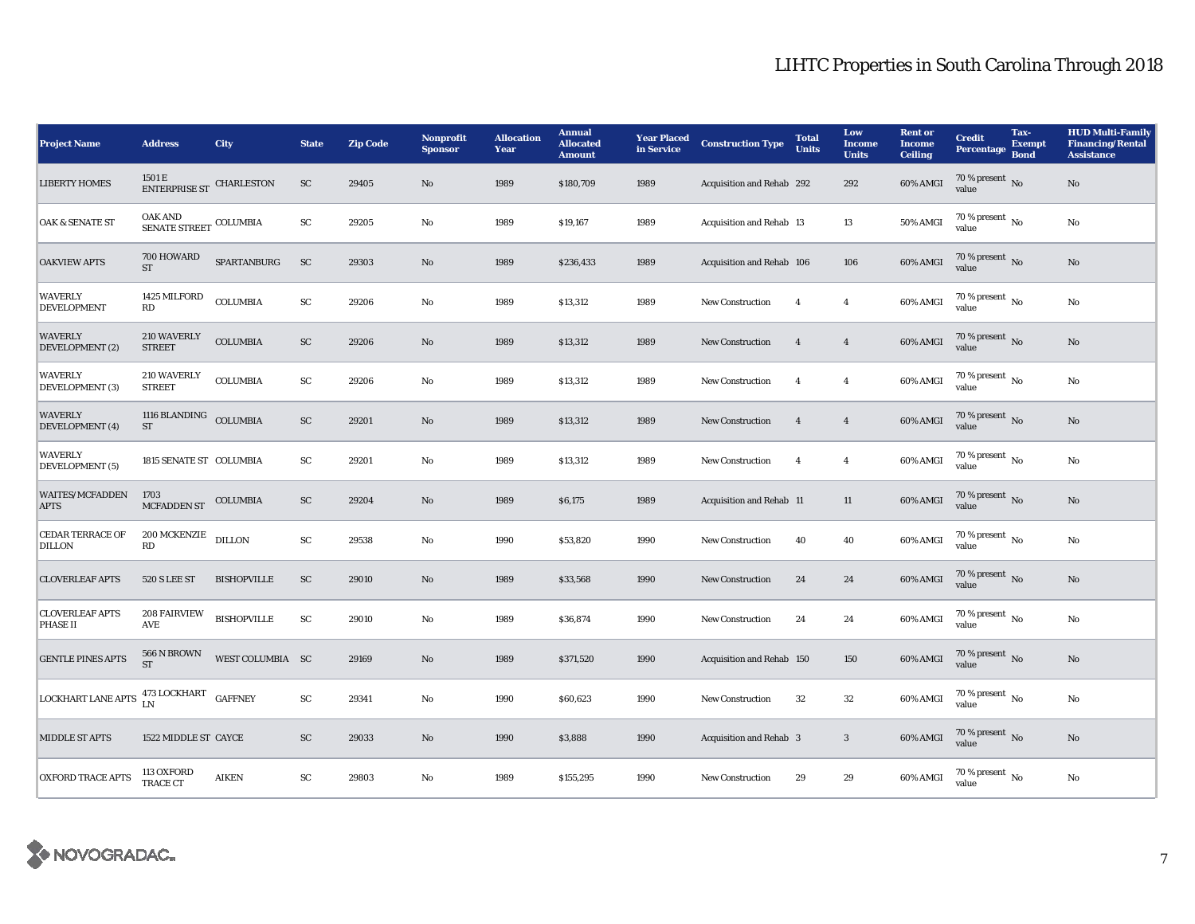| <b>Project Name</b>                       | <b>Address</b>                                                                                                                        | City               | <b>State</b>           | <b>Zip Code</b> | Nonprofit<br><b>Sponsor</b> | <b>Allocation</b><br>Year | <b>Annual</b><br><b>Allocated</b><br><b>Amount</b> | <b>Year Placed<br/>in Service</b> | <b>Construction Type</b>  | <b>Total</b><br><b>Units</b> | Low<br>Income<br><b>Units</b> | <b>Rent or</b><br><b>Income</b><br><b>Ceiling</b> | <b>Credit</b><br><b>Percentage</b>       | Tax-<br><b>Exempt</b><br><b>Bond</b> | <b>HUD Multi-Family</b><br><b>Financing/Rental</b><br><b>Assistance</b> |
|-------------------------------------------|---------------------------------------------------------------------------------------------------------------------------------------|--------------------|------------------------|-----------------|-----------------------------|---------------------------|----------------------------------------------------|-----------------------------------|---------------------------|------------------------------|-------------------------------|---------------------------------------------------|------------------------------------------|--------------------------------------|-------------------------------------------------------------------------|
| <b>LIBERTY HOMES</b>                      | $1501\,\mathrm{E}$ ENTERPRISE ST                                                                                                      | <b>CHARLESTON</b>  | SC                     | 29405           | No                          | 1989                      | \$180,709                                          | 1989                              | Acquisition and Rehab 292 |                              | 292                           | 60% AMGI                                          | 70 % present $\,$ No $\,$<br>value       |                                      | $\rm No$                                                                |
| <b>OAK &amp; SENATE ST</b>                | OAK AND<br>$\begin{minipage}{.4\linewidth} \begin{tabular}{l} \multicolumn{2}{c}{\textbf{SENATE} STREF} \end{tabular} \end{minipage}$ |                    | SC                     | 29205           | No                          | 1989                      | \$19,167                                           | 1989                              | Acquisition and Rehab 13  |                              | 13                            | 50% AMGI                                          | $70\%$ present $\overline{N_0}$<br>value |                                      | No                                                                      |
| <b>OAKVIEW APTS</b>                       | 700 HOWARD<br><b>ST</b>                                                                                                               | SPARTANBURG        | SC                     | 29303           | No                          | 1989                      | \$236,433                                          | 1989                              | Acquisition and Rehab 106 |                              | 106                           | 60% AMGI                                          | 70 % present No<br>value                 |                                      | $\rm No$                                                                |
| <b>WAVERLY</b><br><b>DEVELOPMENT</b>      | 1425 MILFORD<br>RD                                                                                                                    | <b>COLUMBIA</b>    | ${\rm SC}$             | 29206           | $\rm No$                    | 1989                      | \$13,312                                           | 1989                              | <b>New Construction</b>   | $\overline{4}$               | $\overline{4}$                | 60% AMGI                                          | 70 % present $N_0$<br>value              |                                      | $\rm No$                                                                |
| <b>WAVERLY</b><br>DEVELOPMENT (2)         | 210 WAVERLY<br><b>STREET</b>                                                                                                          | <b>COLUMBIA</b>    | ${\rm SC}$             | 29206           | No                          | 1989                      | \$13,312                                           | 1989                              | <b>New Construction</b>   | $\overline{4}$               | $\overline{4}$                | 60% AMGI                                          | 70 % present $\,$ No $\,$<br>value       |                                      | $\rm No$                                                                |
| <b>WAVERLY</b><br>DEVELOPMENT (3)         | 210 WAVERLY<br><b>STREET</b>                                                                                                          | <b>COLUMBIA</b>    | ${\rm SC}$             | 29206           | No                          | 1989                      | \$13,312                                           | 1989                              | <b>New Construction</b>   | $\overline{4}$               | $\overline{4}$                | 60% AMGI                                          | $70\%$ present $\overline{N_0}$<br>value |                                      | $\rm No$                                                                |
| <b>WAVERLY</b><br>DEVELOPMENT (4)         | 1116 BLANDING COLUMBIA<br>ST                                                                                                          |                    | ${\rm SC}$             | 29201           | No                          | 1989                      | \$13,312                                           | 1989                              | <b>New Construction</b>   | $\overline{4}$               | $\overline{4}$                | 60% AMGI                                          | 70 % present $\,$ No $\,$<br>value       |                                      | No                                                                      |
| <b>WAVERLY</b><br>DEVELOPMENT (5)         | 1815 SENATE ST COLUMBIA                                                                                                               |                    | SC                     | 29201           | No                          | 1989                      | \$13,312                                           | 1989                              | <b>New Construction</b>   | $\overline{4}$               | $\overline{4}$                | 60% AMGI                                          | $70\%$ present $\overline{N_0}$<br>value |                                      | No                                                                      |
| <b>WAITES/MCFADDEN</b><br><b>APTS</b>     | 1703<br><b>MCFADDEN ST</b>                                                                                                            | <b>COLUMBIA</b>    | <b>SC</b>              | 29204           | No                          | 1989                      | \$6,175                                            | 1989                              | Acquisition and Rehab 11  |                              | 11                            | 60% AMGI                                          | 70 % present $\,$ No $\,$<br>value       |                                      | $\rm No$                                                                |
| <b>CEDAR TERRACE OF</b><br><b>DILLON</b>  | 200 MCKENZIE<br>RD                                                                                                                    | <b>DILLON</b>      | ${\rm SC}$             | 29538           | No                          | 1990                      | \$53,820                                           | 1990                              | New Construction          | 40                           | 40                            | 60% AMGI                                          | $70\%$ present $\overline{N_0}$<br>value |                                      | $\rm No$                                                                |
| <b>CLOVERLEAF APTS</b>                    | <b>520 S LEE ST</b>                                                                                                                   | <b>BISHOPVILLE</b> | ${\rm SC}$             | 29010           | No                          | 1989                      | \$33,568                                           | 1990                              | <b>New Construction</b>   | 24                           | 24                            | 60% AMGI                                          | 70 % present No<br>value                 |                                      | No                                                                      |
| <b>CLOVERLEAF APTS</b><br><b>PHASE II</b> | 208 FAIRVIEW<br>AVE                                                                                                                   | <b>BISHOPVILLE</b> | $\mathbf{S}\mathbf{C}$ | 29010           | No                          | 1989                      | \$36,874                                           | 1990                              | <b>New Construction</b>   | 24                           | 24                            | 60% AMGI                                          | $70\%$ present $\overline{N_0}$<br>value |                                      | $_{\rm No}$                                                             |
| <b>GENTLE PINES APTS</b>                  | 566 N BROWN<br><b>ST</b>                                                                                                              | WEST COLUMBIA SC   |                        | 29169           | No                          | 1989                      | \$371,520                                          | 1990                              | Acquisition and Rehab 150 |                              | 150                           | 60% AMGI                                          | $70\,\%$ present $\,$ No value           |                                      | No                                                                      |
| <b>LOCKHART LANE APTS</b>                 | 473 LOCKHART<br>LN                                                                                                                    | <b>GAFFNEY</b>     | SC                     | 29341           | No                          | 1990                      | \$60,623                                           | 1990                              | <b>New Construction</b>   | 32                           | $32\,$                        | 60% AMGI                                          | 70 % present $\,$ No $\,$<br>value       |                                      | No                                                                      |
| <b>MIDDLE ST APTS</b>                     | 1522 MIDDLE ST CAYCE                                                                                                                  |                    | SC                     | 29033           | No                          | 1990                      | \$3,888                                            | 1990                              | Acquisition and Rehab 3   |                              | $\mathbf{3}$                  | 60% AMGI                                          | 70 % present No<br>value                 |                                      | $\rm No$                                                                |
| <b>OXFORD TRACE APTS</b>                  | 113 OXFORD<br>TRACE CT                                                                                                                | <b>AIKEN</b>       | SC                     | 29803           | No                          | 1989                      | \$155,295                                          | 1990                              | <b>New Construction</b>   | 29                           | 29                            | 60% AMGI                                          | $70\%$ present $\overline{N_0}$<br>value |                                      | $\rm No$                                                                |

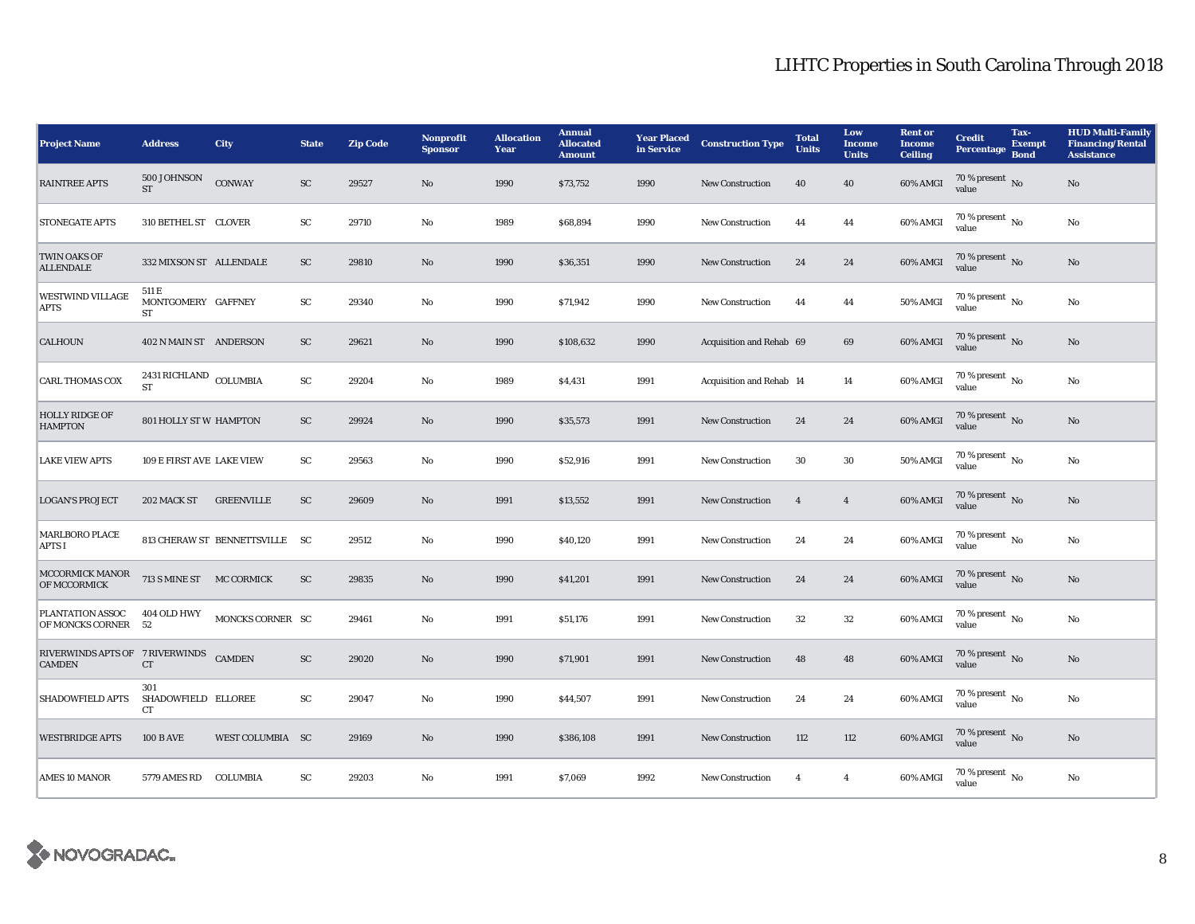| <b>Project Name</b>                                     | <b>Address</b>                           | <b>City</b>                    | <b>State</b> | <b>Zip Code</b> | <b>Nonprofit</b><br><b>Sponsor</b> | <b>Allocation</b><br>Year | <b>Annual</b><br><b>Allocated</b><br><b>Amount</b> | <b>Year Placed</b><br>in Service | <b>Construction Type</b> | <b>Total</b><br><b>Units</b> | Low<br><b>Income</b><br><b>Units</b> | <b>Rent or</b><br><b>Income</b><br><b>Ceiling</b> | <b>Credit</b><br><b>Percentage</b>       | Tax-<br><b>Exempt</b><br><b>Bond</b> | <b>HUD Multi-Family</b><br><b>Financing/Rental</b><br><b>Assistance</b> |
|---------------------------------------------------------|------------------------------------------|--------------------------------|--------------|-----------------|------------------------------------|---------------------------|----------------------------------------------------|----------------------------------|--------------------------|------------------------------|--------------------------------------|---------------------------------------------------|------------------------------------------|--------------------------------------|-------------------------------------------------------------------------|
| <b>RAINTREE APTS</b>                                    | 500 JOHNSON<br><b>ST</b>                 | <b>CONWAY</b>                  | SC           | 29527           | No                                 | 1990                      | \$73,752                                           | 1990                             | <b>New Construction</b>  | 40                           | 40                                   | 60% AMGI                                          | 70 % present $\overline{N_0}$<br>value   |                                      | No                                                                      |
| <b>STONEGATE APTS</b>                                   | 310 BETHEL ST CLOVER                     |                                | SC           | 29710           | No                                 | 1989                      | \$68,894                                           | 1990                             | <b>New Construction</b>  | 44                           | 44                                   | 60% AMGI                                          | $70\%$ present $\overline{N_0}$<br>value |                                      | No                                                                      |
| TWIN OAKS OF<br><b>ALLENDALE</b>                        | 332 MIXSON ST ALLENDALE                  |                                | SC           | 29810           | No                                 | 1990                      | \$36,351                                           | 1990                             | <b>New Construction</b>  | 24                           | 24                                   | 60% AMGI                                          | 70 % present No<br>value                 |                                      | No                                                                      |
| <b>WESTWIND VILLAGE</b><br><b>APTS</b>                  | 511 E<br>MONTGOMERY GAFFNEY<br><b>ST</b> |                                | SC           | 29340           | No                                 | 1990                      | \$71,942                                           | 1990                             | <b>New Construction</b>  | 44                           | 44                                   | <b>50% AMGI</b>                                   | $70\%$ present $\overline{N_0}$<br>value |                                      | No                                                                      |
| <b>CALHOUN</b>                                          | 402 N MAIN ST ANDERSON                   |                                | SC           | 29621           | No                                 | 1990                      | \$108,632                                          | 1990                             | Acquisition and Rehab 69 |                              | 69                                   | 60% AMGI                                          | 70 % present $\,$ No $\,$<br>value       |                                      | No                                                                      |
| <b>CARL THOMAS COX</b>                                  | 2431 RICHLAND COLUMBIA<br><b>ST</b>      |                                | SC           | 29204           | No                                 | 1989                      | \$4,431                                            | 1991                             | Acquisition and Rehab 14 |                              | 14                                   | 60% AMGI                                          | $70\%$ present $\overline{N_0}$<br>value |                                      | No                                                                      |
| <b>HOLLY RIDGE OF</b><br><b>HAMPTON</b>                 | <b>801 HOLLY ST W HAMPTON</b>            |                                | SC           | 29924           | No                                 | 1990                      | \$35,573                                           | 1991                             | <b>New Construction</b>  | 24                           | 24                                   | 60% AMGI                                          | 70 % present $\,$ No $\,$<br>value       |                                      | No                                                                      |
| <b>LAKE VIEW APTS</b>                                   | 109 E FIRST AVE LAKE VIEW                |                                | SC           | 29563           | No                                 | 1990                      | \$52,916                                           | 1991                             | <b>New Construction</b>  | 30                           | $30\,$                               | 50% AMGI                                          | $70\%$ present $\overline{N_0}$<br>value |                                      | No                                                                      |
| <b>LOGAN'S PROJECT</b>                                  | 202 MACK ST                              | <b>GREENVILLE</b>              | SC           | 29609           | No                                 | 1991                      | \$13,552                                           | 1991                             | New Construction         | $\overline{4}$               | $\bf{4}$                             | 60% AMGI                                          | 70 % present $\,$ No $\,$<br>value       |                                      | $\rm No$                                                                |
| <b>MARLBORO PLACE</b><br><b>APTS I</b>                  |                                          | 813 CHERAW ST BENNETTSVILLE SC |              | 29512           | No                                 | 1990                      | \$40,120                                           | 1991                             | <b>New Construction</b>  | 24                           | 24                                   | 60% AMGI                                          | $70\%$ present $\overline{N_0}$<br>value |                                      | No                                                                      |
| MCCORMICK MANOR<br>OF MCCORMICK                         | 713 S MINE ST MC CORMICK                 |                                | SC           | 29835           | No                                 | 1990                      | \$41,201                                           | 1991                             | <b>New Construction</b>  | 24                           | 24                                   | 60% AMGI                                          | 70 % present No<br>value                 |                                      | No                                                                      |
| PLANTATION ASSOC<br>OF MONCKS CORNER                    | 404 OLD HWY<br>52                        | MONCKS CORNER SC               |              | 29461           | No                                 | 1991                      | \$51,176                                           | 1991                             | <b>New Construction</b>  | 32                           | $32\,$                               | 60% AMGI                                          | 70 % present $\overline{N_0}$<br>value   |                                      | No                                                                      |
| RIVERWINDS APTS OF 7 RIVERWINDS CAMDEN<br><b>CAMDEN</b> | <b>CT</b>                                |                                | <b>SC</b>    | 29020           | No                                 | 1990                      | \$71,901                                           | 1991                             | <b>New Construction</b>  | 48                           | 48                                   | 60% AMGI                                          | 70 % present $\overline{N_0}$<br>value   |                                      | No                                                                      |
| <b>SHADOWFIELD APTS</b>                                 | 301<br>SHADOWFIELD ELLOREE<br>CT         |                                | SC           | 29047           | No                                 | 1990                      | \$44,507                                           | 1991                             | <b>New Construction</b>  | 24                           | 24                                   | 60% AMGI                                          | 70 % present $\,$ No $\,$<br>value       |                                      | No                                                                      |
| <b>WESTBRIDGE APTS</b>                                  | <b>100 B AVE</b>                         | WEST COLUMBIA SC               |              | 29169           | No                                 | 1990                      | \$386,108                                          | 1991                             | <b>New Construction</b>  | 112                          | 112                                  | 60% AMGI                                          | 70 % present No<br>value                 |                                      | No                                                                      |
| <b>AMES 10 MANOR</b>                                    | 5779 AMES RD COLUMBIA                    |                                | SC           | 29203           | No                                 | 1991                      | \$7,069                                            | 1992                             | <b>New Construction</b>  | $\overline{4}$               | $\overline{4}$                       | 60% AMGI                                          | 70 % present $\overline{N_0}$<br>value   |                                      | No                                                                      |

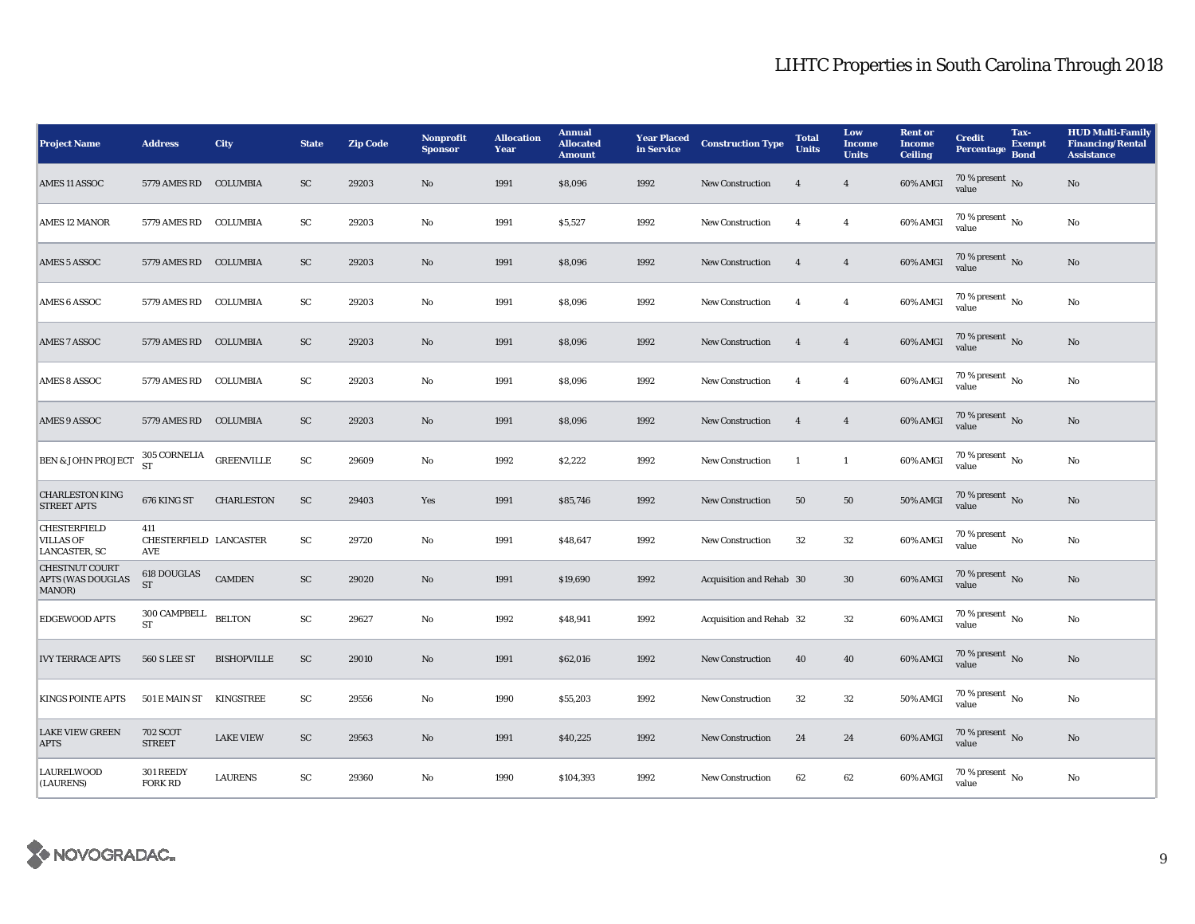| <b>Project Name</b>                                             | <b>Address</b>                       | <b>City</b>        | <b>State</b>            | <b>Zip Code</b> | <b>Nonprofit</b><br><b>Sponsor</b> | <b>Allocation</b><br>Year | <b>Annual</b><br><b>Allocated</b><br><b>Amount</b> | <b>Year Placed</b><br>in Service | <b>Construction Type</b> | <b>Total</b><br><b>Units</b> | Low<br><b>Income</b><br><b>Units</b> | <b>Rent or</b><br><b>Income</b><br><b>Ceiling</b> | <b>Credit</b><br><b>Percentage</b>       | Tax-<br><b>Exempt</b><br><b>Bond</b> | <b>HUD Multi-Family</b><br><b>Financing/Rental</b><br><b>Assistance</b> |
|-----------------------------------------------------------------|--------------------------------------|--------------------|-------------------------|-----------------|------------------------------------|---------------------------|----------------------------------------------------|----------------------------------|--------------------------|------------------------------|--------------------------------------|---------------------------------------------------|------------------------------------------|--------------------------------------|-------------------------------------------------------------------------|
| AMES 11 ASSOC                                                   | 5779 AMES RD COLUMBIA                |                    | $\mathbf{S} \mathbf{C}$ | 29203           | No                                 | 1991                      | \$8,096                                            | 1992                             | <b>New Construction</b>  | $\overline{4}$               | $\overline{4}$                       | 60% AMGI                                          | 70 % present $\,$ No $\,$<br>value       |                                      | No                                                                      |
| <b>AMES 12 MANOR</b>                                            | 5779 AMES RD COLUMBIA                |                    | SC                      | 29203           | No                                 | 1991                      | \$5,527                                            | 1992                             | <b>New Construction</b>  | $\overline{4}$               | $\overline{4}$                       | 60% AMGI                                          | $70\%$ present $\overline{N_0}$<br>value |                                      | No                                                                      |
| AMES 5 ASSOC                                                    | 5779 AMES RD COLUMBIA                |                    | SC                      | 29203           | No                                 | 1991                      | \$8,096                                            | 1992                             | New Construction         | $\overline{4}$               | $\overline{4}$                       | 60% AMGI                                          | 70 % present $\,$ No $\,$<br>value       |                                      | No                                                                      |
| AMES 6 ASSOC                                                    | 5779 AMES RD                         | COLUMBIA           | SC                      | 29203           | No                                 | 1991                      | \$8,096                                            | 1992                             | <b>New Construction</b>  | $\overline{4}$               | $\overline{4}$                       | 60% AMGI                                          | $70\%$ present $\overline{N_0}$<br>value |                                      | No                                                                      |
| <b>AMES 7 ASSOC</b>                                             | 5779 AMES RD COLUMBIA                |                    | SC                      | 29203           | No                                 | 1991                      | \$8,096                                            | 1992                             | <b>New Construction</b>  | $\overline{4}$               | $\overline{4}$                       | 60% AMGI                                          | 70 % present $\hbox{~No}$<br>value       |                                      | No                                                                      |
| <b>AMES 8 ASSOC</b>                                             | 5779 AMES RD COLUMBIA                |                    | SC                      | 29203           | No                                 | 1991                      | \$8,096                                            | 1992                             | New Construction         | $\overline{4}$               | $\overline{4}$                       | 60% AMGI                                          | $70\%$ present $\overline{N_0}$<br>value |                                      | No                                                                      |
| AMES 9 ASSOC                                                    | 5779 AMES RD COLUMBIA                |                    | SC                      | 29203           | No                                 | 1991                      | \$8,096                                            | 1992                             | <b>New Construction</b>  | $\overline{4}$               | $\overline{4}$                       | 60% AMGI                                          | 70 % present $\,$ No $\,$<br>value       |                                      | No                                                                      |
| <b>BEN &amp; JOHN PROJECT</b>                                   | <b>305 CORNELIA</b><br><b>ST</b>     | <b>GREENVILLE</b>  | SC                      | 29609           | No                                 | 1992                      | \$2,222                                            | 1992                             | <b>New Construction</b>  | <sup>1</sup>                 | $\mathbf{1}$                         | 60% AMGI                                          | $70\%$ present $\overline{N_0}$<br>value |                                      | No                                                                      |
| <b>CHARLESTON KING</b><br><b>STREET APTS</b>                    | 676 KING ST                          | <b>CHARLESTON</b>  | SC                      | 29403           | Yes                                | 1991                      | \$85,746                                           | 1992                             | New Construction         | 50                           | 50                                   | 50% AMGI                                          | 70 % present $\,$ No $\,$<br>value       |                                      | No                                                                      |
| <b>CHESTERFIELD</b><br><b>VILLAS OF</b><br><b>LANCASTER, SC</b> | 411<br>CHESTERFIELD LANCASTER<br>AVE |                    | ${\rm SC}$              | 29720           | No                                 | 1991                      | \$48,647                                           | 1992                             | <b>New Construction</b>  | 32                           | $32\,$                               | 60% AMGI                                          | $70\%$ present $\overline{N_0}$<br>value |                                      | No                                                                      |
| <b>CHESTNUT COURT</b><br><b>APTS (WAS DOUGLAS</b><br>MANOR)     | 618 DOUGLAS<br><b>ST</b>             | <b>CAMDEN</b>      | ${\rm SC}$              | 29020           | No                                 | 1991                      | \$19,690                                           | 1992                             | Acquisition and Rehab 30 |                              | $30\,$                               | 60% AMGI                                          | 70 % present No<br>value                 |                                      | No                                                                      |
| <b>EDGEWOOD APTS</b>                                            | 300 CAMPBELL<br>ST                   | <b>BELTON</b>      | ${\rm SC}$              | 29627           | No                                 | 1992                      | \$48,941                                           | 1992                             | Acquisition and Rehab 32 |                              | $32\,$                               | 60% AMGI                                          | 70 % present $\overline{N_0}$<br>value   |                                      | No                                                                      |
| <b>IVY TERRACE APTS</b>                                         | <b>560 S LEE ST</b>                  | <b>BISHOPVILLE</b> | ${\rm SC}$              | 29010           | No                                 | 1991                      | \$62,016                                           | 1992                             | New Construction         | 40                           | 40                                   | 60% AMGI                                          | $70\,\%$ present $\,$ No value           |                                      | No                                                                      |
| <b>KINGS POINTE APTS</b>                                        | 501 E MAIN ST                        | KINGSTREE          | SC                      | 29556           | No                                 | 1990                      | \$55,203                                           | 1992                             | <b>New Construction</b>  | 32                           | 32                                   | 50% AMGI                                          | $70\%$ present No<br>value               |                                      | No                                                                      |
| <b>LAKE VIEW GREEN</b><br><b>APTS</b>                           | <b>702 SCOT</b><br><b>STREET</b>     | <b>LAKE VIEW</b>   | SC                      | 29563           | No                                 | 1991                      | \$40,225                                           | 1992                             | <b>New Construction</b>  | 24                           | 24                                   | 60% AMGI                                          | 70 % present No<br>value                 |                                      | No                                                                      |
| <b>LAURELWOOD</b><br>(LAURENS)                                  | 301 REEDY<br><b>FORK RD</b>          | <b>LAURENS</b>     | SC                      | 29360           | No                                 | 1990                      | \$104,393                                          | 1992                             | New Construction         | 62                           | 62                                   | 60% AMGI                                          | $70\%$ present $\overline{N_0}$<br>value |                                      | No                                                                      |

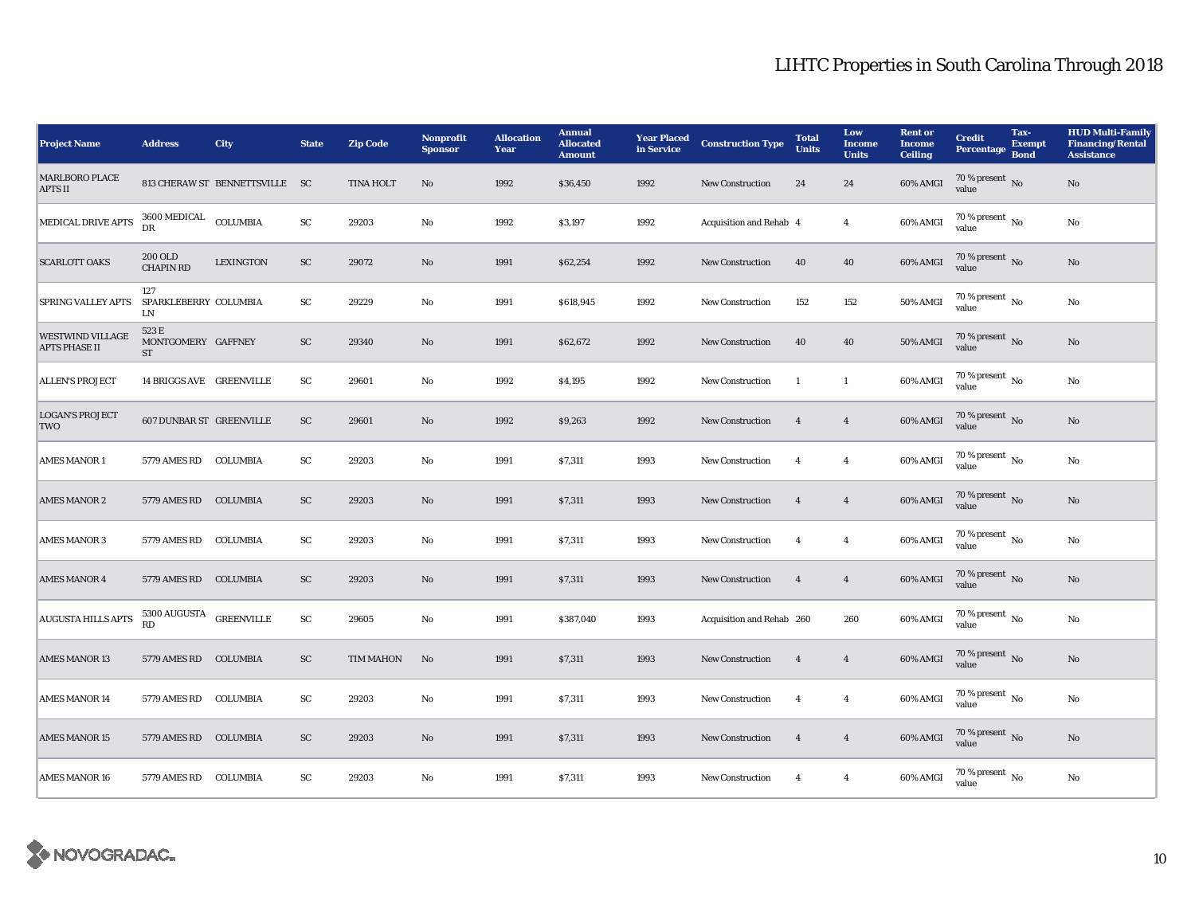| <b>Project Name</b>                             | <b>Address</b>                              | City                           | <b>State</b> | <b>Zip Code</b>  | Nonprofit<br><b>Sponsor</b> | <b>Allocation</b><br>Year | <b>Annual</b><br><b>Allocated</b><br><b>Amount</b> | <b>Year Placed</b><br>in Service | <b>Construction Type</b>  | <b>Total</b><br><b>Units</b> | Low<br><b>Income</b><br><b>Units</b> | <b>Rent</b> or<br><b>Income</b><br><b>Ceiling</b> | <b>Credit</b><br><b>Percentage</b>       | Tax-<br><b>Exempt</b><br><b>Bond</b> | <b>HUD Multi-Family</b><br><b>Financing/Rental</b><br><b>Assistance</b> |
|-------------------------------------------------|---------------------------------------------|--------------------------------|--------------|------------------|-----------------------------|---------------------------|----------------------------------------------------|----------------------------------|---------------------------|------------------------------|--------------------------------------|---------------------------------------------------|------------------------------------------|--------------------------------------|-------------------------------------------------------------------------|
| <b>MARLBORO PLACE</b><br><b>APTS II</b>         |                                             | 813 CHERAW ST BENNETTSVILLE SC |              | <b>TINA HOLT</b> | No                          | 1992                      | \$36,450                                           | 1992                             | <b>New Construction</b>   | 24                           | 24                                   | 60% AMGI                                          | 70 % present $\overline{N_0}$<br>value   |                                      | $\rm No$                                                                |
| MEDICAL DRIVE APTS                              | $3600$ MEDICAL $\quad$ COLUMBIA<br>DR       |                                | ${\rm SC}$   | 29203            | No                          | 1992                      | \$3,197                                            | 1992                             | Acquisition and Rehab 4   |                              | $\boldsymbol{4}$                     | 60% AMGI                                          | 70 % present $\,$ No $\,$<br>value       |                                      | No                                                                      |
| <b>SCARLOTT OAKS</b>                            | <b>200 OLD</b><br><b>CHAPIN RD</b>          | <b>LEXINGTON</b>               | ${\rm SC}$   | 29072            | No                          | 1991                      | \$62,254                                           | 1992                             | <b>New Construction</b>   | 40                           | 40                                   | 60% AMGI                                          | 70 % present No<br>value                 |                                      | No                                                                      |
| <b>SPRING VALLEY APTS</b>                       | 127<br>SPARKLEBERRY COLUMBIA<br>LN          |                                | SC           | 29229            | No                          | 1991                      | \$618,945                                          | 1992                             | <b>New Construction</b>   | 152                          | 152                                  | 50% AMGI                                          | $70\%$ present $\overline{N_0}$<br>value |                                      | No                                                                      |
| <b>WESTWIND VILLAGE</b><br><b>APTS PHASE II</b> | 523 E<br>MONTGOMERY GAFFNEY<br><b>ST</b>    |                                | ${\rm SC}$   | 29340            | No                          | 1991                      | \$62,672                                           | 1992                             | <b>New Construction</b>   | 40                           | 40                                   | <b>50% AMGI</b>                                   | 70 % present $\,$ No $\,$<br>value       |                                      | No                                                                      |
| <b>ALLEN'S PROJECT</b>                          | <b>14 BRIGGS AVE GREENVILLE</b>             |                                | SC           | 29601            | No                          | 1992                      | \$4,195                                            | 1992                             | New Construction          | $\overline{1}$               | $\mathbf{1}$                         | 60% AMGI                                          | 70 % present $\overline{N_0}$<br>value   |                                      | No                                                                      |
| <b>LOGAN'S PROJECT</b><br>TWO                   | <b>607 DUNBAR ST GREENVILLE</b>             |                                | <b>SC</b>    | 29601            | No                          | 1992                      | \$9,263                                            | 1992                             | <b>New Construction</b>   | $\overline{4}$               | $\overline{4}$                       | 60% AMGI                                          | 70 % present $\,$ No $\,$<br>value       |                                      | No                                                                      |
| <b>AMES MANOR 1</b>                             | 5779 AMES RD                                | COLUMBIA                       | SC           | 29203            | No                          | 1991                      | \$7,311                                            | 1993                             | <b>New Construction</b>   | $\overline{4}$               | $\overline{4}$                       | 60% AMGI                                          | $70\%$ present $\overline{N_0}$<br>value |                                      | No                                                                      |
| <b>AMES MANOR 2</b>                             | 5779 AMES RD                                | <b>COLUMBIA</b>                | SC           | 29203            | No                          | 1991                      | \$7,311                                            | 1993                             | <b>New Construction</b>   | $\overline{4}$               | $\overline{4}$                       | 60% AMGI                                          | 70 % present $\,$ No $\,$<br>value       |                                      | No                                                                      |
| <b>AMES MANOR 3</b>                             | 5779 AMES RD COLUMBIA                       |                                | SC           | 29203            | No                          | 1991                      | \$7,311                                            | 1993                             | New Construction          | $\overline{4}$               | $\overline{4}$                       | 60% AMGI                                          | $70\%$ present $\overline{N_0}$<br>value |                                      | No                                                                      |
| <b>AMES MANOR 4</b>                             | 5779 AMES RD COLUMBIA                       |                                | ${\rm SC}$   | 29203            | $\mathbf{N}\mathbf{o}$      | 1991                      | \$7,311                                            | 1993                             | <b>New Construction</b>   | $\overline{4}$               | $\overline{4}$                       | 60% AMGI                                          | 70 % present No<br>value                 |                                      | No                                                                      |
| <b>AUGUSTA HILLS APTS</b>                       | $5300\, \rm{AUGUSTA}$ $\,$ GREENVILLE<br>RD |                                | ${\rm SC}$   | 29605            | No                          | 1991                      | \$387,040                                          | 1993                             | Acquisition and Rehab 260 |                              | 260                                  | 60% AMGI                                          | 70 % present $\overline{N_0}$<br>value   |                                      | No                                                                      |
| <b>AMES MANOR 13</b>                            | 5779 AMES RD                                | <b>COLUMBIA</b>                | SC           | TIM MAHON        | No                          | 1991                      | \$7,311                                            | 1993                             | <b>New Construction</b>   | $\overline{4}$               | $\overline{4}$                       | 60% AMGI                                          | $70\,\%$ present $\,$ No value           |                                      | No                                                                      |
| <b>AMES MANOR 14</b>                            | 5779 AMES RD                                | COLUMBIA                       | SC           | 29203            | No                          | 1991                      | \$7,311                                            | 1993                             | <b>New Construction</b>   | $\overline{4}$               | $\overline{4}$                       | 60% AMGI                                          | 70 % present $\,$ No $\,$<br>value       |                                      | No                                                                      |
| <b>AMES MANOR 15</b>                            | 5779 AMES RD COLUMBIA                       |                                | SC           | 29203            | No                          | 1991                      | \$7,311                                            | 1993                             | <b>New Construction</b>   | $\overline{4}$               | $\overline{4}$                       | 60% AMGI                                          | 70 % present No<br>value                 |                                      | No                                                                      |
| <b>AMES MANOR 16</b>                            | 5779 AMES RD                                | COLUMBIA                       | SC           | 29203            | No                          | 1991                      | \$7,311                                            | 1993                             | <b>New Construction</b>   | $\overline{4}$               | $\overline{4}$                       | 60% AMGI                                          | 70 % present $\overline{N_0}$<br>value   |                                      | No                                                                      |

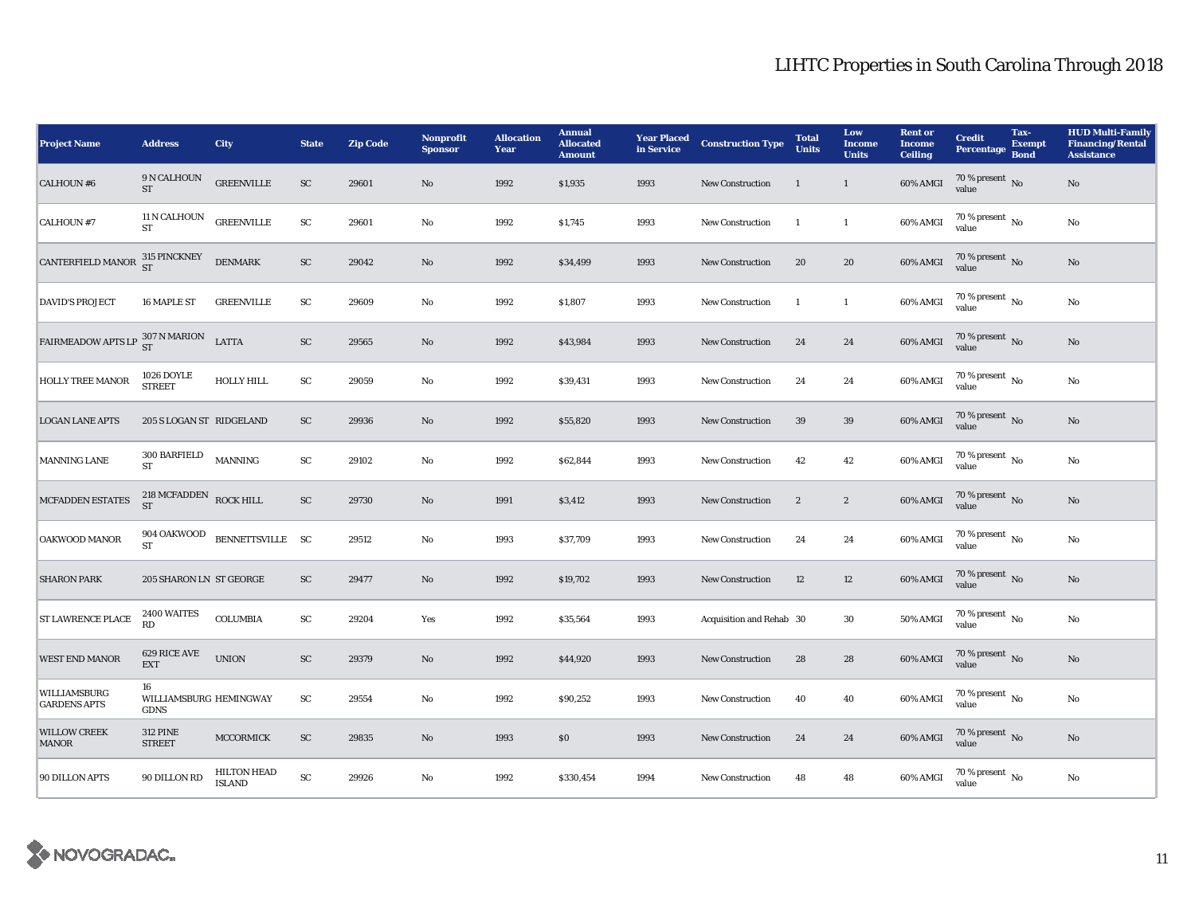| <b>Project Name</b>                                                 | <b>Address</b>                              | <b>City</b>                         | <b>State</b>           | <b>Zip Code</b> | <b>Nonprofit</b><br><b>Sponsor</b> | <b>Allocation</b><br>Year | <b>Annual</b><br><b>Allocated</b><br><b>Amount</b> | <b>Year Placed</b><br>in Service | <b>Construction Type</b> | <b>Total</b><br><b>Units</b> | Low<br><b>Income</b><br><b>Units</b> | <b>Rent or</b><br><b>Income</b><br><b>Ceiling</b> | <b>Credit</b><br><b>Percentage</b>       | Tax-<br><b>Exempt</b><br><b>Bond</b> | <b>HUD Multi-Family</b><br><b>Financing/Rental</b><br><b>Assistance</b> |
|---------------------------------------------------------------------|---------------------------------------------|-------------------------------------|------------------------|-----------------|------------------------------------|---------------------------|----------------------------------------------------|----------------------------------|--------------------------|------------------------------|--------------------------------------|---------------------------------------------------|------------------------------------------|--------------------------------------|-------------------------------------------------------------------------|
| <b>CALHOUN #6</b>                                                   | 9 N CALHOUN<br><b>ST</b>                    | <b>GREENVILLE</b>                   | SC                     | 29601           | $\rm No$                           | 1992                      | \$1,935                                            | 1993                             | <b>New Construction</b>  | <sup>1</sup>                 | $\mathbf{1}$                         | 60% AMGI                                          | $70\,\%$ present $\,$ No value           |                                      | No                                                                      |
| <b>CALHOUN #7</b>                                                   | 11 N CALHOUN<br><b>ST</b>                   | <b>GREENVILLE</b>                   | SC                     | 29601           | No                                 | 1992                      | \$1,745                                            | 1993                             | <b>New Construction</b>  | $\overline{1}$               | $\mathbf{1}$                         | 60% AMGI                                          | $70\,\%$ present $_{\, \rm No}$<br>value |                                      | No                                                                      |
| <b>CANTERFIELD MANOR</b>                                            | $315$ PINCKNEY ${\rm ST}$                   | <b>DENMARK</b>                      | ${\rm SC}$             | 29042           | No                                 | 1992                      | \$34,499                                           | 1993                             | <b>New Construction</b>  | 20                           | 20                                   | 60% AMGI                                          | $70\,\%$ present $\,$ No value           |                                      | No                                                                      |
| <b>DAVID'S PROJECT</b>                                              | 16 MAPLE ST                                 | <b>GREENVILLE</b>                   | SC                     | 29609           | $\rm No$                           | 1992                      | \$1,807                                            | 1993                             | <b>New Construction</b>  | -1                           | $\mathbf{1}$                         | 60% AMGI                                          | $70\%$ present $\overline{N_0}$<br>value |                                      | No                                                                      |
| FAIRMEADOW APTS LP $\frac{307 \text{ N} \text{ MARION}}{\text{ST}}$ |                                             | <b>LATTA</b>                        | ${\rm SC}$             | 29565           | $\mathbf{N}\mathbf{o}$             | 1992                      | \$43,984                                           | 1993                             | <b>New Construction</b>  | 24                           | 24                                   | 60% AMGI                                          | $70\,\%$ present $\,$ No value           |                                      | No                                                                      |
| <b>HOLLY TREE MANOR</b>                                             | 1026 DOYLE<br><b>STREET</b>                 | <b>HOLLY HILL</b>                   | SC                     | 29059           | No                                 | 1992                      | \$39,431                                           | 1993                             | <b>New Construction</b>  | 24                           | 24                                   | 60% AMGI                                          | $70\,\%$ present $\,$ No value           |                                      | No                                                                      |
| <b>LOGAN LANE APTS</b>                                              | 205 S LOGAN ST RIDGELAND                    |                                     | SC                     | 29936           | $\mathbf{N}\mathbf{o}$             | 1992                      | \$55,820                                           | 1993                             | <b>New Construction</b>  | 39                           | $39\,$                               | 60% AMGI                                          | 70 % present $\,$ No $\,$<br>value       |                                      | $\rm No$                                                                |
| <b>MANNING LANE</b>                                                 | $300$ BARFIELD MANNING<br><b>ST</b>         |                                     | SC                     | 29102           | $\rm No$                           | 1992                      | \$62,844                                           | 1993                             | New Construction         | 42                           | 42                                   | 60% AMGI                                          | $70\,\%$ present $\,$ No value           |                                      | $\rm No$                                                                |
| <b>MCFADDEN ESTATES</b>                                             | 218 MCFADDEN ROCK HILL<br><b>ST</b>         |                                     | SC                     | 29730           | $\mathbf{N}\mathbf{o}$             | 1991                      | \$3,412                                            | 1993                             | <b>New Construction</b>  | $\overline{2}$               | $\boldsymbol{2}$                     | 60% AMGI                                          | $70\,\%$ present $\,$ No value           |                                      | No                                                                      |
| <b>OAKWOOD MANOR</b>                                                | 904 OAKWOOD<br><b>ST</b>                    | BENNETTSVILLE SC                    |                        | 29512           | No                                 | 1993                      | \$37,709                                           | 1993                             | <b>New Construction</b>  | 24                           | 24                                   | 60% AMGI                                          | 70 % present No<br>value                 |                                      | No                                                                      |
| <b>SHARON PARK</b>                                                  | 205 SHARON LN ST GEORGE                     |                                     | SC                     | 29477           | $\rm No$                           | 1992                      | \$19,702                                           | 1993                             | New Construction         | 12                           | 12                                   | 60% AMGI                                          | $70\,\%$ present $\,$ No value           |                                      | $\mathbf{No}$                                                           |
| <b>ST LAWRENCE PLACE</b>                                            | 2400 WAITES<br>RD                           | COLUMBIA                            | SC                     | 29204           | Yes                                | 1992                      | \$35,564                                           | 1993                             | Acquisition and Rehab 30 |                              | 30                                   | $50\%$ AMGI                                       | $70\%$ present $\overline{N_0}$<br>value |                                      | No                                                                      |
| <b>WEST END MANOR</b>                                               | 629 RICE AVE<br><b>EXT</b>                  | <b>UNION</b>                        | ${\rm SC}$             | 29379           | $\mathbf{N}\mathbf{o}$             | 1992                      | \$44,920                                           | 1993                             | <b>New Construction</b>  | 28                           | 28                                   | 60% AMGI                                          | $70\,\%$ present $\,$ No value           |                                      | No                                                                      |
| WILLIAMSBURG<br><b>GARDENS APTS</b>                                 | 16<br>WILLIAMSBURG HEMINGWAY<br><b>GDNS</b> |                                     | SC                     | 29554           | No                                 | 1992                      | \$90,252                                           | 1993                             | <b>New Construction</b>  | 40                           | 40                                   | 60% AMGI                                          | $70$ % present $\,$ No value             |                                      | No                                                                      |
| <b>WILLOW CREEK</b><br><b>MANOR</b>                                 | <b>312 PINE</b><br><b>STREET</b>            | MCCORMICK                           | SC                     | 29835           | No                                 | 1993                      | \$0\$                                              | 1993                             | <b>New Construction</b>  | 24                           | 24                                   | 60% AMGI                                          | $70\,\%$ present $\,$ No value           |                                      | $\mathbf{No}$                                                           |
| 90 DILLON APTS                                                      | 90 DILLON RD                                | <b>HILTON HEAD</b><br><b>ISLAND</b> | $\mathbf{S}\mathbf{C}$ | 29926           | No                                 | 1992                      | \$330,454                                          | 1994                             | <b>New Construction</b>  | 48                           | 48                                   | 60% AMGI                                          | $70\%$ present $\overline{N_0}$<br>value |                                      | No                                                                      |

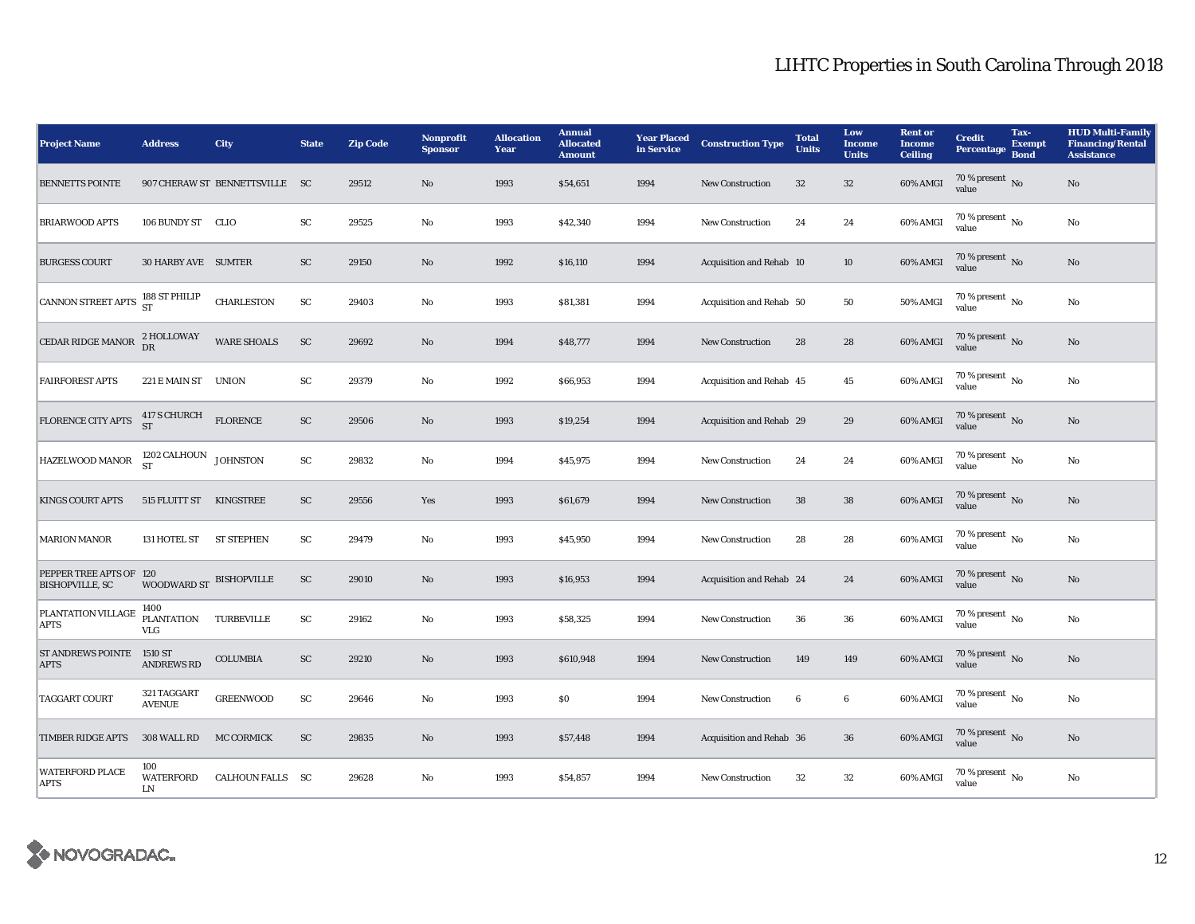| <b>Project Name</b>                               | <b>Address</b>                   | City                           | <b>State</b> | <b>Zip Code</b> | <b>Nonprofit</b><br><b>Sponsor</b> | <b>Allocation</b><br>Year | <b>Annual</b><br><b>Allocated</b><br><b>Amount</b> | <b>Year Placed</b><br>in Service | <b>Construction Type</b> | <b>Total</b><br><b>Units</b> | Low<br><b>Income</b><br><b>Units</b> | <b>Rent</b> or<br><b>Income</b><br><b>Ceiling</b> | <b>Credit</b><br><b>Percentage</b>       | Tax-<br><b>Exempt</b><br><b>Bond</b> | <b>HUD Multi-Family</b><br><b>Financing/Rental</b><br><b>Assistance</b> |
|---------------------------------------------------|----------------------------------|--------------------------------|--------------|-----------------|------------------------------------|---------------------------|----------------------------------------------------|----------------------------------|--------------------------|------------------------------|--------------------------------------|---------------------------------------------------|------------------------------------------|--------------------------------------|-------------------------------------------------------------------------|
| <b>BENNETTS POINTE</b>                            |                                  | 907 CHERAW ST BENNETTSVILLE SC |              | 29512           | No                                 | 1993                      | \$54,651                                           | 1994                             | New Construction         | 32                           | $32\,$                               | 60% AMGI                                          | 70 % present No<br>value                 |                                      | $\rm No$                                                                |
| <b>BRIARWOOD APTS</b>                             | 106 BUNDY ST CLIO                |                                | SC           | 29525           | No                                 | 1993                      | \$42,340                                           | 1994                             | New Construction         | 24                           | 24                                   | 60% AMGI                                          | $70\%$ present $\overline{N_0}$<br>value |                                      | No                                                                      |
| <b>BURGESS COURT</b>                              | 30 HARBY AVE SUMTER              |                                | SC           | 29150           | No                                 | 1992                      | \$16,110                                           | 1994                             | Acquisition and Rehab 10 |                              | 10                                   | $60\%$ AMGI                                       | 70 % present $\,$ No $\,$<br>value       |                                      | No                                                                      |
| <b>CANNON STREET APTS</b>                         | 188 ST PHILIP<br>ST              | <b>CHARLESTON</b>              | SC           | 29403           | $\mathbf{No}$                      | 1993                      | \$81,381                                           | 1994                             | Acquisition and Rehab 50 |                              | 50                                   | 50% AMGI                                          | $70\%$ present $\overline{N_0}$<br>value |                                      | No                                                                      |
| CEDAR RIDGE MANOR                                 | 2 HOLLOWAY<br>DR                 | <b>WARE SHOALS</b>             | ${\rm SC}$   | 29692           | No                                 | 1994                      | \$48,777                                           | 1994                             | <b>New Construction</b>  | 28                           | 28                                   | 60% AMGI                                          | 70 % present $\,$ No $\,$<br>value       |                                      | No                                                                      |
| <b>FAIRFOREST APTS</b>                            | 221 E MAIN ST                    | <b>UNION</b>                   | SC           | 29379           | No                                 | 1992                      | \$66,953                                           | 1994                             | Acquisition and Rehab 45 |                              | 45                                   | 60% AMGI                                          | $70\,\%$ present $\,$ No value           |                                      | No                                                                      |
| FLORENCE CITY APTS                                | 417 S CHURCH<br>ST               | <b>FLORENCE</b>                | ${\rm SC}$   | 29506           | No                                 | 1993                      | \$19,254                                           | 1994                             | Acquisition and Rehab 29 |                              | 29                                   | 60% AMGI                                          | 70 % present $\,$ No $\,$<br>value       |                                      | $\rm No$                                                                |
| HAZELWOOD MANOR                                   | $1202$ CALHOUN $\,$ JOHNSTON ST  |                                | ${\rm SC}$   | 29832           | No                                 | 1994                      | \$45,975                                           | 1994                             | <b>New Construction</b>  | 24                           | 24                                   | 60% AMGI                                          | $70\%$ present No<br>value               |                                      | No                                                                      |
| <b>KINGS COURT APTS</b>                           | 515 FLUITT ST                    | KINGSTREE                      | SC           | 29556           | Yes                                | 1993                      | \$61,679                                           | 1994                             | <b>New Construction</b>  | 38                           | ${\bf 38}$                           | 60% AMGI                                          | 70 % present $\overline{N_0}$<br>value   |                                      | No                                                                      |
| <b>MARION MANOR</b>                               | 131 HOTEL ST                     | ST STEPHEN                     | SC           | 29479           | No                                 | 1993                      | \$45,950                                           | 1994                             | <b>New Construction</b>  | 28                           | 28                                   | 60% AMGI                                          | 70 % present $\,$ No $\,$<br>value       |                                      | No                                                                      |
| PEPPER TREE APTS OF 120<br><b>BISHOPVILLE, SC</b> | WOODWARD ST BISHOPVILLE          |                                | SC           | 29010           | No                                 | 1993                      | \$16,953                                           | 1994                             | Acquisition and Rehab 24 |                              | 24                                   | 60% AMGI                                          | $70\,\%$ present $\,$ No value           |                                      | No                                                                      |
| PLANTATION VILLAGE<br><b>APTS</b>                 | 1400<br>PLANTATION<br><b>VLG</b> | TURBEVILLE                     | ${\rm SC}$   | 29162           | $\mathbf{No}$                      | 1993                      | \$58,325                                           | 1994                             | <b>New Construction</b>  | 36                           | 36                                   | $60\%$ AMGI                                       | 70 % present $\overline{N_0}$<br>value   |                                      | No                                                                      |
| ST ANDREWS POINTE 1510 ST<br><b>APTS</b>          | <b>ANDREWS RD</b>                | <b>COLUMBIA</b>                | ${\rm SC}$   | 29210           | No                                 | 1993                      | \$610,948                                          | 1994                             | <b>New Construction</b>  | 149                          | 149                                  | 60% AMGI                                          | $70\,\%$ present $\,$ No value           |                                      | No                                                                      |
| <b>TAGGART COURT</b>                              | 321 TAGGART<br><b>AVENUE</b>     | <b>GREENWOOD</b>               | SC           | 29646           | No                                 | 1993                      | $\$0$                                              | 1994                             | <b>New Construction</b>  | $\boldsymbol{6}$             | $\bf 6$                              | 60% AMGI                                          | 70 % present $\overline{N_0}$<br>value   |                                      | $\rm No$                                                                |
| TIMBER RIDGE APTS                                 | 308 WALL RD                      | <b>MC CORMICK</b>              | SC           | 29835           | No                                 | 1993                      | \$57,448                                           | 1994                             | Acquisition and Rehab 36 |                              | 36                                   | 60% AMGI                                          | 70 % present $\overline{N_0}$<br>value   |                                      | No                                                                      |
| <b>WATERFORD PLACE</b><br><b>APTS</b>             | 100<br><b>WATERFORD</b><br>LN    | CALHOUN FALLS SC               |              | 29628           | No                                 | 1993                      | \$54,857                                           | 1994                             | <b>New Construction</b>  | 32                           | $32\,$                               | 60% AMGI                                          | 70 % present $\overline{N_0}$<br>value   |                                      | No                                                                      |

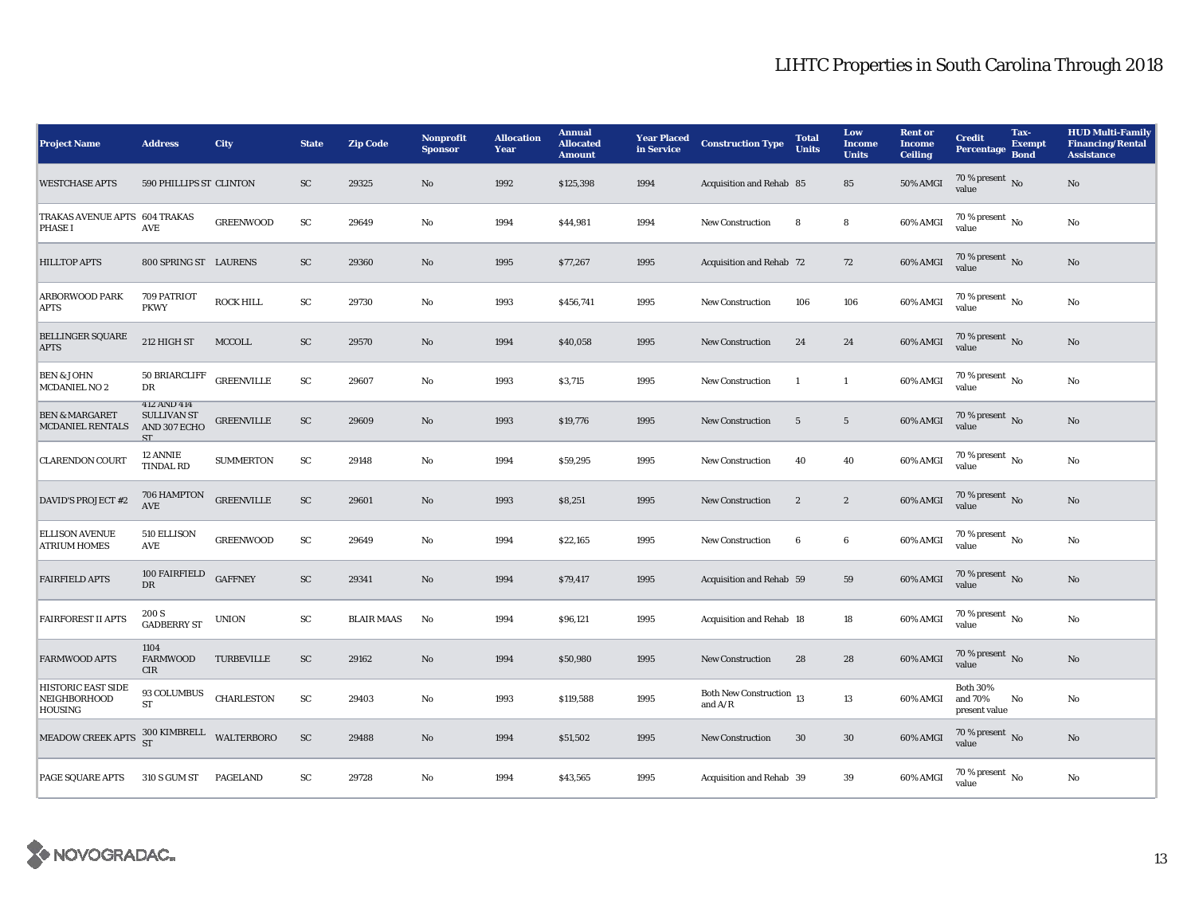| <b>Project Name</b>                                                                                                              | <b>Address</b>                                                 | <b>City</b>       | <b>State</b> | <b>Zip Code</b>   | <b>Nonprofit</b><br><b>Sponsor</b> | <b>Allocation</b><br>Year | <b>Annual</b><br><b>Allocated</b><br><b>Amount</b> | <b>Year Placed</b><br>in Service | <b>Construction Type</b>                           | <b>Total</b><br><b>Units</b> | Low<br><b>Income</b><br><b>Units</b> | <b>Rent or</b><br><b>Income</b><br><b>Ceiling</b> | <b>Credit</b><br>Percentage                 | Tax-<br><b>Exempt</b><br><b>Bond</b> | <b>HUD Multi-Family</b><br><b>Financing/Rental</b><br><b>Assistance</b> |
|----------------------------------------------------------------------------------------------------------------------------------|----------------------------------------------------------------|-------------------|--------------|-------------------|------------------------------------|---------------------------|----------------------------------------------------|----------------------------------|----------------------------------------------------|------------------------------|--------------------------------------|---------------------------------------------------|---------------------------------------------|--------------------------------------|-------------------------------------------------------------------------|
| <b>WESTCHASE APTS</b>                                                                                                            | 590 PHILLIPS ST CLINTON                                        |                   | ${\rm SC}$   | 29325             | No                                 | 1992                      | \$125,398                                          | 1994                             | Acquisition and Rehab 85                           |                              | 85                                   | <b>50% AMGI</b>                                   | 70 % present $\overline{N_0}$<br>value      |                                      | No                                                                      |
| TRAKAS AVENUE APTS 604 TRAKAS<br><b>PHASE I</b>                                                                                  | <b>AVE</b>                                                     | <b>GREENWOOD</b>  | SC           | 29649             | No                                 | 1994                      | \$44,981                                           | 1994                             | <b>New Construction</b>                            | 8                            | 8                                    | 60% AMGI                                          | 70 % present $\overline{N_0}$<br>value      |                                      | No                                                                      |
| <b>HILLTOP APTS</b>                                                                                                              | 800 SPRING ST LAURENS                                          |                   | SC           | 29360             | $\mathbf{N}\mathbf{o}$             | 1995                      | \$77,267                                           | 1995                             | Acquisition and Rehab 72                           |                              | 72                                   | 60% AMGI                                          | 70 % present No<br>value                    |                                      | No                                                                      |
| <b>ARBORWOOD PARK</b><br><b>APTS</b>                                                                                             | 709 PATRIOT<br><b>PKWY</b>                                     | <b>ROCK HILL</b>  | ${\rm SC}$   | 29730             | No                                 | 1993                      | \$456,741                                          | 1995                             | <b>New Construction</b>                            | 106                          | 106                                  | 60% AMGI                                          | 70 % present $\overline{N_0}$<br>value      |                                      | No                                                                      |
| <b>BELLINGER SQUARE</b><br><b>APTS</b>                                                                                           | 212 HIGH ST                                                    | MCCOLL            | SC           | 29570             | No                                 | 1994                      | \$40,058                                           | 1995                             | <b>New Construction</b>                            | 24                           | 24                                   | 60% AMGI                                          | 70 % present $\,$ No $\,$<br>value          |                                      | No                                                                      |
| <b>BEN &amp; JOHN</b><br>MCDANIEL NO 2                                                                                           | 50 BRIARCLIFF<br>DR                                            | <b>GREENVILLE</b> | SC           | 29607             | No                                 | 1993                      | \$3,715                                            | 1995                             | <b>New Construction</b>                            | $\overline{1}$               | $\mathbf{1}$                         | 60% AMGI                                          | $70\%$ present $\overline{N_0}$<br>value    |                                      | No                                                                      |
| <b>BEN &amp; MARGARET</b><br>MCDANIEL RENTALS                                                                                    | 412 AND 414<br><b>SULLIVAN ST</b><br>AND 307 ECHO<br><b>ST</b> | <b>GREENVILLE</b> | SC           | 29609             | No                                 | 1993                      | \$19,776                                           | 1995                             | <b>New Construction</b>                            | $5\phantom{.0}$              | $5\phantom{.0}$                      | 60% AMGI                                          | 70 % present $\overline{N_0}$<br>value      |                                      | No                                                                      |
| <b>CLARENDON COURT</b>                                                                                                           | 12 ANNIE<br>TINDAL RD                                          | <b>SUMMERTON</b>  | ${\rm SC}$   | 29148             | No                                 | 1994                      | \$59,295                                           | 1995                             | <b>New Construction</b>                            | 40                           | 40                                   | 60% AMGI                                          | $70\%$ present $\overline{N_0}$<br>value    |                                      | No                                                                      |
| <b>DAVID'S PROJECT #2</b>                                                                                                        | 706 HAMPTON<br><b>AVE</b>                                      | <b>GREENVILLE</b> | ${\rm SC}$   | 29601             | No                                 | 1993                      | \$8,251                                            | 1995                             | New Construction                                   | $\boldsymbol{2}$             | $\boldsymbol{2}$                     | 60% AMGI                                          | 70 % present $\,$ No $\,$<br>value          |                                      | No                                                                      |
| <b>ELLISON AVENUE</b><br><b>ATRIUM HOMES</b>                                                                                     | 510 ELLISON<br><b>AVE</b>                                      | <b>GREENWOOD</b>  | ${\rm SC}$   | 29649             | No                                 | 1994                      | \$22,165                                           | 1995                             | <b>New Construction</b>                            | 6                            | 6                                    | 60% AMGI                                          | $70\%$ present $\overline{N_0}$<br>value    |                                      | No                                                                      |
| <b>FAIRFIELD APTS</b>                                                                                                            | 100 FAIRFIELD<br>DR.                                           | <b>GAFFNEY</b>    | ${\rm SC}$   | 29341             | No                                 | 1994                      | \$79,417                                           | 1995                             | Acquisition and Rehab 59                           |                              | 59                                   | 60% AMGI                                          | 70 % present No<br>value                    |                                      | No                                                                      |
| <b>FAIRFOREST II APTS</b>                                                                                                        | 200 S<br><b>GADBERRY ST</b>                                    | <b>UNION</b>      | ${\rm SC}$   | <b>BLAIR MAAS</b> | No                                 | 1994                      | \$96,121                                           | 1995                             | Acquisition and Rehab 18                           |                              | 18                                   | 60% AMGI                                          | $70\%$ present $\overline{N_0}$<br>value    |                                      | No                                                                      |
| <b>FARMWOOD APTS</b>                                                                                                             | 1104<br><b>FARMWOOD</b><br><b>CIR</b>                          | TURBEVILLE        | SC           | 29162             | No                                 | 1994                      | \$50,980                                           | 1995                             | New Construction                                   | 28                           | 28                                   | 60% AMGI                                          | 70 % present $\overline{N_0}$<br>value      |                                      | No                                                                      |
| <b>HISTORIC EAST SIDE</b><br><b>NEIGHBORHOOD</b><br><b>HOUSING</b>                                                               | 93 COLUMBUS<br><b>ST</b>                                       | <b>CHARLESTON</b> | ${\rm SC}$   | 29403             | No                                 | 1993                      | \$119,588                                          | 1995                             | Both New Construction $\frac{13}{13}$<br>and $A/R$ |                              | 13                                   | 60% AMGI                                          | <b>Both 30%</b><br>and 70%<br>present value | No                                   | No                                                                      |
| $\begin{array}{lll} \text{MEADOW CREEK APTS} & \begin{array}{l} 300 \text{ KIMBREL} \end{array} & \text{WALTERBORO} \end{array}$ |                                                                |                   | SC           | 29488             | No                                 | 1994                      | \$51,502                                           | 1995                             | <b>New Construction</b>                            | 30                           | 30                                   | 60% AMGI                                          | 70 % present No<br>value                    |                                      | No                                                                      |
| PAGE SQUARE APTS                                                                                                                 | 310 S GUM ST                                                   | <b>PAGELAND</b>   | SC           | 29728             | No                                 | 1994                      | \$43,565                                           | 1995                             | Acquisition and Rehab 39                           |                              | 39                                   | 60% AMGI                                          | $70\%$ present $\overline{N_0}$<br>value    |                                      | No                                                                      |

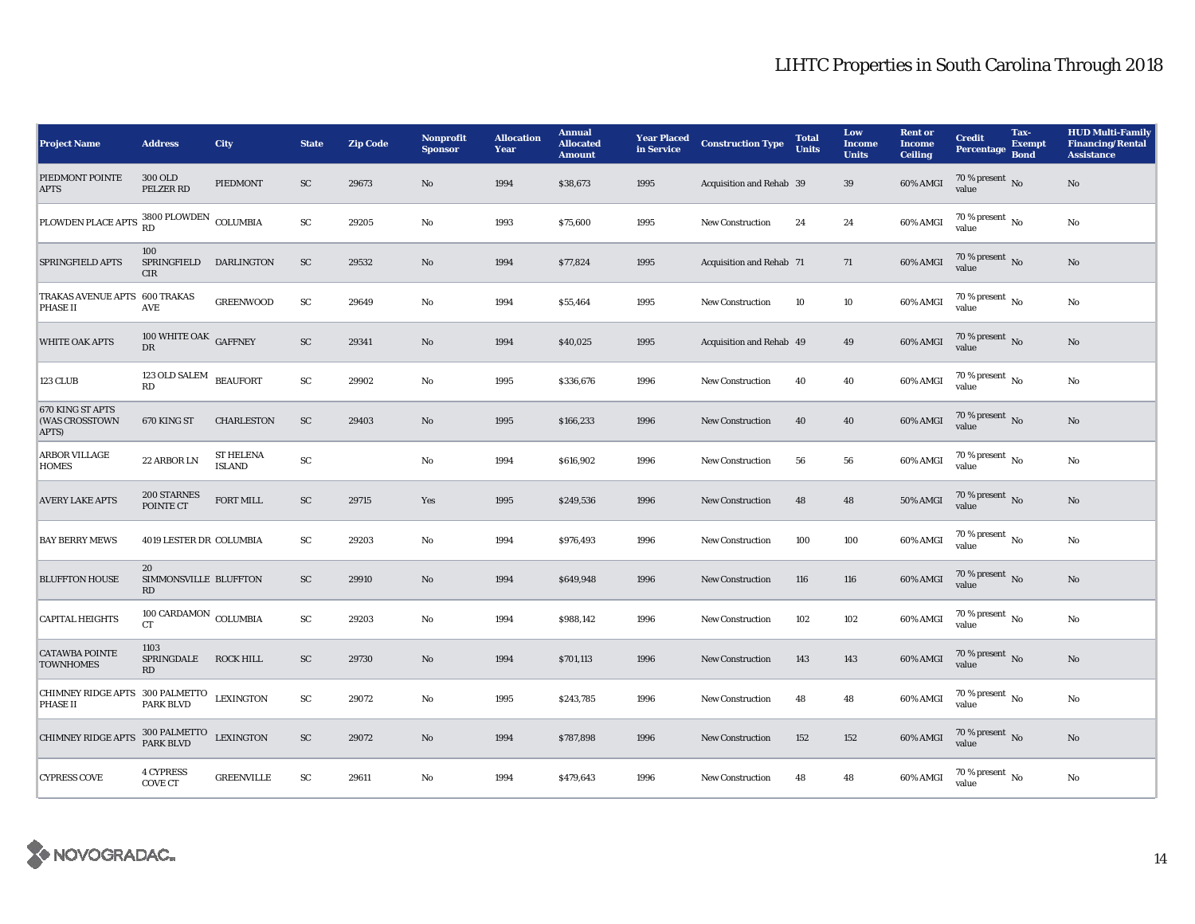| <b>Project Name</b>                                | <b>Address</b>                           | <b>City</b>                       | <b>State</b> | <b>Zip Code</b> | Nonprofit<br><b>Sponsor</b> | <b>Allocation</b><br>Year | <b>Annual</b><br><b>Allocated</b><br><b>Amount</b> | <b>Year Placed<br/>in Service</b> | <b>Construction Type</b> | <b>Total</b><br><b>Units</b> | Low<br><b>Income</b><br><b>Units</b> | <b>Rent or</b><br><b>Income</b><br><b>Ceiling</b> | <b>Credit</b><br>Percentage              | Tax-<br><b>Exempt</b><br><b>Bond</b> | <b>HUD Multi-Family</b><br><b>Financing/Rental</b><br><b>Assistance</b> |
|----------------------------------------------------|------------------------------------------|-----------------------------------|--------------|-----------------|-----------------------------|---------------------------|----------------------------------------------------|-----------------------------------|--------------------------|------------------------------|--------------------------------------|---------------------------------------------------|------------------------------------------|--------------------------------------|-------------------------------------------------------------------------|
| PIEDMONT POINTE<br><b>APTS</b>                     | 300 OLD<br>PELZER RD                     | PIEDMONT                          | SC           | 29673           | No                          | 1994                      | \$38,673                                           | 1995                              | Acquisition and Rehab 39 |                              | 39                                   | 60% AMGI                                          | $70\,\%$ present $\,$ No value           |                                      | No                                                                      |
| PLOWDEN PLACE APTS 3800 PLOWDEN COLUMBIA           | <b>RD</b>                                |                                   | SC           | 29205           | No                          | 1993                      | \$75,600                                           | 1995                              | <b>New Construction</b>  | 24                           | 24                                   | 60% AMGI                                          | $70\%$ present $\overline{N_0}$<br>value |                                      | $\rm No$                                                                |
| SPRINGFIELD APTS                                   | 100<br>SPRINGFIELD<br><b>CIR</b>         | <b>DARLINGTON</b>                 | SC           | 29532           | No                          | 1994                      | \$77,824                                           | 1995                              | Acquisition and Rehab 71 |                              | 71                                   | 60% AMGI                                          | 70 % present No<br>value                 |                                      | No                                                                      |
| TRAKAS AVENUE APTS 600 TRAKAS<br>PHASE II          | AVE                                      | <b>GREENWOOD</b>                  | SC           | 29649           | No                          | 1994                      | \$55,464                                           | 1995                              | <b>New Construction</b>  | 10                           | 10                                   | 60% AMGI                                          | $70\%$ present $\overline{N_0}$<br>value |                                      | No                                                                      |
| <b>WHITE OAK APTS</b>                              | 100 WHITE OAK GAFFNEY<br><b>DR</b>       |                                   | SC           | 29341           | No                          | 1994                      | \$40,025                                           | 1995                              | Acquisition and Rehab 49 |                              | 49                                   | 60% AMGI                                          | 70 % present No<br>value                 |                                      | No                                                                      |
| 123 CLUB                                           | 123 OLD SALEM<br>RD                      | <b>BEAUFORT</b>                   | SC           | 29902           | No                          | 1995                      | \$336,676                                          | 1996                              | <b>New Construction</b>  | 40                           | 40                                   | 60% AMGI                                          | 70 % present $\overline{N_0}$<br>value   |                                      | No                                                                      |
| 670 KING ST APTS<br>(WAS CROSSTOWN<br>APTS)        | 670 KING ST                              | <b>CHARLESTON</b>                 | SC           | 29403           | No                          | 1995                      | \$166,233                                          | 1996                              | <b>New Construction</b>  | 40                           | 40                                   | 60% AMGI                                          | 70 % present No<br>value                 |                                      | No                                                                      |
| <b>ARBOR VILLAGE</b><br><b>HOMES</b>               | 22 ARBOR LN                              | <b>ST HELENA</b><br><b>ISLAND</b> | ${\rm SC}$   |                 | No                          | 1994                      | \$616,902                                          | 1996                              | <b>New Construction</b>  | 56                           | 56                                   | 60% AMGI                                          | $70\%$ present $\overline{N_0}$<br>value |                                      | No                                                                      |
| <b>AVERY LAKE APTS</b>                             | 200 STARNES<br>POINTE CT                 | FORT MILL                         | ${\rm SC}$   | 29715           | Yes                         | 1995                      | \$249,536                                          | 1996                              | <b>New Construction</b>  | 48                           | 48                                   | <b>50% AMGI</b>                                   | 70 % present $\overline{N_0}$<br>value   |                                      | No                                                                      |
| <b>BAY BERRY MEWS</b>                              | 4019 LESTER DR COLUMBIA                  |                                   | SC           | 29203           | No                          | 1994                      | \$976,493                                          | 1996                              | <b>New Construction</b>  | 100                          | 100                                  | 60% AMGI                                          | $70\%$ present $\overline{N_0}$<br>value |                                      | No                                                                      |
| <b>BLUFFTON HOUSE</b>                              | 20<br>SIMMONSVILLE BLUFFTON<br><b>RD</b> |                                   | ${\rm SC}$   | 29910           | No                          | 1994                      | \$649,948                                          | 1996                              | <b>New Construction</b>  | 116                          | 116                                  | 60% AMGI                                          | $70\,\%$ present $\,$ No value           |                                      | No                                                                      |
| <b>CAPITAL HEIGHTS</b>                             | 100 CARDAMON COLUMBIA<br>CT              |                                   | SC           | 29203           | No                          | 1994                      | \$988,142                                          | 1996                              | New Construction         | 102                          | 102                                  | 60% AMGI                                          | 70 % present No<br>value                 |                                      | No                                                                      |
| <b>CATAWBA POINTE</b><br><b>TOWNHOMES</b>          | 1103<br>SPRINGDALE<br>RD                 | <b>ROCK HILL</b>                  | ${\rm SC}$   | 29730           | No                          | 1994                      | \$701,113                                          | 1996                              | New Construction         | 143                          | 143                                  | 60% AMGI                                          | $70\,\%$ present $\,$ No value           |                                      | No                                                                      |
| CHIMNEY RIDGE APTS 300 PALMETTO<br><b>PHASE II</b> | <b>PARK BLVD</b>                         | <b>LEXINGTON</b>                  | SC           | 29072           | No                          | 1995                      | \$243,785                                          | 1996                              | New Construction         | 48                           | 48                                   | 60% AMGI                                          | 70 % present $\overline{N_0}$<br>value   |                                      | No                                                                      |
| <b>CHIMNEY RIDGE APTS</b>                          | 300 PALMETTO<br>PARK BLVD                | <b>LEXINGTON</b>                  | ${\rm SC}$   | 29072           | No                          | 1994                      | \$787,898                                          | 1996                              | <b>New Construction</b>  | 152                          | 152                                  | 60% AMGI                                          | $70\,\%$ present $\,$ No value           |                                      | No                                                                      |
| <b>CYPRESS COVE</b>                                | <b>4 CYPRESS</b><br><b>COVE CT</b>       | <b>GREENVILLE</b>                 | ${\rm SC}$   | 29611           | No                          | 1994                      | \$479,643                                          | 1996                              | <b>New Construction</b>  | 48                           | 48                                   | 60% AMGI                                          | $70\%$ present $\overline{N_0}$<br>value |                                      | No                                                                      |

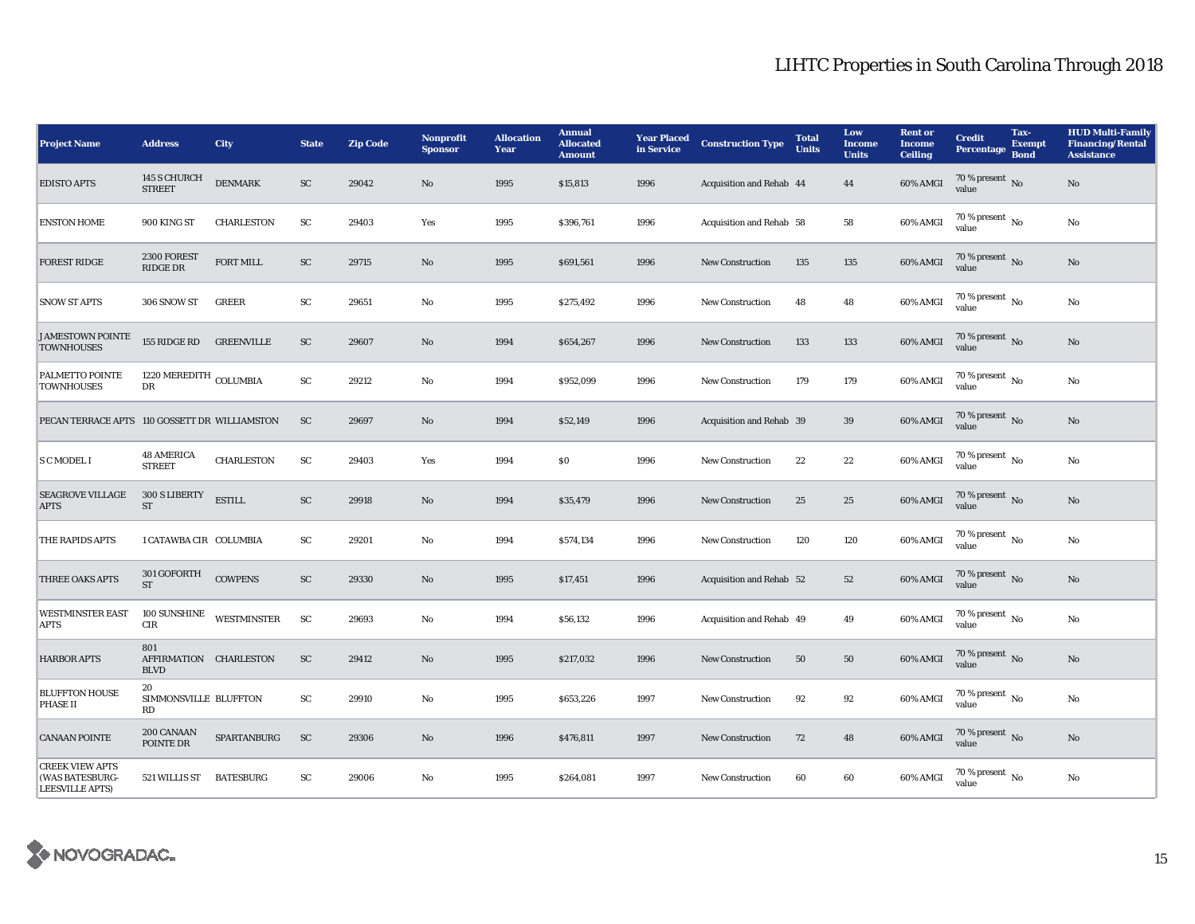| <b>Project Name</b>                                                 | <b>Address</b>                               | <b>City</b>        | <b>State</b> | <b>Zip Code</b> | <b>Nonprofit</b><br><b>Sponsor</b> | <b>Allocation</b><br>Year | <b>Annual</b><br><b>Allocated</b><br><b>Amount</b> | <b>Year Placed</b><br>in Service | <b>Construction Type</b> | <b>Total</b><br><b>Units</b> | Low<br><b>Income</b><br><b>Units</b> | <b>Rent or</b><br><b>Income</b><br><b>Ceiling</b> | <b>Credit</b><br><b>Percentage</b>       | Tax-<br><b>Exempt</b><br><b>Bond</b> | <b>HUD Multi-Family</b><br><b>Financing/Rental</b><br><b>Assistance</b> |
|---------------------------------------------------------------------|----------------------------------------------|--------------------|--------------|-----------------|------------------------------------|---------------------------|----------------------------------------------------|----------------------------------|--------------------------|------------------------------|--------------------------------------|---------------------------------------------------|------------------------------------------|--------------------------------------|-------------------------------------------------------------------------|
| <b>EDISTO APTS</b>                                                  | 145 S CHURCH<br><b>STREET</b>                | <b>DENMARK</b>     | SC           | 29042           | No                                 | 1995                      | \$15,813                                           | 1996                             | Acquisition and Rehab 44 |                              | 44                                   | 60% AMGI                                          | 70 % present $\overline{N_0}$<br>value   |                                      | No                                                                      |
| <b>ENSTON HOME</b>                                                  | 900 KING ST                                  | <b>CHARLESTON</b>  | ${\rm SC}$   | 29403           | Yes                                | 1995                      | \$396,761                                          | 1996                             | Acquisition and Rehab 58 |                              | 58                                   | 60% AMGI                                          | $70\%$ present $\overline{N_0}$<br>value |                                      | No                                                                      |
| <b>FOREST RIDGE</b>                                                 | 2300 FOREST<br>RIDGE DR                      | <b>FORT MILL</b>   | ${\rm SC}$   | 29715           | No                                 | 1995                      | \$691,561                                          | 1996                             | <b>New Construction</b>  | 135                          | 135                                  | 60% AMGI                                          | 70 % present $\overline{N_0}$<br>value   |                                      | No                                                                      |
| <b>SNOW ST APTS</b>                                                 | 306 SNOW ST                                  | <b>GREER</b>       | SC           | 29651           | No                                 | 1995                      | \$275,492                                          | 1996                             | <b>New Construction</b>  | 48                           | 48                                   | 60% AMGI                                          | $70\%$ present $\overline{N_0}$<br>value |                                      | No                                                                      |
| <b>JAMESTOWN POINTE</b><br><b>TOWNHOUSES</b>                        | 155 RIDGE RD                                 | <b>GREENVILLE</b>  | SC           | 29607           | $\mathbf{N}\mathbf{o}$             | 1994                      | \$654,267                                          | 1996                             | <b>New Construction</b>  | 133                          | 133                                  | 60% AMGI                                          | 70 % present $\,$ No $\,$<br>value       |                                      | No                                                                      |
| PALMETTO POINTE<br><b>TOWNHOUSES</b>                                | $1220\ \mathrm{MEREDITH}$ COLUMBIA<br>DR     |                    | ${\rm SC}$   | 29212           | No                                 | 1994                      | \$952,099                                          | 1996                             | <b>New Construction</b>  | 179                          | 179                                  | 60% AMGI                                          | 70 % present $\,$ No $\,$<br>value       |                                      | No                                                                      |
| PECAN TERRACE APTS 110 GOSSETT DR WILLIAMSTON                       |                                              |                    | ${\rm SC}$   | 29697           | No                                 | 1994                      | \$52,149                                           | 1996                             | Acquisition and Rehab 39 |                              | $39\,$                               | 60% AMGI                                          | 70 % present $\,$ No $\,$<br>value       |                                      | $\rm No$                                                                |
| <b>S C MODEL I</b>                                                  | <b>48 AMERICA</b><br><b>STREET</b>           | <b>CHARLESTON</b>  | ${\rm SC}$   | 29403           | Yes                                | 1994                      | S <sub>0</sub>                                     | 1996                             | <b>New Construction</b>  | 22                           | 22                                   | 60% AMGI                                          | $70\%$ present $\overline{N_0}$<br>value |                                      | No                                                                      |
| <b>SEAGROVE VILLAGE</b><br><b>APTS</b>                              | 300 S LIBERTY<br><b>ST</b>                   | <b>ESTILL</b>      | SC           | 29918           | $\mathbf{N}\mathbf{o}$             | 1994                      | \$35,479                                           | 1996                             | New Construction         | 25                           | 25                                   | 60% AMGI                                          | $70\%$ present No<br>value               |                                      | No                                                                      |
| THE RAPIDS APTS                                                     | 1 CATAWBA CIR COLUMBIA                       |                    | SC           | 29201           | No                                 | 1994                      | \$574,134                                          | 1996                             | <b>New Construction</b>  | 120                          | 120                                  | 60% AMGI                                          | $70\%$ present $\overline{N_0}$<br>value |                                      | No                                                                      |
| <b>THREE OAKS APTS</b>                                              | 301 GOFORTH<br><b>ST</b>                     | <b>COWPENS</b>     | SC           | 29330           | $\rm No$                           | 1995                      | \$17,451                                           | 1996                             | Acquisition and Rehab 52 |                              | 52                                   | 60% AMGI                                          | 70 % present $\overline{N_0}$<br>value   |                                      | No                                                                      |
| <b>WESTMINSTER EAST</b><br><b>APTS</b>                              | 100 SUNSHINE<br>CIR                          | <b>WESTMINSTER</b> | SC           | 29693           | No                                 | 1994                      | \$56,132                                           | 1996                             | Acquisition and Rehab 49 |                              | 49                                   | 60% AMGI                                          | $70\%$ present $\overline{N_0}$<br>value |                                      | No                                                                      |
| <b>HARBOR APTS</b>                                                  | 801<br>AFFIRMATION CHARLESTON<br><b>BLVD</b> |                    | ${\rm SC}$   | 29412           | No                                 | 1995                      | \$217,032                                          | 1996                             | <b>New Construction</b>  | 50                           | 50                                   | $60\%$ AMGI                                       | $70\,\%$ present $\,$ No value           |                                      | No                                                                      |
| <b>BLUFFTON HOUSE</b><br><b>PHASE II</b>                            | 20<br>SIMMONSVILLE BLUFFTON<br>RD            |                    | SC           | 29910           | No                                 | 1995                      | \$653,226                                          | 1997                             | <b>New Construction</b>  | 92                           | 92                                   | 60% AMGI                                          | $70\%$ present $\overline{N_0}$<br>value |                                      | No                                                                      |
| <b>CANAAN POINTE</b>                                                | 200 CANAAN<br>POINTE DR                      | SPARTANBURG        | SC           | 29306           | No                                 | 1996                      | \$476,811                                          | 1997                             | <b>New Construction</b>  | 72                           | 48                                   | 60% AMGI                                          | 70 % present No<br>value                 |                                      | No                                                                      |
| <b>CREEK VIEW APTS</b><br>(WAS BATESBURG-<br><b>LEESVILLE APTS)</b> | 521 WILLIS ST                                | <b>BATESBURG</b>   | SC           | 29006           | No                                 | 1995                      | \$264,081                                          | 1997                             | <b>New Construction</b>  | 60                           | 60                                   | 60% AMGI                                          | 70 % present $\overline{N_0}$<br>value   |                                      | No                                                                      |

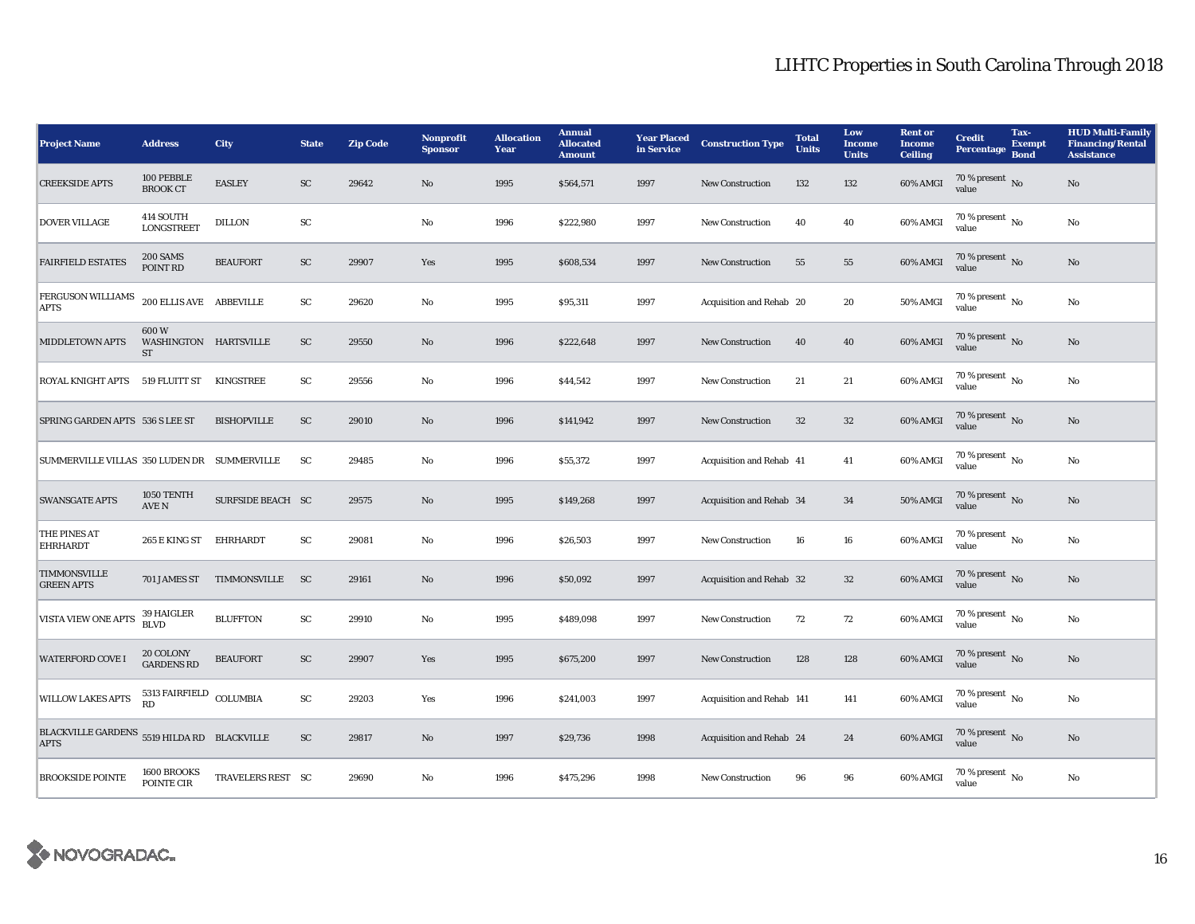| <b>Project Name</b>                         | <b>Address</b>                             | <b>City</b>        | <b>State</b> | <b>Zip Code</b> | <b>Nonprofit</b><br><b>Sponsor</b> | <b>Allocation</b><br>Year | <b>Annual</b><br><b>Allocated</b><br><b>Amount</b> | <b>Year Placed</b><br>in Service | <b>Construction Type</b>  | <b>Total</b><br><b>Units</b> | Low<br><b>Income</b><br><b>Units</b> | <b>Rent</b> or<br><b>Income</b><br><b>Ceiling</b> | <b>Credit</b><br><b>Percentage</b>       | Tax-<br><b>Exempt</b><br><b>Bond</b> | <b>HUD Multi-Family</b><br><b>Financing/Rental</b><br><b>Assistance</b> |
|---------------------------------------------|--------------------------------------------|--------------------|--------------|-----------------|------------------------------------|---------------------------|----------------------------------------------------|----------------------------------|---------------------------|------------------------------|--------------------------------------|---------------------------------------------------|------------------------------------------|--------------------------------------|-------------------------------------------------------------------------|
| <b>CREEKSIDE APTS</b>                       | 100 PEBBLE<br><b>BROOK CT</b>              | <b>EASLEY</b>      | ${\rm SC}$   | 29642           | No                                 | 1995                      | \$564,571                                          | 1997                             | <b>New Construction</b>   | 132                          | 132                                  | 60% AMGI                                          | 70 % present $\overline{N_0}$<br>value   |                                      | No                                                                      |
| <b>DOVER VILLAGE</b>                        | 414 SOUTH<br><b>LONGSTREET</b>             | <b>DILLON</b>      | SC           |                 | No                                 | 1996                      | \$222,980                                          | 1997                             | <b>New Construction</b>   | 40                           | 40                                   | 60% AMGI                                          | 70 % present $\,$ No $\,$<br>value       |                                      | No                                                                      |
| <b>FAIRFIELD ESTATES</b>                    | <b>200 SAMS</b><br>POINT RD                | <b>BEAUFORT</b>    | SC           | 29907           | Yes                                | 1995                      | \$608,534                                          | 1997                             | New Construction          | 55                           | 55                                   | 60% AMGI                                          | 70 % present No<br>value                 |                                      | No                                                                      |
| FERGUSON WILLIAMS<br><b>APTS</b>            | $200$ ELLIS AVE ABBEVILLE                  |                    | SC           | 29620           | No                                 | 1995                      | \$95,311                                           | 1997                             | Acquisition and Rehab 20  |                              | 20                                   | 50% AMGI                                          | 70 % present $\overline{N_0}$<br>value   |                                      | No                                                                      |
| <b>MIDDLETOWN APTS</b>                      | 600W<br>WASHINGTON HARTSVILLE<br><b>ST</b> |                    | SC           | 29550           | No                                 | 1996                      | \$222,648                                          | 1997                             | <b>New Construction</b>   | 40                           | 40                                   | 60% AMGI                                          | 70 % present $\,$ No $\,$<br>value       |                                      | No                                                                      |
| <b>ROYAL KNIGHT APTS</b>                    | 519 FLUITT ST                              | KINGSTREE          | SC           | 29556           | No                                 | 1996                      | \$44,542                                           | 1997                             | <b>New Construction</b>   | 21                           | 21                                   | 60% AMGI                                          | $70\%$ present $\overline{N_0}$<br>value |                                      | No                                                                      |
| SPRING GARDEN APTS 536 S LEE ST             |                                            | <b>BISHOPVILLE</b> | SC           | 29010           | $\mathbf{N}\mathbf{o}$             | 1996                      | \$141,942                                          | 1997                             | <b>New Construction</b>   | 32                           | $32\,$                               | 60% AMGI                                          | 70 % present No<br>value                 |                                      | No                                                                      |
| SUMMERVILLE VILLAS 350 LUDEN DR SUMMERVILLE |                                            |                    | SC           | 29485           | No                                 | 1996                      | \$55,372                                           | 1997                             | Acquisition and Rehab 41  |                              | 41                                   | 60% AMGI                                          | $70\%$ present $\overline{N_0}$<br>value |                                      | No                                                                      |
| <b>SWANSGATE APTS</b>                       | 1050 TENTH<br><b>AVE N</b>                 | SURFSIDE BEACH SC  |              | 29575           | $\mathbf{N}\mathbf{o}$             | 1995                      | \$149,268                                          | 1997                             | Acquisition and Rehab 34  |                              | $34\,$                               | <b>50% AMGI</b>                                   | 70 % present $\overline{N_0}$<br>value   |                                      | No                                                                      |
| THE PINES AT<br><b>EHRHARDT</b>             | 265 E KING ST                              | EHRHARDT           | SC           | 29081           | No                                 | 1996                      | \$26,503                                           | 1997                             | <b>New Construction</b>   | 16                           | 16                                   | 60% AMGI                                          | $70\%$ present $\overline{N_0}$<br>value |                                      | No                                                                      |
| TIMMONSVILLE<br><b>GREEN APTS</b>           | 701 JAMES ST                               | TIMMONSVILLE       | <b>SC</b>    | 29161           | $\mathbf{N}\mathbf{o}$             | 1996                      | \$50,092                                           | 1997                             | Acquisition and Rehab 32  |                              | $32\,$                               | 60% AMGI                                          | 70 % present No<br>value                 |                                      | No                                                                      |
| <b>VISTA VIEW ONE APTS</b>                  | 39 HAIGLER<br><b>BLVD</b>                  | <b>BLUFFTON</b>    | ${\rm SC}$   | 29910           | No                                 | 1995                      | \$489,098                                          | 1997                             | <b>New Construction</b>   | 72                           | 72                                   | 60% AMGI                                          | 70 % present $\overline{N_0}$<br>value   |                                      | No                                                                      |
| <b>WATERFORD COVE I</b>                     | 20 COLONY<br><b>GARDENS RD</b>             | <b>BEAUFORT</b>    | ${\rm SC}$   | 29907           | Yes                                | 1995                      | \$675,200                                          | 1997                             | <b>New Construction</b>   | 128                          | 128                                  | 60% AMGI                                          | $70\,\%$ present $\,$ No value           |                                      | No                                                                      |
| <b>WILLOW LAKES APTS</b>                    | 5313 FAIRFIELD<br><b>RD</b>                | COLUMBIA           | SC           | 29203           | Yes                                | 1996                      | \$241,003                                          | 1997                             | Acquisition and Rehab 141 |                              | 141                                  | 60% AMGI                                          | 70 % present $\overline{N_0}$<br>value   |                                      | No                                                                      |
| <b>BLACKVILLE GARDENS</b><br><b>APTS</b>    | 5519 HILDA RD BLACKVILLE                   |                    | SC           | 29817           | $\mathbf{N}\mathbf{o}$             | 1997                      | \$29,736                                           | 1998                             | Acquisition and Rehab 24  |                              | 24                                   | 60% AMGI                                          | 70 % present $\overline{N_0}$<br>value   |                                      | No                                                                      |
| <b>BROOKSIDE POINTE</b>                     | 1600 BROOKS<br>POINTE CIR                  | TRAVELERS REST SC  |              | 29690           | No                                 | 1996                      | \$475,296                                          | 1998                             | <b>New Construction</b>   | 96                           | 96                                   | 60% AMGI                                          | $70\%$ present $\overline{N_0}$<br>value |                                      | No                                                                      |

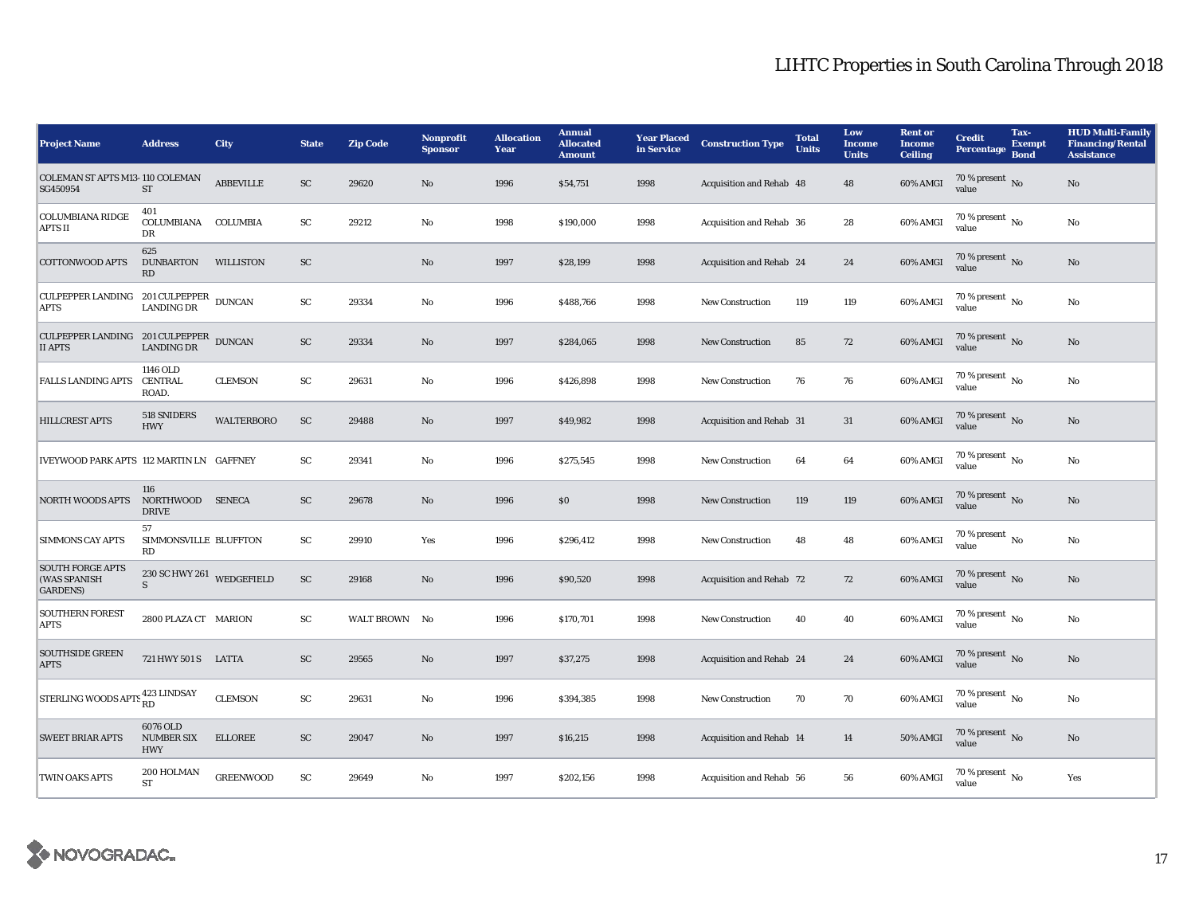| <b>Project Name</b>                                                                                    | <b>Address</b>                              | City              | <b>State</b> | <b>Zip Code</b> | <b>Nonprofit</b><br><b>Sponsor</b> | <b>Allocation</b><br>Year | <b>Annual</b><br><b>Allocated</b><br><b>Amount</b> | <b>Year Placed<br/>in Service</b> | <b>Construction Type</b> | <b>Total</b><br><b>Units</b> | Low<br><b>Income</b><br><b>Units</b> | <b>Rent</b> or<br><b>Income</b><br><b>Ceiling</b> | <b>Credit</b><br>Percentage              | Tax-<br><b>Exempt</b><br><b>Bond</b> | <b>HUD Multi-Family</b><br><b>Financing/Rental</b><br><b>Assistance</b> |
|--------------------------------------------------------------------------------------------------------|---------------------------------------------|-------------------|--------------|-----------------|------------------------------------|---------------------------|----------------------------------------------------|-----------------------------------|--------------------------|------------------------------|--------------------------------------|---------------------------------------------------|------------------------------------------|--------------------------------------|-------------------------------------------------------------------------|
| COLEMAN ST APTS M13-110 COLEMAN<br>SG450954                                                            | $\operatorname{ST}$                         | <b>ABBEVILLE</b>  | SC           | 29620           | No                                 | 1996                      | \$54,751                                           | 1998                              | Acquisition and Rehab 48 |                              | 48                                   | 60% AMGI                                          | 70 % present $\overline{N_0}$<br>value   |                                      | No                                                                      |
| <b>COLUMBIANA RIDGE</b><br><b>APTS II</b>                                                              | 401<br>COLUMBIANA COLUMBIA<br>DR            |                   | ${\rm SC}$   | 29212           | No                                 | 1998                      | \$190,000                                          | 1998                              | Acquisition and Rehab 36 |                              | 28                                   | 60% AMGI                                          | $70\%$ present $\overline{N_0}$<br>value |                                      | No                                                                      |
| <b>COTTONWOOD APTS</b>                                                                                 | 625<br><b>DUNBARTON</b><br>RD               | <b>WILLISTON</b>  | ${\rm SC}$   |                 | $\mathbf{N}\mathbf{o}$             | 1997                      | \$28,199                                           | 1998                              | Acquisition and Rehab 24 |                              | 24                                   | 60% AMGI                                          | 70 % present No<br>value                 |                                      | No                                                                      |
| CULPEPPER LANDING 201 CULPEPPER DUNCAN<br><b>APTS</b>                                                  | <b>LANDING DR</b>                           |                   | SC           | 29334           | No                                 | 1996                      | \$488,766                                          | 1998                              | <b>New Construction</b>  | 119                          | 119                                  | 60% AMGI                                          | $70\%$ present $\overline{N_0}$<br>value |                                      | No                                                                      |
| $\begin{tabular}{ll} CULPEPPER LANDING & 201 CULPEPPER & DUNCAN \\ II APTS & LANDING DR \end{tabular}$ |                                             |                   | ${\rm SC}$   | 29334           | No                                 | 1997                      | \$284,065                                          | 1998                              | <b>New Construction</b>  | 85                           | 72                                   | 60% AMGI                                          | 70 % present $\overline{N_0}$<br>value   |                                      | No                                                                      |
| <b>FALLS LANDING APTS</b>                                                                              | 1146 OLD<br><b>CENTRAL</b><br>ROAD.         | <b>CLEMSON</b>    | ${\rm SC}$   | 29631           | No                                 | 1996                      | \$426,898                                          | 1998                              | <b>New Construction</b>  | 76                           | 76                                   | 60% AMGI                                          | $70\%$ present $\overline{N_0}$<br>value |                                      | No                                                                      |
| <b>HILLCREST APTS</b>                                                                                  | 518 SNIDERS<br><b>HWY</b>                   | <b>WALTERBORO</b> | <b>SC</b>    | 29488           | No                                 | 1997                      | \$49,982                                           | 1998                              | Acquisition and Rehab 31 |                              | 31                                   | 60% AMGI                                          | 70 % present $\overline{N_0}$<br>value   |                                      | No                                                                      |
| IVEYWOOD PARK APTS 112 MARTIN LN GAFFNEY                                                               |                                             |                   | SC           | 29341           | No                                 | 1996                      | \$275,545                                          | 1998                              | <b>New Construction</b>  | 64                           | 64                                   | 60% AMGI                                          | $70\%$ present $\overline{N_0}$<br>value |                                      | No                                                                      |
| <b>NORTH WOODS APTS</b>                                                                                | 116<br>NORTHWOOD SENECA<br><b>DRIVE</b>     |                   | SC           | 29678           | No                                 | 1996                      | \$0\$                                              | 1998                              | <b>New Construction</b>  | 119                          | 119                                  | 60% AMGI                                          | 70 % present No<br>value                 |                                      | No                                                                      |
| <b>SIMMONS CAY APTS</b>                                                                                | 57<br>SIMMONSVILLE BLUFFTON<br>RD           |                   | ${\rm SC}$   | 29910           | Yes                                | 1996                      | \$296,412                                          | 1998                              | <b>New Construction</b>  | 48                           | 48                                   | 60% AMGI                                          | 70 % present $N_0$<br>value              |                                      | No                                                                      |
| <b>SOUTH FORGE APTS</b><br>(WAS SPANISH<br><b>GARDENS</b> )                                            | 230 SC HWY 261 WEDGEFIELD<br>S              |                   | SC           | 29168           | No                                 | 1996                      | \$90,520                                           | 1998                              | Acquisition and Rehab 72 |                              | 72                                   | 60% AMGI                                          | 70 % present No<br>value                 |                                      | No                                                                      |
| <b>SOUTHERN FOREST</b><br><b>APTS</b>                                                                  | 2800 PLAZA CT MARION                        |                   | SC           | WALT BROWN No   |                                    | 1996                      | \$170,701                                          | 1998                              | <b>New Construction</b>  | 40                           | 40                                   | 60% AMGI                                          | $70\%$ present $\overline{N_0}$<br>value |                                      | No                                                                      |
| <b>SOUTHSIDE GREEN</b><br><b>APTS</b>                                                                  | 721 HWY 501 S LATTA                         |                   | SC           | 29565           | No                                 | 1997                      | \$37,275                                           | 1998                              | Acquisition and Rehab 24 |                              | 24                                   | 60% AMGI                                          | 70 % present $\overline{N_0}$<br>value   |                                      | No                                                                      |
| STERLING WOODS APTS <sup>423</sup> LINDSAY                                                             |                                             | <b>CLEMSON</b>    | ${\rm SC}$   | 29631           | No                                 | 1996                      | \$394,385                                          | 1998                              | <b>New Construction</b>  | 70                           | 70                                   | 60% AMGI                                          | $70\%$ present $\overline{N_0}$<br>value |                                      | No                                                                      |
| <b>SWEET BRIAR APTS</b>                                                                                | 6076 OLD<br><b>NUMBER SIX</b><br><b>HWY</b> | <b>ELLOREE</b>    | SC           | 29047           | No                                 | 1997                      | \$16,215                                           | 1998                              | Acquisition and Rehab 14 |                              | 14                                   | 50% AMGI                                          | 70 % present $\overline{N_0}$<br>value   |                                      | No                                                                      |
| <b>TWIN OAKS APTS</b>                                                                                  | 200 HOLMAN<br>${\rm ST}$                    | <b>GREENWOOD</b>  | SC           | 29649           | No                                 | 1997                      | \$202,156                                          | 1998                              | Acquisition and Rehab 56 |                              | 56                                   | 60% AMGI                                          | $70\%$ present $\overline{N_0}$<br>value |                                      | Yes                                                                     |

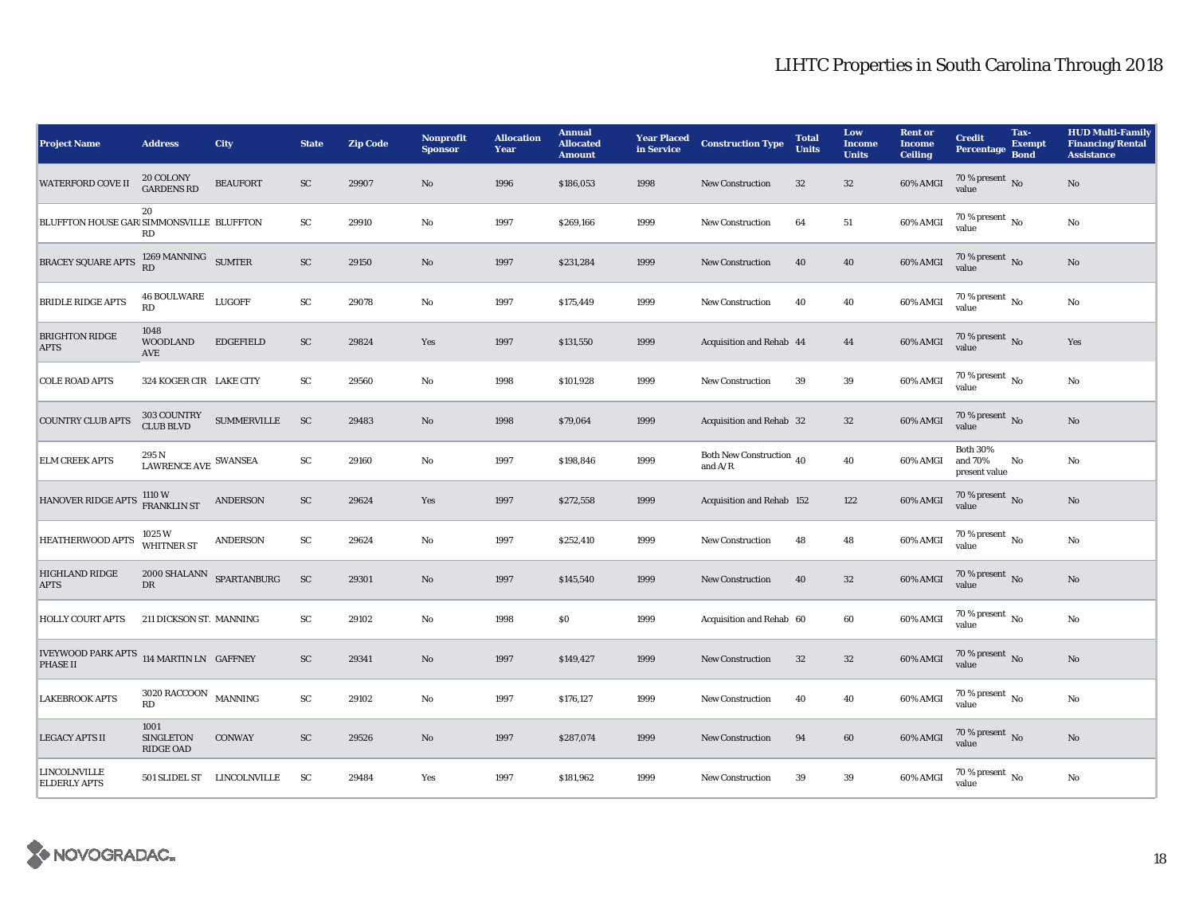| <b>Project Name</b>                                         | <b>Address</b>                                                   | City                       | <b>State</b> | <b>Zip Code</b> | <b>Nonprofit</b><br><b>Sponsor</b> | <b>Allocation</b><br>Year | <b>Annual</b><br><b>Allocated</b><br><b>Amount</b> | <b>Year Placed</b><br>in Service | <b>Construction Type</b>              | <b>Total</b><br><b>Units</b> | Low<br><b>Income</b><br><b>Units</b> | <b>Rent or</b><br><b>Income</b><br><b>Ceiling</b> | <b>Credit</b><br><b>Percentage</b>          | Tax-<br><b>Exempt</b><br><b>Bond</b> | <b>HUD Multi-Family</b><br><b>Financing/Rental</b><br><b>Assistance</b> |
|-------------------------------------------------------------|------------------------------------------------------------------|----------------------------|--------------|-----------------|------------------------------------|---------------------------|----------------------------------------------------|----------------------------------|---------------------------------------|------------------------------|--------------------------------------|---------------------------------------------------|---------------------------------------------|--------------------------------------|-------------------------------------------------------------------------|
| <b>WATERFORD COVE II</b>                                    | 20 COLONY<br><b>GARDENS RD</b>                                   | <b>BEAUFORT</b>            | ${\rm SC}$   | 29907           | No                                 | 1996                      | \$186,053                                          | 1998                             | New Construction                      | 32                           | ${\bf 32}$                           | 60% AMGI                                          | $70\,\%$ present $\,$ No value              |                                      | $\rm No$                                                                |
| BLUFFTON HOUSE GAR SIMMONSVILLE BLUFFTON                    | 20<br>RD                                                         |                            | SC           | 29910           | No                                 | 1997                      | \$269,166                                          | 1999                             | <b>New Construction</b>               | 64                           | 51                                   | 60% AMGI                                          | 70 % present $\,$ No $\,$<br>value          |                                      | No                                                                      |
| <b>BRACEY SQUARE APTS</b>                                   | 1269 MANNING SUMTER<br>RD                                        |                            | ${\rm SC}$   | 29150           | No                                 | 1997                      | \$231,284                                          | 1999                             | <b>New Construction</b>               | 40                           | 40                                   | 60% AMGI                                          | 70 % present $\,$ No $\,$<br>value          |                                      | $\rm No$                                                                |
| <b>BRIDLE RIDGE APTS</b>                                    | <b>46 BOULWARE</b><br>RD                                         | <b>LUGOFF</b>              | ${\rm SC}$   | 29078           | No                                 | 1997                      | \$175,449                                          | 1999                             | New Construction                      | 40                           | 40                                   | 60% AMGI                                          | $70\%$ present $\overline{N_0}$<br>value    |                                      | $\rm No$                                                                |
| <b>BRIGHTON RIDGE</b><br><b>APTS</b>                        | 1048<br><b>WOODLAND</b><br>AVE                                   | <b>EDGEFIELD</b>           | SC           | 29824           | Yes                                | 1997                      | \$131,550                                          | 1999                             | Acquisition and Rehab 44              |                              | 44                                   | 60% AMGI                                          | 70 % present $\,$ No $\,$<br>value          |                                      | Yes                                                                     |
| <b>COLE ROAD APTS</b>                                       | 324 KOGER CIR LAKE CITY                                          |                            | ${\rm SC}$   | 29560           | No                                 | 1998                      | \$101,928                                          | 1999                             | <b>New Construction</b>               | 39                           | $\bf 39$                             | 60% AMGI                                          | 70 % present $\,$ No $\,$<br>value          |                                      | No                                                                      |
| <b>COUNTRY CLUB APTS</b>                                    | 303 COUNTRY<br><b>CLUB BLVD</b>                                  | <b>SUMMERVILLE</b>         | <b>SC</b>    | 29483           | No                                 | 1998                      | \$79,064                                           | 1999                             | Acquisition and Rehab 32              |                              | 32                                   | 60% AMGI                                          | 70 % present $\,$ No $\,$<br>value          |                                      | $\rm No$                                                                |
| <b>ELM CREEK APTS</b>                                       | 295 N<br>$\ensuremath{\textsc{Law}}\xspace$ EAWRENCE AVE SWANSEA |                            | SC           | 29160           | No                                 | 1997                      | \$198,846                                          | 1999                             | Both New Construction 40<br>and $A/R$ |                              | 40                                   | 60% AMGI                                          | <b>Both 30%</b><br>and 70%<br>present value | No                                   | $\rm No$                                                                |
| HANOVER RIDGE APTS                                          | 1110 W<br>FRANKLIN ST                                            | <b>ANDERSON</b>            | SC           | 29624           | Yes                                | 1997                      | \$272,558                                          | 1999                             | Acquisition and Rehab 152             |                              | 122                                  | 60% AMGI                                          | 70 % present No<br>value                    |                                      | No                                                                      |
| <b>HEATHERWOOD APTS</b>                                     | 1025 W<br>WHITNER ST                                             | <b>ANDERSON</b>            | ${\rm SC}$   | 29624           | No                                 | 1997                      | \$252,410                                          | 1999                             | <b>New Construction</b>               | 48                           | 48                                   | 60% AMGI                                          | 70 % present $N_0$<br>value                 |                                      | $\rm No$                                                                |
| <b>HIGHLAND RIDGE</b><br><b>APTS</b>                        | $2000\,\mathrm{SHALAND}$ SPARTANBURG<br>DR                       |                            | ${\rm SC}$   | 29301           | No                                 | 1997                      | \$145,540                                          | 1999                             | New Construction                      | 40                           | $32\,$                               | 60% AMGI                                          | 70 % present $\,$ No $\,$<br>value          |                                      | $\rm No$                                                                |
| <b>HOLLY COURT APTS</b>                                     | 211 DICKSON ST. MANNING                                          |                            | SC           | 29102           | $\mathbf{No}$                      | 1998                      | S <sub>0</sub>                                     | 1999                             | Acquisition and Rehab 60              |                              | 60                                   | 60% AMGI                                          | 70 % present $\overline{N_0}$<br>value      |                                      | $\rm No$                                                                |
| IVEYWOOD PARK APTS 114 MARTIN LN GAFFNEY<br><b>PHASE II</b> |                                                                  |                            | SC           | 29341           | No                                 | 1997                      | \$149,427                                          | 1999                             | <b>New Construction</b>               | 32                           | $32\,$                               | 60% AMGI                                          | $70\,\%$ present $\,$ No value              |                                      | $\rm No$                                                                |
| <b>LAKEBROOK APTS</b>                                       | 3020 RACCOON<br>RD                                               | <b>MANNING</b>             | SC           | 29102           | No                                 | 1997                      | \$176,127                                          | 1999                             | <b>New Construction</b>               | 40                           | 40                                   | 60% AMGI                                          | 70 % present $\overline{N_0}$<br>value      |                                      | No                                                                      |
| <b>LEGACY APTS II</b>                                       | 1001<br><b>SINGLETON</b><br><b>RIDGE OAD</b>                     | <b>CONWAY</b>              | SC           | 29526           | No                                 | 1997                      | \$287,074                                          | 1999                             | <b>New Construction</b>               | 94                           | 60                                   | 60% AMGI                                          | 70 % present No<br>value                    |                                      | $\rm No$                                                                |
| <b>LINCOLNVILLE</b><br><b>ELDERLY APTS</b>                  |                                                                  | 501 SLIDEL ST LINCOLNVILLE | SC           | 29484           | Yes                                | 1997                      | \$181,962                                          | 1999                             | <b>New Construction</b>               | 39                           | 39                                   | 60% AMGI                                          | 70 % present $\overline{N_0}$<br>value      |                                      | No                                                                      |

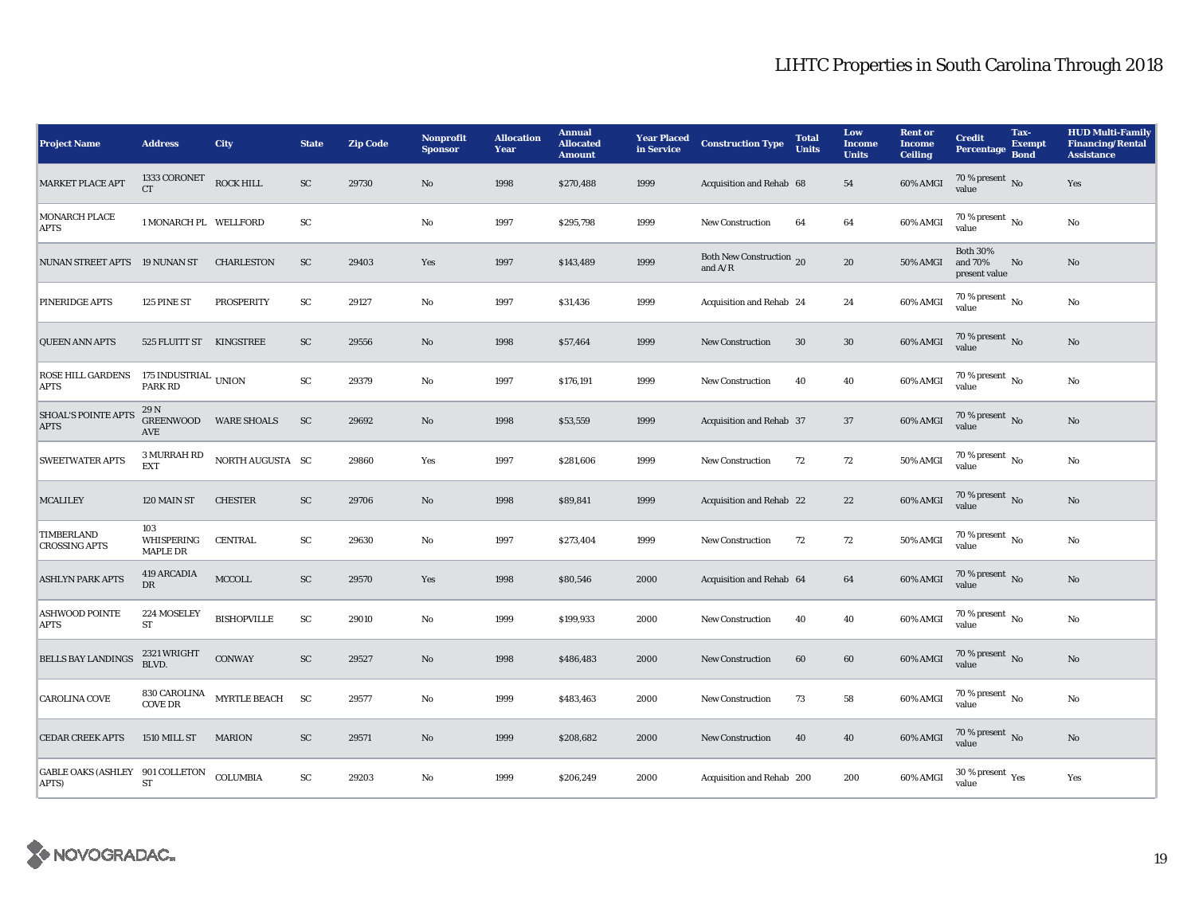| <b>Project Name</b>                             | <b>Address</b>                       | City                | <b>State</b> | <b>Zip Code</b> | <b>Nonprofit</b><br><b>Sponsor</b> | <b>Allocation</b><br>Year | <b>Annual</b><br><b>Allocated</b><br><b>Amount</b> | <b>Year Placed</b><br>in Service | <b>Construction Type</b>              | <b>Total</b><br><b>Units</b> | Low<br><b>Income</b><br><b>Units</b> | <b>Rent</b> or<br><b>Income</b><br><b>Ceiling</b> | <b>Credit</b><br><b>Percentage</b>          | Tax-<br><b>Exempt</b><br><b>Bond</b> | <b>HUD Multi-Family</b><br><b>Financing/Rental</b><br><b>Assistance</b> |
|-------------------------------------------------|--------------------------------------|---------------------|--------------|-----------------|------------------------------------|---------------------------|----------------------------------------------------|----------------------------------|---------------------------------------|------------------------------|--------------------------------------|---------------------------------------------------|---------------------------------------------|--------------------------------------|-------------------------------------------------------------------------|
| <b>MARKET PLACE APT</b>                         | 1333 CORONET<br><b>CT</b>            | <b>ROCK HILL</b>    | ${\rm SC}$   | 29730           | No                                 | 1998                      | \$270,488                                          | 1999                             | Acquisition and Rehab 68              |                              | 54                                   | 60% AMGI                                          | 70 % present $\overline{N_0}$<br>value      |                                      | Yes                                                                     |
| <b>MONARCH PLACE</b><br><b>APTS</b>             | 1 MONARCH PL WELLFORD                |                     | SC           |                 | No                                 | 1997                      | \$295,798                                          | 1999                             | <b>New Construction</b>               | 64                           | 64                                   | 60% AMGI                                          | 70 % present $N_0$<br>value                 |                                      | No                                                                      |
| NUNAN STREET APTS 19 NUNAN ST                   |                                      | <b>CHARLESTON</b>   | ${\rm SC}$   | 29403           | Yes                                | 1997                      | \$143,489                                          | 1999                             | Both New Construction 20<br>and $A/R$ |                              | 20                                   | 50% AMGI                                          | <b>Both 30%</b><br>and 70%<br>present value | No                                   | No                                                                      |
| PINERIDGE APTS                                  | 125 PINE ST                          | <b>PROSPERITY</b>   | SC           | 29127           | No                                 | 1997                      | \$31,436                                           | 1999                             | Acquisition and Rehab 24              |                              | 24                                   | 60% AMGI                                          | $70\%$ present $\overline{N_0}$<br>value    |                                      | No                                                                      |
| <b>QUEEN ANN APTS</b>                           | 525 FLUITT ST KINGSTREE              |                     | SC           | 29556           | No                                 | 1998                      | \$57,464                                           | 1999                             | New Construction                      | 30                           | $30\,$                               | 60% AMGI                                          | 70 % present $\,$ No $\,$<br>value          |                                      | No                                                                      |
| <b>ROSE HILL GARDENS</b><br><b>APTS</b>         | 175 INDUSTRIAL UNION<br>PARK RD      |                     | SC           | 29379           | No                                 | 1997                      | \$176,191                                          | 1999                             | <b>New Construction</b>               | 40                           | 40                                   | 60% AMGI                                          | $70\%$ present $\overline{N_0}$<br>value    |                                      | No                                                                      |
| <b>SHOAL'S POINTE APTS</b><br><b>APTS</b>       | 29 N<br><b>GREENWOOD</b><br>AVE      | <b>WARE SHOALS</b>  | SC           | 29692           | No                                 | 1998                      | \$53,559                                           | 1999                             | Acquisition and Rehab 37              |                              | 37                                   | 60% AMGI                                          | 70 % present No<br>value                    |                                      | $\rm No$                                                                |
| <b>SWEETWATER APTS</b>                          | 3 MURRAH RD<br><b>EXT</b>            | NORTH AUGUSTA SC    |              | 29860           | Yes                                | 1997                      | \$281,606                                          | 1999                             | <b>New Construction</b>               | 72                           | 72                                   | 50% AMGI                                          | $70\%$ present $\overline{N_0}$<br>value    |                                      | No                                                                      |
| <b>MCALILEY</b>                                 | 120 MAIN ST                          | <b>CHESTER</b>      | SC           | 29706           | No                                 | 1998                      | \$89,841                                           | 1999                             | Acquisition and Rehab 22              |                              | 22                                   | 60% AMGI                                          | 70 % present $\overline{N_0}$<br>value      |                                      | No                                                                      |
| TIMBERLAND<br><b>CROSSING APTS</b>              | 103<br>WHISPERING<br><b>MAPLE DR</b> | <b>CENTRAL</b>      | ${\rm SC}$   | 29630           | $\rm No$                           | 1997                      | \$273,404                                          | 1999                             | <b>New Construction</b>               | 72                           | 72                                   | 50% AMGI                                          | $70\%$ present $\overline{N_0}$<br>value    |                                      | No                                                                      |
| <b>ASHLYN PARK APTS</b>                         | 419 ARCADIA<br><b>DR</b>             | MCCOLL              | ${\rm SC}$   | 29570           | Yes                                | 1998                      | \$80,546                                           | 2000                             | Acquisition and Rehab 64              |                              | 64                                   | 60% AMGI                                          | 70 % present $\overline{N_0}$<br>value      |                                      | No                                                                      |
| <b>ASHWOOD POINTE</b><br><b>APTS</b>            | 224 MOSELEY<br>${\rm ST}$            | <b>BISHOPVILLE</b>  | ${\rm SC}$   | 29010           | $\rm No$                           | 1999                      | \$199,933                                          | 2000                             | <b>New Construction</b>               | 40                           | 40                                   | 60% AMGI                                          | 70 % present $\overline{N_0}$<br>value      |                                      | No                                                                      |
| <b>BELLS BAY LANDINGS</b>                       | 2321 WRIGHT<br>BLVD.                 | <b>CONWAY</b>       | SC           | 29527           | No                                 | 1998                      | \$486,483                                          | 2000                             | <b>New Construction</b>               | 60                           | 60                                   | 60% AMGI                                          | $70\,\%$ present $\,$ No value              |                                      | No                                                                      |
| <b>CAROLINA COVE</b>                            | 830 CAROLINA<br><b>COVE DR</b>       | <b>MYRTLE BEACH</b> | SC           | 29577           | No                                 | 1999                      | \$483,463                                          | 2000                             | <b>New Construction</b>               | 73                           | 58                                   | 60% AMGI                                          | $70\%$ present $\overline{N_0}$<br>value    |                                      | No                                                                      |
| <b>CEDAR CREEK APTS</b>                         | 1510 MILL ST                         | <b>MARION</b>       | ${\rm SC}$   | 29571           | $\mathbf{N}\mathbf{o}$             | 1999                      | \$208,682                                          | 2000                             | <b>New Construction</b>               | 40                           | 40                                   | 60% AMGI                                          | 70 % present $\overline{N_0}$<br>value      |                                      | No                                                                      |
| <b>GABLE OAKS (ASHLEY 901 COLLETON</b><br>APTS) | ST                                   | COLUMBIA            | SC           | 29203           | No                                 | 1999                      | \$206,249                                          | 2000                             | Acquisition and Rehab 200             |                              | 200                                  | 60% AMGI                                          | 30 % present $\rm \gamma_{\rm es}$<br>value |                                      | Yes                                                                     |

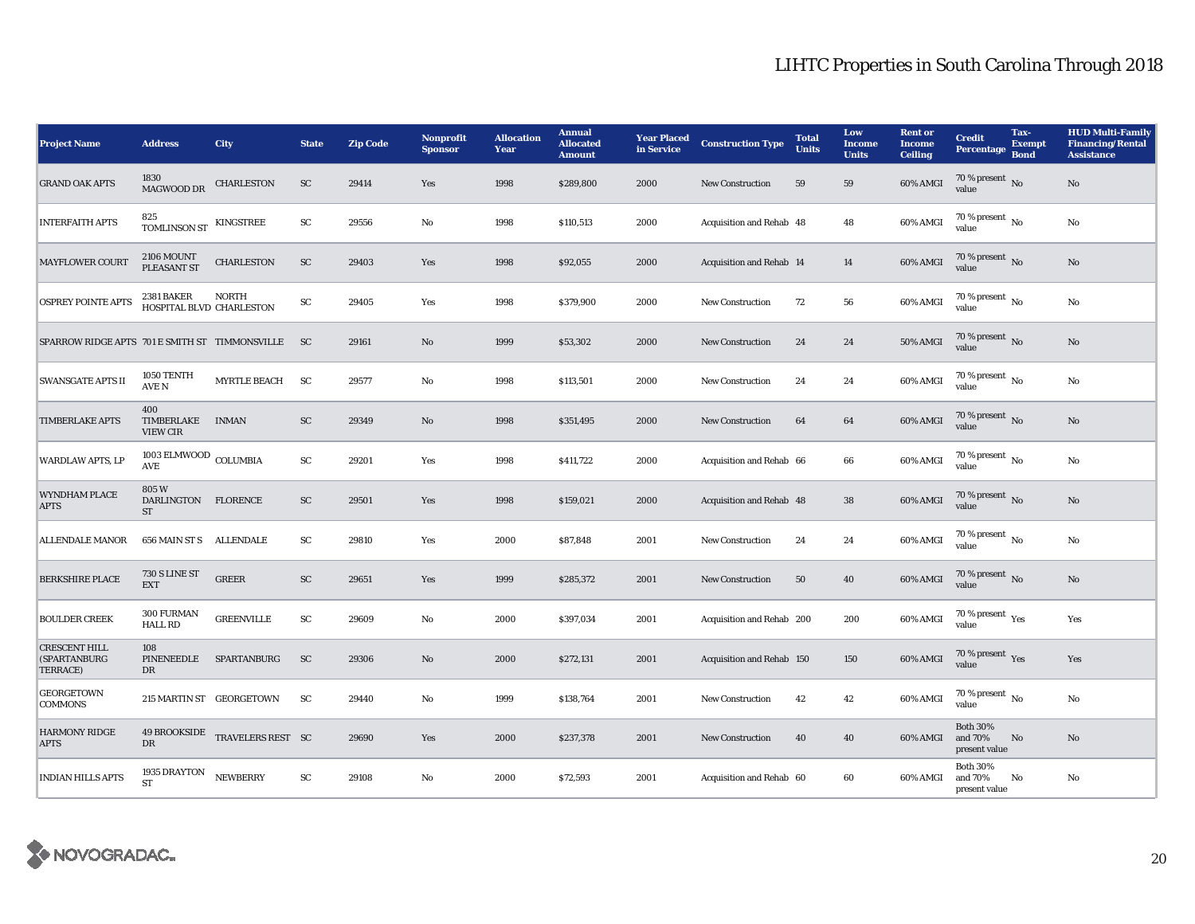| <b>Project Name</b>                                     | <b>Address</b>                                 | <b>City</b>              | <b>State</b> | <b>Zip Code</b> | Nonprofit<br><b>Sponsor</b> | <b>Allocation</b><br>Year | <b>Annual</b><br><b>Allocated</b><br><b>Amount</b> | <b>Year Placed</b><br>in Service | <b>Construction Type</b>  | <b>Total</b><br><b>Units</b> | Low<br><b>Income</b><br><b>Units</b> | <b>Rent or</b><br><b>Income</b><br><b>Ceiling</b> | <b>Credit</b><br><b>Percentage</b>          | Tax-<br><b>Exempt</b><br><b>Bond</b> | <b>HUD Multi-Family</b><br><b>Financing/Rental</b><br><b>Assistance</b> |
|---------------------------------------------------------|------------------------------------------------|--------------------------|--------------|-----------------|-----------------------------|---------------------------|----------------------------------------------------|----------------------------------|---------------------------|------------------------------|--------------------------------------|---------------------------------------------------|---------------------------------------------|--------------------------------------|-------------------------------------------------------------------------|
| <b>GRAND OAK APTS</b>                                   | 1830<br>MAGWOOD DR                             | <b>CHARLESTON</b>        | <b>SC</b>    | 29414           | Yes                         | 1998                      | \$289,800                                          | 2000                             | <b>New Construction</b>   | 59                           | 59                                   | 60% AMGI                                          | 70 % present No<br>value                    |                                      | No                                                                      |
| <b>INTERFAITH APTS</b>                                  | 825<br>TOMLINSON ST $\,$ KINGSTREE             |                          | SC           | 29556           | No                          | 1998                      | \$110,513                                          | 2000                             | Acquisition and Rehab 48  |                              | 48                                   | 60% AMGI                                          | $70\%$ present $\overline{N_0}$<br>value    |                                      | No                                                                      |
| <b>MAYFLOWER COURT</b>                                  | <b>2106 MOUNT</b><br>PLEASANT ST               | <b>CHARLESTON</b>        | SC           | 29403           | Yes                         | 1998                      | \$92,055                                           | 2000                             | Acquisition and Rehab 14  |                              | 14                                   | 60% AMGI                                          | $70\%$ present No<br>value                  |                                      | No                                                                      |
| <b>OSPREY POINTE APTS</b>                               | 2381 BAKER<br>HOSPITAL BLVD CHARLESTON         | <b>NORTH</b>             | SC           | 29405           | Yes                         | 1998                      | \$379,900                                          | 2000                             | <b>New Construction</b>   | 72                           | 56                                   | 60% AMGI                                          | $70\%$ present $\overline{N_0}$<br>value    |                                      | No                                                                      |
| SPARROW RIDGE APTS 701 E SMITH ST TIMMONSVILLE          |                                                |                          | <b>SC</b>    | 29161           | No                          | 1999                      | \$53,302                                           | 2000                             | <b>New Construction</b>   | 24                           | 24                                   | <b>50% AMGI</b>                                   | 70 % present $\,$ No $\,$<br>value          |                                      | No                                                                      |
| <b>SWANSGATE APTS II</b>                                | 1050 TENTH<br><b>AVE N</b>                     | <b>MYRTLE BEACH</b>      | <b>SC</b>    | 29577           | No                          | 1998                      | \$113,501                                          | 2000                             | <b>New Construction</b>   | 24                           | 24                                   | 60% AMGI                                          | $70\%$ present $\overline{N_0}$<br>value    |                                      | No                                                                      |
| <b>TIMBERLAKE APTS</b>                                  | 400<br>TIMBERLAKE<br><b>VIEW CIR</b>           | <b>INMAN</b>             | ${\rm SC}$   | 29349           | No                          | 1998                      | \$351,495                                          | 2000                             | <b>New Construction</b>   | 64                           | 64                                   | 60% AMGI                                          | 70 % present $\,$ No $\,$<br>value          |                                      | No                                                                      |
| <b>WARDLAW APTS, LP</b>                                 | $1003$ ELMWOOD $_{\rm COLUMBIA}$<br><b>AVE</b> |                          | SC           | 29201           | Yes                         | 1998                      | \$411,722                                          | 2000                             | Acquisition and Rehab 66  |                              | 66                                   | 60% AMGI                                          | $70\%$ present $\overline{N_0}$<br>value    |                                      | No                                                                      |
| <b>WYNDHAM PLACE</b><br><b>APTS</b>                     | 805W<br>DARLINGTON FLORENCE<br>ST              |                          | SC           | 29501           | Yes                         | 1998                      | \$159,021                                          | 2000                             | Acquisition and Rehab 48  |                              | 38                                   | 60% AMGI                                          | 70 % present $\overline{N_0}$<br>value      |                                      | No                                                                      |
| <b>ALLENDALE MANOR</b>                                  | 656 MAIN ST S ALLENDALE                        |                          | SC           | 29810           | Yes                         | 2000                      | \$87,848                                           | 2001                             | <b>New Construction</b>   | 24                           | 24                                   | 60% AMGI                                          | $70\%$ present $\overline{N_0}$<br>value    |                                      | No                                                                      |
| <b>BERKSHIRE PLACE</b>                                  | <b>730 S LINE ST</b><br><b>EXT</b>             | <b>GREER</b>             | ${\rm SC}$   | 29651           | Yes                         | 1999                      | \$285,372                                          | 2001                             | <b>New Construction</b>   | 50                           | 40                                   | 60% AMGI                                          | 70 % present $\overline{N_0}$<br>value      |                                      | No                                                                      |
| <b>BOULDER CREEK</b>                                    | 300 FURMAN<br><b>HALL RD</b>                   | <b>GREENVILLE</b>        | SC           | 29609           | No                          | 2000                      | \$397,034                                          | 2001                             | Acquisition and Rehab 200 |                              | 200                                  | 60% AMGI                                          | 70 % present $\gamma_{\rm{es}}$<br>value    |                                      | Yes                                                                     |
| <b>CRESCENT HILL</b><br><b>(SPARTANBURG</b><br>TERRACE) | 108<br>PINENEEDLE<br>DR                        | SPARTANBURG              | <b>SC</b>    | 29306           | No                          | 2000                      | \$272,131                                          | 2001                             | Acquisition and Rehab 150 |                              | 150                                  | 60% AMGI                                          | $70\,\%$ present $\,$ Yes value             |                                      | Yes                                                                     |
| GEORGETOWN<br><b>COMMONS</b>                            |                                                | 215 MARTIN ST GEORGETOWN | SC           | 29440           | No                          | 1999                      | \$138,764                                          | 2001                             | <b>New Construction</b>   | 42                           | 42                                   | 60% AMGI                                          | $70\%$ present $\overline{N_0}$<br>value    |                                      | No                                                                      |
| <b>HARMONY RIDGE</b><br><b>APTS</b>                     | <b>49 BROOKSIDE</b><br><b>DR</b>               | TRAVELERS REST SC        |              | 29690           | Yes                         | 2000                      | \$237,378                                          | 2001                             | <b>New Construction</b>   | 40                           | 40                                   | 60% AMGI                                          | <b>Both 30%</b><br>and 70%<br>present value | No                                   | No                                                                      |
| <b>INDIAN HILLS APTS</b>                                | 1935 DRAYTON<br><b>ST</b>                      | <b>NEWBERRY</b>          | SC           | 29108           | No                          | 2000                      | \$72,593                                           | 2001                             | Acquisition and Rehab 60  |                              | 60                                   | 60% AMGI                                          | <b>Both 30%</b><br>and 70%<br>present value | No                                   | No                                                                      |

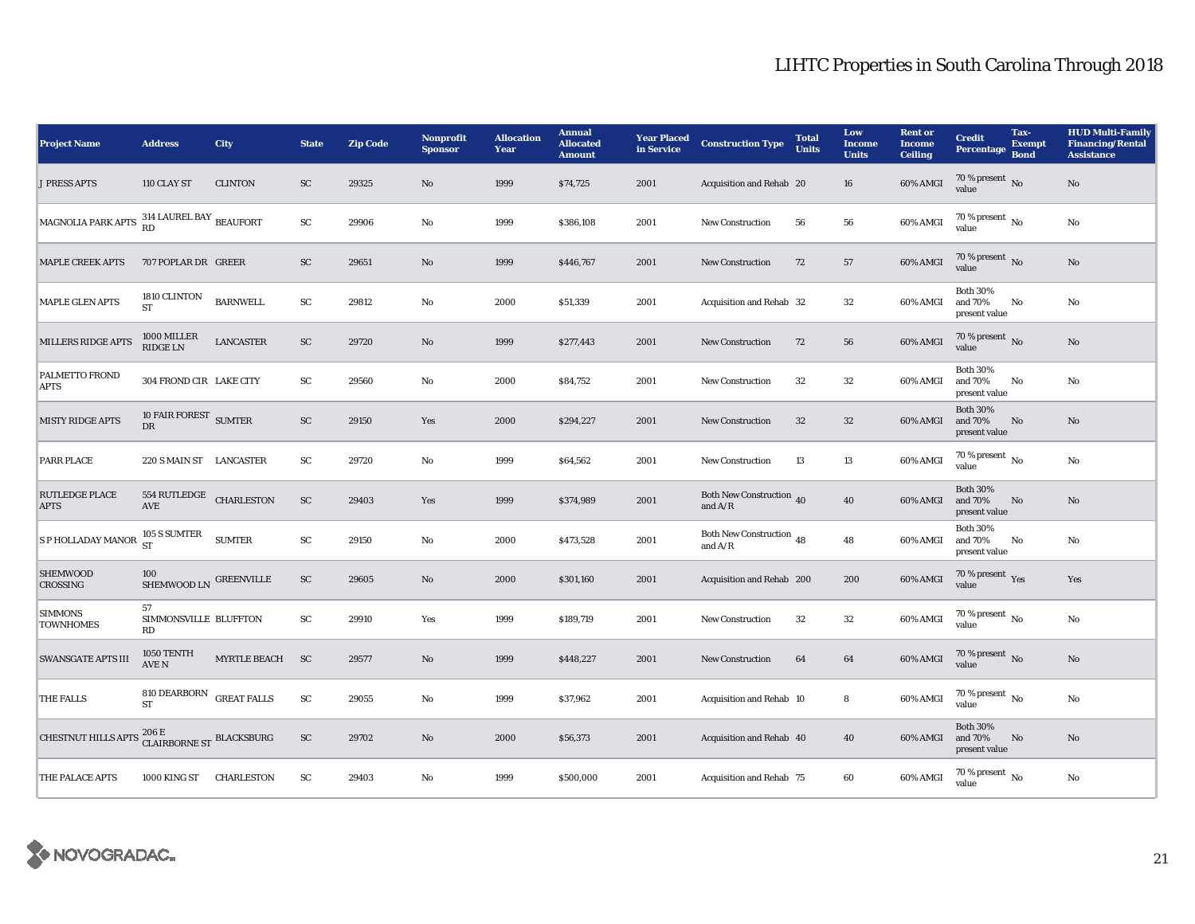| <b>Project Name</b>                                                                            | <b>Address</b>                             | City             | <b>State</b> | <b>Zip Code</b> | <b>Nonprofit</b><br><b>Sponsor</b> | <b>Allocation</b><br>Year | <b>Annual</b><br><b>Allocated</b><br><b>Amount</b> | <b>Year Placed</b><br>in Service | <b>Construction Type</b>              | <b>Total</b><br><b>Units</b> | Low<br><b>Income</b><br><b>Units</b> | <b>Rent or</b><br><b>Income</b><br><b>Ceiling</b> | <b>Credit</b><br><b>Percentage</b>          | Tax-<br><b>Exempt</b><br><b>Bond</b> | <b>HUD Multi-Family</b><br><b>Financing/Rental</b><br><b>Assistance</b> |
|------------------------------------------------------------------------------------------------|--------------------------------------------|------------------|--------------|-----------------|------------------------------------|---------------------------|----------------------------------------------------|----------------------------------|---------------------------------------|------------------------------|--------------------------------------|---------------------------------------------------|---------------------------------------------|--------------------------------------|-------------------------------------------------------------------------|
| <b>J PRESS APTS</b>                                                                            | 110 CLAY ST                                | <b>CLINTON</b>   | ${\rm SC}$   | 29325           | No                                 | 1999                      | \$74,725                                           | 2001                             | Acquisition and Rehab 20              |                              | 16                                   | 60% AMGI                                          | $70$ % present $\,$ No value                |                                      | $\rm No$                                                                |
| MAGNOLIA PARK APTS $\begin{array}{l} 314 \text{ LAUREL BAY} \\ \text{RD} \end{array}$ BEAUFORT |                                            |                  | SC           | 29906           | No                                 | 1999                      | \$386,108                                          | 2001                             | <b>New Construction</b>               | 56                           | 56                                   | 60% AMGI                                          | 70 % present $\,$ No $\,$<br>value          |                                      | No                                                                      |
| <b>MAPLE CREEK APTS</b>                                                                        | 707 POPLAR DR GREER                        |                  | ${\rm SC}$   | 29651           | No                                 | 1999                      | \$446,767                                          | 2001                             | <b>New Construction</b>               | 72                           | 57                                   | 60% AMGI                                          | 70 % present No<br>value                    |                                      | $\rm No$                                                                |
| <b>MAPLE GLEN APTS</b>                                                                         | 1810 CLINTON<br><b>ST</b>                  | <b>BARNWELL</b>  | SC           | 29812           | No                                 | 2000                      | \$51,339                                           | 2001                             | Acquisition and Rehab 32              |                              | $32\,$                               | 60% AMGI                                          | <b>Both 30%</b><br>and 70%<br>present value | No                                   | No                                                                      |
| MILLERS RIDGE APTS                                                                             | 1000 MILLER<br><b>RIDGE LN</b>             | <b>LANCASTER</b> | SC           | 29720           | No                                 | 1999                      | \$277,443                                          | 2001                             | <b>New Construction</b>               | 72                           | 56                                   | $60\%$ AMGI                                       | 70 % present $\,$ No $\,$<br>value          |                                      | $\rm No$                                                                |
| PALMETTO FROND<br><b>APTS</b>                                                                  | 304 FROND CIR LAKE CITY                    |                  | SC           | 29560           | No                                 | 2000                      | \$84,752                                           | 2001                             | <b>New Construction</b>               | 32                           | $32\,$                               | 60% AMGI                                          | <b>Both 30%</b><br>and 70%<br>present value | No                                   | $\rm No$                                                                |
| <b>MISTY RIDGE APTS</b>                                                                        | 10 FAIR FOREST SUMTER<br><b>DR</b>         |                  | ${\rm SC}$   | 29150           | Yes                                | 2000                      | \$294,227                                          | 2001                             | New Construction                      | 32                           | $32\,$                               | 60% AMGI                                          | <b>Both 30%</b><br>and 70%<br>present value | No                                   | $\rm No$                                                                |
| PARR PLACE                                                                                     | 220 S MAIN ST LANCASTER                    |                  | ${\rm SC}$   | 29720           | No                                 | 1999                      | \$64,562                                           | 2001                             | <b>New Construction</b>               | 13                           | $13\,$                               | 60% AMGI                                          | 70 % present $N_0$<br>value                 |                                      | $\rm No$                                                                |
| <b>RUTLEDGE PLACE</b><br><b>APTS</b>                                                           | 554 RUTLEDGE CHARLESTON<br><b>AVE</b>      |                  | SC           | 29403           | Yes                                | 1999                      | \$374,989                                          | 2001                             | Both New Construction 40<br>and $A/R$ |                              | 40                                   | 60% AMGI                                          | <b>Both 30%</b><br>and 70%<br>present value | No                                   | No                                                                      |
| <b>S P HOLLADAY MANOR</b>                                                                      | 105 S SUMTER<br><b>ST</b>                  | <b>SUMTER</b>    | SC           | 29150           | No                                 | 2000                      | \$473,528                                          | 2001                             | Both New Construction 48<br>and $A/R$ |                              | 48                                   | 60% AMGI                                          | <b>Both 30%</b><br>and 70%<br>present value | No                                   | No                                                                      |
| <b>SHEMWOOD</b><br><b>CROSSING</b>                                                             | 100<br>SHEMWOOD LN GREENVILLE              |                  | SC           | 29605           | No                                 | 2000                      | \$301,160                                          | 2001                             | Acquisition and Rehab 200             |                              | 200                                  | 60% AMGI                                          | 70 % present $Yes$<br>value                 |                                      | Yes                                                                     |
| <b>SIMMONS</b><br><b>TOWNHOMES</b>                                                             | 57<br>SIMMONSVILLE BLUFFTON<br>RD          |                  | SC           | 29910           | Yes                                | 1999                      | \$189,719                                          | 2001                             | <b>New Construction</b>               | 32                           | $32\,$                               | 60% AMGI                                          | 70 % present $\overline{N_0}$<br>value      |                                      | $\rm No$                                                                |
| <b>SWANSGATE APTS III</b>                                                                      | 1050 TENTH<br>AVE N                        | MYRTLE BEACH     | <b>SC</b>    | 29577           | No                                 | 1999                      | \$448,227                                          | 2001                             | <b>New Construction</b>               | 64                           | 64                                   | 60% AMGI                                          | $70$ % present $\,$ No value                |                                      | $\rm No$                                                                |
| THE FALLS                                                                                      | 810 DEARBORN GREAT FALLS<br><b>ST</b>      |                  | SC           | 29055           | No                                 | 1999                      | \$37,962                                           | 2001                             | Acquisition and Rehab 10              |                              | 8                                    | 60% AMGI                                          | 70 % present $\overline{N_0}$<br>value      |                                      | No                                                                      |
| <b>CHESTNUT HILLS APTS</b>                                                                     | $206\,\mathrm{E}$ CLAIRBORNE ST BLACKSBURG |                  | SC           | 29702           | No                                 | 2000                      | \$56,373                                           | 2001                             | Acquisition and Rehab 40              |                              | 40                                   | 60% AMGI                                          | <b>Both 30%</b><br>and 70%<br>present value | No                                   | No                                                                      |
| THE PALACE APTS                                                                                | 1000 KING ST                               | CHARLESTON       | ${\rm SC}$   | 29403           | No                                 | 1999                      | \$500,000                                          | 2001                             | Acquisition and Rehab 75              |                              | 60                                   | 60% AMGI                                          | $70\,\%$ present $\,$ No $\,$<br>value      |                                      | $\rm No$                                                                |

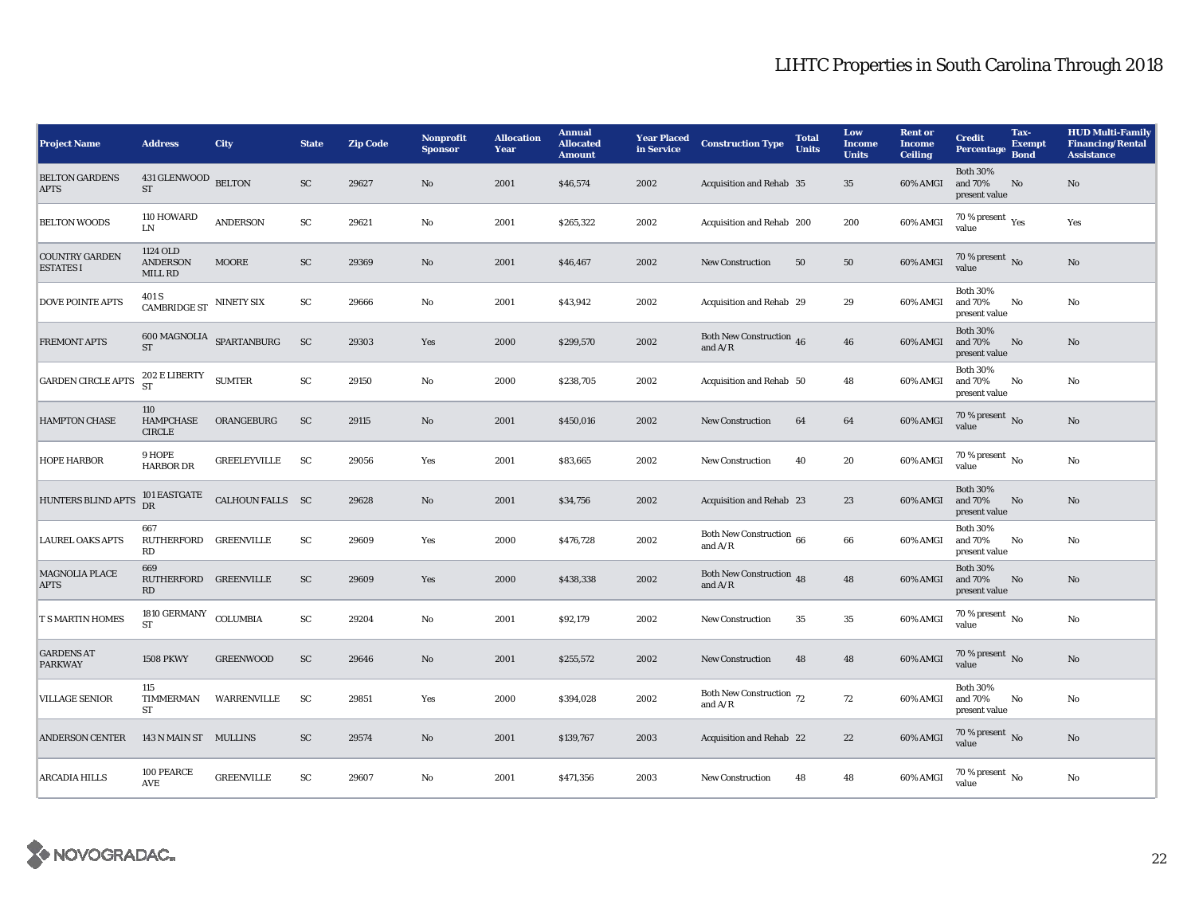## LIHTC Properties in South Carolina Through 2018

| <b>Project Name</b>                       | <b>Address</b>                                                      | <b>City</b>                        | <b>State</b> | <b>Zip Code</b> | Nonprofit<br><b>Sponsor</b> | <b>Allocation</b><br>Year | <b>Annual</b><br><b>Allocated</b><br><b>Amount</b> | <b>Year Placed</b><br>in Service | <b>Construction Type</b>                                                                        | <b>Total</b><br><b>Units</b> | Low<br><b>Income</b><br><b>Units</b> | <b>Rent or</b><br><b>Income</b><br><b>Ceiling</b> | <b>Credit</b><br><b>Percentage</b>          | Tax-<br><b>Exempt</b><br><b>Bond</b> | <b>HUD Multi-Family</b><br><b>Financing/Rental</b><br><b>Assistance</b> |
|-------------------------------------------|---------------------------------------------------------------------|------------------------------------|--------------|-----------------|-----------------------------|---------------------------|----------------------------------------------------|----------------------------------|-------------------------------------------------------------------------------------------------|------------------------------|--------------------------------------|---------------------------------------------------|---------------------------------------------|--------------------------------------|-------------------------------------------------------------------------|
| <b>BELTON GARDENS</b><br><b>APTS</b>      | 431 GLENWOOD BELTON<br><b>ST</b>                                    |                                    | SC           | 29627           | No                          | 2001                      | \$46,574                                           | 2002                             | Acquisition and Rehab 35                                                                        |                              | 35                                   | 60% AMGI                                          | <b>Both 30%</b><br>and 70%<br>present value | No                                   | No                                                                      |
| <b>BELTON WOODS</b>                       | 110 HOWARD<br><b>LN</b>                                             | <b>ANDERSON</b>                    | SC           | 29621           | No                          | 2001                      | \$265,322                                          | 2002                             | Acquisition and Rehab 200                                                                       |                              | 200                                  | 60% AMGI                                          | 70 % present $\rm\thinspace_{Yes}$<br>value |                                      | Yes                                                                     |
| <b>COUNTRY GARDEN</b><br><b>ESTATES I</b> | 1124 OLD<br><b>ANDERSON</b><br>MILL RD                              | MOORE                              | SC           | 29369           | No                          | 2001                      | \$46,467                                           | 2002                             | <b>New Construction</b>                                                                         | 50                           | 50                                   | 60% AMGI                                          | 70 % present $\overline{N_0}$<br>value      |                                      | No                                                                      |
| <b>DOVE POINTE APTS</b>                   | 401 S<br>$\mathop{\mathtt{CAMBRIDGE}}\nolimits\mathop{\mathtt{ST}}$ | <b>NINETY SIX</b>                  | SC           | 29666           | No                          | 2001                      | \$43,942                                           | 2002                             | Acquisition and Rehab 29                                                                        |                              | 29                                   | 60% AMGI                                          | <b>Both 30%</b><br>and 70%<br>present value | No                                   | No                                                                      |
| <b>FREMONT APTS</b>                       | <b>ST</b>                                                           | $600\, {\rm MAGNOLIA}$ SPARTANBURG | ${\rm SC}$   | 29303           | Yes                         | 2000                      | \$299,570                                          | 2002                             | Both New Construction 46<br>and $\ensuremath{\mathrm{A}}\xspace/\ensuremath{\mathrm{R}}\xspace$ |                              | 46                                   | 60% AMGI                                          | <b>Both 30%</b><br>and 70%<br>present value | No                                   | No                                                                      |
| <b>GARDEN CIRCLE APTS</b>                 | 202 E LIBERTY<br><b>ST</b>                                          | <b>SUMTER</b>                      | SC           | 29150           | No                          | 2000                      | \$238,705                                          | 2002                             | Acquisition and Rehab 50                                                                        |                              | 48                                   | 60% AMGI                                          | <b>Both 30%</b><br>and 70%<br>present value | No                                   | No                                                                      |
| <b>HAMPTON CHASE</b>                      | 110<br>HAMPCHASE<br><b>CIRCLE</b>                                   | ORANGEBURG                         | <b>SC</b>    | 29115           | No                          | 2001                      | \$450,016                                          | 2002                             | <b>New Construction</b>                                                                         | 64                           | 64                                   | 60% AMGI                                          | $70\,\%$ present $\,$ No value              |                                      | $\rm No$                                                                |
| <b>HOPE HARBOR</b>                        | 9 HOPE<br><b>HARBOR DR</b>                                          | <b>GREELEYVILLE</b>                | <b>SC</b>    | 29056           | Yes                         | 2001                      | \$83,665                                           | 2002                             | <b>New Construction</b>                                                                         | 40                           | 20                                   | 60% AMGI                                          | $70\%$ present $\overline{N_0}$<br>value    |                                      | $\rm No$                                                                |
| HUNTERS BLIND APTS                        | 101 EASTGATE<br>DR                                                  | CALHOUN FALLS SC                   |              | 29628           | No                          | 2001                      | \$34,756                                           | 2002                             | Acquisition and Rehab 23                                                                        |                              | 23                                   | 60% AMGI                                          | <b>Both 30%</b><br>and 70%<br>present value | No                                   | No                                                                      |
| <b>LAUREL OAKS APTS</b>                   | 667<br>RUTHERFORD GREENVILLE<br>RD                                  |                                    | SC           | 29609           | Yes                         | 2000                      | \$476,728                                          | 2002                             | Both New Construction 66<br>and $\mathrm{A}/\mathrm{R}$                                         |                              | 66                                   | 60% AMGI                                          | <b>Both 30%</b><br>and 70%<br>present value | No                                   | No                                                                      |
| <b>MAGNOLIA PLACE</b><br><b>APTS</b>      | 669<br>RUTHERFORD GREENVILLE<br>RD                                  |                                    | SC           | 29609           | Yes                         | 2000                      | \$438,338                                          | 2002                             | Both New Construction 48<br>and $A/R$                                                           |                              | 48                                   | 60% AMGI                                          | <b>Both 30%</b><br>and 70%<br>present value | No                                   | No                                                                      |
| T S MARTIN HOMES                          | 1810 GERMANY COLUMBIA<br>ST                                         |                                    | ${\rm SC}$   | 29204           | $\mathbf{No}$               | 2001                      | \$92,179                                           | 2002                             | New Construction                                                                                | 35                           | 35                                   | 60% AMGI                                          | 70 % present $\overline{N_0}$<br>value      |                                      | No                                                                      |
| <b>GARDENS AT</b><br><b>PARKWAY</b>       | <b>1508 PKWY</b>                                                    | <b>GREENWOOD</b>                   | SC           | 29646           | No                          | 2001                      | \$255,572                                          | 2002                             | <b>New Construction</b>                                                                         | 48                           | 48                                   | 60% AMGI                                          | $70\,\%$ present $\,$ No value              |                                      | No                                                                      |
| <b>VILLAGE SENIOR</b>                     | 115<br>TIMMERMAN<br><b>ST</b>                                       | WARRENVILLE                        | SC           | 29851           | Yes                         | 2000                      | \$394,028                                          | 2002                             | Both New Construction 72<br>and $A/R$                                                           |                              | 72                                   | 60% AMGI                                          | <b>Both 30%</b><br>and 70%<br>present value | No                                   | No                                                                      |
| <b>ANDERSON CENTER</b>                    | 143 N MAIN ST MULLINS                                               |                                    | SC           | 29574           | No                          | 2001                      | \$139,767                                          | 2003                             | Acquisition and Rehab 22                                                                        |                              | 22                                   | 60% AMGI                                          | $70\,\%$ present $\,$ No value              |                                      | $\mathbf{No}$                                                           |
| <b>ARCADIA HILLS</b>                      | 100 PEARCE<br><b>AVE</b>                                            | <b>GREENVILLE</b>                  | SC           | 29607           | No                          | 2001                      | \$471,356                                          | 2003                             | <b>New Construction</b>                                                                         | 48                           | 48                                   | 60% AMGI                                          | $70\%$ present $\overline{N_0}$<br>value    |                                      | No                                                                      |

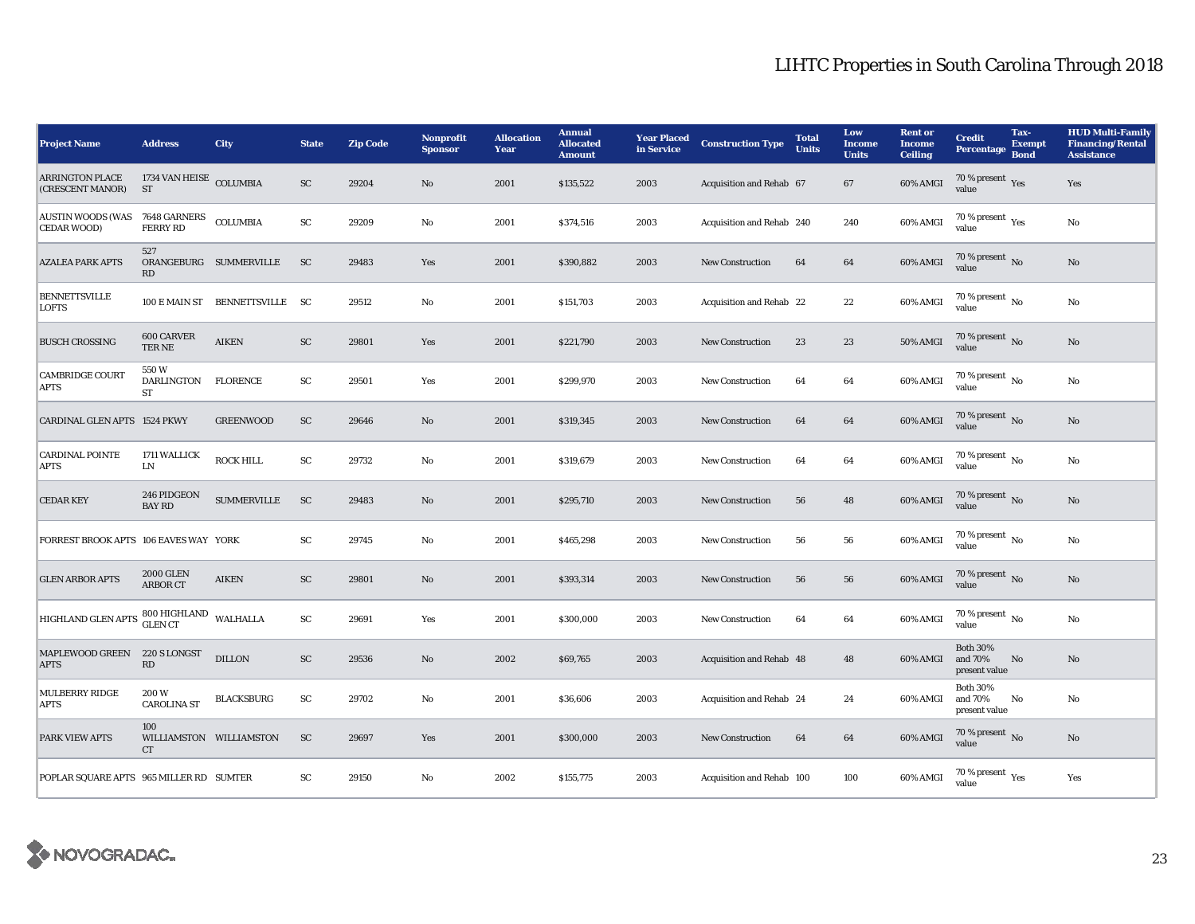| <b>Project Name</b>                                  | <b>Address</b>                      | <b>City</b>                    | <b>State</b> | <b>Zip Code</b> | <b>Nonprofit</b><br><b>Sponsor</b> | <b>Allocation</b><br>Year | <b>Annual</b><br><b>Allocated</b><br><b>Amount</b> | <b>Year Placed</b><br>in Service | <b>Construction Type</b>  | <b>Total</b><br><b>Units</b> | Low<br><b>Income</b><br><b>Units</b> | <b>Rent or</b><br><b>Income</b><br><b>Ceiling</b> | <b>Credit</b><br><b>Percentage</b>          | Tax-<br><b>Exempt</b><br><b>Bond</b> | <b>HUD Multi-Family</b><br><b>Financing/Rental</b><br><b>Assistance</b> |
|------------------------------------------------------|-------------------------------------|--------------------------------|--------------|-----------------|------------------------------------|---------------------------|----------------------------------------------------|----------------------------------|---------------------------|------------------------------|--------------------------------------|---------------------------------------------------|---------------------------------------------|--------------------------------------|-------------------------------------------------------------------------|
| <b>ARRINGTON PLACE</b><br>(CRESCENT MANOR)           | 1734 VAN HEISE COLUMBIA<br>ST       |                                | ${\rm SC}$   | 29204           | No                                 | 2001                      | \$135,522                                          | 2003                             | Acquisition and Rehab 67  |                              | 67                                   | 60% AMGI                                          | 70 % present $\gamma_{\rm{es}}$<br>value    |                                      | Yes                                                                     |
| AUSTIN WOODS (WAS 7648 GARNERS<br><b>CEDAR WOOD)</b> | <b>FERRY RD</b>                     | <b>COLUMBIA</b>                | SC           | 29209           | No                                 | 2001                      | \$374,516                                          | 2003                             | Acquisition and Rehab 240 |                              | 240                                  | 60% AMGI                                          | 70 % present $\rm\thinspace_{Yes}$<br>value |                                      | No                                                                      |
| <b>AZALEA PARK APTS</b>                              | 527<br><b>RD</b>                    | ORANGEBURG SUMMERVILLE         | <b>SC</b>    | 29483           | Yes                                | 2001                      | \$390,882                                          | 2003                             | New Construction          | 64                           | 64                                   | 60% AMGI                                          | 70 % present No<br>value                    |                                      | No                                                                      |
| <b>BENNETTSVILLE</b><br><b>LOFTS</b>                 |                                     | 100 E MAIN ST BENNETTSVILLE SC |              | 29512           | $\mathbf{No}$                      | 2001                      | \$151,703                                          | 2003                             | Acquisition and Rehab 22  |                              | 22                                   | 60% AMGI                                          | 70 % present $N_0$<br>value                 |                                      | No                                                                      |
| <b>BUSCH CROSSING</b>                                | <b>600 CARVER</b><br>TER NE         | <b>AIKEN</b>                   | SC           | 29801           | Yes                                | 2001                      | \$221,790                                          | 2003                             | <b>New Construction</b>   | 23                           | $\bf 23$                             | <b>50% AMGI</b>                                   | 70 % present No<br>value                    |                                      | No                                                                      |
| <b>CAMBRIDGE COURT</b><br><b>APTS</b>                | 550W<br><b>DARLINGTON</b><br>ST     | <b>FLORENCE</b>                | SC           | 29501           | Yes                                | 2001                      | \$299,970                                          | 2003                             | <b>New Construction</b>   | 64                           | 64                                   | 60% AMGI                                          | $70\%$ present $\overline{N_0}$<br>value    |                                      | No                                                                      |
| <b>CARDINAL GLEN APTS 1524 PKWY</b>                  |                                     | <b>GREENWOOD</b>               | SC           | 29646           | $\mathbf{N}\mathbf{o}$             | 2001                      | \$319,345                                          | 2003                             | <b>New Construction</b>   | 64                           | 64                                   | 60% AMGI                                          | 70 % present $\,$ No $\,$<br>value          |                                      | No                                                                      |
| <b>CARDINAL POINTE</b><br><b>APTS</b>                | 1711 WALLICK<br>LN                  | <b>ROCK HILL</b>               | ${\rm SC}$   | 29732           | No                                 | 2001                      | \$319,679                                          | 2003                             | <b>New Construction</b>   | 64                           | 64                                   | 60% AMGI                                          | 70 % present $\overline{N_0}$<br>value      |                                      | No                                                                      |
| <b>CEDAR KEY</b>                                     | 246 PIDGEON<br><b>BAY RD</b>        | <b>SUMMERVILLE</b>             | <b>SC</b>    | 29483           | $\mathbf{N}\mathbf{o}$             | 2001                      | \$295,710                                          | 2003                             | <b>New Construction</b>   | 56                           | 48                                   | 60% AMGI                                          | 70 % present $\,$ No $\,$<br>value          |                                      | No                                                                      |
| FORREST BROOK APTS 106 EAVES WAY YORK                |                                     |                                | SC           | 29745           | No                                 | 2001                      | \$465,298                                          | 2003                             | New Construction          | 56                           | 56                                   | 60% AMGI                                          | $70\%$ present $\overline{N_0}$<br>value    |                                      | No                                                                      |
| <b>GLEN ARBOR APTS</b>                               | <b>2000 GLEN</b><br><b>ARBOR CT</b> | <b>AIKEN</b>                   | ${\rm SC}$   | 29801           | $\mathbf{N}\mathbf{o}$             | 2001                      | \$393,314                                          | 2003                             | <b>New Construction</b>   | 56                           | 56                                   | 60% AMGI                                          | 70 % present No<br>value                    |                                      | No                                                                      |
| HIGHLAND GLEN APTS $\,$ 800 HIGHLAND $\,$ WALHALLA   |                                     |                                | ${\rm SC}$   | 29691           | Yes                                | 2001                      | \$300,000                                          | 2003                             | <b>New Construction</b>   | 64                           | 64                                   | 60% AMGI                                          | 70 % present $\overline{N_0}$<br>value      |                                      | No                                                                      |
| MAPLEWOOD GREEN 220 S LONGST<br><b>APTS</b>          | RD                                  | <b>DILLON</b>                  | ${\rm SC}$   | 29536           | $\mathbf{N}\mathbf{o}$             | 2002                      | \$69,765                                           | 2003                             | Acquisition and Rehab 48  |                              | 48                                   | 60% AMGI                                          | <b>Both 30%</b><br>and 70%<br>present value | No                                   | No                                                                      |
| <b>MULBERRY RIDGE</b><br><b>APTS</b>                 | 200W<br><b>CAROLINA ST</b>          | <b>BLACKSBURG</b>              | SC           | 29702           | No                                 | 2001                      | \$36,606                                           | 2003                             | Acquisition and Rehab 24  |                              | 24                                   | 60% AMGI                                          | <b>Both 30%</b><br>and 70%<br>present value | No                                   | No                                                                      |
| <b>PARK VIEW APTS</b>                                | 100<br>CT                           | WILLIAMSTON WILLIAMSTON        | SC           | 29697           | Yes                                | 2001                      | \$300,000                                          | 2003                             | <b>New Construction</b>   | 64                           | 64                                   | 60% AMGI                                          | 70 % present $\overline{N_0}$<br>value      |                                      | No                                                                      |
| POPLAR SQUARE APTS 965 MILLER RD SUMTER              |                                     |                                | SC           | 29150           | No                                 | 2002                      | \$155,775                                          | 2003                             | Acquisition and Rehab 100 |                              | 100                                  | 60% AMGI                                          | 70 % present $\rm\thinspace_{Yes}$<br>value |                                      | Yes                                                                     |

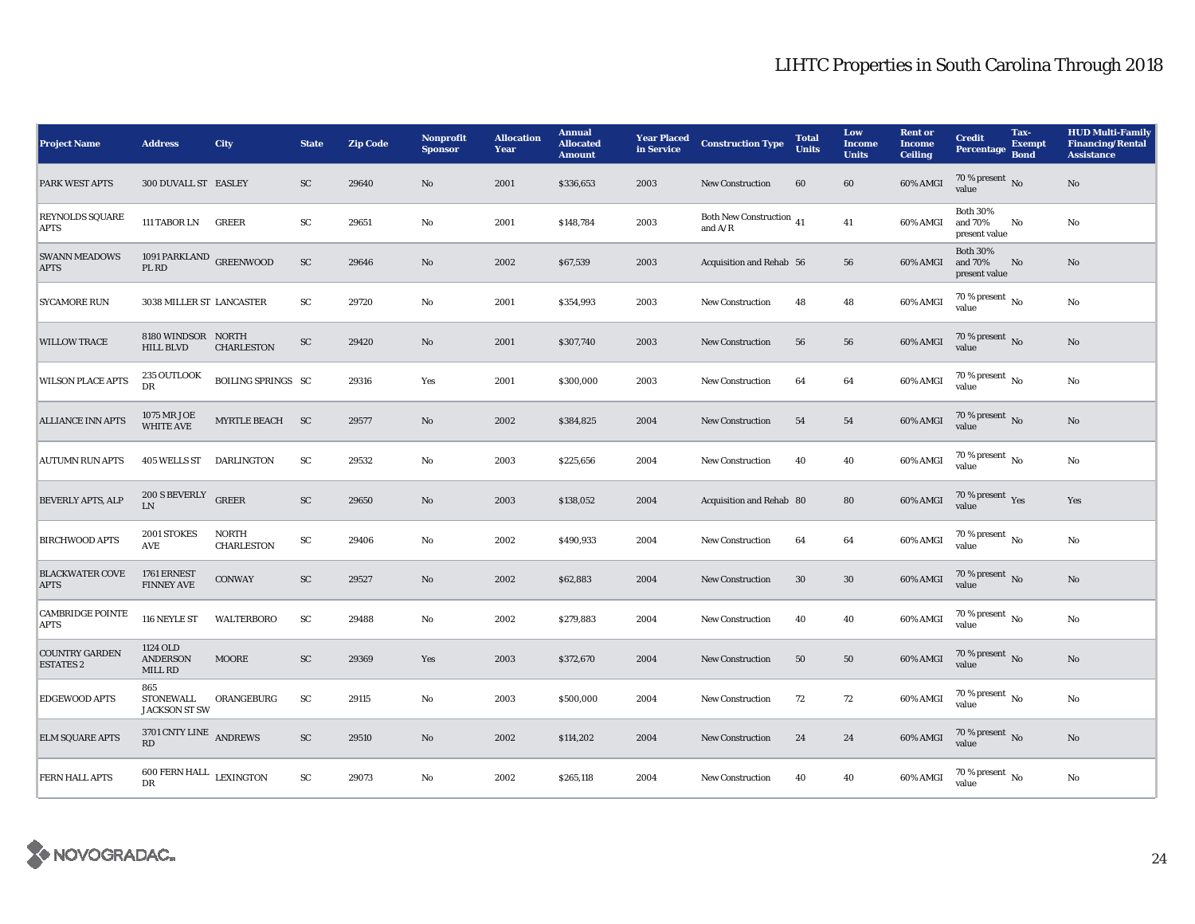| <b>Project Name</b>                       | <b>Address</b>                           | City                              | <b>State</b>           | <b>Zip Code</b> | <b>Nonprofit</b><br><b>Sponsor</b> | <b>Allocation</b><br>Year | <b>Annual</b><br><b>Allocated</b><br><b>Amount</b> | <b>Year Placed</b><br>in Service | <b>Construction Type</b>                        | <b>Total</b><br><b>Units</b> | Low<br><b>Income</b><br><b>Units</b> | <b>Rent</b> or<br><b>Income</b><br><b>Ceiling</b> | <b>Credit</b><br><b>Percentage</b>          | Tax-<br><b>Exempt</b><br><b>Bond</b> | <b>HUD Multi-Family</b><br><b>Financing/Rental</b><br><b>Assistance</b> |
|-------------------------------------------|------------------------------------------|-----------------------------------|------------------------|-----------------|------------------------------------|---------------------------|----------------------------------------------------|----------------------------------|-------------------------------------------------|------------------------------|--------------------------------------|---------------------------------------------------|---------------------------------------------|--------------------------------------|-------------------------------------------------------------------------|
| <b>PARK WEST APTS</b>                     | 300 DUVALL ST EASLEY                     |                                   | <b>SC</b>              | 29640           | No                                 | 2001                      | \$336,653                                          | 2003                             | New Construction                                | 60                           | 60                                   | 60% AMGI                                          | 70 % present No<br>value                    |                                      | $\rm No$                                                                |
| <b>REYNOLDS SQUARE</b><br><b>APTS</b>     | 111 TABOR LN                             | <b>GREER</b>                      | $\mathbf{S}\mathbf{C}$ | 29651           | No                                 | 2001                      | \$148,784                                          | 2003                             | Both New Construction $\,$ 41 $\,$<br>and $A/R$ |                              | 41                                   | 60% AMGI                                          | <b>Both 30%</b><br>and 70%<br>present value | No                                   | No                                                                      |
| <b>SWANN MEADOWS</b><br><b>APTS</b>       | 1091 PARKLAND GREENWOOD<br>PL RD         |                                   | SC                     | 29646           | No                                 | 2002                      | \$67,539                                           | 2003                             | Acquisition and Rehab 56                        |                              | 56                                   | 60% AMGI                                          | <b>Both 30%</b><br>and 70%<br>present value | No                                   | No                                                                      |
| <b>SYCAMORE RUN</b>                       | 3038 MILLER ST LANCASTER                 |                                   | SC                     | 29720           | No                                 | 2001                      | \$354,993                                          | 2003                             | <b>New Construction</b>                         | 48                           | 48                                   | 60% AMGI                                          | 70 % present $\overline{N_0}$<br>value      |                                      | No                                                                      |
| <b>WILLOW TRACE</b>                       | 8180 WINDSOR NORTH<br><b>HILL BLVD</b>   | <b>CHARLESTON</b>                 | ${\rm SC}$             | 29420           | No                                 | 2001                      | \$307,740                                          | 2003                             | <b>New Construction</b>                         | 56                           | 56                                   | 60% AMGI                                          | 70 % present $\,$ No $\,$<br>value          |                                      | No                                                                      |
| <b>WILSON PLACE APTS</b>                  | 235 OUTLOOK<br>DR                        | <b>BOILING SPRINGS SC</b>         |                        | 29316           | Yes                                | 2001                      | \$300,000                                          | 2003                             | <b>New Construction</b>                         | 64                           | 64                                   | 60% AMGI                                          | $70$ % present $\,$ No value                |                                      | $\rm No$                                                                |
| <b>ALLIANCE INN APTS</b>                  | 1075 MR JOE<br><b>WHITE AVE</b>          | MYRTLE BEACH SC                   |                        | 29577           | No                                 | 2002                      | \$384,825                                          | 2004                             | New Construction                                | 54                           | 54                                   | 60% AMGI                                          | 70 % present $\overline{N}$<br>value        |                                      | $\rm No$                                                                |
| <b>AUTUMN RUN APTS</b>                    | 405 WELLS ST DARLINGTON                  |                                   | SC                     | 29532           | No                                 | 2003                      | \$225,656                                          | 2004                             | <b>New Construction</b>                         | 40                           | 40                                   | 60% AMGI                                          | $70\%$ present $\overline{N_0}$<br>value    |                                      | No                                                                      |
| <b>BEVERLY APTS, ALP</b>                  | 200 S BEVERLY GREER<br>I.N               |                                   | SC                     | 29650           | No                                 | 2003                      | \$138,052                                          | 2004                             | Acquisition and Rehab 80                        |                              | 80                                   | 60% AMGI                                          | 70 % present Yes<br>value                   |                                      | Yes                                                                     |
| <b>BIRCHWOOD APTS</b>                     | 2001 STOKES<br>AVE                       | <b>NORTH</b><br><b>CHARLESTON</b> | ${\rm SC}$             | 29406           | No                                 | 2002                      | \$490,933                                          | 2004                             | <b>New Construction</b>                         | 64                           | 64                                   | 60% AMGI                                          | $70$ % present $\,$ No $\,$<br>value        |                                      | $_{\rm No}$                                                             |
| <b>BLACKWATER COVE</b><br><b>APTS</b>     | 1761 ERNEST<br><b>FINNEY AVE</b>         | <b>CONWAY</b>                     | SC                     | 29527           | No                                 | 2002                      | \$62,883                                           | 2004                             | <b>New Construction</b>                         | 30                           | 30                                   | 60% AMGI                                          | 70 % present $\,$ No $\,$<br>value          |                                      | $\rm No$                                                                |
| <b>CAMBRIDGE POINTE</b><br><b>APTS</b>    | 116 NEYLE ST                             | <b>WALTERBORO</b>                 | SC                     | 29488           | No                                 | 2002                      | \$279,883                                          | 2004                             | <b>New Construction</b>                         | 40                           | 40                                   | 60% AMGI                                          | $70\%$ present $\overline{N_0}$<br>value    |                                      | No                                                                      |
| <b>COUNTRY GARDEN</b><br><b>ESTATES 2</b> | 1124 OLD<br><b>ANDERSON</b><br>MILL RD   | <b>MOORE</b>                      | SC                     | 29369           | Yes                                | 2003                      | \$372,670                                          | 2004                             | <b>New Construction</b>                         | 50                           | 50                                   | 60% AMGI                                          | $70\%$ present No<br>value                  |                                      | No                                                                      |
| <b>EDGEWOOD APTS</b>                      | 865<br>STONEWALL<br><b>JACKSON ST SW</b> | ORANGEBURG                        | SC                     | 29115           | No                                 | 2003                      | \$500,000                                          | 2004                             | <b>New Construction</b>                         | 72                           | 72                                   | 60% AMGI                                          | $70\%$ present $\overline{N_0}$<br>value    |                                      | No                                                                      |
| <b>ELM SQUARE APTS</b>                    | 3701 CNTY LINE ANDREWS<br>RD             |                                   | ${\rm SC}$             | 29510           | $\mathbf{N}\mathbf{o}$             | 2002                      | \$114,202                                          | 2004                             | <b>New Construction</b>                         | 24                           | 24                                   | 60% AMGI                                          | $70\,\%$ present $\,$ No value              |                                      | $\mathbf{N}\mathbf{o}$                                                  |
| <b>FERN HALL APTS</b>                     | $600$ FERN HALL $$\tt LEXINGTON$$<br>DR  |                                   | SC                     | 29073           | No                                 | 2002                      | \$265,118                                          | 2004                             | <b>New Construction</b>                         | 40                           | 40                                   | 60% AMGI                                          | $70\%$ present $\overline{N_0}$<br>value    |                                      | No                                                                      |

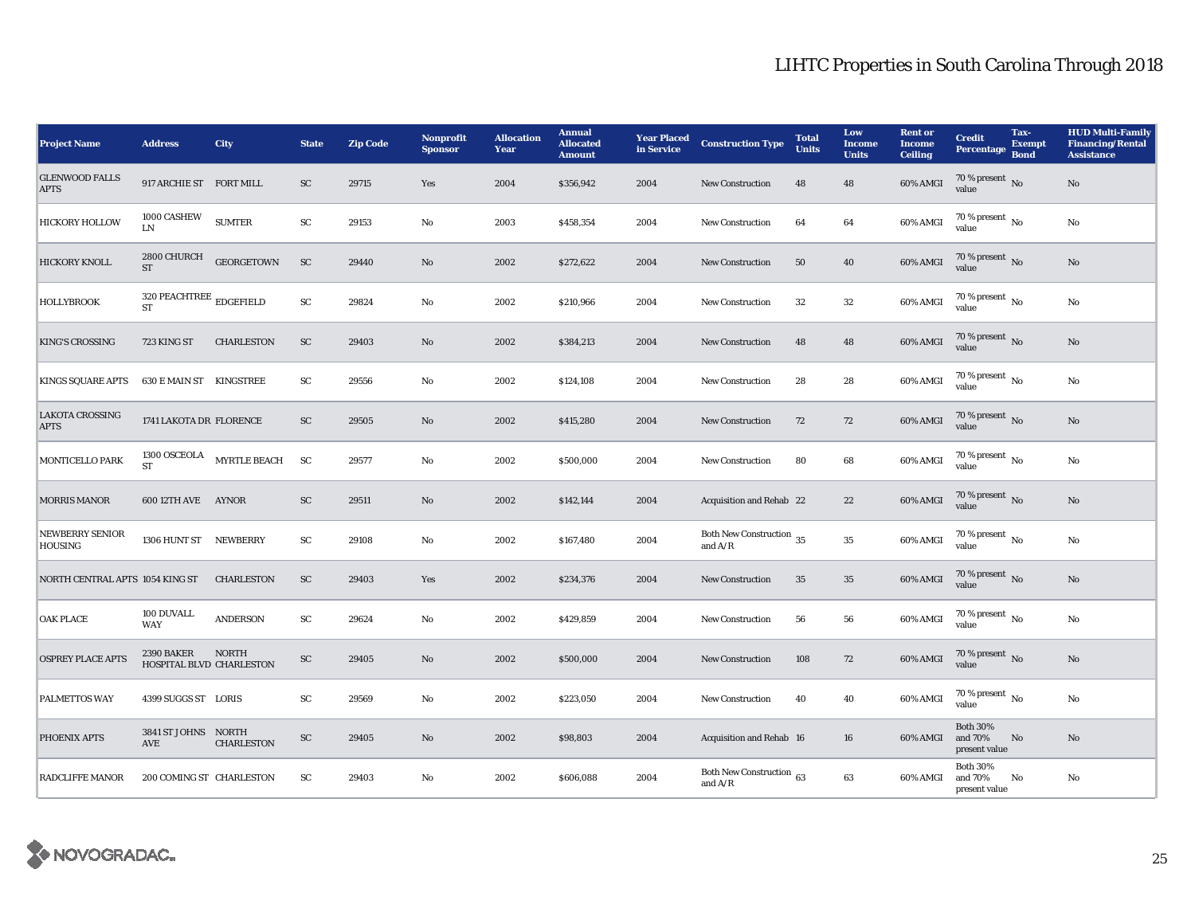| <b>Project Name</b>                      | <b>Address</b>                                               | <b>City</b>         | <b>State</b> | <b>Zip Code</b> | <b>Nonprofit</b><br><b>Sponsor</b> | <b>Allocation</b><br>Year | <b>Annual</b><br><b>Allocated</b><br><b>Amount</b> | <b>Year Placed</b><br>in Service | <b>Construction Type</b>              | <b>Total</b><br><b>Units</b> | Low<br><b>Income</b><br><b>Units</b> | <b>Rent or</b><br><b>Income</b><br><b>Ceiling</b> | <b>Credit</b><br>Percentage                 | Tax-<br><b>Exempt</b><br><b>Bond</b> | <b>HUD Multi-Family</b><br><b>Financing/Rental</b><br><b>Assistance</b> |
|------------------------------------------|--------------------------------------------------------------|---------------------|--------------|-----------------|------------------------------------|---------------------------|----------------------------------------------------|----------------------------------|---------------------------------------|------------------------------|--------------------------------------|---------------------------------------------------|---------------------------------------------|--------------------------------------|-------------------------------------------------------------------------|
| <b>GLENWOOD FALLS</b><br><b>APTS</b>     | 917 ARCHIE ST FORT MILL                                      |                     | SC           | 29715           | Yes                                | 2004                      | \$356,942                                          | 2004                             | <b>New Construction</b>               | 48                           | 48                                   | 60% AMGI                                          | 70 % present $\,$ No $\,$<br>value          |                                      | No                                                                      |
| <b>HICKORY HOLLOW</b>                    | 1000 CASHEW<br>LN                                            | <b>SUMTER</b>       | ${\rm SC}$   | 29153           | $\rm No$                           | 2003                      | \$458,354                                          | 2004                             | <b>New Construction</b>               | 64                           | 64                                   | 60% AMGI                                          | $70\%$ present $\overline{N_0}$<br>value    |                                      | No                                                                      |
| <b>HICKORY KNOLL</b>                     | 2800 CHURCH<br><b>ST</b>                                     | <b>GEORGETOWN</b>   | ${\rm SC}$   | 29440           | No                                 | 2002                      | \$272,622                                          | 2004                             | <b>New Construction</b>               | 50                           | 40                                   | 60% AMGI                                          | 70 % present No<br>value                    |                                      | No                                                                      |
| <b>HOLLYBROOK</b>                        | 320 PEACHTREE $_{\rm\bf \underline{E}DGEFIELD}$<br><b>ST</b> |                     | ${\rm SC}$   | 29824           | No                                 | 2002                      | \$210,966                                          | 2004                             | <b>New Construction</b>               | 32                           | 32                                   | 60% AMGI                                          | $70\%$ present $\overline{N_0}$<br>value    |                                      | No                                                                      |
| <b>KING'S CROSSING</b>                   | 723 KING ST                                                  | <b>CHARLESTON</b>   | SC           | 29403           | $\mathbf{N}\mathbf{o}$             | 2002                      | \$384,213                                          | 2004                             | <b>New Construction</b>               | 48                           | 48                                   | 60% AMGI                                          | 70 % present $\overline{N}$<br>value        |                                      | No                                                                      |
| <b>KINGS SQUARE APTS</b>                 | <b>630 E MAIN ST KINGSTREE</b>                               |                     | ${\rm SC}$   | 29556           | No                                 | 2002                      | \$124,108                                          | 2004                             | <b>New Construction</b>               | 28                           | 28                                   | 60% AMGI                                          | 70 % present $\overline{N_0}$<br>value      |                                      | No                                                                      |
| <b>LAKOTA CROSSING</b><br><b>APTS</b>    | 1741 LAKOTA DR FLORENCE                                      |                     | ${\rm SC}$   | 29505           | No                                 | 2002                      | \$415,280                                          | 2004                             | <b>New Construction</b>               | 72                           | 72                                   | 60% AMGI                                          | 70 % present $\,$ No $\,$<br>value          |                                      | No                                                                      |
| MONTICELLO PARK                          | 1300 OSCEOLA<br><b>ST</b>                                    | <b>MYRTLE BEACH</b> | SC           | 29577           | $\rm No$                           | 2002                      | \$500,000                                          | 2004                             | <b>New Construction</b>               | 80                           | 68                                   | 60% AMGI                                          | $70\%$ present $\overline{N_0}$<br>value    |                                      | No                                                                      |
| <b>MORRIS MANOR</b>                      | 600 12TH AVE AYNOR                                           |                     | SC           | 29511           | No                                 | 2002                      | \$142,144                                          | 2004                             | Acquisition and Rehab 22              |                              | 22                                   | 60% AMGI                                          | 70 % present $\overline{N_0}$<br>value      |                                      | No                                                                      |
| <b>NEWBERRY SENIOR</b><br><b>HOUSING</b> | 1306 HUNT ST NEWBERRY                                        |                     | ${\rm SC}$   | 29108           | No                                 | 2002                      | \$167,480                                          | 2004                             | Both New Construction 35<br>and $A/R$ |                              | 35                                   | 60% AMGI                                          | $70\%$ present $\overline{N_0}$<br>value    |                                      | No                                                                      |
| NORTH CENTRAL APTS 1054 KING ST          |                                                              | <b>CHARLESTON</b>   | ${\rm SC}$   | 29403           | Yes                                | 2002                      | \$234,376                                          | 2004                             | New Construction                      | 35                           | $35\,$                               | 60% AMGI                                          | 70 % present $\overline{N_0}$<br>value      |                                      | No                                                                      |
| <b>OAK PLACE</b>                         | 100 DUVALL<br><b>WAY</b>                                     | <b>ANDERSON</b>     | ${\rm SC}$   | 29624           | No                                 | 2002                      | \$429,859                                          | 2004                             | <b>New Construction</b>               | 56                           | 56                                   | 60% AMGI                                          | 70 % present $\overline{N_0}$<br>value      |                                      | No                                                                      |
| <b>OSPREY PLACE APTS</b>                 | <b>2390 BAKER</b><br>HOSPITAL BLVD CHARLESTON                | NORTH               | ${\rm SC}$   | 29405           | No                                 | 2002                      | \$500,000                                          | 2004                             | <b>New Construction</b>               | 108                          | 72                                   | 60% AMGI                                          | $70\,\%$ present $\,$ No value              |                                      | No                                                                      |
| <b>PALMETTOS WAY</b>                     | 4399 SUGGS ST LORIS                                          |                     | SC           | 29569           | No                                 | 2002                      | \$223,050                                          | 2004                             | <b>New Construction</b>               | 40                           | 40                                   | 60% AMGI                                          | $70\%$ present $\overline{N_0}$<br>value    |                                      | No                                                                      |
| PHOENIX APTS                             | 3841 ST JOHNS NORTH<br>AVE                                   | <b>CHARLESTON</b>   | ${\rm SC}$   | 29405           | No                                 | 2002                      | \$98,803                                           | 2004                             | Acquisition and Rehab 16              |                              | 16                                   | 60% AMGI                                          | <b>Both 30%</b><br>and 70%<br>present value | No                                   | No                                                                      |
| <b>RADCLIFFE MANOR</b>                   | 200 COMING ST CHARLESTON                                     |                     | SC           | 29403           | No                                 | 2002                      | \$606,088                                          | 2004                             | Both New Construction 63<br>and $A/R$ |                              | 63                                   | 60% AMGI                                          | <b>Both 30%</b><br>and 70%<br>present value | No                                   | No                                                                      |

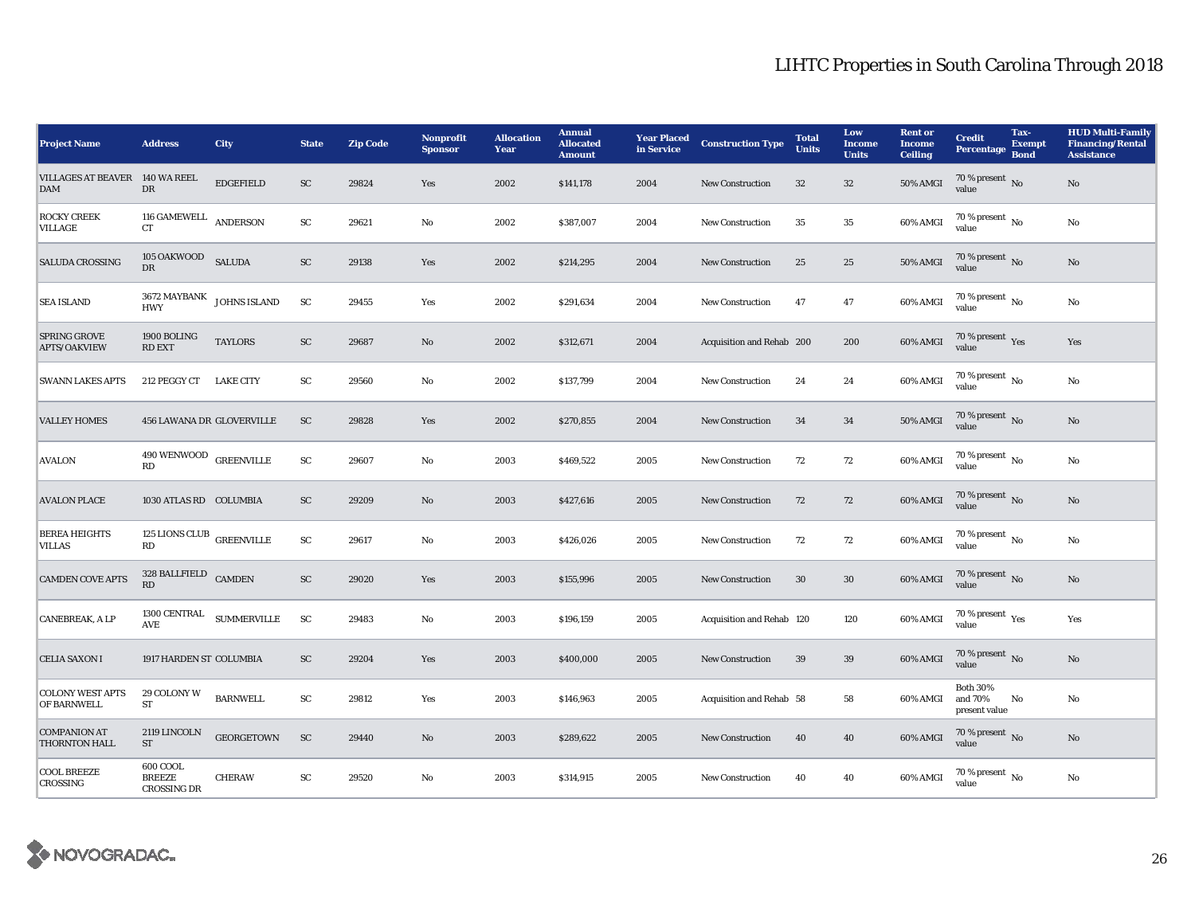| <b>Project Name</b>                          | <b>Address</b>                                  | City                                  | <b>State</b>  | <b>Zip Code</b> | <b>Nonprofit</b><br><b>Sponsor</b> | <b>Allocation</b><br>Year | <b>Annual</b><br><b>Allocated</b><br><b>Amount</b> | <b>Year Placed<br/>in Service</b> | <b>Construction Type</b>  | <b>Total</b><br><b>Units</b> | Low<br><b>Income</b><br><b>Units</b> | <b>Rent</b> or<br><b>Income</b><br><b>Ceiling</b> | <b>Credit</b><br>Percentage                          | Tax-<br><b>Exempt</b><br><b>Bond</b> | <b>HUD Multi-Family</b><br><b>Financing/Rental</b><br><b>Assistance</b> |
|----------------------------------------------|-------------------------------------------------|---------------------------------------|---------------|-----------------|------------------------------------|---------------------------|----------------------------------------------------|-----------------------------------|---------------------------|------------------------------|--------------------------------------|---------------------------------------------------|------------------------------------------------------|--------------------------------------|-------------------------------------------------------------------------|
| VILLAGES AT BEAVER 140 WA REEL<br><b>DAM</b> | DR                                              | <b>EDGEFIELD</b>                      | SC            | 29824           | Yes                                | 2002                      | \$141,178                                          | 2004                              | New Construction          | 32                           | 32                                   | <b>50% AMGI</b>                                   | 70 % present $\overline{N_0}$<br>value               |                                      | No                                                                      |
| <b>ROCKY CREEK</b><br><b>VILLAGE</b>         | 116 GAMEWELL<br>CT                              | <b>ANDERSON</b>                       | SC            | 29621           | No                                 | 2002                      | \$387,007                                          | 2004                              | <b>New Construction</b>   | 35                           | 35                                   | 60% AMGI                                          | $70$ % present $\,$ No $\,$<br>value                 |                                      | No                                                                      |
| <b>SALUDA CROSSING</b>                       | 105 OAKWOOD SALUDA<br>DR                        |                                       | SC            | 29138           | Yes                                | 2002                      | \$214,295                                          | 2004                              | New Construction          | 25                           | 25                                   | 50% AMGI                                          | 70 % present No<br>value                             |                                      | No                                                                      |
| <b>SEA ISLAND</b>                            | <b>HWY</b>                                      | $3672$ MAYBANK $_{\rm\,$ JOHNS ISLAND | ${\rm SC}$    | 29455           | Yes                                | 2002                      | \$291,634                                          | 2004                              | <b>New Construction</b>   | 47                           | 47                                   | 60% AMGI                                          | $70\%$ present $\overline{N_0}$<br>value             |                                      | No                                                                      |
| <b>SPRING GROVE</b><br>APTS/OAKVIEW          | 1900 BOLING<br><b>RD EXT</b>                    | <b>TAYLORS</b>                        | SC            | 29687           | No                                 | 2002                      | \$312,671                                          | 2004                              | Acquisition and Rehab 200 |                              | 200                                  | 60% AMGI                                          | $70\,\%$ present $\,$ $\rm Yes$<br>value             |                                      | Yes                                                                     |
| <b>SWANN LAKES APTS</b>                      | 212 PEGGY CT                                    | <b>LAKE CITY</b>                      | SC            | 29560           | No                                 | 2002                      | \$137,799                                          | 2004                              | New Construction          | 24                           | 24                                   | 60% AMGI                                          | $70\%$ present $\overline{N_0}$<br>value             |                                      | No                                                                      |
| <b>VALLEY HOMES</b>                          | 456 LAWANA DR GLOVERVILLE                       |                                       | <b>SC</b>     | 29828           | Yes                                | 2002                      | \$270,855                                          | 2004                              | <b>New Construction</b>   | 34                           | 34                                   | 50% AMGI                                          | 70 % present $\,$ No $\,$<br>value                   |                                      | No                                                                      |
| <b>AVALON</b>                                | $490\,\mbox{WENWOOD}$ GREENVILLE<br><b>RD</b>   |                                       | SC            | 29607           | No                                 | 2003                      | \$469,522                                          | 2005                              | <b>New Construction</b>   | 72                           | 72                                   | 60% AMGI                                          | 70 % present $\overline{N_0}$<br>value               |                                      | No                                                                      |
| <b>AVALON PLACE</b>                          | 1030 ATLAS RD COLUMBIA                          |                                       | SC            | 29209           | $\mathbf{N}\mathbf{o}$             | 2003                      | \$427,616                                          | 2005                              | New Construction          | 72                           | 72                                   | 60% AMGI                                          | 70 % present $\,$ No $\,$<br>value                   |                                      | No                                                                      |
| <b>BEREA HEIGHTS</b><br><b>VILLAS</b>        | 125 LIONS CLUB GREENVILLE<br>RD                 |                                       | $\mathbf{SC}$ | 29617           | No                                 | 2003                      | \$426,026                                          | 2005                              | <b>New Construction</b>   | 72                           | 72                                   | 60% AMGI                                          | $70\%$ present $\overline{N_0}$<br>value             |                                      | No                                                                      |
| <b>CAMDEN COVE APTS</b>                      | 328 BALLFIELD CAMDEN<br>RD                      |                                       | ${\rm SC}$    | 29020           | Yes                                | 2003                      | \$155,996                                          | 2005                              | New Construction          | 30                           | $30\,$                               | 60% AMGI                                          | 70 % present No<br>value                             |                                      | No                                                                      |
| <b>CANEBREAK, A LP</b>                       | AVE                                             | $1300$ CENTRAL $\quad$ SUMMERVILLE    | <b>SC</b>     | 29483           | No                                 | 2003                      | \$196,159                                          | 2005                              | Acquisition and Rehab 120 |                              | 120                                  | 60% AMGI                                          | 70 % present $\rm\thinspace\gamma_{\rm es}$<br>value |                                      | Yes                                                                     |
| <b>CELIA SAXON I</b>                         | 1917 HARDEN ST COLUMBIA                         |                                       | <b>SC</b>     | 29204           | Yes                                | 2003                      | \$400,000                                          | 2005                              | <b>New Construction</b>   | 39                           | 39                                   | 60% AMGI                                          | $70\,\%$ present $\,$ No value                       |                                      | No                                                                      |
| <b>COLONY WEST APTS</b><br>OF BARNWELL       | 29 COLONY W<br>ST                               | <b>BARNWELL</b>                       | SC            | 29812           | Yes                                | 2003                      | \$146,963                                          | 2005                              | Acquisition and Rehab 58  |                              | 58                                   | 60% AMGI                                          | <b>Both 30%</b><br>and 70%<br>present value          | No                                   | No                                                                      |
| <b>COMPANION AT</b><br>THORNTON HALL         | 2119 LINCOLN<br><b>ST</b>                       | <b>GEORGETOWN</b>                     | <b>SC</b>     | 29440           | No                                 | 2003                      | \$289,622                                          | 2005                              | <b>New Construction</b>   | 40                           | 40                                   | 60% AMGI                                          | 70 % present No<br>value                             |                                      | No                                                                      |
| <b>COOL BREEZE</b><br>CROSSING               | 600 COOL<br><b>BREEZE</b><br><b>CROSSING DR</b> | <b>CHERAW</b>                         | SC            | 29520           | No                                 | 2003                      | \$314,915                                          | 2005                              | <b>New Construction</b>   | 40                           | 40                                   | 60% AMGI                                          | $70\%$ present $\overline{N_0}$<br>value             |                                      | No                                                                      |

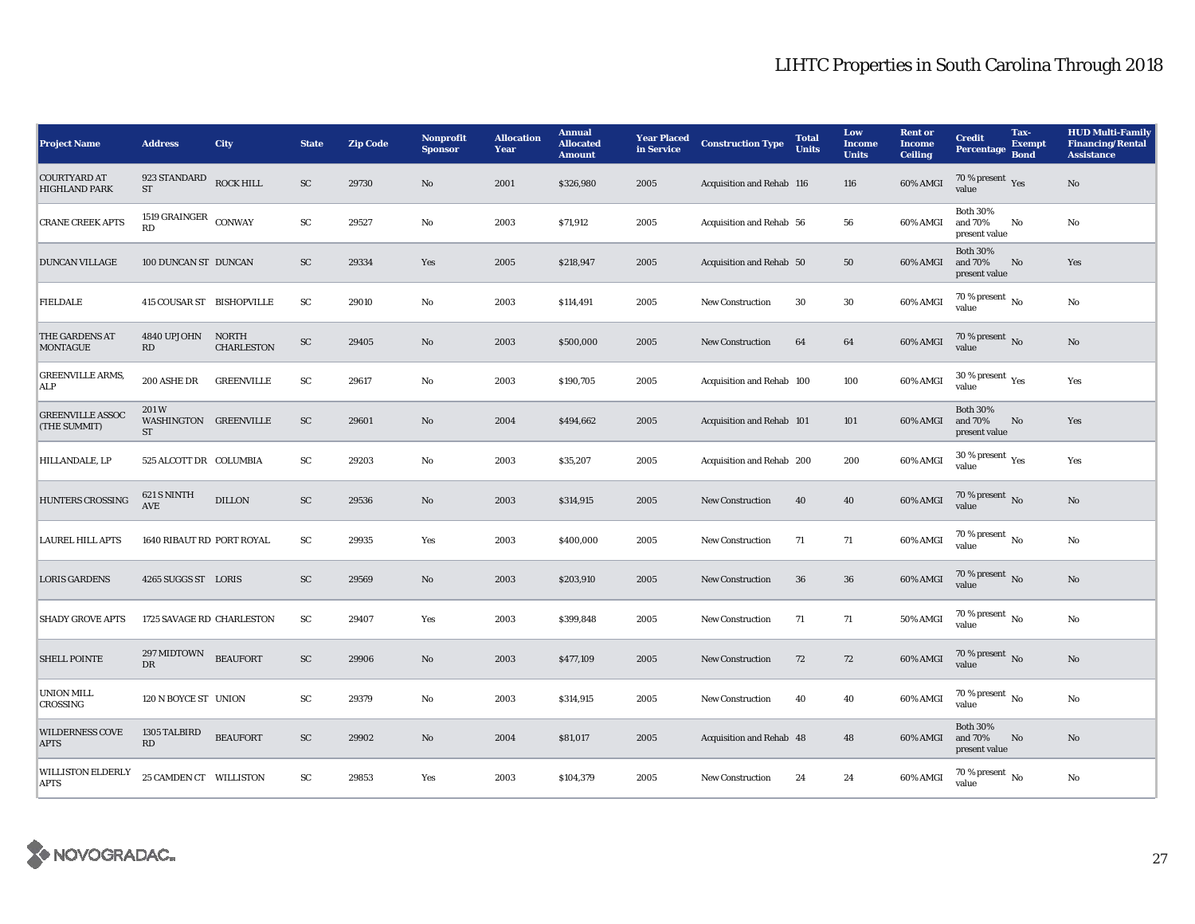| <b>Project Name</b>                         | <b>Address</b>                      | City                              | <b>State</b> | <b>Zip Code</b> | <b>Nonprofit</b><br><b>Sponsor</b> | <b>Allocation</b><br>Year | <b>Annual</b><br><b>Allocated</b><br><b>Amount</b> | <b>Year Placed</b><br>in Service | <b>Construction Type</b>  | <b>Total</b><br><b>Units</b> | Low<br><b>Income</b><br><b>Units</b> | <b>Rent or</b><br><b>Income</b><br><b>Ceiling</b> | <b>Credit</b><br><b>Percentage</b>          | Tax-<br><b>Exempt</b><br><b>Bond</b> | <b>HUD Multi-Family</b><br><b>Financing/Rental</b><br><b>Assistance</b> |
|---------------------------------------------|-------------------------------------|-----------------------------------|--------------|-----------------|------------------------------------|---------------------------|----------------------------------------------------|----------------------------------|---------------------------|------------------------------|--------------------------------------|---------------------------------------------------|---------------------------------------------|--------------------------------------|-------------------------------------------------------------------------|
| <b>COURTYARD AT</b><br><b>HIGHLAND PARK</b> | 923 STANDARD<br>$\operatorname{ST}$ | <b>ROCK HILL</b>                  | ${\rm SC}$   | 29730           | No                                 | 2001                      | \$326,980                                          | 2005                             | Acquisition and Rehab 116 |                              | 116                                  | 60% AMGI                                          | 70 % present $\rm\thinspace_{Yes}$<br>value |                                      | $\rm No$                                                                |
| <b>CRANE CREEK APTS</b>                     | 1519 GRAINGER $\,$ CONWAY<br>RD     |                                   | SC           | 29527           | No                                 | 2003                      | \$71,912                                           | 2005                             | Acquisition and Rehab 56  |                              | 56                                   | 60% AMGI                                          | <b>Both 30%</b><br>and 70%<br>present value | No                                   | No                                                                      |
| <b>DUNCAN VILLAGE</b>                       | 100 DUNCAN ST DUNCAN                |                                   | ${\rm SC}$   | 29334           | Yes                                | 2005                      | \$218,947                                          | 2005                             | Acquisition and Rehab 50  |                              | 50                                   | 60% AMGI                                          | <b>Both 30%</b><br>and 70%<br>present value | No                                   | Yes                                                                     |
| <b>FIELDALE</b>                             | 415 COUSAR ST BISHOPVILLE           |                                   | SC           | 29010           | $\mathbf{No}$                      | 2003                      | \$114,491                                          | 2005                             | New Construction          | 30                           | 30                                   | 60% AMGI                                          | $70\%$ present $\overline{N_0}$<br>value    |                                      | $\rm No$                                                                |
| THE GARDENS AT<br><b>MONTAGUE</b>           | 4840 UPJOHN<br><b>RD</b>            | <b>NORTH</b><br><b>CHARLESTON</b> | ${\rm SC}$   | 29405           | No                                 | 2003                      | \$500,000                                          | 2005                             | New Construction          | 64                           | 64                                   | 60% AMGI                                          | 70 % present $\,$ No $\,$<br>value          |                                      | $\rm No$                                                                |
| <b>GREENVILLE ARMS,</b><br><b>ALP</b>       | 200 ASHE DR                         | <b>GREENVILLE</b>                 | SC           | 29617           | No                                 | 2003                      | \$190,705                                          | 2005                             | Acquisition and Rehab 100 |                              | 100                                  | 60% AMGI                                          | 30 % present $\rm \gamma_{\rm es}$<br>value |                                      | Yes                                                                     |
| <b>GREENVILLE ASSOC</b><br>(THE SUMMIT)     | 201W<br>WASHINGTON GREENVILLE<br>ST |                                   | SC           | 29601           | No                                 | 2004                      | \$494,662                                          | 2005                             | Acquisition and Rehab 101 |                              | 101                                  | 60% AMGI                                          | <b>Both 30%</b><br>and 70%<br>present value | No                                   | Yes                                                                     |
| HILLANDALE, LP                              | 525 ALCOTT DR COLUMBIA              |                                   | SC           | 29203           | No                                 | 2003                      | \$35,207                                           | 2005                             | Acquisition and Rehab 200 |                              | 200                                  | 60% AMGI                                          | 30 % present $\rm \gamma_{\rm es}$<br>value |                                      | Yes                                                                     |
| HUNTERS CROSSING                            | 621 S NINTH<br><b>AVE</b>           | <b>DILLON</b>                     | SC           | 29536           | No                                 | 2003                      | \$314,915                                          | 2005                             | New Construction          | 40                           | 40                                   | 60% AMGI                                          | 70 % present No<br>value                    |                                      | No                                                                      |
| <b>LAUREL HILL APTS</b>                     | 1640 RIBAUT RD PORT ROYAL           |                                   | ${\rm SC}$   | 29935           | Yes                                | 2003                      | \$400,000                                          | 2005                             | <b>New Construction</b>   | 71                           | 71                                   | 60% AMGI                                          | 70 % present $\,$ No $\,$<br>value          |                                      | $\rm No$                                                                |
| <b>LORIS GARDENS</b>                        | 4265 SUGGS ST LORIS                 |                                   | ${\rm SC}$   | 29569           | No                                 | 2003                      | \$203,910                                          | 2005                             | New Construction          | 36                           | ${\bf 36}$                           | 60% AMGI                                          | 70 % present $\overline{N}$<br>value        |                                      | $\rm No$                                                                |
| <b>SHADY GROVE APTS</b>                     | 1725 SAVAGE RD CHARLESTON           |                                   | SC           | 29407           | Yes                                | 2003                      | \$399,848                                          | 2005                             | New Construction          | 71                           | 71                                   | 50% AMGI                                          | 70 % present $\overline{N_0}$<br>value      |                                      | No                                                                      |
| <b>SHELL POINTE</b>                         | 297 MIDTOWN<br><b>DR</b>            | <b>BEAUFORT</b>                   | ${\rm SC}$   | 29906           | No                                 | 2003                      | \$477,109                                          | 2005                             | <b>New Construction</b>   | 72                           | 72                                   | 60% AMGI                                          | $70$ % present $\,$ No value                |                                      | $\rm No$                                                                |
| <b>UNION MILL</b><br><b>CROSSING</b>        | 120 N BOYCE ST UNION                |                                   | SC           | 29379           | No                                 | 2003                      | \$314,915                                          | 2005                             | <b>New Construction</b>   | 40                           | 40                                   | 60% AMGI                                          | 70 % present $\,$ No $\,$<br>value          |                                      | No                                                                      |
| <b>WILDERNESS COVE</b><br><b>APTS</b>       | 1305 TALBIRD<br>RD                  | <b>BEAUFORT</b>                   | SC           | 29902           | No                                 | 2004                      | \$81,017                                           | 2005                             | Acquisition and Rehab 48  |                              | 48                                   | 60% AMGI                                          | <b>Both 30%</b><br>and 70%<br>present value | No                                   | No                                                                      |
| <b>WILLISTON ELDERLY</b><br><b>APTS</b>     | 25 CAMDEN CT WILLISTON              |                                   | SC           | 29853           | Yes                                | 2003                      | \$104,379                                          | 2005                             | <b>New Construction</b>   | 24                           | 24                                   | 60% AMGI                                          | $70\%$ present $\overline{N_0}$<br>value    |                                      | No                                                                      |

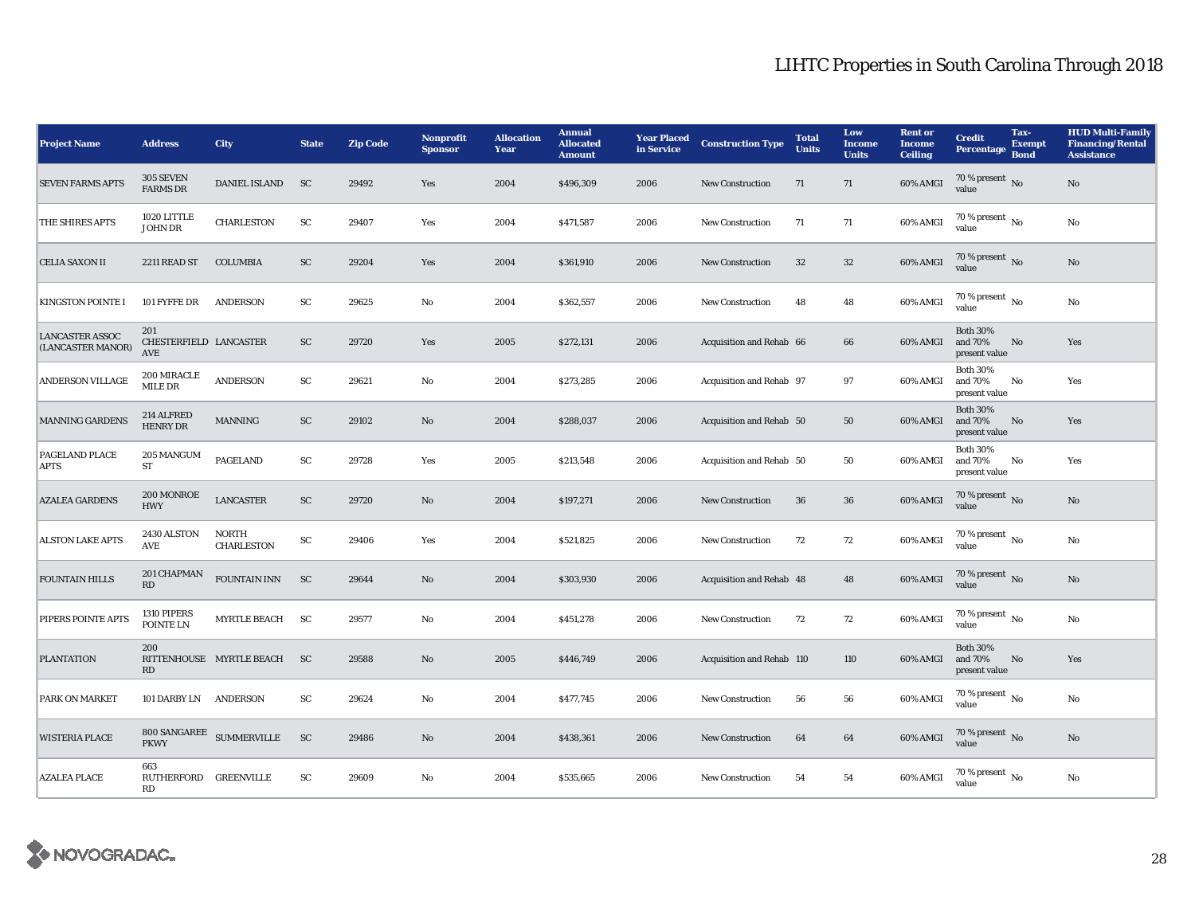| <b>Project Name</b>                         | <b>Address</b>                              | City                              | <b>State</b> | <b>Zip Code</b> | <b>Nonprofit</b><br><b>Sponsor</b> | <b>Allocation</b><br>Year | <b>Annual</b><br><b>Allocated</b><br><b>Amount</b> | <b>Year Placed</b><br>in Service | <b>Construction Type</b>  | <b>Total</b><br><b>Units</b> | Low<br><b>Income</b><br><b>Units</b> | <b>Rent or</b><br><b>Income</b><br><b>Ceiling</b> | <b>Credit</b><br><b>Percentage</b>          | Tax-<br><b>Exempt</b><br><b>Bond</b> | <b>HUD Multi-Family</b><br><b>Financing/Rental</b><br><b>Assistance</b> |
|---------------------------------------------|---------------------------------------------|-----------------------------------|--------------|-----------------|------------------------------------|---------------------------|----------------------------------------------------|----------------------------------|---------------------------|------------------------------|--------------------------------------|---------------------------------------------------|---------------------------------------------|--------------------------------------|-------------------------------------------------------------------------|
| <b>SEVEN FARMS APTS</b>                     | 305 SEVEN<br><b>FARMS DR</b>                | <b>DANIEL ISLAND</b>              | <b>SC</b>    | 29492           | Yes                                | 2004                      | \$496,309                                          | 2006                             | New Construction          | 71                           | 71                                   | 60% AMGI                                          | 70 % present $\overline{N_0}$<br>value      |                                      | $\rm No$                                                                |
| THE SHIRES APTS                             | 1020 LITTLE<br><b>JOHN DR</b>               | CHARLESTON                        | SC           | 29407           | Yes                                | 2004                      | \$471,587                                          | 2006                             | New Construction          | 71                           | 71                                   | 60% AMGI                                          | 70 % present $\,$ No $\,$<br>value          |                                      | No                                                                      |
| <b>CELIA SAXON II</b>                       | 2211 READ ST                                | <b>COLUMBIA</b>                   | ${\rm SC}$   | 29204           | Yes                                | 2004                      | \$361,910                                          | 2006                             | <b>New Construction</b>   | 32                           | $32\,$                               | 60% AMGI                                          | 70 % present No<br>value                    |                                      | No                                                                      |
| <b>KINGSTON POINTE I</b>                    | 101 FYFFE DR                                | <b>ANDERSON</b>                   | SC           | 29625           | $\mathbf{No}$                      | 2004                      | \$362,557                                          | 2006                             | New Construction          | 48                           | 48                                   | 60% AMGI                                          | $70\%$ present $\overline{N_0}$<br>value    |                                      | No                                                                      |
| <b>LANCASTER ASSOC</b><br>(LANCASTER MANOR) | 201<br>CHESTERFIELD LANCASTER<br><b>AVE</b> |                                   | SC           | 29720           | Yes                                | 2005                      | \$272,131                                          | 2006                             | Acquisition and Rehab 66  |                              | 66                                   | 60% AMGI                                          | <b>Both 30%</b><br>and 70%<br>present value | No                                   | Yes                                                                     |
| ANDERSON VILLAGE                            | 200 MIRACLE<br>MILE DR                      | <b>ANDERSON</b>                   | SC           | 29621           | No                                 | 2004                      | \$273,285                                          | 2006                             | Acquisition and Rehab 97  |                              | 97                                   | 60% AMGI                                          | <b>Both 30%</b><br>and 70%<br>present value | No                                   | Yes                                                                     |
| <b>MANNING GARDENS</b>                      | 214 ALFRED<br><b>HENRY DR</b>               | <b>MANNING</b>                    | SC           | 29102           | No                                 | 2004                      | \$288,037                                          | 2006                             | Acquisition and Rehab 50  |                              | 50                                   | 60% AMGI                                          | <b>Both 30%</b><br>and 70%<br>present value | No                                   | Yes                                                                     |
| PAGELAND PLACE<br><b>APTS</b>               | 205 MANGUM<br>${\rm ST}$                    | <b>PAGELAND</b>                   | ${\rm SC}$   | 29728           | Yes                                | 2005                      | \$213,548                                          | 2006                             | Acquisition and Rehab 50  |                              | 50                                   | 60% AMGI                                          | <b>Both 30%</b><br>and 70%<br>present value | No                                   | Yes                                                                     |
| <b>AZALEA GARDENS</b>                       | 200 MONROE<br><b>HWY</b>                    | <b>LANCASTER</b>                  | SC           | 29720           | No                                 | 2004                      | \$197,271                                          | 2006                             | <b>New Construction</b>   | 36                           | 36                                   | 60% AMGI                                          | 70 % present $\,$ No $\,$<br>value          |                                      | No                                                                      |
| <b>ALSTON LAKE APTS</b>                     | 2430 ALSTON<br>AVE                          | <b>NORTH</b><br><b>CHARLESTON</b> | SC           | 29406           | Yes                                | 2004                      | \$521,825                                          | 2006                             | <b>New Construction</b>   | 72                           | 72                                   | 60% AMGI                                          | 70 % present $\,$ No $\,$<br>value          |                                      | $\rm No$                                                                |
| <b>FOUNTAIN HILLS</b>                       | 201 CHAPMAN<br>RD                           | FOUNTAIN INN                      | SC           | 29644           | No                                 | 2004                      | \$303,930                                          | 2006                             | Acquisition and Rehab 48  |                              | 48                                   | 60% AMGI                                          | 70 % present No<br>value                    |                                      | $\rm No$                                                                |
| PIPERS POINTE APTS                          | 1310 PIPERS<br>POINTE LN                    | <b>MYRTLE BEACH</b>               | <b>SC</b>    | 29577           | No                                 | 2004                      | \$451,278                                          | 2006                             | <b>New Construction</b>   | 72                           | 72                                   | 60% AMGI                                          | 70 % present $\overline{N_0}$<br>value      |                                      | No                                                                      |
| <b>PLANTATION</b>                           | 200<br>RD                                   | RITTENHOUSE MYRTLE BEACH          | <b>SC</b>    | 29588           | No                                 | 2005                      | \$446,749                                          | 2006                             | Acquisition and Rehab 110 |                              | 110                                  | 60% AMGI                                          | <b>Both 30%</b><br>and 70%<br>present value | No                                   | Yes                                                                     |
| <b>PARK ON MARKET</b>                       | 101 DARBY LN ANDERSON                       |                                   | SC           | 29624           | No                                 | 2004                      | \$477,745                                          | 2006                             | <b>New Construction</b>   | 56                           | 56                                   | 60% AMGI                                          | 70 % present $\,$ No $\,$<br>value          |                                      | No                                                                      |
| <b>WISTERIA PLACE</b>                       | 800 SANGAREE<br><b>PKWY</b>                 | <b>SUMMERVILLE</b>                | ${\rm SC}$   | 29486           | No                                 | 2004                      | \$438,361                                          | 2006                             | New Construction          | 64                           | 64                                   | 60% AMGI                                          | 70 % present No<br>value                    |                                      | $\rm No$                                                                |
| <b>AZALEA PLACE</b>                         | 663<br>RUTHERFORD GREENVILLE<br>RD          |                                   | SC           | 29609           | No                                 | 2004                      | \$535,665                                          | 2006                             | <b>New Construction</b>   | 54                           | 54                                   | 60% AMGI                                          | 70 % present $\overline{N_0}$<br>value      |                                      | No                                                                      |

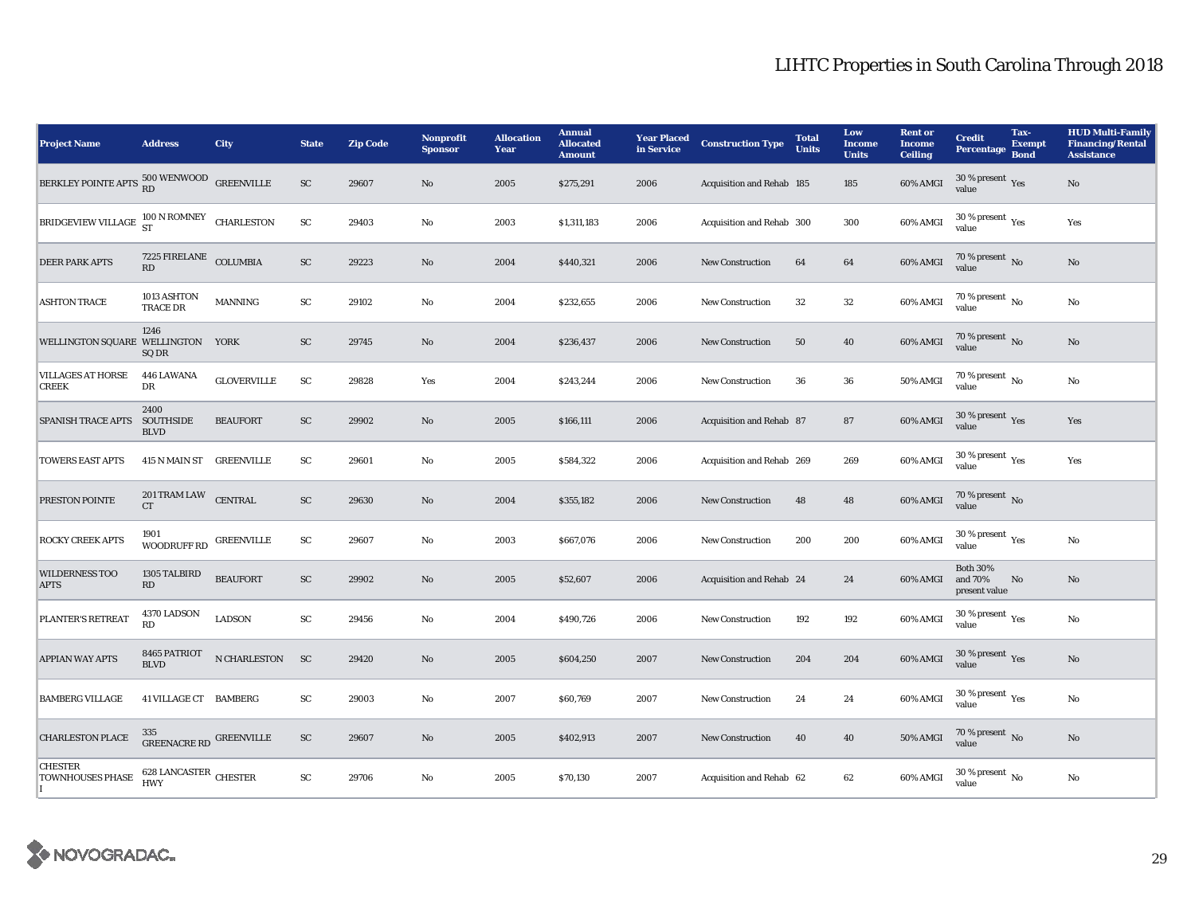| <b>Project Name</b>                                                                | <b>Address</b>                          | <b>City</b>        | <b>State</b>           | <b>Zip Code</b> | <b>Nonprofit</b><br><b>Sponsor</b> | <b>Allocation</b><br>Year | <b>Annual</b><br><b>Allocated</b><br><b>Amount</b> | <b>Year Placed</b><br>in Service | <b>Construction Type</b>  | <b>Total</b><br><b>Units</b> | Low<br><b>Income</b><br><b>Units</b> | <b>Rent or</b><br><b>Income</b><br><b>Ceiling</b> | <b>Credit</b><br><b>Percentage</b>          | Tax-<br><b>Exempt</b><br><b>Bond</b> | <b>HUD Multi-Family</b><br><b>Financing/Rental</b><br><b>Assistance</b> |
|------------------------------------------------------------------------------------|-----------------------------------------|--------------------|------------------------|-----------------|------------------------------------|---------------------------|----------------------------------------------------|----------------------------------|---------------------------|------------------------------|--------------------------------------|---------------------------------------------------|---------------------------------------------|--------------------------------------|-------------------------------------------------------------------------|
| BERKLEY POINTE APTS $\begin{array}{c} 500 \ \text{WENWOOD} \end{array}$ GREENVILLE |                                         |                    | SC                     | 29607           | No                                 | 2005                      | \$275,291                                          | 2006                             | Acquisition and Rehab 185 |                              | 185                                  | 60% AMGI                                          | $30\,\%$ present $\,$ Yes value             |                                      | No                                                                      |
| BRIDGEVIEW VILLAGE $^{100}$ N ROMNEY CHARLESTON                                    |                                         |                    | SC                     | 29403           | No                                 | 2003                      | \$1,311,183                                        | 2006                             | Acquisition and Rehab 300 |                              | 300                                  | 60% AMGI                                          | 30 % present $\rm \gamma_{\rm PS}$<br>value |                                      | Yes                                                                     |
| <b>DEER PARK APTS</b>                                                              | 7225 FIRELANE COLUMBIA<br>RD            |                    | ${\rm SC}$             | 29223           | No                                 | 2004                      | \$440,321                                          | 2006                             | <b>New Construction</b>   | 64                           | 64                                   | 60% AMGI                                          | $70\,\%$ present $\,$ No value              |                                      | No                                                                      |
| <b>ASHTON TRACE</b>                                                                | 1013 ASHTON<br><b>TRACE DR</b>          | <b>MANNING</b>     | SC                     | 29102           | No                                 | 2004                      | \$232,655                                          | 2006                             | <b>New Construction</b>   | 32                           | $32\,$                               | 60% AMGI                                          | $70\%$ present $\overline{N_0}$<br>value    |                                      | No                                                                      |
| WELLINGTON SQUARE WELLINGTON YORK                                                  | 1246<br>SQ DR                           |                    | ${\rm SC}$             | 29745           | No                                 | 2004                      | \$236,437                                          | 2006                             | <b>New Construction</b>   | 50                           | 40                                   | 60% AMGI                                          | $70\,\%$ present $\,$ No value              |                                      | No                                                                      |
| <b>VILLAGES AT HORSE</b><br><b>CREEK</b>                                           | 446 LAWANA<br>DR                        | <b>GLOVERVILLE</b> | ${\rm SC}$             | 29828           | Yes                                | 2004                      | \$243,244                                          | 2006                             | <b>New Construction</b>   | 36                           | 36                                   | 50% AMGI                                          | $70\,\%$ present $\,$ No value              |                                      | No                                                                      |
| SPANISH TRACE APTS SOUTHSIDE                                                       | 2400<br><b>BLVD</b>                     | <b>BEAUFORT</b>    | ${\rm SC}$             | 29902           | No                                 | 2005                      | \$166,111                                          | 2006                             | Acquisition and Rehab 87  |                              | 87                                   | 60% AMGI                                          | $30\,\%$ present $\,$ Yes value             |                                      | Yes                                                                     |
| <b>TOWERS EAST APTS</b>                                                            | 415 N MAIN ST GREENVILLE                |                    | ${\rm SC}$             | 29601           | $\rm No$                           | 2005                      | \$584,322                                          | 2006                             | Acquisition and Rehab 269 |                              | 269                                  | 60% AMGI                                          | $30\,\%$ present $\,$ Yes value             |                                      | Yes                                                                     |
| PRESTON POINTE                                                                     | $201$ TRAM LAW $\quad$ CENTRAL<br>CT    |                    | SC                     | 29630           | No                                 | 2004                      | \$355,182                                          | 2006                             | <b>New Construction</b>   | 48                           | 48                                   | 60% AMGI                                          | 70 % present $\overline{N_0}$<br>value      |                                      |                                                                         |
| <b>ROCKY CREEK APTS</b>                                                            | 1901<br>WOODRUFF RD                     | <b>GREENVILLE</b>  | SC                     | 29607           | No                                 | 2003                      | \$667,076                                          | 2006                             | <b>New Construction</b>   | 200                          | 200                                  | 60% AMGI                                          | 30 % present $\,$ $\rm Yes$<br>value        |                                      | No                                                                      |
| <b>WILDERNESS TOO</b><br><b>APTS</b>                                               | 1305 TALBIRD<br>RD                      | <b>BEAUFORT</b>    | ${\rm SC}$             | 29902           | No                                 | 2005                      | \$52,607                                           | 2006                             | Acquisition and Rehab 24  |                              | 24                                   | 60% AMGI                                          | <b>Both 30%</b><br>and 70%<br>present value | No                                   | No                                                                      |
| PLANTER'S RETREAT                                                                  | 4370 LADSON<br>RD                       | <b>LADSON</b>      | ${\rm SC}$             | 29456           | $\rm No$                           | 2004                      | \$490,726                                          | 2006                             | <b>New Construction</b>   | 192                          | 192                                  | 60% AMGI                                          | $30\,\%$ present $\,$ Yes value             |                                      | No                                                                      |
| <b>APPIAN WAY APTS</b>                                                             | 8465 PATRIOT<br><b>BLVD</b>             | N CHARLESTON       | <b>SC</b>              | 29420           | No                                 | 2005                      | \$604,250                                          | 2007                             | <b>New Construction</b>   | 204                          | 204                                  | 60% AMGI                                          | $30\,\%$ present $\,$ Yes value             |                                      | No                                                                      |
| <b>BAMBERG VILLAGE</b>                                                             | 41 VILLAGE CT BAMBERG                   |                    | $\mathbf{S}\mathbf{C}$ | 29003           | No                                 | 2007                      | \$60,769                                           | 2007                             | <b>New Construction</b>   | 24                           | 24                                   | 60% AMGI                                          | $30\,\%$ present $\,$ Yes value             |                                      | No                                                                      |
| <b>CHARLESTON PLACE</b>                                                            | $335$ GREENACRE RD $\,$ GREENVILLE $\,$ |                    | ${\rm SC}$             | 29607           | No                                 | 2005                      | \$402,913                                          | 2007                             | New Construction          | 40                           | 40                                   | <b>50% AMGI</b>                                   | $70\,\%$ present $\,$ No value              |                                      | No                                                                      |
| <b>CHESTER</b><br><b>TOWNHOUSES PHASE</b>                                          | $628$ LANCASTER $\,$ CHESTER HWY        |                    | SC                     | 29706           | No                                 | 2005                      | \$70,130                                           | 2007                             | Acquisition and Rehab 62  |                              | 62                                   | 60% AMGI                                          | 30 % present $_{\text{No}}$<br>value        |                                      | No                                                                      |

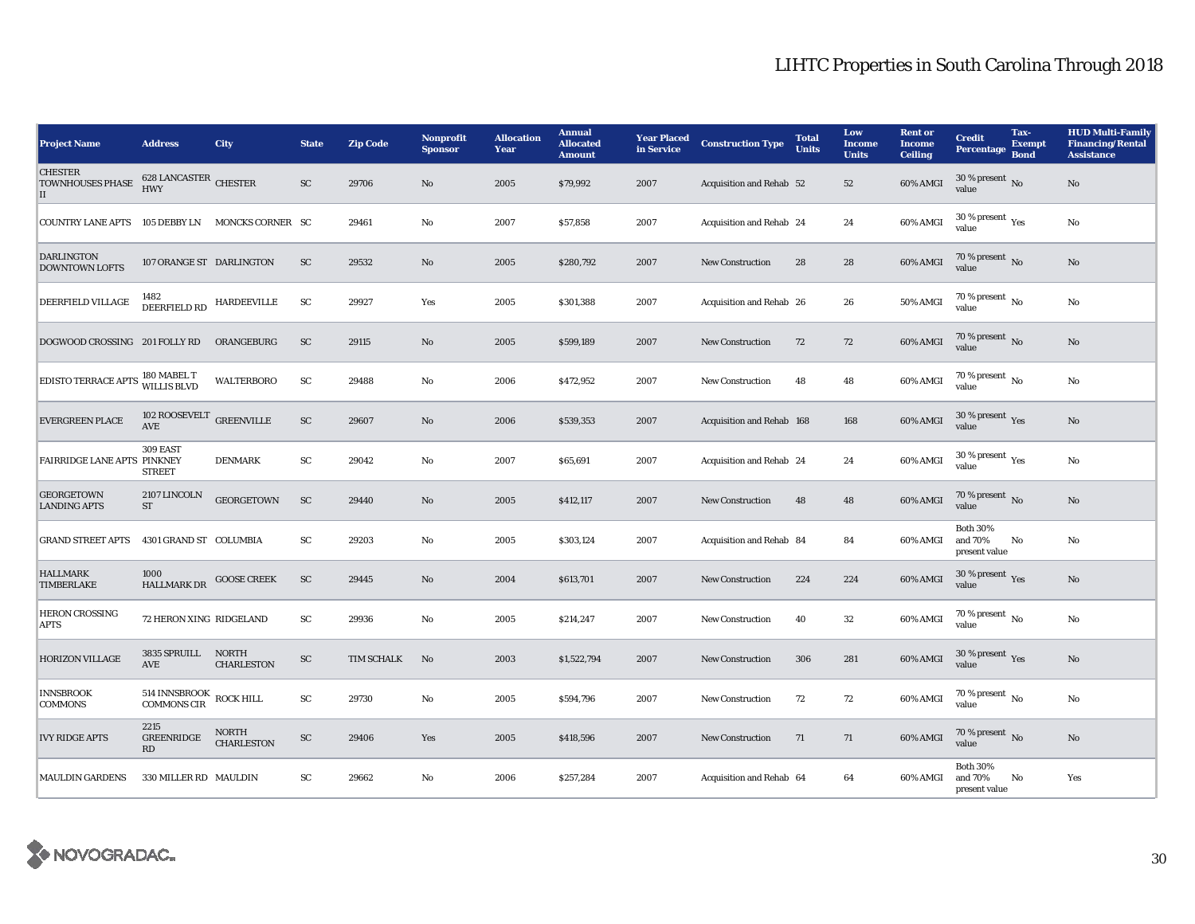| <b>Project Name</b>                                       | <b>Address</b>                                | City                              | <b>State</b>               | <b>Zip Code</b> | Nonprofit<br><b>Sponsor</b> | <b>Allocation</b><br>Year | <b>Annual</b><br><b>Allocated</b><br><b>Amount</b> | <b>Year Placed</b><br>in Service | <b>Construction Type</b>  | <b>Total</b><br><b>Units</b> | Low<br><b>Income</b><br><b>Units</b> | <b>Rent or</b><br><b>Income</b><br><b>Ceiling</b> | <b>Credit</b><br><b>Percentage</b>          | Tax-<br><b>Exempt</b><br><b>Bond</b> | <b>HUD Multi-Family</b><br><b>Financing/Rental</b><br><b>Assistance</b> |
|-----------------------------------------------------------|-----------------------------------------------|-----------------------------------|----------------------------|-----------------|-----------------------------|---------------------------|----------------------------------------------------|----------------------------------|---------------------------|------------------------------|--------------------------------------|---------------------------------------------------|---------------------------------------------|--------------------------------------|-------------------------------------------------------------------------|
| <b>CHESTER</b><br><b>TOWNHOUSES PHASE</b><br>$\mathbf{I}$ | 628 LANCASTER CHESTER<br><b>HWY</b>           |                                   | <b>SC</b>                  | 29706           | No                          | 2005                      | \$79,992                                           | 2007                             | Acquisition and Rehab 52  |                              | 52                                   | 60% AMGI                                          | 30 % present $\,$ No $\,$<br>value          |                                      | No                                                                      |
| COUNTRY LANE APTS 105 DEBBY LN MONCKS CORNER SC           |                                               |                                   |                            | 29461           | No                          | 2007                      | \$57,858                                           | 2007                             | Acquisition and Rehab 24  |                              | 24                                   | 60% AMGI                                          | 30 % present $\rm \gamma_{\rm es}$<br>value |                                      | $\rm No$                                                                |
| <b>DARLINGTON</b><br><b>DOWNTOWN LOFTS</b>                | 107 ORANGE ST DARLINGTON                      |                                   | <b>SC</b>                  | 29532           | No                          | 2005                      | \$280,792                                          | 2007                             | <b>New Construction</b>   | 28                           | 28                                   | 60% AMGI                                          | 70 % present No<br>value                    |                                      | No                                                                      |
| DEERFIELD VILLAGE                                         | 1482<br><b>DEERFIELD RD</b>                   | HARDEEVILLE                       | SC                         | 29927           | Yes                         | 2005                      | \$301,388                                          | 2007                             | Acquisition and Rehab 26  |                              | 26                                   | 50% AMGI                                          | $70\%$ present $\overline{N_0}$<br>value    |                                      | No                                                                      |
| DOGWOOD CROSSING 201 FOLLY RD                             |                                               | ORANGEBURG                        | SC                         | 29115           | No                          | 2005                      | \$599,189                                          | 2007                             | New Construction          | 72                           | 72                                   | 60% AMGI                                          | 70 % present $\,$ No $\,$<br>value          |                                      | No                                                                      |
| EDISTO TERRACE APTS 180 MABEL T<br>WILLIS BLVD            |                                               | <b>WALTERBORO</b>                 | ${\rm SC}$                 | 29488           | No                          | 2006                      | \$472,952                                          | 2007                             | <b>New Construction</b>   | 48                           | 48                                   | 60% AMGI                                          | $70\%$ present No<br>value                  |                                      | No                                                                      |
| <b>EVERGREEN PLACE</b>                                    | 102 ROOSEVELT GREENVILLE<br><b>AVE</b>        |                                   | ${\rm SC}$                 | 29607           | No                          | 2006                      | \$539,353                                          | 2007                             | Acquisition and Rehab 168 |                              | 168                                  | 60% AMGI                                          | 30 % present $\gamma_{\rm{es}}$<br>value    |                                      | $\rm No$                                                                |
| FAIRRIDGE LANE APTS PINKNEY                               | 309 EAST<br><b>STREET</b>                     | <b>DENMARK</b>                    | ${\rm SC}$                 | 29042           | $\mathbf{No}$               | 2007                      | \$65,691                                           | 2007                             | Acquisition and Rehab 24  |                              | 24                                   | 60% AMGI                                          | 30 % present $\rm\thinspace_{Yes}$<br>value |                                      | No                                                                      |
| <b>GEORGETOWN</b><br><b>LANDING APTS</b>                  | 2107 LINCOLN<br><b>ST</b>                     | <b>GEORGETOWN</b>                 | $\ensuremath{\mathsf{SC}}$ | 29440           | No                          | 2005                      | \$412,117                                          | 2007                             | <b>New Construction</b>   | 48                           | 48                                   | 60% AMGI                                          | 70 % present $\overline{N_0}$<br>value      |                                      | No                                                                      |
| <b>GRAND STREET APTS</b>                                  | 4301 GRAND ST COLUMBIA                        |                                   | SC                         | 29203           | $\mathbf{No}$               | 2005                      | \$303,124                                          | 2007                             | Acquisition and Rehab 84  |                              | 84                                   | 60% AMGI                                          | <b>Both 30%</b><br>and 70%<br>present value | No                                   | $\rm No$                                                                |
| <b>HALLMARK</b><br><b>TIMBERLAKE</b>                      | 1000<br><b>HALLMARK DR</b>                    | <b>GOOSE CREEK</b>                | ${\rm SC}$                 | 29445           | No                          | 2004                      | \$613,701                                          | 2007                             | New Construction          | 224                          | 224                                  | 60% AMGI                                          | 30 % present $\gamma_{\rm{es}}$<br>value    |                                      | No                                                                      |
| <b>HERON CROSSING</b><br><b>APTS</b>                      | 72 HERON XING RIDGELAND                       |                                   | SC                         | 29936           | No                          | 2005                      | \$214,247                                          | 2007                             | <b>New Construction</b>   | 40                           | 32                                   | 60% AMGI                                          | 70 % present $\overline{N_0}$<br>value      |                                      | $\rm No$                                                                |
| HORIZON VILLAGE                                           | 3835 SPRUILL<br>AVE                           | <b>NORTH</b><br><b>CHARLESTON</b> | ${\rm SC}$                 | TIM SCHALK      | No                          | 2003                      | \$1,522,794                                        | 2007                             | <b>New Construction</b>   | 306                          | 281                                  | 60% AMGI                                          | $30\,\%$ present $\,$ Yes value             |                                      | No                                                                      |
| <b>INNSBROOK</b><br><b>COMMONS</b>                        | 514 INNSBROOK ROCK HILL<br><b>COMMONS CIR</b> |                                   | SC                         | 29730           | No                          | 2005                      | \$594,796                                          | 2007                             | New Construction          | 72                           | 72                                   | 60% AMGI                                          | $70\%$ present $\overline{N_0}$<br>value    |                                      | No                                                                      |
| <b>IVY RIDGE APTS</b>                                     | 2215<br><b>GREENRIDGE</b><br>RD               | <b>NORTH</b><br><b>CHARLESTON</b> | ${\rm SC}$                 | 29406           | Yes                         | 2005                      | \$418,596                                          | 2007                             | <b>New Construction</b>   | 71                           | 71                                   | 60% AMGI                                          | 70 % present $\overline{N_0}$<br>value      |                                      | No                                                                      |
| <b>MAULDIN GARDENS</b>                                    | 330 MILLER RD MAULDIN                         |                                   | SC                         | 29662           | No                          | 2006                      | \$257,284                                          | 2007                             | Acquisition and Rehab 64  |                              | 64                                   | 60% AMGI                                          | <b>Both 30%</b><br>and 70%<br>present value | No                                   | Yes                                                                     |

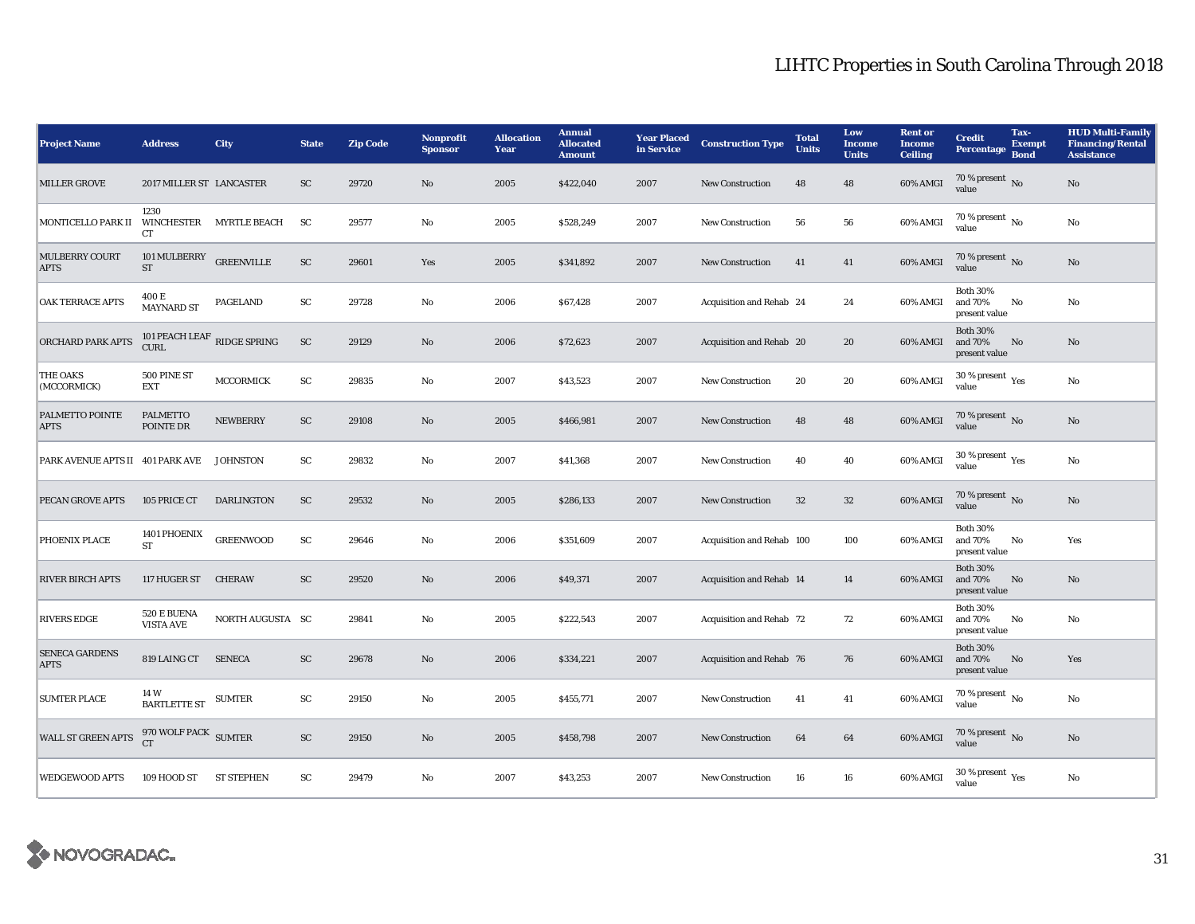## LIHTC Properties in South Carolina Through 2018

| <b>Project Name</b>                        | <b>Address</b>                                 | <b>City</b>       | <b>State</b> | <b>Zip Code</b> | Nonprofit<br><b>Sponsor</b> | <b>Allocation</b><br>Year | <b>Annual</b><br><b>Allocated</b><br><b>Amount</b> | <b>Year Placed</b><br>in Service | <b>Construction Type</b>  | <b>Total</b><br><b>Units</b> | Low<br><b>Income</b><br><b>Units</b> | <b>Rent</b> or<br><b>Income</b><br><b>Ceiling</b> | <b>Credit</b><br><b>Percentage</b>          | Tax-<br><b>Exempt</b><br><b>Bond</b> | <b>HUD Multi-Family</b><br><b>Financing/Rental</b><br><b>Assistance</b> |
|--------------------------------------------|------------------------------------------------|-------------------|--------------|-----------------|-----------------------------|---------------------------|----------------------------------------------------|----------------------------------|---------------------------|------------------------------|--------------------------------------|---------------------------------------------------|---------------------------------------------|--------------------------------------|-------------------------------------------------------------------------|
| <b>MILLER GROVE</b>                        | 2017 MILLER ST LANCASTER                       |                   | SC           | 29720           | No                          | 2005                      | \$422,040                                          | 2007                             | <b>New Construction</b>   | 48                           | 48                                   | 60% AMGI                                          | 70 % present $\,$ No $\,$<br>value          |                                      | No                                                                      |
| MONTICELLO PARK II WINCHESTER MYRTLE BEACH | 1230<br><b>CT</b>                              |                   | <b>SC</b>    | 29577           | No                          | 2005                      | \$528,249                                          | 2007                             | New Construction          | 56                           | 56                                   | 60% AMGI                                          | $70\%$ present $\overline{N_0}$<br>value    |                                      | $\rm No$                                                                |
| <b>MULBERRY COURT</b><br><b>APTS</b>       | 101 MULBERRY GREENVILLE<br>$\operatorname{ST}$ |                   | SC           | 29601           | Yes                         | 2005                      | \$341,892                                          | 2007                             | New Construction          | 41                           | 41                                   | 60% AMGI                                          | 70 % present $\overline{N_0}$<br>value      |                                      | No                                                                      |
| <b>OAK TERRACE APTS</b>                    | 400 E<br><b>MAYNARD ST</b>                     | <b>PAGELAND</b>   | SC           | 29728           | No                          | 2006                      | \$67,428                                           | 2007                             | Acquisition and Rehab 24  |                              | 24                                   | 60% AMGI                                          | <b>Both 30%</b><br>and 70%<br>present value | No                                   | No                                                                      |
| ORCHARD PARK APTS                          | 101 PEACH LEAF RIDGE SPRING<br>${\tt CURL}$    |                   | ${\rm SC}$   | 29129           | No                          | 2006                      | \$72,623                                           | 2007                             | Acquisition and Rehab 20  |                              | 20                                   | 60% AMGI                                          | <b>Both 30%</b><br>and 70%<br>present value | No                                   | No                                                                      |
| <b>THE OAKS</b><br>(MCCORMICK)             | 500 PINE ST<br><b>EXT</b>                      | <b>MCCORMICK</b>  | SC           | 29835           | No                          | 2007                      | \$43,523                                           | 2007                             | New Construction          | 20                           | 20                                   | 60% AMGI                                          | 30 % present $\rm\,Yes$<br>value            |                                      | $\rm No$                                                                |
| PALMETTO POINTE<br><b>APTS</b>             | <b>PALMETTO</b><br>POINTE DR                   | <b>NEWBERRY</b>   | ${\rm SC}$   | 29108           | No                          | 2005                      | \$466,981                                          | 2007                             | <b>New Construction</b>   | 48                           | 48                                   | 60% AMGI                                          | 70 % present $\,$ No $\,$<br>value          |                                      | No                                                                      |
| PARK AVENUE APTS II 401 PARK AVE           |                                                | <b>JOHNSTON</b>   | SC           | 29832           | No                          | 2007                      | \$41,368                                           | 2007                             | <b>New Construction</b>   | 40                           | 40                                   | 60% AMGI                                          | 30 % present $\gamma_{\rm{es}}$<br>value    |                                      | $\rm No$                                                                |
| PECAN GROVE APTS                           | 105 PRICE CT                                   | <b>DARLINGTON</b> | SC           | 29532           | No                          | 2005                      | \$286,133                                          | 2007                             | New Construction          | 32                           | $32\,$                               | 60% AMGI                                          | 70 % present No<br>value                    |                                      | No                                                                      |
| PHOENIX PLACE                              | 1401 PHOENIX<br>ST                             | <b>GREENWOOD</b>  | ${\rm SC}$   | 29646           | No                          | 2006                      | \$351,609                                          | 2007                             | Acquisition and Rehab 100 |                              | 100                                  | 60% AMGI                                          | <b>Both 30%</b><br>and 70%<br>present value | No                                   | Yes                                                                     |
| <b>RIVER BIRCH APTS</b>                    | 117 HUGER ST                                   | <b>CHERAW</b>     | SC           | 29520           | No                          | 2006                      | \$49,371                                           | 2007                             | Acquisition and Rehab 14  |                              | 14                                   | 60% AMGI                                          | <b>Both 30%</b><br>and 70%<br>present value | No                                   | No                                                                      |
| <b>RIVERS EDGE</b>                         | 520 E BUENA<br><b>VISTA AVE</b>                | NORTH AUGUSTA SC  |              | 29841           | No                          | 2005                      | \$222,543                                          | 2007                             | Acquisition and Rehab 72  |                              | 72                                   | 60% AMGI                                          | <b>Both 30%</b><br>and 70%<br>present value | No                                   | No                                                                      |
| <b>SENECA GARDENS</b><br><b>APTS</b>       | 819 LAING CT SENECA                            |                   | SC           | 29678           | No                          | 2006                      | \$334,221                                          | 2007                             | Acquisition and Rehab 76  |                              | 76                                   | 60% AMGI                                          | <b>Both 30%</b><br>and 70%<br>present value | No                                   | Yes                                                                     |
| <b>SUMTER PLACE</b>                        | 14 W<br><b>BARTLETTE ST</b>                    | <b>SUMTER</b>     | SC           | 29150           | No                          | 2005                      | \$455,771                                          | 2007                             | <b>New Construction</b>   | 41                           | 41                                   | 60% AMGI                                          | 70 % present $\,$ No $\,$<br>value          |                                      | No                                                                      |
| WALL ST GREEN APTS                         | 970 WOLF PACK SUMTER<br>CT                     |                   | SC           | 29150           | No                          | 2005                      | \$458,798                                          | 2007                             | <b>New Construction</b>   | 64                           | 64                                   | 60% AMGI                                          | 70 % present No<br>value                    |                                      | No                                                                      |
| <b>WEDGEWOOD APTS</b>                      | 109 HOOD ST                                    | <b>ST STEPHEN</b> | SC           | 29479           | No                          | 2007                      | \$43,253                                           | 2007                             | New Construction          | 16                           | 16                                   | 60% AMGI                                          | $30\,\%$ present $\rm_{Yes}$<br>value       |                                      | No                                                                      |

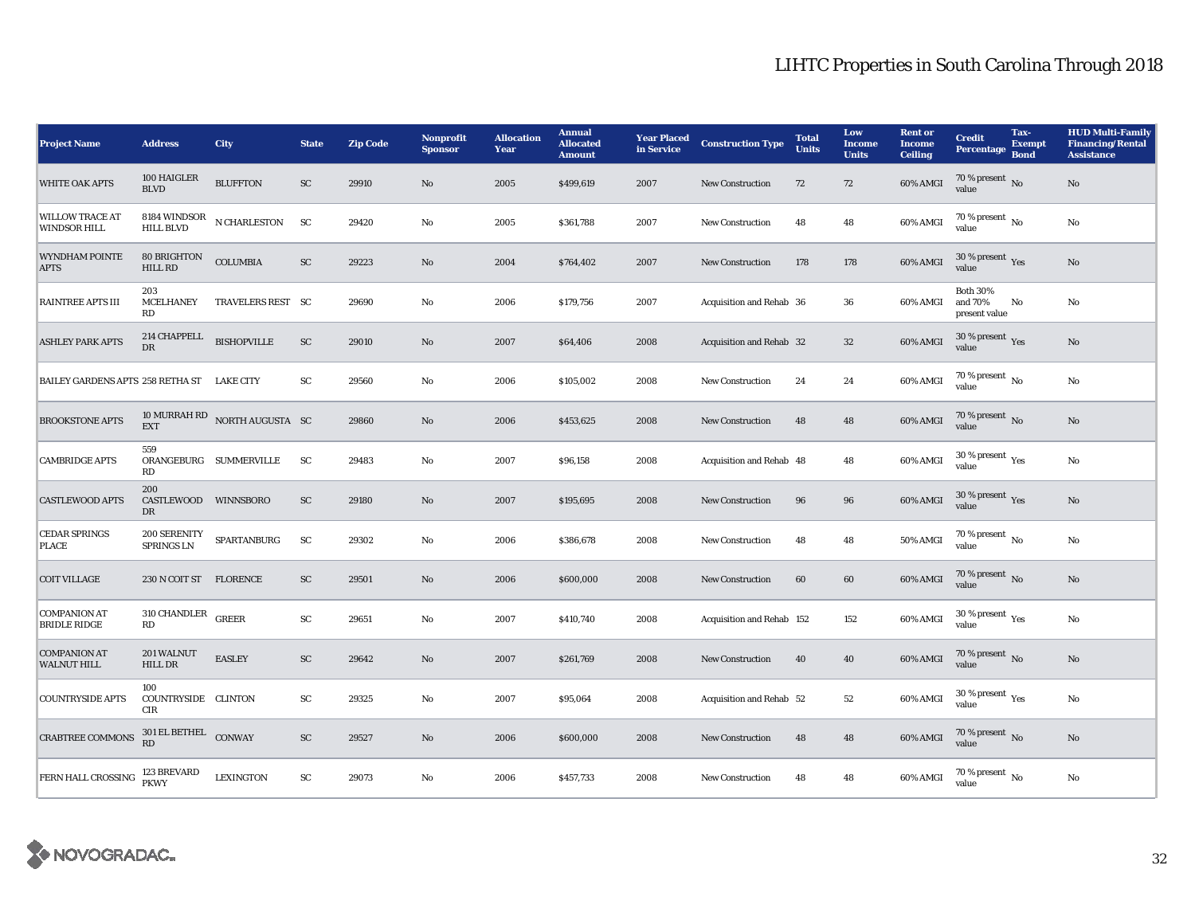| <b>Project Name</b>                                                                                           | <b>Address</b>                           | <b>City</b>                   | <b>State</b> | <b>Zip Code</b> | <b>Nonprofit</b><br><b>Sponsor</b> | <b>Allocation</b><br>Year | <b>Annual</b><br><b>Allocated</b><br><b>Amount</b> | <b>Year Placed<br/>in Service</b> | <b>Construction Type</b>  | <b>Total</b><br><b>Units</b> | Low<br><b>Income</b><br><b>Units</b> | <b>Rent or</b><br><b>Income</b><br><b>Ceiling</b> | <b>Credit</b><br>Percentage                 | Tax-<br><b>Exempt</b><br><b>Bond</b> | <b>HUD Multi-Family</b><br><b>Financing/Rental</b><br><b>Assistance</b> |
|---------------------------------------------------------------------------------------------------------------|------------------------------------------|-------------------------------|--------------|-----------------|------------------------------------|---------------------------|----------------------------------------------------|-----------------------------------|---------------------------|------------------------------|--------------------------------------|---------------------------------------------------|---------------------------------------------|--------------------------------------|-------------------------------------------------------------------------|
| <b>WHITE OAK APTS</b>                                                                                         | 100 HAIGLER<br><b>BLVD</b>               | <b>BLUFFTON</b>               | ${\rm SC}$   | 29910           | No                                 | 2005                      | \$499,619                                          | 2007                              | <b>New Construction</b>   | 72                           | 72                                   | 60% AMGI                                          | $70\,\%$ present $\,$ No value              |                                      | No                                                                      |
| <b>WILLOW TRACE AT</b><br><b>WINDSOR HILL</b>                                                                 | 8184 WINDSOR<br><b>HILL BLVD</b>         | ${\bf N}$ CHARLESTON          | <b>SC</b>    | 29420           | No                                 | 2005                      | \$361,788                                          | 2007                              | New Construction          | 48                           | 48                                   | 60% AMGI                                          | $70\%$ present $\overline{N_0}$<br>value    |                                      | No                                                                      |
| <b>WYNDHAM POINTE</b><br><b>APTS</b>                                                                          | <b>80 BRIGHTON</b><br><b>HILL RD</b>     | <b>COLUMBIA</b>               | SC           | 29223           | No                                 | 2004                      | \$764,402                                          | 2007                              | New Construction          | 178                          | 178                                  | 60% AMGI                                          | $30\,\%$ present $\,\mathrm{Yes}$ value     |                                      | $\mathbf{No}$                                                           |
| <b>RAINTREE APTS III</b>                                                                                      | 203<br><b>MCELHANEY</b><br><b>RD</b>     | TRAVELERS REST SC             |              | 29690           | No                                 | 2006                      | \$179,756                                          | 2007                              | Acquisition and Rehab 36  |                              | 36                                   | 60% AMGI                                          | <b>Both 30%</b><br>and 70%<br>present value | No                                   | No                                                                      |
| <b>ASHLEY PARK APTS</b>                                                                                       | 214 CHAPPELL<br>DR                       | <b>BISHOPVILLE</b>            | ${\rm SC}$   | 29010           | No                                 | 2007                      | \$64,406                                           | 2008                              | Acquisition and Rehab 32  |                              | $32\,$                               | 60% AMGI                                          | 30 % present Yes<br>value                   |                                      | No                                                                      |
| BAILEY GARDENS APTS 258 RETHA ST LAKE CITY                                                                    |                                          |                               | SC           | 29560           | $\mathbf{No}$                      | 2006                      | \$105,002                                          | 2008                              | <b>New Construction</b>   | 24                           | 24                                   | 60% AMGI                                          | $70\,\%$ present $\,$ No value              |                                      | No                                                                      |
| <b>BROOKSTONE APTS</b>                                                                                        | <b>EXT</b>                               | 10 MURRAH RD NORTH AUGUSTA SC |              | 29860           | No                                 | 2006                      | \$453,625                                          | 2008                              | <b>New Construction</b>   | 48                           | 48                                   | 60% AMGI                                          | $70\,\%$ present $\,$ No value              |                                      | No                                                                      |
| <b>CAMBRIDGE APTS</b>                                                                                         | 559<br>RD                                | ORANGEBURG SUMMERVILLE        | <b>SC</b>    | 29483           | No                                 | 2007                      | \$96,158                                           | 2008                              | Acquisition and Rehab 48  |                              | 48                                   | 60% AMGI                                          | 30 % present Yes<br>value                   |                                      | No                                                                      |
| <b>CASTLEWOOD APTS</b>                                                                                        | 200<br>CASTLEWOOD WINNSBORO<br>DR        |                               | SC           | 29180           | No                                 | 2007                      | \$195,695                                          | 2008                              | <b>New Construction</b>   | 96                           | 96                                   | 60% AMGI                                          | $30$ % present $\,$ $\rm Yes$<br>value      |                                      | $\rm No$                                                                |
| <b>CEDAR SPRINGS</b><br><b>PLACE</b>                                                                          | 200 SERENITY<br>SPRINGS LN               | SPARTANBURG                   | SC           | 29302           | $\mathbf{No}$                      | 2006                      | \$386,678                                          | 2008                              | New Construction          | 48                           | 48                                   | <b>50% AMGI</b>                                   | $70\%$ present No<br>value                  |                                      | No                                                                      |
| <b>COIT VILLAGE</b>                                                                                           | 230 N COIT ST FLORENCE                   |                               | SC           | 29501           | No                                 | 2006                      | \$600,000                                          | 2008                              | <b>New Construction</b>   | 60                           | 60                                   | 60% AMGI                                          | 70 % present No<br>value                    |                                      | No                                                                      |
| <b>COMPANION AT</b><br><b>BRIDLE RIDGE</b>                                                                    | 310 CHANDLER GREER<br>RD                 |                               | SC           | 29651           | No                                 | 2007                      | \$410,740                                          | 2008                              | Acquisition and Rehab 152 |                              | 152                                  | 60% AMGI                                          | 30 % present $\rm \gamma_{\rm PS}$<br>value |                                      | No                                                                      |
| <b>COMPANION AT</b><br><b>WALNUT HILL</b>                                                                     | 201 WALNUT<br><b>HILL DR</b>             | <b>EASLEY</b>                 | SC           | 29642           | No                                 | 2007                      | \$261,769                                          | 2008                              | <b>New Construction</b>   | 40                           | 40                                   | 60% AMGI                                          | $70\,\%$ present $\,$ No value              |                                      | No                                                                      |
| <b>COUNTRYSIDE APTS</b>                                                                                       | 100<br>COUNTRYSIDE CLINTON<br><b>CIR</b> |                               | SC           | 29325           | No                                 | 2007                      | \$95,064                                           | 2008                              | Acquisition and Rehab 52  |                              | 52                                   | 60% AMGI                                          | $30$ % present $\,$ $\rm Yes$<br>value      |                                      | No                                                                      |
| CRABTREE COMMONS                                                                                              | 301 EL BETHEL CONWAY                     |                               | SC           | 29527           | No                                 | 2006                      | \$600,000                                          | 2008                              | <b>New Construction</b>   | 48                           | 48                                   | 60% AMGI                                          | $70\,\%$ present $\,$ No value              |                                      | $\mathbf{No}$                                                           |
| $\begin{array}{ l } \hline \text{FERN HALL CROS SING} & \text{123 BREVARD} \\ \hline \text{PKWY} \end{array}$ |                                          | <b>LEXINGTON</b>              | SC           | 29073           | No                                 | 2006                      | \$457,733                                          | 2008                              | <b>New Construction</b>   | 48                           | 48                                   | 60% AMGI                                          | $70\%$ present $\overline{N_0}$<br>value    |                                      | No                                                                      |

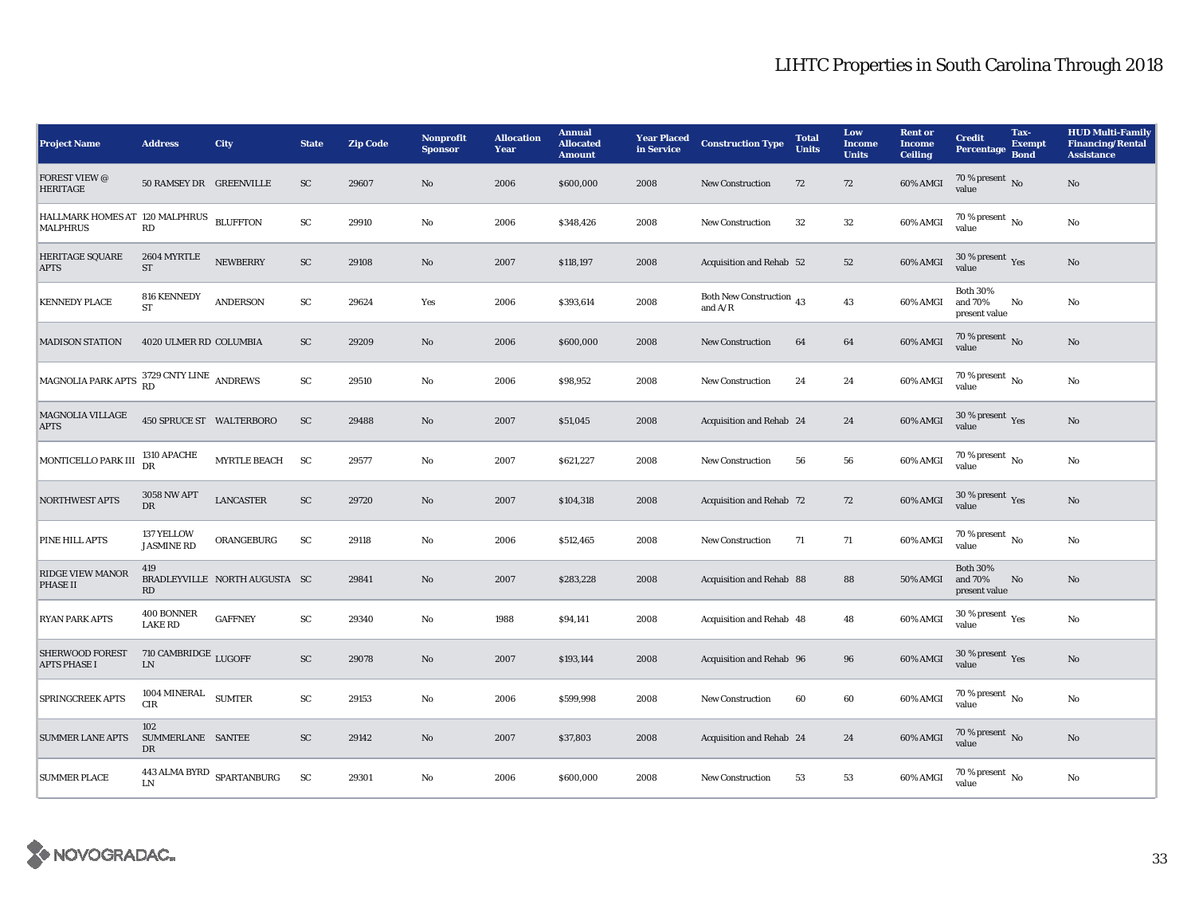| <b>Project Name</b>                                        | <b>Address</b>                     | City                               | <b>State</b>  | <b>Zip Code</b> | <b>Nonprofit</b><br><b>Sponsor</b> | <b>Allocation</b><br>Year | <b>Annual</b><br><b>Allocated</b><br><b>Amount</b> | <b>Year Placed</b><br>in Service | <b>Construction Type</b>              | <b>Total</b><br><b>Units</b> | Low<br><b>Income</b><br><b>Units</b> | <b>Rent or</b><br><b>Income</b><br><b>Ceiling</b> | <b>Credit</b><br><b>Percentage</b>             | Tax-<br><b>Exempt</b><br><b>Bond</b> | <b>HUD Multi-Family</b><br><b>Financing/Rental</b><br><b>Assistance</b> |
|------------------------------------------------------------|------------------------------------|------------------------------------|---------------|-----------------|------------------------------------|---------------------------|----------------------------------------------------|----------------------------------|---------------------------------------|------------------------------|--------------------------------------|---------------------------------------------------|------------------------------------------------|--------------------------------------|-------------------------------------------------------------------------|
| <b>FOREST VIEW @</b><br><b>HERITAGE</b>                    | 50 RAMSEY DR GREENVILLE            |                                    | ${\rm SC}$    | 29607           | $\rm No$                           | 2006                      | \$600,000                                          | 2008                             | <b>New Construction</b>               | 72                           | 72                                   | 60% AMGI                                          | 70 % present No<br>value                       |                                      | $\rm No$                                                                |
| HALLMARK HOMES AT 120 MALPHRUS BLUFFTON<br><b>MALPHRUS</b> | RD                                 |                                    | SC            | 29910           | No                                 | 2006                      | \$348,426                                          | 2008                             | New Construction                      | 32                           | $32\,$                               | 60% AMGI                                          | 70 % present $\overline{N_0}$<br>value         |                                      | $\rm No$                                                                |
| <b>HERITAGE SQUARE</b><br><b>APTS</b>                      | 2604 MYRTLE<br>$\operatorname{ST}$ | <b>NEWBERRY</b>                    | ${\rm SC}$    | 29108           | $\rm No$                           | 2007                      | \$118,197                                          | 2008                             | Acquisition and Rehab 52              |                              | $52\,$                               | $60\%$ AMGI                                       | 30 % present $\gamma_{\rm e s}$<br>value       |                                      | $\rm No$                                                                |
| <b>KENNEDY PLACE</b>                                       | 816 KENNEDY<br><b>ST</b>           | <b>ANDERSON</b>                    | SC            | 29624           | Yes                                | 2006                      | \$393,614                                          | 2008                             | Both New Construction 43<br>and $A/R$ |                              | 43                                   | 60% AMGI                                          | <b>Both 30%</b><br>and 70%<br>present value    | No                                   | $\rm No$                                                                |
| <b>MADISON STATION</b>                                     | 4020 ULMER RD COLUMBIA             |                                    | SC            | 29209           | $\mathbf{N}\mathbf{o}$             | 2006                      | \$600,000                                          | 2008                             | <b>New Construction</b>               | 64                           | 64                                   | 60% AMGI                                          | 70 % present $\overline{N}$<br>value           |                                      | No                                                                      |
| MAGNOLIA PARK APTS <sup>3729</sup> CNTY LINE ANDREWS       |                                    |                                    | SC            | 29510           | No                                 | 2006                      | \$98,952                                           | 2008                             | <b>New Construction</b>               | 24                           | 24                                   | 60% AMGI                                          | $70\,\%$ present $\,$ No value                 |                                      | $\rm No$                                                                |
| <b>MAGNOLIA VILLAGE</b><br><b>APTS</b>                     | 450 SPRUCE ST WALTERBORO           |                                    | SC            | 29488           | $\mathbf{N}\mathbf{o}$             | 2007                      | \$51,045                                           | 2008                             | Acquisition and Rehab 24              |                              | 24                                   | 60% AMGI                                          | 30 % present $Yes$<br>value                    |                                      | $\rm No$                                                                |
| MONTICELLO PARK III                                        | 1310 APACHE<br>DR                  | MYRTLE BEACH SC                    |               | 29577           | $\mathbf{No}$                      | 2007                      | \$621,227                                          | 2008                             | New Construction                      | 56                           | 56                                   | 60% AMGI                                          | $70\%$ present $\overline{N_0}$<br>value       |                                      | $\rm No$                                                                |
| <b>NORTHWEST APTS</b>                                      | <b>3058 NW APT</b><br>DR           | <b>LANCASTER</b>                   | SC            | 29720           | No                                 | 2007                      | \$104,318                                          | 2008                             | Acquisition and Rehab 72              |                              | 72                                   | 60% AMGI                                          | 30 % present $\sqrt{\gamma_{\rm PS}}$<br>value |                                      | No                                                                      |
| PINE HILL APTS                                             | 137 YELLOW<br><b>JASMINE RD</b>    | ORANGEBURG                         | SC            | 29118           | $\mathbf{No}$                      | 2006                      | \$512,465                                          | 2008                             | <b>New Construction</b>               | 71                           | 71                                   | 60% AMGI                                          | 70 % present $\,$ No $\,$<br>value             |                                      | $\rm No$                                                                |
| <b>RIDGE VIEW MANOR</b><br><b>PHASE II</b>                 | 419<br>RD                          | BRADLEYVILLE NORTH AUGUSTA SC      |               | 29841           | $\mathbf{N}\mathbf{o}$             | 2007                      | \$283,228                                          | 2008                             | Acquisition and Rehab 88              |                              | 88                                   | 50% AMGI                                          | <b>Both 30%</b><br>and 70%<br>present value    | No                                   | $\rm No$                                                                |
| <b>RYAN PARK APTS</b>                                      | 400 BONNER<br><b>LAKE RD</b>       | <b>GAFFNEY</b>                     | ${\rm SC}$    | 29340           | No                                 | 1988                      | \$94,141                                           | 2008                             | Acquisition and Rehab 48              |                              | 48                                   | 60% AMGI                                          | 30 % present $\rm \gamma_{\rm PS}$<br>value    |                                      | $\rm No$                                                                |
| <b>SHERWOOD FOREST</b><br><b>APTS PHASE I</b>              | 710 CAMBRIDGE LUGOFF<br><b>LN</b>  |                                    | SC            | 29078           | $\mathbf{N}\mathbf{o}$             | 2007                      | \$193,144                                          | 2008                             | Acquisition and Rehab 96              |                              | 96                                   | 60% AMGI                                          | $30\,\%$ present $\,$ Yes value                |                                      | No                                                                      |
| <b>SPRINGCREEK APTS</b>                                    | $1004\rm\,MINERAL$<br><b>CIR</b>   | <b>SUMTER</b>                      | $\mathbf{SC}$ | 29153           | No                                 | 2006                      | \$599,998                                          | 2008                             | New Construction                      | 60                           | 60                                   | 60% AMGI                                          | 70 % present $\overline{N_0}$<br>value         |                                      | No                                                                      |
| <b>SUMMER LANE APTS</b>                                    | 102<br>SUMMERLANE SANTEE<br>DR     |                                    | SC            | 29142           | $\mathbf{N}\mathbf{o}$             | 2007                      | \$37,803                                           | 2008                             | Acquisition and Rehab 24              |                              | 24                                   | 60% AMGI                                          | $70$ % present $_{\rm{No}}$                    |                                      | $\rm No$                                                                |
| <b>SUMMER PLACE</b>                                        | LN                                 | 443 ALMA BYRD $_{\rm SPARTANBURG}$ | SC            | 29301           | No                                 | 2006                      | \$600,000                                          | 2008                             | <b>New Construction</b>               | 53                           | 53                                   | 60% AMGI                                          | 70 % present $\overline{N_0}$<br>value         |                                      | No                                                                      |

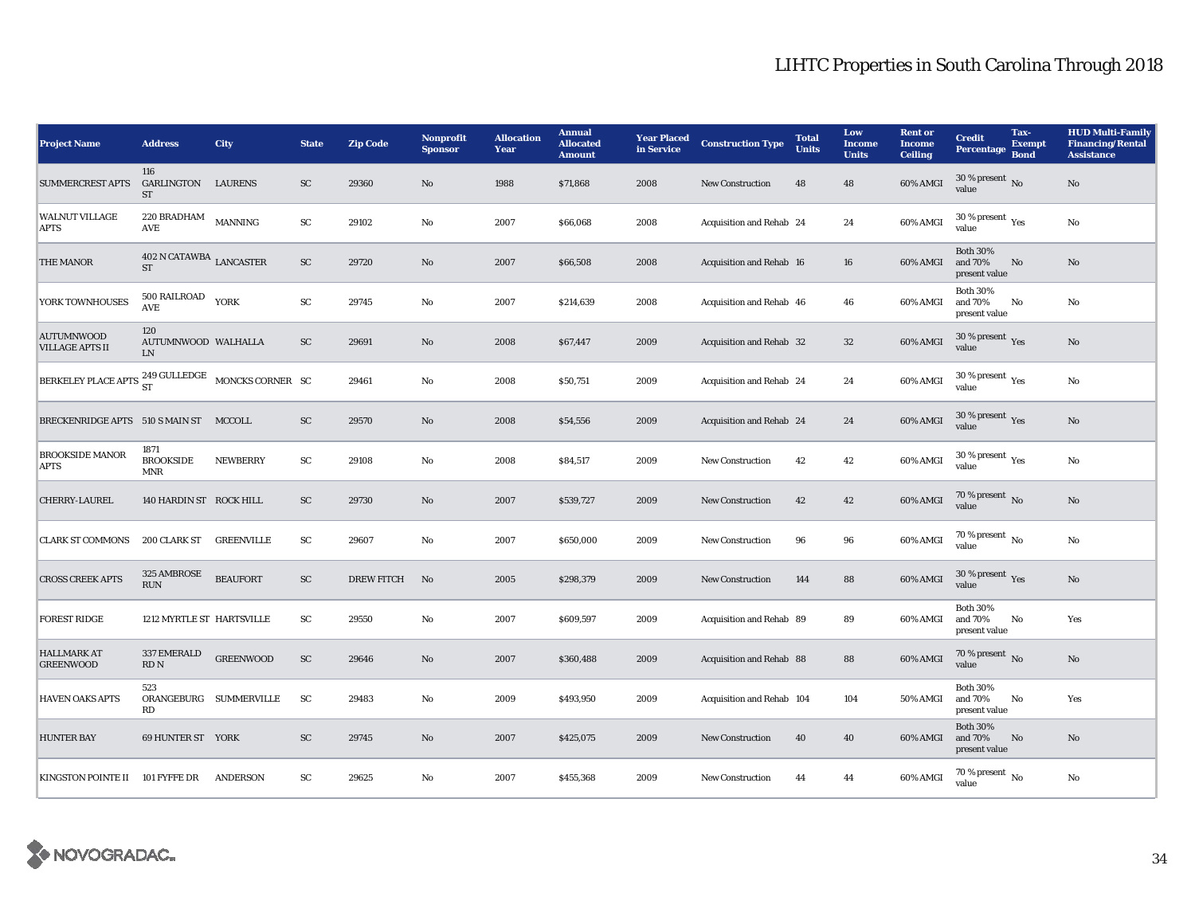| <b>Project Name</b>                                         | <b>Address</b>                               | <b>City</b>            | <b>State</b> | <b>Zip Code</b>   | <b>Nonprofit</b><br><b>Sponsor</b> | <b>Allocation</b><br>Year | <b>Annual</b><br><b>Allocated</b><br><b>Amount</b> | <b>Year Placed</b><br>in Service | <b>Construction Type</b>  | <b>Total</b><br><b>Units</b> | Low<br><b>Income</b><br><b>Units</b> | <b>Rent or</b><br><b>Income</b><br><b>Ceiling</b> | <b>Credit</b><br><b>Percentage</b>             | Tax-<br><b>Exempt</b><br><b>Bond</b> | <b>HUD Multi-Family</b><br><b>Financing/Rental</b><br><b>Assistance</b> |
|-------------------------------------------------------------|----------------------------------------------|------------------------|--------------|-------------------|------------------------------------|---------------------------|----------------------------------------------------|----------------------------------|---------------------------|------------------------------|--------------------------------------|---------------------------------------------------|------------------------------------------------|--------------------------------------|-------------------------------------------------------------------------|
| <b>SUMMERCREST APTS</b>                                     | 116<br>GARLINGTON<br>ST                      | <b>LAURENS</b>         | <b>SC</b>    | 29360             | No                                 | 1988                      | \$71,868                                           | 2008                             | <b>New Construction</b>   | 48                           | 48                                   | 60% AMGI                                          | 30 % present No<br>value                       |                                      | No                                                                      |
| <b>WALNUT VILLAGE</b><br><b>APTS</b>                        | 220 BRADHAM<br>$\operatorname{\mathbf{AVE}}$ | <b>MANNING</b>         | SC           | 29102             | No                                 | 2007                      | \$66,068                                           | 2008                             | Acquisition and Rehab 24  |                              | 24                                   | 60% AMGI                                          | 30 % present $\gamma_{\rm{es}}$<br>value       |                                      | $\mathbf{N}\mathbf{o}$                                                  |
| <b>THE MANOR</b>                                            | 402 N CATAWBA LANCASTER<br><b>ST</b>         |                        | SC           | 29720             | $\mathbf{N}\mathbf{o}$             | 2007                      | \$66,508                                           | 2008                             | Acquisition and Rehab 16  |                              | 16                                   | 60% AMGI                                          | <b>Both 30%</b><br>and 70%<br>present value    | No                                   | No                                                                      |
| YORK TOWNHOUSES                                             | 500 RAILROAD YORK<br><b>AVE</b>              |                        | ${\rm SC}$   | 29745             | No                                 | 2007                      | \$214,639                                          | 2008                             | Acquisition and Rehab 46  |                              | 46                                   | 60% AMGI                                          | <b>Both 30%</b><br>and 70%<br>present value    | No                                   | No                                                                      |
| <b>AUTUMNWOOD</b><br><b>VILLAGE APTS II</b>                 | 120<br>AUTUMNWOOD WALHALLA<br><b>LN</b>      |                        | SC           | 29691             | No                                 | 2008                      | \$67,447                                           | 2009                             | Acquisition and Rehab 32  |                              | 32                                   | 60% AMGI                                          | 30 % present $\sqrt{\gamma_{\rm PS}}$<br>value |                                      | No                                                                      |
| BERKELEY PLACE APTS $^{249}_{ST}$ GULLEDGE MONCKS CORNER SC |                                              |                        |              | 29461             | No                                 | 2008                      | \$50,751                                           | 2009                             | Acquisition and Rehab 24  |                              | 24                                   | 60% AMGI                                          | $30$ % present $\,$ $\rm Yes$<br>value         |                                      | No                                                                      |
| BRECKENRIDGE APTS 510 S MAIN ST MCCOLL                      |                                              |                        | SC           | 29570             | No                                 | 2008                      | \$54,556                                           | 2009                             | Acquisition and Rehab 24  |                              | 24                                   | 60% AMGI                                          | 30 % present $Yes$<br>value                    |                                      | No                                                                      |
| <b>BROOKSIDE MANOR</b><br><b>APTS</b>                       | 1871<br><b>BROOKSIDE</b><br><b>MNR</b>       | <b>NEWBERRY</b>        | SC           | 29108             | No                                 | 2008                      | \$84,517                                           | 2009                             | <b>New Construction</b>   | 42                           | 42                                   | 60% AMGI                                          | 30 % present $\rm \gamma_{\rm es}$<br>value    |                                      | No                                                                      |
| CHERRY-LAUREL                                               | 140 HARDIN ST ROCK HILL                      |                        | SC           | 29730             | $\mathbf{N}\mathbf{o}$             | 2007                      | \$539,727                                          | 2009                             | New Construction          | 42                           | 42                                   | 60% AMGI                                          | 70 % present $\,$ No $\,$<br>value             |                                      | No                                                                      |
| <b>CLARK ST COMMONS</b>                                     | 200 CLARK ST                                 | GREENVILLE             | ${\rm SC}$   | 29607             | No                                 | 2007                      | \$650,000                                          | 2009                             | <b>New Construction</b>   | 96                           | 96                                   | 60% AMGI                                          | $70\%$ present $\overline{N_0}$<br>value       |                                      | No                                                                      |
| <b>CROSS CREEK APTS</b>                                     | 325 AMBROSE<br><b>RUN</b>                    | <b>BEAUFORT</b>        | SC           | <b>DREW FITCH</b> | No                                 | 2005                      | \$298,379                                          | 2009                             | <b>New Construction</b>   | 144                          | 88                                   | 60% AMGI                                          | 30 % present $Yes$<br>value                    |                                      | No                                                                      |
| <b>FOREST RIDGE</b>                                         | 1212 MYRTLE ST HARTSVILLE                    |                        | SC           | 29550             | No                                 | 2007                      | \$609,597                                          | 2009                             | Acquisition and Rehab 89  |                              | 89                                   | 60% AMGI                                          | <b>Both 30%</b><br>and 70%<br>present value    | No                                   | Yes                                                                     |
| <b>HALLMARK AT</b><br><b>GREENWOOD</b>                      | 337 EMERALD<br>RD <sub>N</sub>               | <b>GREENWOOD</b>       | SC           | 29646             | $\mathbf{N}\mathbf{o}$             | 2007                      | \$360,488                                          | 2009                             | Acquisition and Rehab 88  |                              | 88                                   | 60% AMGI                                          | 70 % present $\overline{N_0}$<br>value         |                                      | No                                                                      |
| <b>HAVEN OAKS APTS</b>                                      | 523<br>RD                                    | ORANGEBURG SUMMERVILLE | SC           | 29483             | No                                 | 2009                      | \$493,950                                          | 2009                             | Acquisition and Rehab 104 |                              | 104                                  | 50% AMGI                                          | <b>Both 30%</b><br>and 70%<br>present value    | No                                   | Yes                                                                     |
| <b>HUNTER BAY</b>                                           | 69 HUNTER ST YORK                            |                        | <b>SC</b>    | 29745             | No                                 | 2007                      | \$425,075                                          | 2009                             | <b>New Construction</b>   | 40                           | 40                                   | 60% AMGI                                          | <b>Both 30%</b><br>and 70%<br>present value    | No                                   | No                                                                      |
| KINGSTON POINTE II 101 FYFFE DR                             |                                              | <b>ANDERSON</b>        | SC           | 29625             | No                                 | 2007                      | \$455,368                                          | 2009                             | <b>New Construction</b>   | 44                           | 44                                   | 60% AMGI                                          | 70 % present $\overline{N_0}$<br>value         |                                      | No                                                                      |

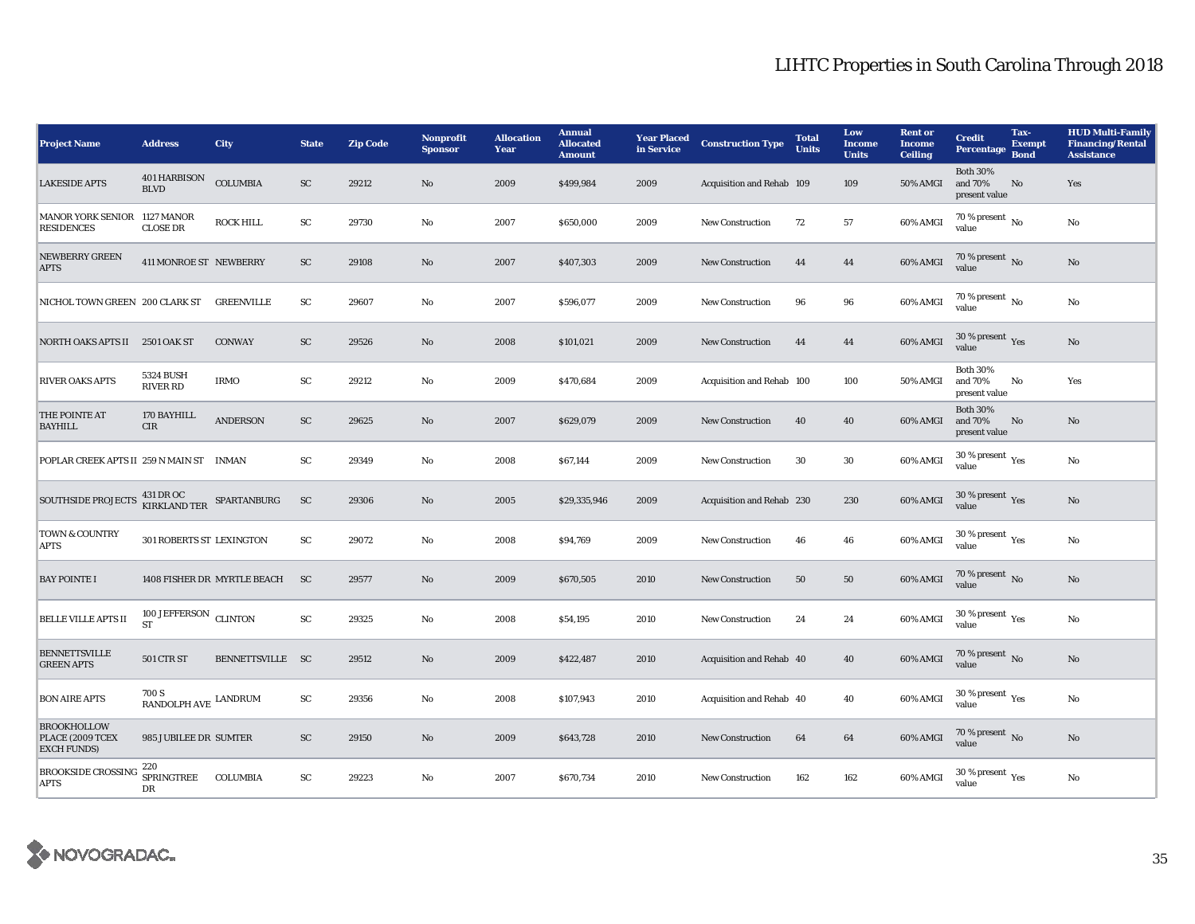## LIHTC Properties in South Carolina Through 2018

| <b>Project Name</b>                                                                                                                        | <b>Address</b>                                                        | <b>City</b>                 | <b>State</b> | <b>Zip Code</b> | Nonprofit<br><b>Sponsor</b> | <b>Allocation</b><br>Year | <b>Annual</b><br><b>Allocated</b><br><b>Amount</b> | <b>Year Placed</b><br>in Service | <b>Construction Type</b>  | <b>Total</b><br><b>Units</b> | Low<br><b>Income</b><br><b>Units</b> | <b>Rent or</b><br><b>Income</b><br><b>Ceiling</b> | <b>Credit</b><br>Percentage                 | Tax-<br><b>Exempt</b><br><b>Bond</b> | <b>HUD Multi-Family</b><br><b>Financing/Rental</b><br><b>Assistance</b> |
|--------------------------------------------------------------------------------------------------------------------------------------------|-----------------------------------------------------------------------|-----------------------------|--------------|-----------------|-----------------------------|---------------------------|----------------------------------------------------|----------------------------------|---------------------------|------------------------------|--------------------------------------|---------------------------------------------------|---------------------------------------------|--------------------------------------|-------------------------------------------------------------------------|
| <b>LAKESIDE APTS</b>                                                                                                                       | 401 HARBISON<br><b>BLVD</b>                                           | <b>COLUMBIA</b>             | SC           | 29212           | No                          | 2009                      | \$499,984                                          | 2009                             | Acquisition and Rehab 109 |                              | 109                                  | <b>50% AMGI</b>                                   | <b>Both 30%</b><br>and 70%<br>present value | No                                   | Yes                                                                     |
| MANOR YORK SENIOR 1127 MANOR<br><b>RESIDENCES</b>                                                                                          | <b>CLOSE DR</b>                                                       | <b>ROCK HILL</b>            | ${\rm SC}$   | 29730           | No                          | 2007                      | \$650,000                                          | 2009                             | New Construction          | 72                           | 57                                   | 60% AMGI                                          | $70\%$ present $\overline{N_0}$<br>value    |                                      | No                                                                      |
| <b>NEWBERRY GREEN</b><br><b>APTS</b>                                                                                                       | 411 MONROE ST NEWBERRY                                                |                             | ${\rm SC}$   | 29108           | No                          | 2007                      | \$407,303                                          | 2009                             | <b>New Construction</b>   | 44                           | 44                                   | 60% AMGI                                          | 70 % present $\overline{N_0}$<br>value      |                                      | No                                                                      |
| NICHOL TOWN GREEN 200 CLARK ST                                                                                                             |                                                                       | <b>GREENVILLE</b>           | SC           | 29607           | No                          | 2007                      | \$596,077                                          | 2009                             | <b>New Construction</b>   | 96                           | 96                                   | 60% AMGI                                          | $70\%$ present $\overline{N_0}$<br>value    |                                      | No                                                                      |
| NORTH OAKS APTS II 2501 OAK ST                                                                                                             |                                                                       | <b>CONWAY</b>               | SC           | 29526           | $\mathbf{N}\mathbf{o}$      | 2008                      | \$101,021                                          | 2009                             | <b>New Construction</b>   | 44                           | 44                                   | 60% AMGI                                          | $30$ % present $\,$ $\rm Yes$<br>value      |                                      | No                                                                      |
| <b>RIVER OAKS APTS</b>                                                                                                                     | <b>5324 BUSH</b><br><b>RIVER RD</b>                                   | <b>IRMO</b>                 | ${\bf SC}$   | 29212           | No                          | 2009                      | \$470,684                                          | 2009                             | Acquisition and Rehab 100 |                              | 100                                  | <b>50% AMGI</b>                                   | <b>Both 30%</b><br>and 70%<br>present value | No                                   | Yes                                                                     |
| THE POINTE AT<br><b>BAYHILL</b>                                                                                                            | 170 BAYHILL<br><b>CIR</b>                                             | <b>ANDERSON</b>             | SC           | 29625           | $\mathbf{N}\mathbf{o}$      | 2007                      | \$629,079                                          | 2009                             | <b>New Construction</b>   | 40                           | 40                                   | 60% AMGI                                          | <b>Both 30%</b><br>and 70%<br>present value | No                                   | No                                                                      |
| POPLAR CREEK APTS II 259 N MAIN ST INMAN                                                                                                   |                                                                       |                             | SC           | 29349           | No                          | 2008                      | \$67,144                                           | 2009                             | <b>New Construction</b>   | 30                           | 30                                   | 60% AMGI                                          | 30 % present $\rm \gamma_{\rm es}$<br>value |                                      | No                                                                      |
| $\begin{tabular}{ll} \multicolumn{2}{l}{{\bf SOUTHSIDE PROJECTS}} & $\mbox{431 DR } {\bf O}{\bf C}$ & $\mbox{SPARTANBURG} $ \end{tabular}$ |                                                                       |                             | SC           | 29306           | No                          | 2005                      | \$29,335,946                                       | 2009                             | Acquisition and Rehab 230 |                              | 230                                  | 60% AMGI                                          | 30 % present Yes<br>value                   |                                      | No                                                                      |
| <b>TOWN &amp; COUNTRY</b><br>APTS                                                                                                          | 301 ROBERTS ST LEXINGTON                                              |                             | ${\rm SC}$   | 29072           | No                          | 2008                      | \$94,769                                           | 2009                             | <b>New Construction</b>   | 46                           | 46                                   | 60% AMGI                                          | 30 % present $\rm \gamma_{\rm es}$<br>value |                                      | No                                                                      |
| <b>BAY POINTE I</b>                                                                                                                        |                                                                       | 1408 FISHER DR MYRTLE BEACH | <b>SC</b>    | 29577           | $\mathbf{N}\mathbf{o}$      | 2009                      | \$670,505                                          | 2010                             | <b>New Construction</b>   | 50                           | 50                                   | 60% AMGI                                          | 70 % present No<br>value                    |                                      | No                                                                      |
| <b>BELLE VILLE APTS II</b>                                                                                                                 | 100 JEFFERSON CLINTON<br><b>ST</b>                                    |                             | <b>SC</b>    | 29325           | No                          | 2008                      | \$54,195                                           | 2010                             | <b>New Construction</b>   | 24                           | 24                                   | 60% AMGI                                          | 30 % present $\rm \gamma_{\rm PS}$<br>value |                                      | No                                                                      |
| <b>BENNETTSVILLE</b><br><b>GREEN APTS</b>                                                                                                  | <b>501 CTR ST</b>                                                     | BENNETTSVILLE SC            |              | 29512           | No                          | 2009                      | \$422,487                                          | 2010                             | Acquisition and Rehab 40  |                              | 40                                   | 60% AMGI                                          | $70\,\%$ present $\,$ No value              |                                      | No                                                                      |
| <b>BON AIRE APTS</b>                                                                                                                       | 700 S<br>$\ensuremath{\mathsf{R}\mathsf{ANDOLPH}}\xspace$ AVE LANDRUM |                             | ${\rm SC}$   | 29356           | No                          | 2008                      | \$107,943                                          | 2010                             | Acquisition and Rehab 40  |                              | 40                                   | 60% AMGI                                          | 30 % present $\rm \gamma_{\rm es}$<br>value |                                      | No                                                                      |
| <b>BROOKHOLLOW</b><br>PLACE (2009 TCEX<br><b>EXCH FUNDS</b> )                                                                              | 985 JUBILEE DR SUMTER                                                 |                             | SC           | 29150           | No                          | 2009                      | \$643,728                                          | 2010                             | <b>New Construction</b>   | 64                           | 64                                   | 60% AMGI                                          | 70 % present No<br>value                    |                                      | No                                                                      |
| <b>BROOKSIDE CROSSING</b><br><b>APTS</b>                                                                                                   | 220<br><b>SPRINGTREE</b><br>DR                                        | COLUMBIA                    | SC           | 29223           | No                          | 2007                      | \$670,734                                          | 2010                             | <b>New Construction</b>   | 162                          | 162                                  | 60% AMGI                                          | 30 % present $\rm \gamma_{\rm es}$<br>value |                                      | No                                                                      |

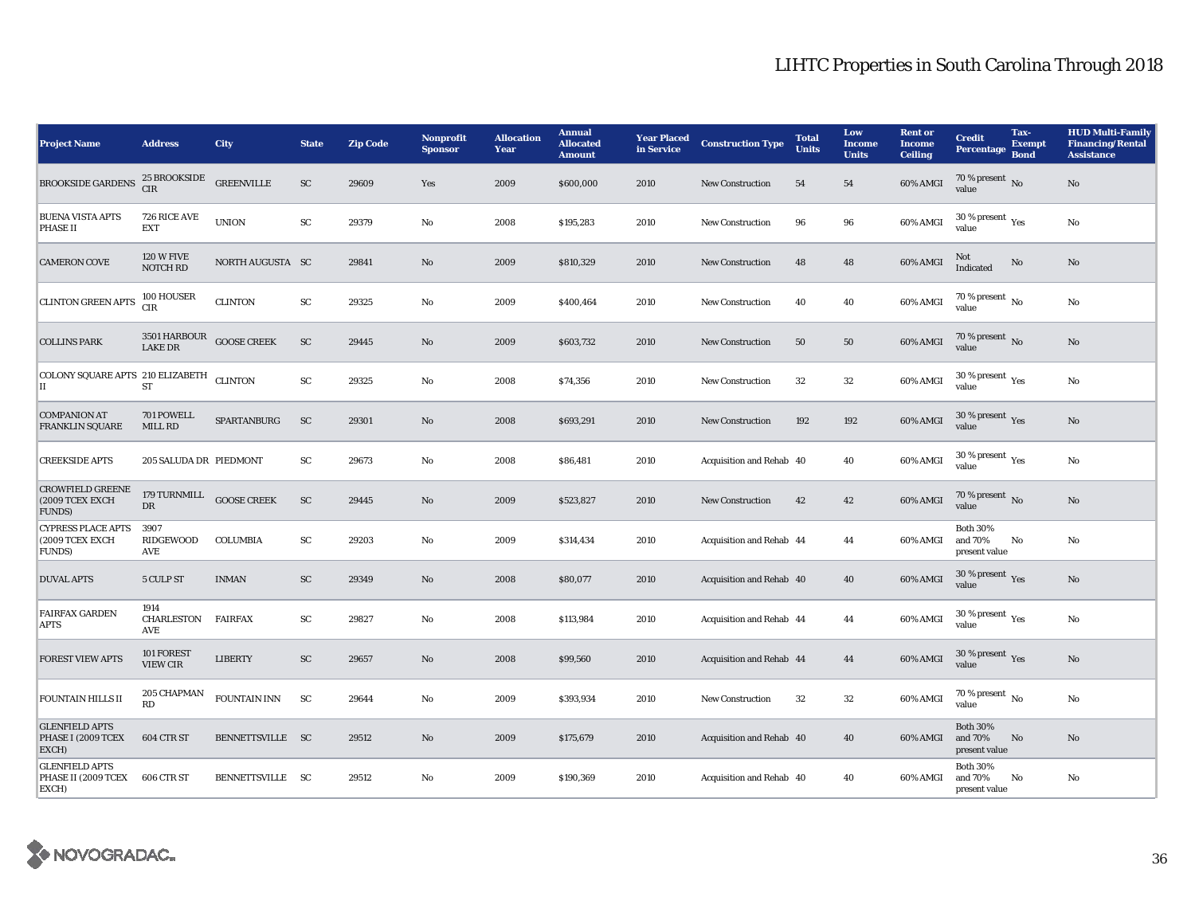| <b>Project Name</b>                                            | <b>Address</b>                       | City               | <b>State</b>           | <b>Zip Code</b> | Nonprofit<br><b>Sponsor</b> | <b>Allocation</b><br>Year | <b>Annual</b><br><b>Allocated</b><br><b>Amount</b> | <b>Year Placed</b><br>in Service | <b>Construction Type</b> | <b>Total</b><br><b>Units</b> | Low<br><b>Income</b><br><b>Units</b> | <b>Rent or</b><br><b>Income</b><br><b>Ceiling</b> | <b>Credit</b><br><b>Percentage</b>              | Tax-<br><b>Exempt</b><br><b>Bond</b> | <b>HUD Multi-Family</b><br><b>Financing/Rental</b><br><b>Assistance</b> |
|----------------------------------------------------------------|--------------------------------------|--------------------|------------------------|-----------------|-----------------------------|---------------------------|----------------------------------------------------|----------------------------------|--------------------------|------------------------------|--------------------------------------|---------------------------------------------------|-------------------------------------------------|--------------------------------------|-------------------------------------------------------------------------|
| <b>BROOKSIDE GARDENS</b>                                       | <b>25 BROOKSIDE</b><br><b>CIR</b>    | ${\tt GREENVILLE}$ | SC                     | 29609           | Yes                         | 2009                      | \$600,000                                          | 2010                             | <b>New Construction</b>  | 54                           | 54                                   | 60% AMGI                                          | 70 % present $\overline{N_0}$<br>value          |                                      | No                                                                      |
| <b>BUENA VISTA APTS</b><br><b>PHASE II</b>                     | 726 RICE AVE<br><b>EXT</b>           | <b>UNION</b>       | ${\rm SC}$             | 29379           | No                          | 2008                      | \$195,283                                          | 2010                             | <b>New Construction</b>  | 96                           | 96                                   | 60% AMGI                                          | 30 % present $\rm\thinspace_{Yes}$<br>value     |                                      | No                                                                      |
| <b>CAMERON COVE</b>                                            | <b>120 W FIVE</b><br><b>NOTCH RD</b> | NORTH AUGUSTA SC   |                        | 29841           | No                          | 2009                      | \$810,329                                          | 2010                             | <b>New Construction</b>  | 48                           | 48                                   | 60% AMGI                                          | <b>Not</b><br>Indicated                         | No                                   | No                                                                      |
| <b>CLINTON GREEN APTS</b>                                      | 100 HOUSER<br><b>CIR</b>             | <b>CLINTON</b>     | SC                     | 29325           | No                          | 2009                      | \$400,464                                          | 2010                             | <b>New Construction</b>  | 40                           | 40                                   | 60% AMGI                                          | $70\%$ present $\overline{N_0}$<br>value        |                                      | No                                                                      |
| <b>COLLINS PARK</b>                                            | 3501 HARBOUR<br><b>LAKE DR</b>       | <b>GOOSE CREEK</b> | ${\rm SC}$             | 29445           | No                          | 2009                      | \$603,732                                          | 2010                             | <b>New Construction</b>  | 50                           | 50                                   | 60% AMGI                                          | 70 % present $\,$ No $\,$<br>value              |                                      | No                                                                      |
| COLONY SQUARE APTS 210 ELIZABETH<br>II                         | <b>ST</b>                            | <b>CLINTON</b>     | $\mathbf{S}\mathbf{C}$ | 29325           | $\rm No$                    | 2008                      | \$74,356                                           | 2010                             | <b>New Construction</b>  | 32                           | $32\,$                               | 60% AMGI                                          | $30\,\%$ present $\rm\thinspace_{Yes}$<br>value |                                      | $\rm No$                                                                |
| <b>COMPANION AT</b><br><b>FRANKLIN SQUARE</b>                  | 701 POWELL<br><b>MILL RD</b>         | SPARTANBURG        | ${\rm SC}$             | 29301           | $\mathbf{N}\mathbf{o}$      | 2008                      | \$693,291                                          | 2010                             | <b>New Construction</b>  | 192                          | 192                                  | 60% AMGI                                          | 30 % present $Yes$<br>value                     |                                      | No                                                                      |
| <b>CREEKSIDE APTS</b>                                          | 205 SALUDA DR PIEDMONT               |                    | ${\rm SC}$             | 29673           | $\rm No$                    | 2008                      | \$86,481                                           | 2010                             | Acquisition and Rehab 40 |                              | 40                                   | 60% AMGI                                          | 30 % present $\rm \gamma_{\rm es}$<br>value     |                                      | No                                                                      |
| <b>CROWFIELD GREENE</b><br>(2009 TCEX EXCH<br><b>FUNDS</b> )   | 179 TURNMILL<br><b>DR</b>            | <b>GOOSE CREEK</b> | SC                     | 29445           | No                          | 2009                      | \$523,827                                          | 2010                             | <b>New Construction</b>  | 42                           | 42                                   | 60% AMGI                                          | 70 % present $\,$ No $\,$<br>value              |                                      | No                                                                      |
| <b>CYPRESS PLACE APTS</b><br>(2009 TCEX EXCH<br><b>FUNDS</b> ) | 3907<br>RIDGEWOOD<br><b>AVE</b>      | <b>COLUMBIA</b>    | SC                     | 29203           | No                          | 2009                      | \$314,434                                          | 2010                             | Acquisition and Rehab 44 |                              | 44                                   | 60% AMGI                                          | <b>Both 30%</b><br>and 70%<br>present value     | No                                   | No                                                                      |
| <b>DUVAL APTS</b>                                              | 5 CULP ST                            | <b>INMAN</b>       | SC                     | 29349           | No                          | 2008                      | \$80,077                                           | 2010                             | Acquisition and Rehab 40 |                              | 40                                   | 60% AMGI                                          | 30 % present $\gamma_{\rm{ES}}$<br>value        |                                      | No                                                                      |
| <b>FAIRFAX GARDEN</b><br><b>APTS</b>                           | 1914<br>CHARLESTON<br>AVE            | <b>FAIRFAX</b>     | SC                     | 29827           | No                          | 2008                      | \$113,984                                          | 2010                             | Acquisition and Rehab 44 |                              | 44                                   | 60% AMGI                                          | 30 % present $\rm \gamma_{\rm es}$<br>value     |                                      | $\rm No$                                                                |
| <b>FOREST VIEW APTS</b>                                        | 101 FOREST<br><b>VIEW CIR</b>        | <b>LIBERTY</b>     | ${\rm SC}$             | 29657           | $\rm No$                    | 2008                      | \$99,560                                           | 2010                             | Acquisition and Rehab 44 |                              | 44                                   | 60% AMGI                                          | 30 % present Yes<br>value                       |                                      | No                                                                      |
| <b>FOUNTAIN HILLS II</b>                                       | 205 CHAPMAN<br>RD                    | FOUNTAIN INN       | SC                     | 29644           | No                          | 2009                      | \$393,934                                          | 2010                             | New Construction         | 32                           | 32                                   | 60% AMGI                                          | $70\%$ present $\overline{N_0}$<br>value        |                                      | No                                                                      |
| <b>GLENFIELD APTS</b><br>PHASE I (2009 TCEX<br>EXCH)           | 604 CTR ST                           | BENNETTSVILLE SC   |                        | 29512           | No                          | 2009                      | \$175,679                                          | 2010                             | Acquisition and Rehab 40 |                              | 40                                   | 60% AMGI                                          | <b>Both 30%</b><br>and 70%<br>present value     | No                                   | No                                                                      |
| <b>GLENFIELD APTS</b><br>PHASE II (2009 TCEX<br>EXCH)          | 606 CTR ST                           | BENNETTSVILLE SC   |                        | 29512           | No                          | 2009                      | \$190,369                                          | 2010                             | Acquisition and Rehab 40 |                              | 40                                   | 60% AMGI                                          | <b>Both 30%</b><br>and 70%<br>present value     | No                                   | No                                                                      |

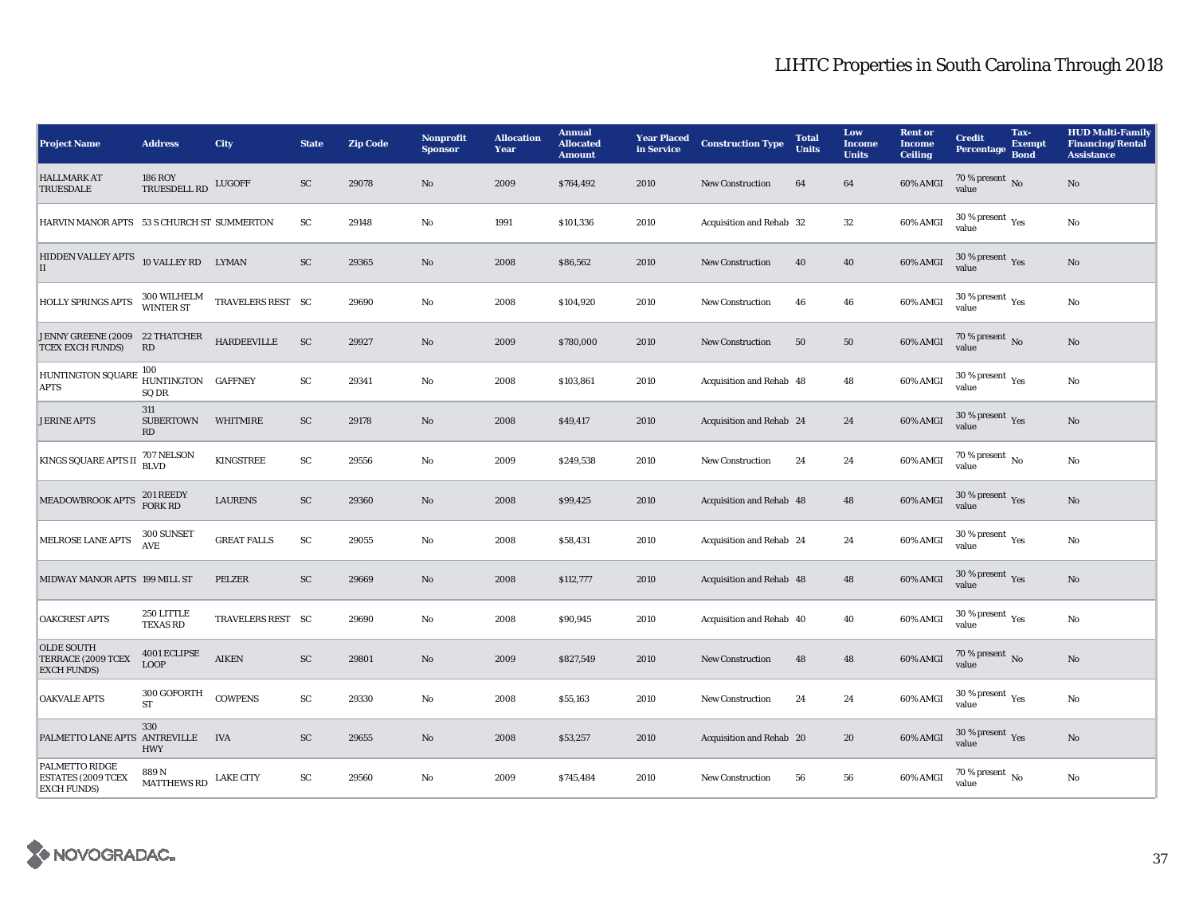| <b>Project Name</b>                                               | <b>Address</b>                     | <b>City</b>        | <b>State</b> | <b>Zip Code</b> | Nonprofit<br><b>Sponsor</b> | <b>Allocation</b><br>Year | <b>Annual</b><br><b>Allocated</b><br><b>Amount</b> | <b>Year Placed</b><br>in Service | <b>Construction Type</b> | <b>Total</b><br><b>Units</b> | Low<br><b>Income</b><br><b>Units</b> | <b>Rent or</b><br><b>Income</b><br><b>Ceiling</b> | <b>Credit</b><br><b>Percentage</b>          | Tax-<br><b>Exempt</b><br><b>Bond</b> | <b>HUD Multi-Family</b><br><b>Financing/Rental</b><br><b>Assistance</b> |
|-------------------------------------------------------------------|------------------------------------|--------------------|--------------|-----------------|-----------------------------|---------------------------|----------------------------------------------------|----------------------------------|--------------------------|------------------------------|--------------------------------------|---------------------------------------------------|---------------------------------------------|--------------------------------------|-------------------------------------------------------------------------|
| <b>HALLMARK AT</b><br><b>TRUESDALE</b>                            | <b>186 ROY</b><br>TRUESDELL RD     | <b>LUGOFF</b>      | SC           | 29078           | No                          | 2009                      | \$764,492                                          | 2010                             | <b>New Construction</b>  | 64                           | 64                                   | 60% AMGI                                          | 70 % present $\overline{N_0}$<br>value      |                                      | No                                                                      |
| HARVIN MANOR APTS 53 S CHURCH ST SUMMERTON                        |                                    |                    | ${\rm SC}$   | 29148           | No                          | 1991                      | \$101,336                                          | 2010                             | Acquisition and Rehab 32 |                              | 32                                   | 60% AMGI                                          | 30 % present $\rm \gamma_{\rm es}$<br>value |                                      | No                                                                      |
| HIDDEN VALLEY APTS 10 VALLEY RD LYMAN<br>II                       |                                    |                    | SC           | 29365           | No                          | 2008                      | \$86,562                                           | 2010                             | <b>New Construction</b>  | 40                           | 40                                   | 60% AMGI                                          | $30$ % present $\,$ $\rm Yes$<br>value      |                                      | No                                                                      |
| <b>HOLLY SPRINGS APTS</b>                                         | 300 WILHELM<br>WINTER ST           | TRAVELERS REST SC  |              | 29690           | $\rm No$                    | 2008                      | \$104,920                                          | 2010                             | <b>New Construction</b>  | 46                           | 46                                   | 60% AMGI                                          | 30 % present $\rm \gamma_{\rm es}$<br>value |                                      | No                                                                      |
| JENNY GREENE (2009 22 THATCHER<br><b>TCEX EXCH FUNDS)</b>         | RD                                 | <b>HARDEEVILLE</b> | ${\rm SC}$   | 29927           | $\mathbf{N}\mathbf{o}$      | 2009                      | \$780,000                                          | 2010                             | <b>New Construction</b>  | 50                           | 50                                   | 60% AMGI                                          | 70 % present $\,$ No $\,$<br>value          |                                      | No                                                                      |
| HUNTINGTON SQUARE<br><b>APTS</b>                                  | 100<br>HUNTINGTON GAFFNEY<br>SQ DR |                    | ${\rm SC}$   | 29341           | No                          | 2008                      | \$103,861                                          | 2010                             | Acquisition and Rehab 48 |                              | 48                                   | 60% AMGI                                          | $30\,\%$ present $\,\mathrm{Yes}$ value     |                                      | No                                                                      |
| <b>JERINE APTS</b>                                                | 311<br><b>SUBERTOWN</b><br>RD      | WHITMIRE           | SC           | 29178           | $\mathbf{N}\mathbf{o}$      | 2008                      | \$49,417                                           | 2010                             | Acquisition and Rehab 24 |                              | 24                                   | 60% AMGI                                          | 30 % present $\,$ $\rm Yes$<br>value        |                                      | $\rm No$                                                                |
| <b>KINGS SQUARE APTS II</b>                                       | 707 NELSON<br><b>BLVD</b>          | <b>KINGSTREE</b>   | ${\rm SC}$   | 29556           | No                          | 2009                      | \$249,538                                          | 2010                             | New Construction         | 24                           | 24                                   | 60% AMGI                                          | $70\%$ present $\overline{N_0}$<br>value    |                                      | No                                                                      |
| <b>MEADOWBROOK APTS</b>                                           | 201 REEDY<br><b>FORK RD</b>        | <b>LAURENS</b>     | ${\rm SC}$   | 29360           | No                          | 2008                      | \$99,425                                           | 2010                             | Acquisition and Rehab 48 |                              | 48                                   | 60% AMGI                                          | 30 % present Yes<br>value                   |                                      | No                                                                      |
| <b>MELROSE LANE APTS</b>                                          | 300 SUNSET<br>AVE                  | <b>GREAT FALLS</b> | ${\rm sc}$   | 29055           | No                          | 2008                      | \$58,431                                           | 2010                             | Acquisition and Rehab 24 |                              | 24                                   | 60% AMGI                                          | 30 % present $\rm \gamma_{\rm es}$<br>value |                                      | No                                                                      |
| MIDWAY MANOR APTS 199 MILL ST                                     |                                    | PELZER             | SC           | 29669           | $\mathbf{N}\mathbf{o}$      | 2008                      | \$112,777                                          | 2010                             | Acquisition and Rehab 48 |                              | 48                                   | 60% AMGI                                          | $30\,\%$ present $\,$ Yes value             |                                      | No                                                                      |
| <b>OAKCREST APTS</b>                                              | 250 LITTLE<br><b>TEXAS RD</b>      | TRAVELERS REST SC  |              | 29690           | No                          | 2008                      | \$90,945                                           | 2010                             | Acquisition and Rehab 40 |                              | 40                                   | 60% AMGI                                          | $30$ % present $\,$ $\rm Yes$<br>value      |                                      | No                                                                      |
| <b>OLDE SOUTH</b><br>TERRACE (2009 TCEX<br><b>EXCH FUNDS</b> )    | 4001 ECLIPSE<br><b>LOOP</b>        | <b>AIKEN</b>       | ${\rm SC}$   | 29801           | No                          | 2009                      | \$827,549                                          | 2010                             | <b>New Construction</b>  | 48                           | 48                                   | 60% AMGI                                          | $70\,\%$ present $\,$ No value              |                                      | No                                                                      |
| <b>OAKVALE APTS</b>                                               | 300 GOFORTH<br><b>ST</b>           | <b>COWPENS</b>     | ${\rm SC}$   | 29330           | $\rm No$                    | 2008                      | \$55,163                                           | 2010                             | <b>New Construction</b>  | 24                           | 24                                   | 60% AMGI                                          | 30 % present $\gamma_{\rm{es}}$<br>value    |                                      | No                                                                      |
| PALMETTO LANE APTS ANTREVILLE                                     | 330<br><b>HWY</b>                  | <b>IVA</b>         | SC           | 29655           | No                          | 2008                      | \$53,257                                           | 2010                             | Acquisition and Rehab 20 |                              | 20                                   | 60% AMGI                                          | $30$ % present $\,$ $\rm Yes$<br>value      |                                      | No                                                                      |
| PALMETTO RIDGE<br><b>ESTATES (2009 TCEX</b><br><b>EXCH FUNDS)</b> | 889N<br><b>MATTHEWS RD</b>         | <b>LAKE CITY</b>   | ${\rm SC}$   | 29560           | No                          | 2009                      | \$745,484                                          | 2010                             | <b>New Construction</b>  | 56                           | 56                                   | 60% AMGI                                          | $70\%$ present $\overline{N_0}$<br>value    |                                      | No                                                                      |

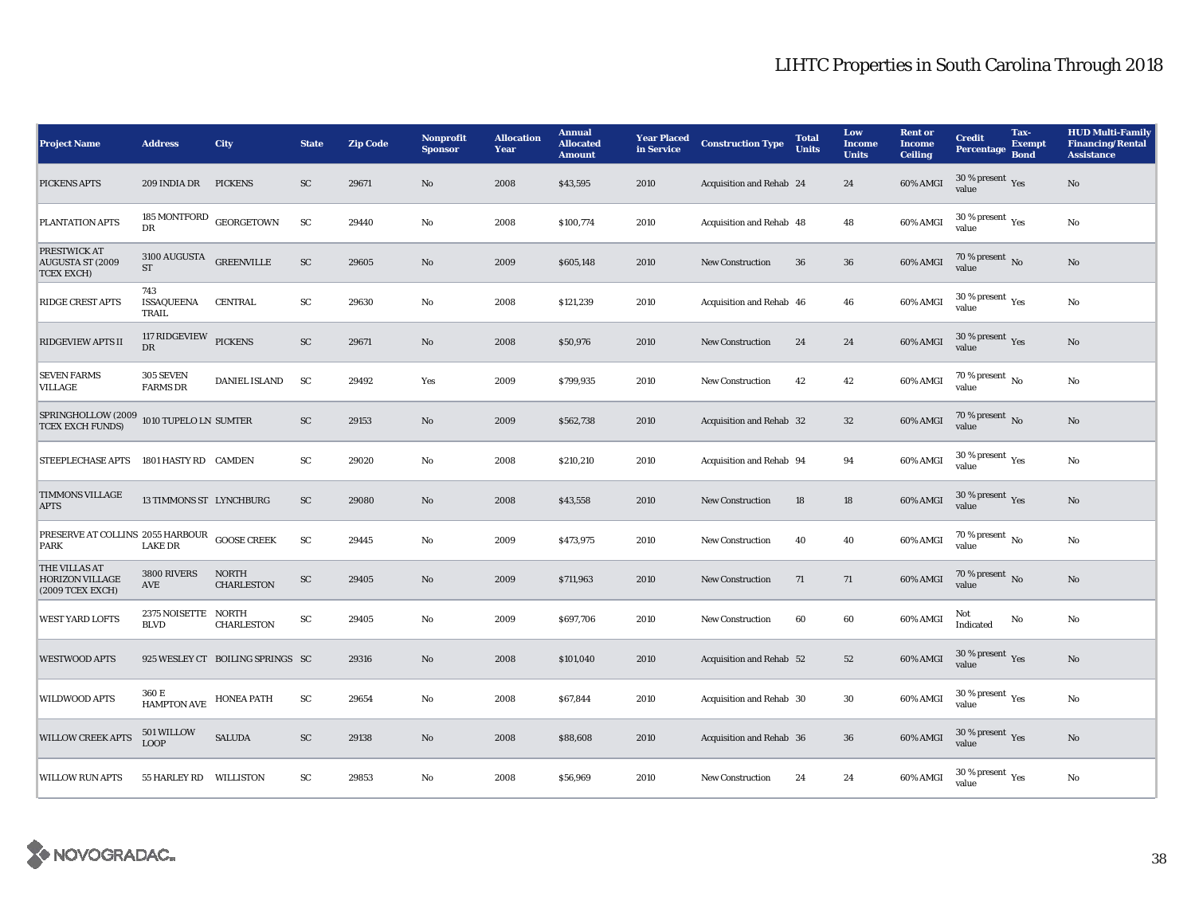| <b>Project Name</b>                                          | <b>Address</b>                                | City                              | <b>State</b> | <b>Zip Code</b> | Nonprofit<br><b>Sponsor</b> | <b>Allocation</b><br>Year | <b>Annual</b><br><b>Allocated</b><br><b>Amount</b> | <b>Year Placed</b><br>in Service | <b>Construction Type</b> | <b>Total</b><br><b>Units</b> | Low<br><b>Income</b><br><b>Units</b> | <b>Rent</b> or<br><b>Income</b><br><b>Ceiling</b> | <b>Credit</b><br>Percentage                     | Tax-<br><b>Exempt</b><br><b>Bond</b> | <b>HUD Multi-Family</b><br><b>Financing/Rental</b><br><b>Assistance</b> |
|--------------------------------------------------------------|-----------------------------------------------|-----------------------------------|--------------|-----------------|-----------------------------|---------------------------|----------------------------------------------------|----------------------------------|--------------------------|------------------------------|--------------------------------------|---------------------------------------------------|-------------------------------------------------|--------------------------------------|-------------------------------------------------------------------------|
| PICKENS APTS                                                 | 209 INDIA DR                                  | <b>PICKENS</b>                    | SC           | 29671           | No                          | 2008                      | \$43,595                                           | 2010                             | Acquisition and Rehab 24 |                              | 24                                   | 60% AMGI                                          | 30 % present $_{\hbox{Yes}}$<br>value           |                                      | No                                                                      |
| PLANTATION APTS                                              | DR                                            | 185 MONTFORD GEORGETOWN           | <b>SC</b>    | 29440           | No                          | 2008                      | \$100,774                                          | 2010                             | Acquisition and Rehab 48 |                              | 48                                   | 60% AMGI                                          | $30$ % present $\rm \gamma_{\rm PS}$<br>value   |                                      | $\rm No$                                                                |
| PRESTWICK AT<br><b>AUGUSTA ST (2009</b><br><b>TCEX EXCH)</b> | $3100\,$ AUGUSTA $\,$ GREENVILLE<br><b>ST</b> |                                   | SC           | 29605           | No                          | 2009                      | \$605,148                                          | 2010                             | <b>New Construction</b>  | 36                           | 36                                   | 60% AMGI                                          | 70 % present $\,$ No $\,$<br>value              |                                      | No                                                                      |
| <b>RIDGE CREST APTS</b>                                      | 743<br>ISSAQUEENA<br>TRAIL                    | CENTRAL                           | SC           | 29630           | No                          | 2008                      | \$121,239                                          | 2010                             | Acquisition and Rehab 46 |                              | 46                                   | 60% AMGI                                          | 30 % present $\rm \gamma_{\rm es}$              |                                      | No                                                                      |
| <b>RIDGEVIEW APTS II</b>                                     | 117 RIDGEVIEW<br>DR                           | <b>PICKENS</b>                    | ${\rm SC}$   | 29671           | No                          | 2008                      | \$50,976                                           | 2010                             | <b>New Construction</b>  | 24                           | 24                                   | 60% AMGI                                          | $30\,\%$ present $\rm\thinspace_{Yes}$<br>value |                                      | No                                                                      |
| <b>SEVEN FARMS</b><br><b>VILLAGE</b>                         | 305 SEVEN<br><b>FARMS DR</b>                  | <b>DANIEL ISLAND</b>              | SC           | 29492           | Yes                         | 2009                      | \$799,935                                          | 2010                             | New Construction         | 42                           | 42                                   | 60% AMGI                                          | $70\%$ present $\overline{N_0}$<br>value        |                                      | No                                                                      |
| SPRINGHOLLOW (2009<br><b>TCEX EXCH FUNDS)</b>                | 1010 TUPELO LN SUMTER                         |                                   | SC           | 29153           | No                          | 2009                      | \$562,738                                          | 2010                             | Acquisition and Rehab 32 |                              | $32\,$                               | 60% AMGI                                          | 70 % present No<br>value                        |                                      | No                                                                      |
| <b>STEEPLECHASE APTS</b>                                     | 1801 HASTY RD CAMDEN                          |                                   | SC           | 29020           | No                          | 2008                      | \$210,210                                          | 2010                             | Acquisition and Rehab 94 |                              | 94                                   | 60% AMGI                                          | 30 % present $\rm \gamma_{\rm es}$<br>value     |                                      | No                                                                      |
| <b>TIMMONS VILLAGE</b><br><b>APTS</b>                        | 13 TIMMONS ST LYNCHBURG                       |                                   | SC           | 29080           | No                          | 2008                      | \$43,558                                           | 2010                             | New Construction         | 18                           | 18                                   | 60% AMGI                                          | 30 % present $_{\text{Yes}}$<br>value           |                                      | $\rm No$                                                                |
| PRESERVE AT COLLINS 2055 HARBOUR<br>PARK                     | <b>LAKE DR</b>                                | <b>GOOSE CREEK</b>                | ${\rm SC}$   | 29445           | No                          | 2009                      | \$473,975                                          | 2010                             | <b>New Construction</b>  | 40                           | 40                                   | 60% AMGI                                          | $70\%$ present $\overline{N_0}$<br>value        |                                      | No                                                                      |
| THE VILLAS AT<br><b>HORIZON VILLAGE</b><br>(2009 TCEX EXCH)  | 3800 RIVERS<br>AVE                            | <b>NORTH</b><br><b>CHARLESTON</b> | ${\rm SC}$   | 29405           | No                          | 2009                      | \$711,963                                          | 2010                             | <b>New Construction</b>  | 71                           | 71                                   | 60% AMGI                                          | 70 % present $\overline{N_0}$<br>value          |                                      | No                                                                      |
| <b>WEST YARD LOFTS</b>                                       | 2375 NOISETTE NORTH<br><b>BLVD</b>            | <b>CHARLESTON</b>                 | ${\rm SC}$   | 29405           | No                          | 2009                      | \$697,706                                          | 2010                             | <b>New Construction</b>  | 60                           | 60                                   | 60% AMGI                                          | Not<br>Indicated                                | No                                   | No                                                                      |
| <b>WESTWOOD APTS</b>                                         |                                               | 925 WESLEY CT BOILING SPRINGS SC  |              | 29316           | No                          | 2008                      | \$101,040                                          | 2010                             | Acquisition and Rehab 52 |                              | 52                                   | 60% AMGI                                          | 30 % present $\gamma_{\rm e s}$<br>value        |                                      | No                                                                      |
| <b>WILDWOOD APTS</b>                                         | 360 E<br><b>HAMPTON AVE</b>                   | HONEA PATH                        | ${\rm SC}$   | 29654           | No                          | 2008                      | \$67,844                                           | 2010                             | Acquisition and Rehab 30 |                              | 30                                   | 60% AMGI                                          | 30 % present $\rm\thinspace_{Yes}$<br>value     |                                      | No                                                                      |
| <b>WILLOW CREEK APTS</b>                                     | 501 WILLOW<br><b>LOOP</b>                     | <b>SALUDA</b>                     | SC           | 29138           | No                          | 2008                      | \$88,608                                           | 2010                             | Acquisition and Rehab 36 |                              | 36                                   | 60% AMGI                                          | $30\,\%$ present $\,$ Yes value                 |                                      | No                                                                      |
| <b>WILLOW RUN APTS</b>                                       | 55 HARLEY RD WILLISTON                        |                                   | SC           | 29853           | No                          | 2008                      | \$56,969                                           | 2010                             | <b>New Construction</b>  | 24                           | 24                                   | 60% AMGI                                          | 30 % present $\rm \gamma_{\rm es}$<br>value     |                                      | No                                                                      |

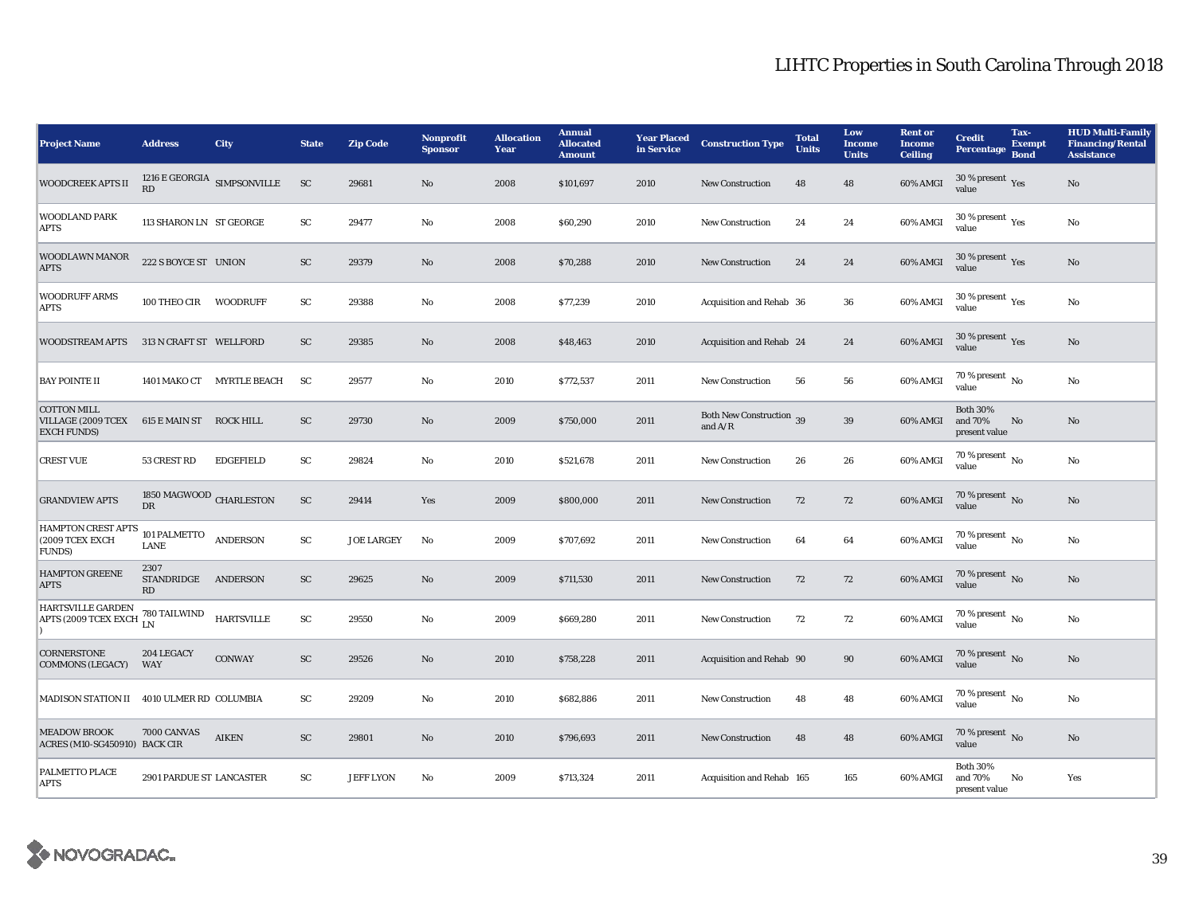| <b>Project Name</b>                                                                        | <b>Address</b>                       | City                                               | <b>State</b>           | <b>Zip Code</b>   | Nonprofit<br><b>Sponsor</b> | <b>Allocation</b><br>Year | <b>Annual</b><br><b>Allocated</b><br><b>Amount</b> | <b>Year Placed</b><br>in Service | <b>Construction Type</b>                                                          | <b>Total</b><br><b>Units</b> | Low<br><b>Income</b><br><b>Units</b> | <b>Rent or</b><br><b>Income</b><br><b>Ceiling</b> | <b>Credit</b><br><b>Percentage</b>          | Tax-<br><b>Exempt</b><br><b>Bond</b> | <b>HUD Multi-Family</b><br><b>Financing/Rental</b><br><b>Assistance</b> |
|--------------------------------------------------------------------------------------------|--------------------------------------|----------------------------------------------------|------------------------|-------------------|-----------------------------|---------------------------|----------------------------------------------------|----------------------------------|-----------------------------------------------------------------------------------|------------------------------|--------------------------------------|---------------------------------------------------|---------------------------------------------|--------------------------------------|-------------------------------------------------------------------------|
| <b>WOODCREEK APTS II</b>                                                                   | RD                                   | 1216 $\mathbf E$ GEORGIA $$\mathbf{SIMPSONVILLE}$$ | <b>SC</b>              | 29681             | No                          | 2008                      | \$101,697                                          | 2010                             | New Construction                                                                  | 48                           | 48                                   | 60% AMGI                                          | 30 % present $\gamma_{\rm e s}$<br>value    |                                      | $\mathbf{N}\mathbf{o}$                                                  |
| <b>WOODLAND PARK</b><br><b>APTS</b>                                                        | 113 SHARON LN ST GEORGE              |                                                    | SC                     | 29477             | No                          | 2008                      | \$60,290                                           | 2010                             | <b>New Construction</b>                                                           | 24                           | 24                                   | 60% AMGI                                          | 30 % present $\rm \gamma_{\rm es}$<br>value |                                      | No                                                                      |
| <b>WOODLAWN MANOR</b><br><b>APTS</b>                                                       | 222 S BOYCE ST UNION                 |                                                    | <b>SC</b>              | 29379             | No                          | 2008                      | \$70,288                                           | 2010                             | <b>New Construction</b>                                                           | 24                           | 24                                   | 60% AMGI                                          | 30 % present $\,$ Yes<br>value              |                                      | No                                                                      |
| <b>WOODRUFF ARMS</b><br><b>APTS</b>                                                        | 100 THEO CIR WOODRUFF                |                                                    | SC                     | 29388             | No                          | 2008                      | \$77,239                                           | 2010                             | Acquisition and Rehab 36                                                          |                              | 36                                   | 60% AMGI                                          | 30 % present $\rm \gamma_{\rm es}$<br>value |                                      | $\mathbf{No}$                                                           |
| <b>WOODSTREAM APTS</b>                                                                     | 313 N CRAFT ST WELLFORD              |                                                    | SC                     | 29385             | No                          | 2008                      | \$48,463                                           | 2010                             | Acquisition and Rehab 24                                                          |                              | 24                                   | 60% AMGI                                          | 30 % present $\gamma_{\rm e s}$<br>value    |                                      | No                                                                      |
| <b>BAY POINTE II</b>                                                                       |                                      | 1401 MAKO CT MYRTLE BEACH                          | SC                     | 29577             | No                          | 2010                      | \$772,537                                          | 2011                             | <b>New Construction</b>                                                           | 56                           | 56                                   | 60% AMGI                                          | $70\%$ present $\overline{N_0}$<br>value    |                                      | No                                                                      |
| <b>COTTON MILL</b><br>VILLAGE (2009 TCEX 615 E MAIN ST ROCK HILL<br><b>EXCH FUNDS)</b>     |                                      |                                                    | ${\rm SC}$             | 29730             | No                          | 2009                      | \$750,000                                          | 2011                             | Both New Construction 39<br>and $\ensuremath{\mathrm{A}}/\ensuremath{\mathrm{R}}$ |                              | 39                                   | 60% AMGI                                          | <b>Both 30%</b><br>and 70%<br>present value | No                                   | $\mathbf{N}\mathbf{o}$                                                  |
| <b>CREST VUE</b>                                                                           | 53 CREST RD                          | <b>EDGEFIELD</b>                                   | SC                     | 29824             | No                          | 2010                      | \$521,678                                          | 2011                             | <b>New Construction</b>                                                           | 26                           | 26                                   | $60\%$ AMGI                                       | 70 % present $\overline{N_0}$<br>value      |                                      | No                                                                      |
| <b>GRANDVIEW APTS</b>                                                                      | 1850 MAGWOOD CHARLESTON<br><b>DR</b> |                                                    | ${\rm SC}$             | 29414             | Yes                         | 2009                      | \$800,000                                          | 2011                             | <b>New Construction</b>                                                           | 72                           | 72                                   | 60% AMGI                                          | 70 % present $\overline{N_0}$<br>value      |                                      | $\mathbf{No}$                                                           |
| <b>HAMPTON CREST APTS</b><br>(2009 TCEX EXCH<br><b>FUNDS</b> )                             | $101$ PALMETTO $\,$<br>LANE          | <b>ANDERSON</b>                                    | ${\rm SC}$             | <b>JOE LARGEY</b> | No                          | 2009                      | \$707,692                                          | 2011                             | <b>New Construction</b>                                                           | 64                           | 64                                   | 60% AMGI                                          | $70\%$ present $\overline{N_0}$<br>value    |                                      | No                                                                      |
| <b>HAMPTON GREENE</b><br><b>APTS</b>                                                       | 2307<br>STANDRIDGE<br>RD             | ANDERSON                                           | ${\rm SC}$             | 29625             | No                          | 2009                      | \$711,530                                          | 2011                             | <b>New Construction</b>                                                           | 72                           | 72                                   | 60% AMGI                                          | 70 % present $\overline{N_0}$<br>value      |                                      | $\mathbf{N}\mathbf{o}$                                                  |
| HARTSVILLE GARDEN<br><b>HARISVILLE GARDEN</b> 780 TAILWIND<br>APTS (2009 TCEX EXCH $_{LN}$ |                                      | <b>HARTSVILLE</b>                                  | $\mathbf{S}\mathbf{C}$ | 29550             | No                          | 2009                      | \$669,280                                          | 2011                             | <b>New Construction</b>                                                           | 72                           | 72                                   | 60% AMGI                                          | 70 % present $\overline{N_0}$<br>value      |                                      | No                                                                      |
| <b>CORNERSTONE</b><br><b>COMMONS (LEGACY)</b>                                              | 204 LEGACY<br>WAY                    | <b>CONWAY</b>                                      | SC                     | 29526             | No                          | 2010                      | \$758,228                                          | 2011                             | Acquisition and Rehab 90                                                          |                              | 90                                   | 60% AMGI                                          | $70\,\%$ present $\,$ No value              |                                      | No                                                                      |
| <b>MADISON STATION II</b>                                                                  | 4010 ULMER RD COLUMBIA               |                                                    | SC                     | 29209             | No                          | 2010                      | \$682,886                                          | 2011                             | <b>New Construction</b>                                                           | 48                           | 48                                   | 60% AMGI                                          | 70 % present $\overline{N_0}$<br>value      |                                      | No                                                                      |
| <b>MEADOW BROOK</b><br>ACRES (M10-SG450910) BACK CIR                                       | 7000 CANVAS                          | <b>AIKEN</b>                                       | SC                     | 29801             | No                          | 2010                      | \$796,693                                          | 2011                             | <b>New Construction</b>                                                           | 48                           | 48                                   | 60% AMGI                                          | 70 % present $\overline{N_0}$<br>value      |                                      | No                                                                      |
| PALMETTO PLACE<br><b>APTS</b>                                                              | 2901 PARDUE ST LANCASTER             |                                                    | SC                     | <b>JEFF LYON</b>  | No                          | 2009                      | \$713,324                                          | 2011                             | Acquisition and Rehab 165                                                         |                              | 165                                  | 60% AMGI                                          | <b>Both 30%</b><br>and 70%<br>present value | No                                   | Yes                                                                     |

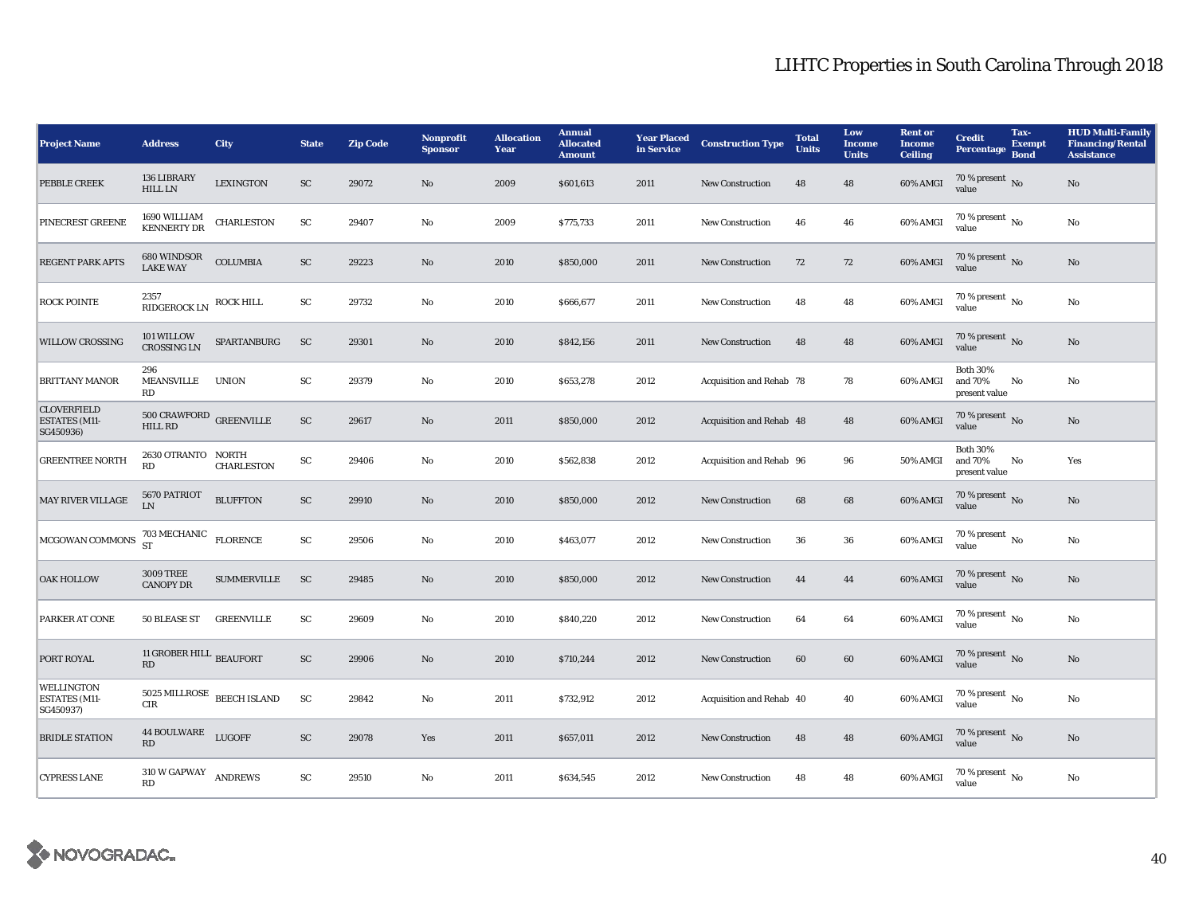| <b>Project Name</b>                                     | <b>Address</b>                                          | <b>City</b>                                 | <b>State</b>           | <b>Zip Code</b> | <b>Nonprofit</b><br><b>Sponsor</b> | <b>Allocation</b><br>Year | <b>Annual</b><br><b>Allocated</b><br><b>Amount</b> | <b>Year Placed</b><br>in Service | <b>Construction Type</b> | <b>Total</b><br><b>Units</b> | Low<br><b>Income</b><br><b>Units</b> | <b>Rent or</b><br><b>Income</b><br><b>Ceiling</b> | <b>Credit</b><br><b>Percentage</b>          | Tax-<br><b>Exempt</b><br><b>Bond</b> | <b>HUD Multi-Family</b><br><b>Financing/Rental</b><br><b>Assistance</b> |
|---------------------------------------------------------|---------------------------------------------------------|---------------------------------------------|------------------------|-----------------|------------------------------------|---------------------------|----------------------------------------------------|----------------------------------|--------------------------|------------------------------|--------------------------------------|---------------------------------------------------|---------------------------------------------|--------------------------------------|-------------------------------------------------------------------------|
| PEBBLE CREEK                                            | 136 LIBRARY<br><b>HILL LN</b>                           | <b>LEXINGTON</b>                            | SC                     | 29072           | No                                 | 2009                      | \$601,613                                          | 2011                             | <b>New Construction</b>  | 48                           | 48                                   | 60% AMGI                                          | $70\,\%$ present $\,$ No value              |                                      | No                                                                      |
| PINECREST GREENE                                        | 1690 WILLIAM<br>KENNERTY DR                             | <b>CHARLESTON</b>                           | ${\rm SC}$             | 29407           | No                                 | 2009                      | \$775,733                                          | 2011                             | <b>New Construction</b>  | 46                           | 46                                   | 60% AMGI                                          | 70 % present $\overline{N_0}$<br>value      |                                      | No                                                                      |
| <b>REGENT PARK APTS</b>                                 | 680 WINDSOR<br>LAKE WAY                                 | <b>COLUMBIA</b>                             | ${\rm SC}$             | 29223           | No                                 | 2010                      | \$850,000                                          | 2011                             | <b>New Construction</b>  | 72                           | 72                                   | 60% AMGI                                          | $70\,\%$ present $\,$ No value              |                                      | No                                                                      |
| <b>ROCK POINTE</b>                                      | 2357<br>$\mathbb{R}$ IDGEROCK LN $\mathbb{R}$ ROCK HILL |                                             | ${\rm SC}$             | 29732           | No                                 | 2010                      | \$666,677                                          | 2011                             | <b>New Construction</b>  | 48                           | 48                                   | 60% AMGI                                          | $70\%$ present $\overline{N_0}$<br>value    |                                      | No                                                                      |
| <b>WILLOW CROSSING</b>                                  | 101 WILLOW<br><b>CROSSING LN</b>                        | SPARTANBURG                                 | SC                     | 29301           | No                                 | 2010                      | \$842,156                                          | 2011                             | New Construction         | 48                           | 48                                   | 60% AMGI                                          | 70 % present $\,$ No $\,$<br>value          |                                      | $\mathbf{No}$                                                           |
| <b>BRITTANY MANOR</b>                                   | 296<br>MEANSVILLE<br>RD                                 | <b>UNION</b>                                | ${\rm SC}$             | 29379           | $\mathbf{No}$                      | 2010                      | \$653,278                                          | 2012                             | Acquisition and Rehab 78 |                              | 78                                   | 60% AMGI                                          | <b>Both 30%</b><br>and 70%<br>present value | No                                   | No                                                                      |
| <b>CLOVERFIELD</b><br><b>ESTATES (M11-</b><br>SG450936) | $500$ CRAWFORD $\,$ GREENVILLE<br><b>HILL RD</b>        |                                             | SC                     | 29617           | No                                 | 2011                      | \$850,000                                          | 2012                             | Acquisition and Rehab 48 |                              | 48                                   | 60% AMGI                                          | 70 % present $\overline{N_0}$<br>value      |                                      | No                                                                      |
| <b>GREENTREE NORTH</b>                                  | 2630 OTRANTO NORTH<br>RD                                | <b>CHARLESTON</b>                           | ${\rm SC}$             | 29406           | No                                 | 2010                      | \$562,838                                          | 2012                             | Acquisition and Rehab 96 |                              | 96                                   | 50% AMGI                                          | <b>Both 30%</b><br>and 70%<br>present value | No                                   | Yes                                                                     |
| MAY RIVER VILLAGE                                       | 5670 PATRIOT<br>LN.                                     | <b>BLUFFTON</b>                             | ${\rm SC}$             | 29910           | $\mathbf{No}$                      | 2010                      | \$850,000                                          | 2012                             | <b>New Construction</b>  | 68                           | 68                                   | 60% AMGI                                          | $70\%$ present No<br>value                  |                                      | No                                                                      |
| MCGOWAN COMMONS                                         | $703\text{\,MECHANIC}\quad$ FLORENCE ST                 |                                             | ${\rm SC}$             | 29506           | $\mathbf{No}$                      | 2010                      | \$463,077                                          | 2012                             | New Construction         | 36                           | 36                                   | 60% AMGI                                          | 70 % present $\overline{N_0}$<br>value      |                                      | $\mathbf{No}$                                                           |
| <b>OAK HOLLOW</b>                                       | <b>3009 TREE</b><br><b>CANOPY DR</b>                    | <b>SUMMERVILLE</b>                          | SC                     | 29485           | No                                 | 2010                      | \$850,000                                          | 2012                             | <b>New Construction</b>  | 44                           | 44                                   | 60% AMGI                                          | $70\,\%$ present $\,$ No value              |                                      | No                                                                      |
| PARKER AT CONE                                          | 50 BLEASE ST                                            | <b>GREENVILLE</b>                           | ${\rm SC}$             | 29609           | No                                 | 2010                      | \$840,220                                          | 2012                             | <b>New Construction</b>  | 64                           | 64                                   | 60% AMGI                                          | 70 % present $\overline{N_0}$<br>value      |                                      | No                                                                      |
| PORT ROYAL                                              | 11 GROBER HILL $_{\rm BEAUFORT}$<br>RD                  |                                             | ${\rm SC}$             | 29906           | $\mathbf{No}$                      | 2010                      | \$710,244                                          | 2012                             | New Construction         | 60                           | 60                                   | 60% AMGI                                          | $70\,\%$ present $\,$ No value              |                                      | $\mathbf{No}$                                                           |
| <b>WELLINGTON</b><br><b>ESTATES (M11-</b><br>SG450937)  | <b>CIR</b>                                              | $5025\text{ MILLROSE}\ \text{BEECH ISLAND}$ | ${\rm SC}$             | 29842           | No                                 | 2011                      | \$732,912                                          | 2012                             | Acquisition and Rehab 40 |                              | 40                                   | 60% AMGI                                          | $70\%$ present $\overline{N_0}$<br>value    |                                      | No                                                                      |
| <b>BRIDLE STATION</b>                                   | 44 BOULWARE LUGOFF<br>RD                                |                                             | SC                     | 29078           | Yes                                | 2011                      | \$657,011                                          | 2012                             | <b>New Construction</b>  | 48                           | 48                                   | 60% AMGI                                          | $70\,\%$ present $\,$ No value              |                                      | No                                                                      |
| <b>CYPRESS LANE</b>                                     | $310\ \text{W}$ GAPWAY ANDREWS<br>RD                    |                                             | $\mathbf{S}\mathbf{C}$ | 29510           | No                                 | 2011                      | \$634,545                                          | 2012                             | <b>New Construction</b>  | 48                           | 48                                   | 60% AMGI                                          | $70\%$ present $\overline{N_0}$<br>value    |                                      | No                                                                      |

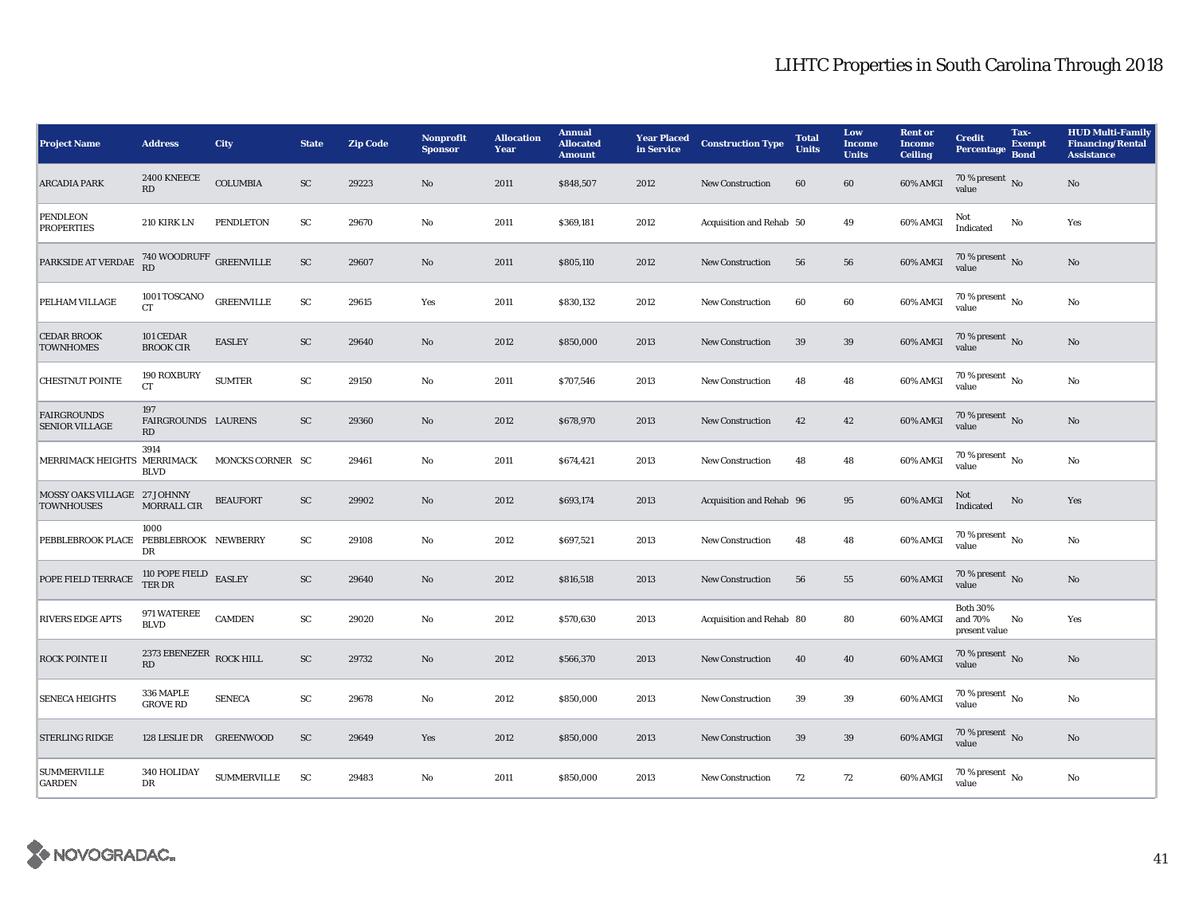| <b>Project Name</b>                               | <b>Address</b>                     | <b>City</b>        | <b>State</b>           | <b>Zip Code</b> | <b>Nonprofit</b><br><b>Sponsor</b> | <b>Allocation</b><br>Year | <b>Annual</b><br><b>Allocated</b><br><b>Amount</b> | <b>Year Placed</b><br>in Service | <b>Construction Type</b> | <b>Total</b><br><b>Units</b> | Low<br><b>Income</b><br><b>Units</b> | <b>Rent or</b><br><b>Income</b><br><b>Ceiling</b> | <b>Credit</b><br><b>Percentage</b>          | Tax-<br><b>Exempt</b><br><b>Bond</b> | <b>HUD Multi-Family</b><br><b>Financing/Rental</b><br><b>Assistance</b> |
|---------------------------------------------------|------------------------------------|--------------------|------------------------|-----------------|------------------------------------|---------------------------|----------------------------------------------------|----------------------------------|--------------------------|------------------------------|--------------------------------------|---------------------------------------------------|---------------------------------------------|--------------------------------------|-------------------------------------------------------------------------|
| <b>ARCADIA PARK</b>                               | <b>2400 KNEECE</b><br>RD           | <b>COLUMBIA</b>    | ${\rm SC}$             | 29223           | No                                 | 2011                      | \$848,507                                          | 2012                             | New Construction         | 60                           | 60                                   | 60% AMGI                                          | $70\,\%$ present $\,$ No value              |                                      | $\rm No$                                                                |
| PENDLEON<br><b>PROPERTIES</b>                     | 210 KIRK LN                        | PENDLETON          | ${\rm SC}$             | 29670           | No                                 | 2011                      | \$369,181                                          | 2012                             | Acquisition and Rehab 50 |                              | 49                                   | 60% AMGI                                          | Not<br><b>Indicated</b>                     | No                                   | Yes                                                                     |
| PARKSIDE AT VERDAE                                | $740$ WOODRUFF $\:$ GREENVILLE RD  |                    | ${\rm SC}$             | 29607           | No                                 | 2011                      | \$805,110                                          | 2012                             | <b>New Construction</b>  | 56                           | 56                                   | 60% AMGI                                          | 70 % present $_{\rm No}$<br>value           |                                      | No                                                                      |
| PELHAM VILLAGE                                    | 1001 TOSCANO<br>CT                 | <b>GREENVILLE</b>  | ${\rm SC}$             | 29615           | Yes                                | 2011                      | \$830,132                                          | 2012                             | New Construction         | 60                           | 60                                   | 60% AMGI                                          | $70\%$ present $\overline{N_0}$<br>value    |                                      | $\mathbf{No}$                                                           |
| <b>CEDAR BROOK</b><br><b>TOWNHOMES</b>            | 101 CEDAR<br><b>BROOK CIR</b>      | <b>EASLEY</b>      | SC                     | 29640           | No                                 | 2012                      | \$850,000                                          | 2013                             | <b>New Construction</b>  | 39                           | 39                                   | 60% AMGI                                          | 70 % present $\hbox{~No}$<br>value          |                                      | No                                                                      |
| <b>CHESTNUT POINTE</b>                            | 190 ROXBURY<br><b>CT</b>           | <b>SUMTER</b>      | SC                     | 29150           | No                                 | 2011                      | \$707,546                                          | 2013                             | <b>New Construction</b>  | 48                           | 48                                   | 60% AMGI                                          | $70\,\%$ present $\,$ No value              |                                      | No                                                                      |
| <b>FAIRGROUNDS</b><br><b>SENIOR VILLAGE</b>       | 197<br>FAIRGROUNDS LAURENS<br>RD   |                    | SC                     | 29360           | $\mathbf{No}$                      | 2012                      | \$678,970                                          | 2013                             | New Construction         | 42                           | 42                                   | 60% AMGI                                          | 70 % present $\hbox{~No}$<br>value          |                                      | $\rm No$                                                                |
| MERRIMACK HEIGHTS MERRIMACK                       | 3914<br><b>BLVD</b>                | MONCKS CORNER SC   |                        | 29461           | $\mathbf{No}$                      | 2011                      | \$674,421                                          | 2013                             | New Construction         | 48                           | 48                                   | 60% AMGI                                          | 70 % present $\overline{N_0}$<br>value      |                                      | $\mathbf{No}$                                                           |
| MOSSY OAKS VILLAGE 27 JOHNNY<br><b>TOWNHOUSES</b> | MORRALL CIR                        | <b>BEAUFORT</b>    | ${\rm SC}$             | 29902           | No                                 | 2012                      | \$693,174                                          | 2013                             | Acquisition and Rehab 96 |                              | 95                                   | 60% AMGI                                          | Not<br>Indicated                            | No                                   | Yes                                                                     |
| PEBBLEBROOK PLACE                                 | 1000<br>PEBBLEBROOK NEWBERRY<br>DR |                    | SC                     | 29108           | No                                 | 2012                      | \$697,521                                          | 2013                             | <b>New Construction</b>  | 48                           | 48                                   | 60% AMGI                                          | 70 % present $\,$ No $\,$<br>value          |                                      | No                                                                      |
| POPE FIELD TERRACE                                | 110 POPE FIELD EASLEY TER DR       |                    | SC                     | 29640           | $\mathbf{No}$                      | 2012                      | \$816,518                                          | 2013                             | <b>New Construction</b>  | 56                           | 55                                   | 60% AMGI                                          | $70\%$ present No<br>value                  |                                      | $\mathbf{No}$                                                           |
| <b>RIVERS EDGE APTS</b>                           | 971 WATEREE<br><b>BLVD</b>         | <b>CAMDEN</b>      | ${\rm SC}$             | 29020           | $\mathbf{No}$                      | 2012                      | \$570,630                                          | 2013                             | Acquisition and Rehab 80 |                              | 80                                   | 60% AMGI                                          | <b>Both 30%</b><br>and 70%<br>present value | No                                   | Yes                                                                     |
| <b>ROCK POINTE II</b>                             | 2373 EBENEZER ROCK HILL<br>RD      |                    | ${\rm SC}$             | 29732           | No                                 | 2012                      | \$566,370                                          | 2013                             | <b>New Construction</b>  | 40                           | 40                                   | 60% AMGI                                          | $70\,\%$ present $\,$ No value              |                                      | No                                                                      |
| <b>SENECA HEIGHTS</b>                             | 336 MAPLE<br><b>GROVE RD</b>       | <b>SENECA</b>      | $\mathbf{S}\mathbf{C}$ | 29678           | No                                 | 2012                      | \$850,000                                          | 2013                             | <b>New Construction</b>  | 39                           | 39                                   | 60% AMGI                                          | 70 % present $\overline{N_0}$<br>value      |                                      | No                                                                      |
| <b>STERLING RIDGE</b>                             | 128 LESLIE DR GREENWOOD            |                    | ${\rm SC}$             | 29649           | Yes                                | 2012                      | \$850,000                                          | 2013                             | <b>New Construction</b>  | 39                           | 39                                   | 60% AMGI                                          | 70 % present $\overline{N_0}$<br>value      |                                      | $\mathbf{No}$                                                           |
| <b>SUMMERVILLE</b><br><b>GARDEN</b>               | 340 HOLIDAY<br>DR                  | <b>SUMMERVILLE</b> | SC                     | 29483           | No                                 | 2011                      | \$850,000                                          | 2013                             | <b>New Construction</b>  | 72                           | 72                                   | 60% AMGI                                          | $70\%$ present $\overline{N_0}$<br>value    |                                      | No                                                                      |

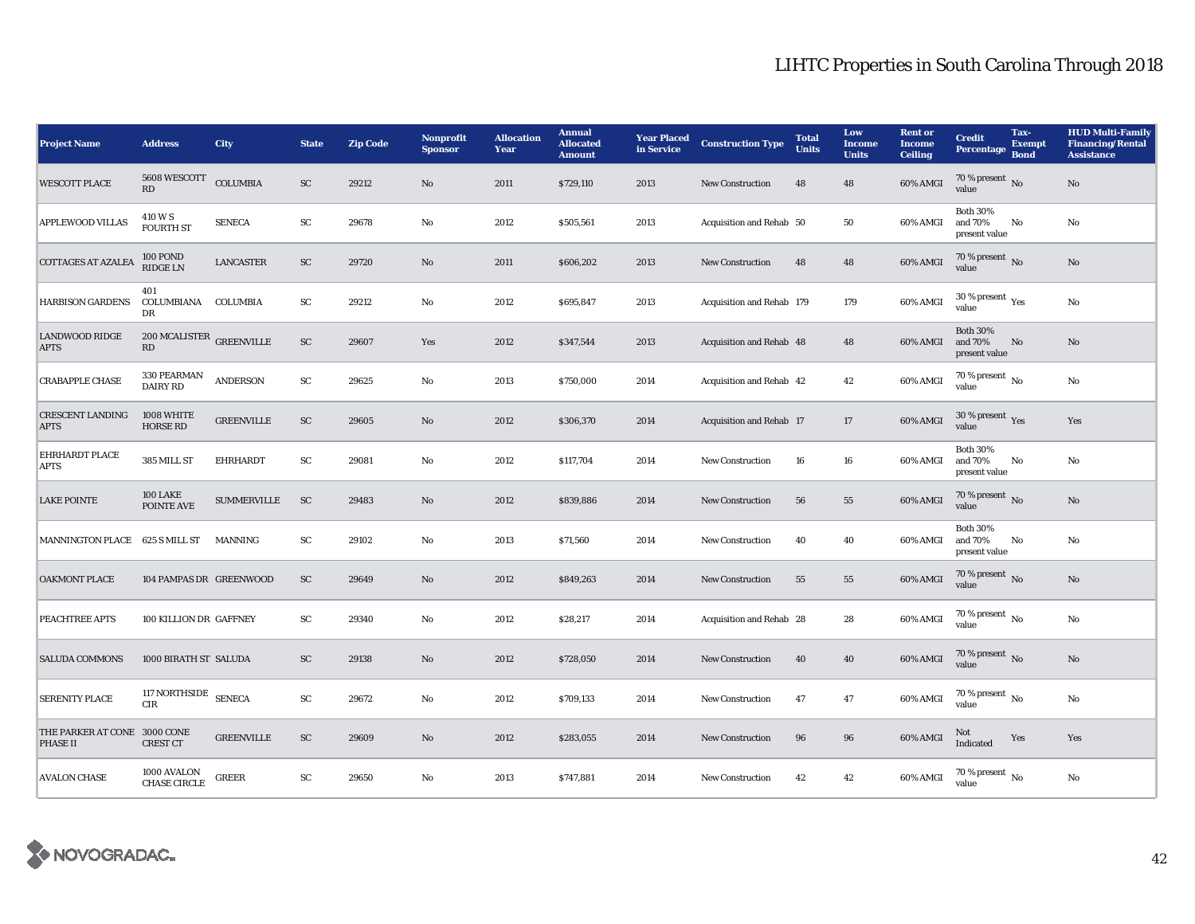| <b>Project Name</b>                             | <b>Address</b>                             | <b>City</b>        | <b>State</b> | <b>Zip Code</b> | Nonprofit<br><b>Sponsor</b> | <b>Allocation</b><br>Year | <b>Annual</b><br><b>Allocated</b><br><b>Amount</b> | <b>Year Placed</b><br>in Service | <b>Construction Type</b>  | <b>Total</b><br><b>Units</b> | Low<br><b>Income</b><br><b>Units</b> | <b>Rent</b> or<br><b>Income</b><br><b>Ceiling</b> | <b>Credit</b><br><b>Percentage</b>          | Tax-<br><b>Exempt</b><br><b>Bond</b> | <b>HUD Multi-Family</b><br><b>Financing/Rental</b><br><b>Assistance</b> |
|-------------------------------------------------|--------------------------------------------|--------------------|--------------|-----------------|-----------------------------|---------------------------|----------------------------------------------------|----------------------------------|---------------------------|------------------------------|--------------------------------------|---------------------------------------------------|---------------------------------------------|--------------------------------------|-------------------------------------------------------------------------|
| <b>WESCOTT PLACE</b>                            | 5608 WESCOTT<br>RD                         | <b>COLUMBIA</b>    | ${\rm SC}$   | 29212           | No                          | 2011                      | \$729,110                                          | 2013                             | <b>New Construction</b>   | 48                           | 48                                   | 60% AMGI                                          | 70 % present $\,$ No $\,$<br>value          |                                      | $\mathbf{N}\mathbf{o}$                                                  |
| <b>APPLEWOOD VILLAS</b>                         | 410 W S<br><b>FOURTH ST</b>                | <b>SENECA</b>      | SC           | 29678           | No                          | 2012                      | \$505,561                                          | 2013                             | Acquisition and Rehab 50  |                              | 50                                   | 60% AMGI                                          | <b>Both 30%</b><br>and 70%<br>present value | No                                   | No                                                                      |
| <b>COTTAGES AT AZALEA</b>                       | 100 POND<br><b>RIDGE LN</b>                | <b>LANCASTER</b>   | SC           | 29720           | No                          | 2011                      | \$606,202                                          | 2013                             | <b>New Construction</b>   | 48                           | 48                                   | 60% AMGI                                          | 70 % present $\overline{N_0}$<br>value      |                                      | $\rm No$                                                                |
| <b>HARBISON GARDENS</b>                         | 401<br>COLUMBIANA COLUMBIA<br>DR           |                    | SC           | 29212           | No                          | 2012                      | \$695,847                                          | 2013                             | Acquisition and Rehab 179 |                              | 179                                  | 60% AMGI                                          | 30 % present $\rm \gamma_{\rm es}$<br>value |                                      | No                                                                      |
| <b>LANDWOOD RIDGE</b><br><b>APTS</b>            | $200\ \mathrm{MCALISTER}$ GREENVILLE<br>RD |                    | ${\rm SC}$   | 29607           | Yes                         | 2012                      | \$347,544                                          | 2013                             | Acquisition and Rehab 48  |                              | 48                                   | 60% AMGI                                          | <b>Both 30%</b><br>and 70%<br>present value | No                                   | No                                                                      |
| <b>CRABAPPLE CHASE</b>                          | 330 PEARMAN<br><b>DAIRY RD</b>             | <b>ANDERSON</b>    | SC           | 29625           | No                          | 2013                      | \$750,000                                          | 2014                             | Acquisition and Rehab 42  |                              | 42                                   | 60% AMGI                                          | 70 % present $\,$ No $\,$<br>value          |                                      | $\rm No$                                                                |
| <b>CRESCENT LANDING</b><br><b>APTS</b>          | 1008 WHITE<br><b>HORSE RD</b>              | <b>GREENVILLE</b>  | ${\rm SC}$   | 29605           | No                          | 2012                      | \$306,370                                          | 2014                             | Acquisition and Rehab 17  |                              | 17                                   | 60% AMGI                                          | 30 % present $\gamma_{\rm{es}}$<br>value    |                                      | Yes                                                                     |
| <b>EHRHARDT PLACE</b><br><b>APTS</b>            | 385 MILL ST                                | <b>EHRHARDT</b>    | SC           | 29081           | No                          | 2012                      | \$117,704                                          | 2014                             | <b>New Construction</b>   | 16                           | 16                                   | 60% AMGI                                          | <b>Both 30%</b><br>and 70%<br>present value | No                                   | No                                                                      |
| <b>LAKE POINTE</b>                              | 100 LAKE<br>POINTE AVE                     | <b>SUMMERVILLE</b> | <b>SC</b>    | 29483           | No                          | 2012                      | \$839,886                                          | 2014                             | <b>New Construction</b>   | 56                           | ${\bf 55}$                           | 60% AMGI                                          | 70 % present $\overline{N_0}$<br>value      |                                      | No                                                                      |
| MANNINGTON PLACE 625 S MILL ST                  |                                            | <b>MANNING</b>     | ${\rm SC}$   | 29102           | No                          | 2013                      | \$71,560                                           | 2014                             | New Construction          | 40                           | 40                                   | 60% AMGI                                          | <b>Both 30%</b><br>and 70%<br>present value | No                                   | $\rm No$                                                                |
| <b>OAKMONT PLACE</b>                            | 104 PAMPAS DR GREENWOOD                    |                    | SC           | 29649           | No                          | 2012                      | \$849,263                                          | 2014                             | <b>New Construction</b>   | 55                           | 55                                   | 60% AMGI                                          | 70 % present $\,$ No $\,$<br>value          |                                      | No                                                                      |
| <b>PEACHTREE APTS</b>                           | 100 KILLION DR GAFFNEY                     |                    | SC           | 29340           | No                          | 2012                      | \$28,217                                           | 2014                             | Acquisition and Rehab 28  |                              | 28                                   | 60% AMGI                                          | 70 % present $\overline{N_0}$<br>value      |                                      | $\rm No$                                                                |
| <b>SALUDA COMMONS</b>                           | 1000 BIRATH ST SALUDA                      |                    | SC           | 29138           | No                          | 2012                      | \$728,050                                          | 2014                             | <b>New Construction</b>   | 40                           | 40                                   | 60% AMGI                                          | 70 % present $\,$ No $\,$<br>value          |                                      | No                                                                      |
| <b>SERENITY PLACE</b>                           | 117 NORTHSIDE<br><b>CIR</b>                | <b>SENECA</b>      | SC           | 29672           | No                          | 2012                      | \$709,133                                          | 2014                             | <b>New Construction</b>   | 47                           | 47                                   | 60% AMGI                                          | 70 % present $\,$ No $\,$<br>value          |                                      | No                                                                      |
| THE PARKER AT CONE 3000 CONE<br><b>PHASE II</b> | <b>CREST CT</b>                            | <b>GREENVILLE</b>  | SC           | 29609           | No                          | 2012                      | \$283,055                                          | 2014                             | <b>New Construction</b>   | 96                           | 96                                   | 60% AMGI                                          | Not<br><b>Indicated</b>                     | Yes                                  | Yes                                                                     |
| <b>AVALON CHASE</b>                             | 1000 AVALON<br><b>CHASE CIRCLE</b>         | <b>GREER</b>       | SC           | 29650           | No                          | 2013                      | \$747,881                                          | 2014                             | <b>New Construction</b>   | 42                           | 42                                   | 60% AMGI                                          | 70 % present $\overline{N_0}$<br>value      |                                      | No                                                                      |

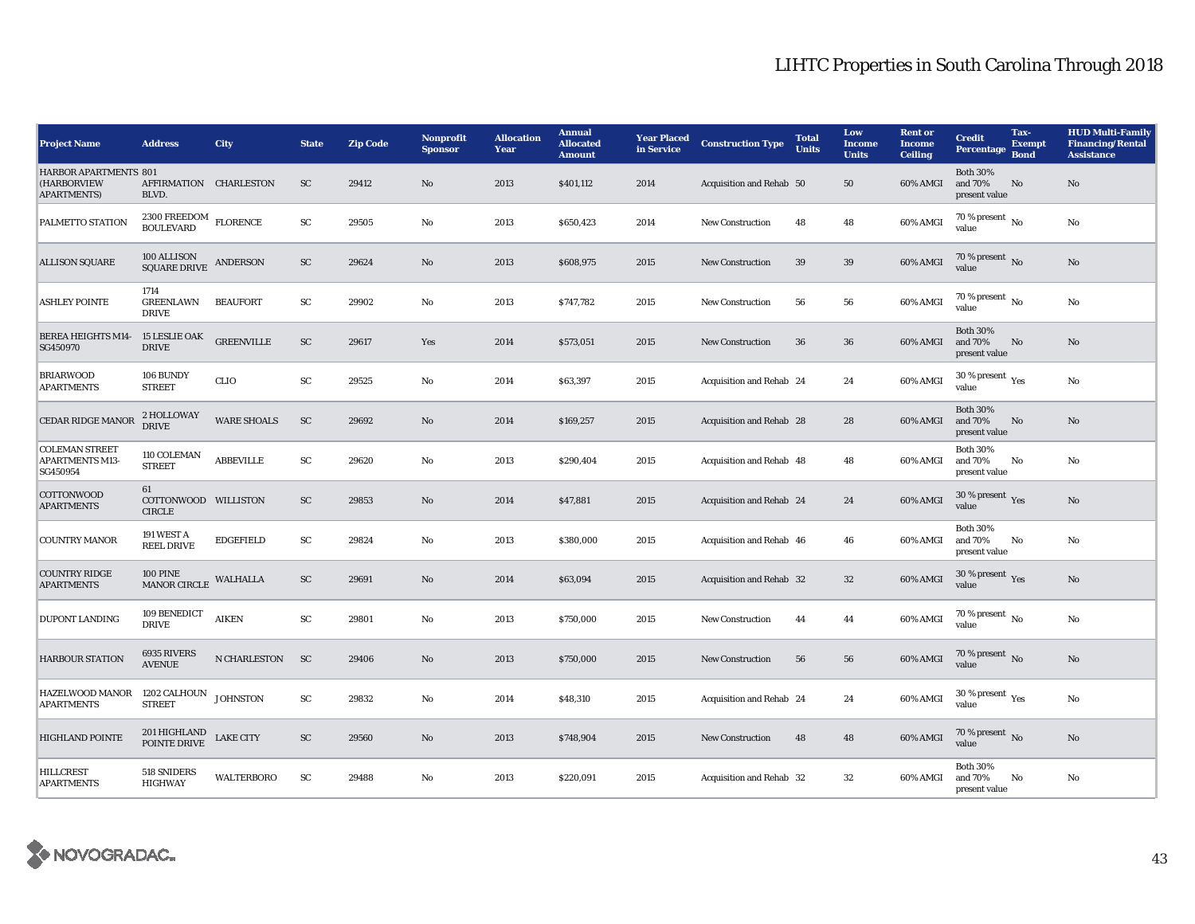| <b>Project Name</b>                                         | <b>Address</b>                                                                                                                                                               | City               | <b>State</b>  | <b>Zip Code</b> | <b>Nonprofit</b><br><b>Sponsor</b> | <b>Allocation</b><br>Year | <b>Annual</b><br><b>Allocated</b><br><b>Amount</b> | <b>Year Placed</b><br>in Service | <b>Construction Type</b> | <b>Total</b><br><b>Units</b> | Low<br><b>Income</b><br><b>Units</b> | <b>Rent or</b><br><b>Income</b><br><b>Ceiling</b> | <b>Credit</b><br><b>Percentage</b>             | Tax-<br><b>Exempt</b><br><b>Bond</b> | <b>HUD Multi-Family</b><br><b>Financing/Rental</b><br><b>Assistance</b> |
|-------------------------------------------------------------|------------------------------------------------------------------------------------------------------------------------------------------------------------------------------|--------------------|---------------|-----------------|------------------------------------|---------------------------|----------------------------------------------------|----------------------------------|--------------------------|------------------------------|--------------------------------------|---------------------------------------------------|------------------------------------------------|--------------------------------------|-------------------------------------------------------------------------|
| HARBOR APARTMENTS 801<br>(HARBORVIEW<br><b>APARTMENTS</b> ) | AFFIRMATION CHARLESTON<br>BLVD.                                                                                                                                              |                    | ${\rm SC}$    | 29412           | No                                 | 2013                      | \$401,112                                          | 2014                             | Acquisition and Rehab 50 |                              | 50                                   | 60% AMGI                                          | <b>Both 30%</b><br>and 70%<br>present value    | No                                   | $\rm No$                                                                |
| PALMETTO STATION                                            | $2300\ {\rm FREEDOM}$ $$\,$ FLORENCE BOULEVARD                                                                                                                               |                    | ${\rm SC}$    | 29505           | No                                 | 2013                      | \$650,423                                          | 2014                             | New Construction         | 48                           | 48                                   | 60% AMGI                                          | 70 % present $\,$ No $\,$<br>value             |                                      | No                                                                      |
| <b>ALLISON SQUARE</b>                                       | $\begin{tabular}{c} 100 ALLISON \\ SQUARE DRIVE \\ \end{tabular} \begin{tabular}{l} \end{tabular} \begin{tabular}{l} \multicolumn{2}{c}{\textbf{A}NDERSON} \\ \end{tabular}$ |                    | ${\rm SC}$    | 29624           | No                                 | 2013                      | \$608,975                                          | 2015                             | <b>New Construction</b>  | 39                           | 39                                   | 60% AMGI                                          | 70 % present No<br>value                       |                                      | No                                                                      |
| <b>ASHLEY POINTE</b>                                        | 1714<br><b>GREENLAWN</b><br><b>DRIVE</b>                                                                                                                                     | <b>BEAUFORT</b>    | SC            | 29902           | No                                 | 2013                      | \$747,782                                          | 2015                             | <b>New Construction</b>  | 56                           | 56                                   | 60% AMGI                                          | $70\%$ present $\overline{N_0}$<br>value       |                                      | $\rm No$                                                                |
| <b>BEREA HEIGHTS M14-</b><br>SG450970                       | <b>15 LESLIE OAK</b><br><b>DRIVE</b>                                                                                                                                         | <b>GREENVILLE</b>  | ${\rm SC}$    | 29617           | Yes                                | 2014                      | \$573,051                                          | 2015                             | <b>New Construction</b>  | 36                           | 36                                   | 60% AMGI                                          | <b>Both 30%</b><br>and 70%<br>present value    | No                                   | $\rm No$                                                                |
| <b>BRIARWOOD</b><br><b>APARTMENTS</b>                       | 106 BUNDY<br><b>STREET</b>                                                                                                                                                   | <b>CLIO</b>        | SC            | 29525           | No                                 | 2014                      | \$63,397                                           | 2015                             | Acquisition and Rehab 24 |                              | 24                                   | 60% AMGI                                          | 30 % present $\rm \gamma_{\rm es}$<br>value    |                                      | No                                                                      |
| <b>CEDAR RIDGE MANOR</b>                                    | 2 HOLLOWAY<br><b>DRIVE</b>                                                                                                                                                   | <b>WARE SHOALS</b> | ${\rm SC}$    | 29692           | No                                 | 2014                      | \$169,257                                          | 2015                             | Acquisition and Rehab 28 |                              | 28                                   | 60% AMGI                                          | <b>Both 30%</b><br>and 70%<br>present value    | No                                   | $\rm No$                                                                |
| <b>COLEMAN STREET</b><br><b>APARTMENTS M13-</b><br>SG450954 | 110 COLEMAN<br><b>STREET</b>                                                                                                                                                 | <b>ABBEVILLE</b>   | ${\rm SC}$    | 29620           | No                                 | 2013                      | \$290,404                                          | 2015                             | Acquisition and Rehab 48 |                              | 48                                   | 60% AMGI                                          | <b>Both 30%</b><br>and 70%<br>present value    | No                                   | $\rm No$                                                                |
| <b>COTTONWOOD</b><br><b>APARTMENTS</b>                      | 61<br>COTTONWOOD WILLISTON<br><b>CIRCLE</b>                                                                                                                                  |                    | SC            | 29853           | No                                 | 2014                      | \$47,881                                           | 2015                             | Acquisition and Rehab 24 |                              | 24                                   | 60% AMGI                                          | 30 % present $\sqrt{\gamma_{\rm PS}}$<br>value |                                      | No                                                                      |
| <b>COUNTRY MANOR</b>                                        | 191 WEST A<br><b>REEL DRIVE</b>                                                                                                                                              | <b>EDGEFIELD</b>   | SC            | 29824           | No                                 | 2013                      | \$380,000                                          | 2015                             | Acquisition and Rehab 46 |                              | 46                                   | 60% AMGI                                          | <b>Both 30%</b><br>and 70%<br>present value    | No                                   | No                                                                      |
| <b>COUNTRY RIDGE</b><br><b>APARTMENTS</b>                   | <b>100 PINE</b><br><b>MANOR CIRCLE</b>                                                                                                                                       | WALHALLA           | SC            | 29691           | No                                 | 2014                      | \$63,094                                           | 2015                             | Acquisition and Rehab 32 |                              | $32\,$                               | 60% AMGI                                          | 30 % present Yes<br>value                      |                                      | $\rm No$                                                                |
| <b>DUPONT LANDING</b>                                       | 109 BENEDICT<br><b>DRIVE</b>                                                                                                                                                 | <b>AIKEN</b>       | ${\rm SC}$    | 29801           | No                                 | 2013                      | \$750,000                                          | 2015                             | New Construction         | 44                           | 44                                   | 60% AMGI                                          | $70\%$ present $\overline{N_0}$<br>value       |                                      | No                                                                      |
| <b>HARBOUR STATION</b>                                      | 6935 RIVERS<br><b>AVENUE</b>                                                                                                                                                 | N CHARLESTON       | <sub>SC</sub> | 29406           | No                                 | 2013                      | \$750,000                                          | 2015                             | <b>New Construction</b>  | 56                           | 56                                   | 60% AMGI                                          | $70\,\%$ present $\,$ No value                 |                                      | No                                                                      |
| <b>HAZELWOOD MANOR</b><br><b>APARTMENTS</b>                 | 1202 CALHOUN<br><b>STREET</b>                                                                                                                                                | <b>JOHNSTON</b>    | SC            | 29832           | No                                 | 2014                      | \$48,310                                           | 2015                             | Acquisition and Rehab 24 |                              | 24                                   | 60% AMGI                                          | 30 % present $\rm\thinspace_{Yes}$<br>value    |                                      | $\rm No$                                                                |
| <b>HIGHLAND POINTE</b>                                      | 201 HIGHLAND<br>POINTE DRIVE                                                                                                                                                 | <b>LAKE CITY</b>   | SC            | 29560           | No                                 | 2013                      | \$748,904                                          | 2015                             | New Construction         | 48                           | 48                                   | 60% AMGI                                          | $70\%$ present No<br>value                     |                                      | $\rm No$                                                                |
| <b>HILLCREST</b><br><b>APARTMENTS</b>                       | 518 SNIDERS<br><b>HIGHWAY</b>                                                                                                                                                | <b>WALTERBORO</b>  | SC            | 29488           | No                                 | 2013                      | \$220,091                                          | 2015                             | Acquisition and Rehab 32 |                              | 32                                   | 60% AMGI                                          | <b>Both 30%</b><br>and 70%<br>present value    | No                                   | No                                                                      |

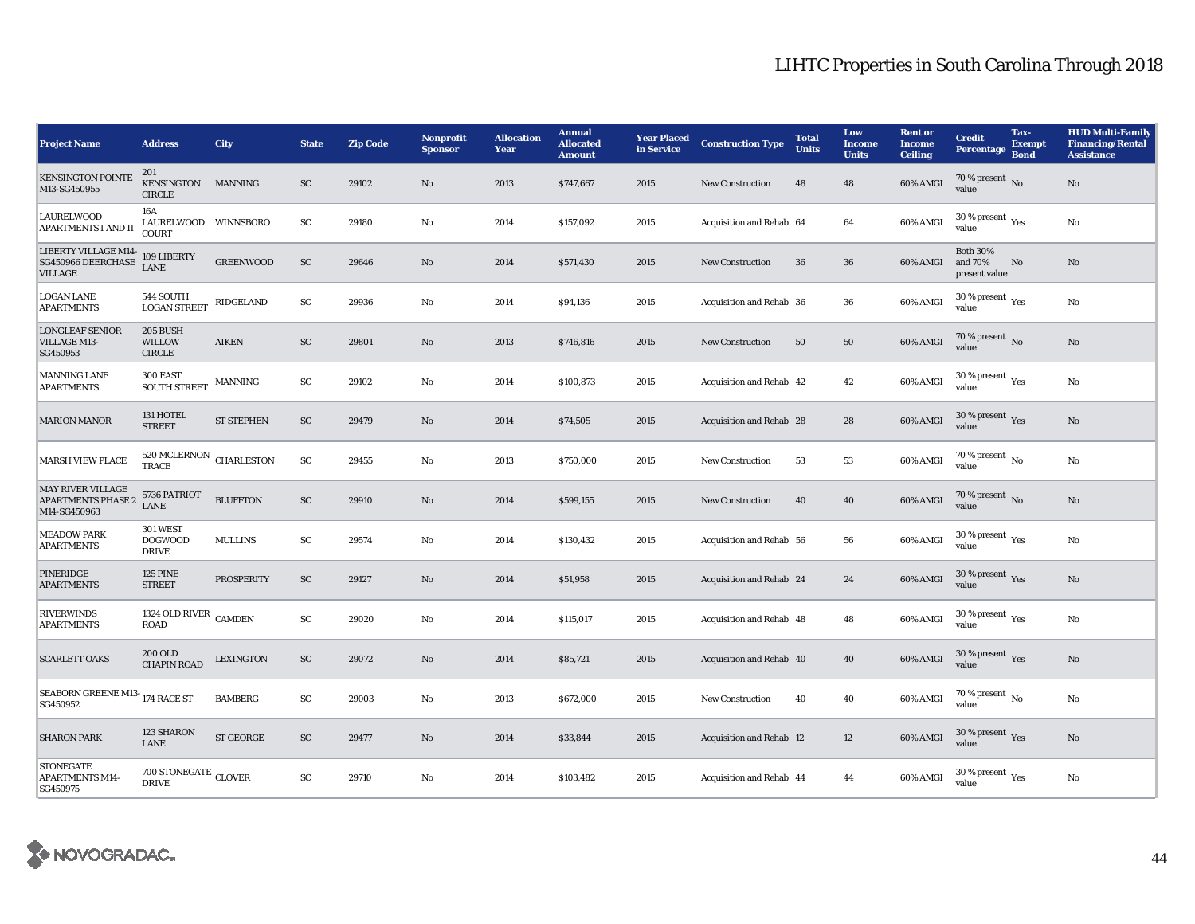| <b>Project Name</b>                                                   | <b>Address</b>                                    | City                     | <b>State</b> | Zip Code | Nonprofit<br><b>Sponsor</b> | <b>Allocation</b><br>Year | <b>Annual</b><br><b>Allocated</b><br><b>Amount</b> | <b>Year Placed</b><br>in Service | <b>Construction Type</b> | <b>Total</b><br><b>Units</b> | Low<br><b>Income</b><br><b>Units</b> | <b>Rent or</b><br><b>Income</b><br><b>Ceiling</b> | <b>Credit</b><br>Percentage                 | Tax-<br><b>Exempt</b><br><b>Bond</b> | <b>HUD Multi-Family</b><br><b>Financing/Rental</b><br><b>Assistance</b> |
|-----------------------------------------------------------------------|---------------------------------------------------|--------------------------|--------------|----------|-----------------------------|---------------------------|----------------------------------------------------|----------------------------------|--------------------------|------------------------------|--------------------------------------|---------------------------------------------------|---------------------------------------------|--------------------------------------|-------------------------------------------------------------------------|
| <b>KENSINGTON POINTE</b><br>M13-SG450955                              | 201<br>KENSINGTON MANNING<br><b>CIRCLE</b>        |                          | <b>SC</b>    | 29102    | No                          | 2013                      | \$747,667                                          | 2015                             | <b>New Construction</b>  | 48                           | 48                                   | 60% AMGI                                          | 70 % present $\overline{N_0}$<br>value      |                                      | $\mathbf{N}\mathbf{o}$                                                  |
| <b>LAURELWOOD</b><br><b>APARTMENTS I AND II</b>                       | 16A<br>LAURELWOOD WINNSBORO<br><b>COURT</b>       |                          | ${\rm SC}$   | 29180    | No                          | 2014                      | \$157,092                                          | 2015                             | Acquisition and Rehab 64 |                              | 64                                   | 60% AMGI                                          | $30$ % present $\,$ $\rm Yes$<br>value      |                                      | No                                                                      |
| LIBERTY VILLAGE M14-<br>SG450966 DEERCHASE<br><b>VILLAGE</b>          | 109 LIBERTY<br><b>LANE</b>                        | <b>GREENWOOD</b>         | ${\rm SC}$   | 29646    | No                          | 2014                      | \$571,430                                          | 2015                             | <b>New Construction</b>  | 36                           | 36                                   | 60% AMGI                                          | <b>Both 30%</b><br>and 70%<br>present value | No                                   | No                                                                      |
| <b>LOGAN LANE</b><br><b>APARTMENTS</b>                                | 544 SOUTH<br><b>LOGAN STREET</b>                  | RIDGELAND                | SC           | 29936    | No                          | 2014                      | \$94,136                                           | 2015                             | Acquisition and Rehab 36 |                              | 36                                   | 60% AMGI                                          | 30 % present $\rm \gamma_{\rm es}$<br>value |                                      | No                                                                      |
| <b>LONGLEAF SENIOR</b><br><b>VILLAGE M13-</b><br>SG450953             | 205 BUSH<br><b>WILLOW</b><br><b>CIRCLE</b>        | <b>AIKEN</b>             | ${\rm SC}$   | 29801    | No                          | 2013                      | \$746,816                                          | 2015                             | New Construction         | 50                           | ${\bf 50}$                           | 60% AMGI                                          | 70 % present $\,$ No $\,$<br>value          |                                      | $\mathbf{N}\mathbf{o}$                                                  |
| <b>MANNING LANE</b><br><b>APARTMENTS</b>                              | 300 EAST<br><b>SOUTH STREET</b>                   | $\operatorname{MANNING}$ | ${\rm SC}$   | 29102    | No                          | 2014                      | \$100,873                                          | 2015                             | Acquisition and Rehab 42 |                              | 42                                   | 60% AMGI                                          | $30$ % present $\,$ $\rm Yes$<br>value      |                                      | No                                                                      |
| <b>MARION MANOR</b>                                                   | 131 HOTEL<br><b>STREET</b>                        | <b>ST STEPHEN</b>        | <b>SC</b>    | 29479    | No                          | 2014                      | \$74,505                                           | 2015                             | Acquisition and Rehab 28 |                              | 28                                   | 60% AMGI                                          | 30 % present $Yes$<br>value                 |                                      | No                                                                      |
| <b>MARSH VIEW PLACE</b>                                               | 520 MCLERNON CHARLESTON<br>TRACE                  |                          | SC           | 29455    | No                          | 2013                      | \$750,000                                          | 2015                             | <b>New Construction</b>  | 53                           | 53                                   | 60% AMGI                                          | $70\%$ present $\overline{N_0}$<br>value    |                                      | No                                                                      |
| <b>MAY RIVER VILLAGE</b><br><b>APARTMENTS PHASE 2</b><br>M14-SG450963 | 5736 PATRIOT<br><b>LANE</b>                       | <b>BLUFFTON</b>          | ${\rm SC}$   | 29910    | No                          | 2014                      | \$599,155                                          | 2015                             | <b>New Construction</b>  | 40                           | 40                                   | 60% AMGI                                          | 70 % present $\overline{N_0}$<br>value      |                                      | $\mathbf{No}$                                                           |
| <b>MEADOW PARK</b><br><b>APARTMENTS</b>                               | <b>301 WEST</b><br><b>DOGWOOD</b><br><b>DRIVE</b> | <b>MULLINS</b>           | SC           | 29574    | No                          | 2014                      | \$130,432                                          | 2015                             | Acquisition and Rehab 56 |                              | 56                                   | 60% AMGI                                          | $30$ % present $\,$ $\rm Yes$<br>value      |                                      | No                                                                      |
| PINERIDGE<br><b>APARTMENTS</b>                                        | <b>125 PINE</b><br><b>STREET</b>                  | <b>PROSPERITY</b>        | SC           | 29127    | No                          | 2014                      | \$51,958                                           | 2015                             | Acquisition and Rehab 24 |                              | 24                                   | 60% AMGI                                          | 30 % present $\gamma_{\rm{es}}$<br>value    |                                      | No                                                                      |
| <b>RIVERWINDS</b><br><b>APARTMENTS</b>                                | 1324 OLD RIVER CAMDEN<br><b>ROAD</b>              |                          | ${\rm SC}$   | 29020    | No                          | 2014                      | \$115,017                                          | 2015                             | Acquisition and Rehab 48 |                              | 48                                   | 60% AMGI                                          | 30 % present $\rm \gamma_{\rm es}$<br>value |                                      | No                                                                      |
| <b>SCARLETT OAKS</b>                                                  | <b>200 OLD</b><br><b>CHAPIN ROAD</b>              | <b>LEXINGTON</b>         | <b>SC</b>    | 29072    | No                          | 2014                      | \$85,721                                           | 2015                             | Acquisition and Rehab 40 |                              | 40                                   | 60% AMGI                                          | $30\,\%$ present $\,$ Yes value             |                                      | $\mathbf{N}\mathbf{o}$                                                  |
| SEABORN GREENE M13-174 RACE ST<br>SG450952                            |                                                   | <b>BAMBERG</b>           | SC           | 29003    | No                          | 2013                      | \$672,000                                          | 2015                             | <b>New Construction</b>  | 40                           | 40                                   | 60% AMGI                                          | $70\%$ present $\overline{N_0}$<br>value    |                                      | No                                                                      |
| <b>SHARON PARK</b>                                                    | 123 SHARON<br>LANE                                | <b>ST GEORGE</b>         | SC           | 29477    | No                          | 2014                      | \$33,844                                           | 2015                             | Acquisition and Rehab 12 |                              | 12                                   | 60% AMGI                                          | 30 % present $\gamma_{\rm{es}}$<br>value    |                                      | No                                                                      |
| <b>STONEGATE</b><br><b>APARTMENTS M14-</b><br>SG450975                | $700$ STONEGATE $_{\rm CLOVER}$<br><b>DRIVE</b>   |                          | SC           | 29710    | No                          | 2014                      | \$103,482                                          | 2015                             | Acquisition and Rehab 44 |                              | 44                                   | $60\%$ AMGI                                       | 30 % present $\gamma_{\rm{es}}$<br>value    |                                      | No                                                                      |

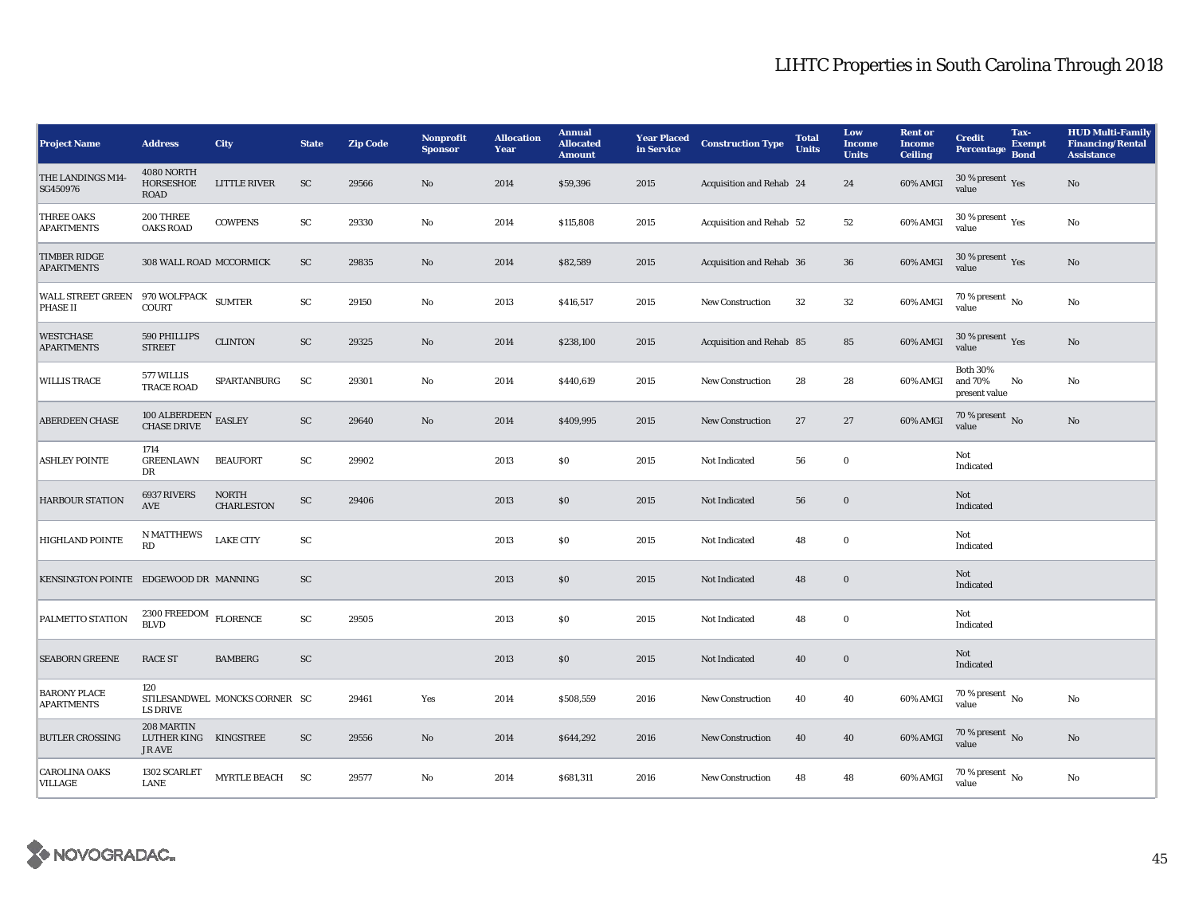| <b>Project Name</b>                               | <b>Address</b>                                       | <b>City</b>                       | <b>State</b> | <b>Zip Code</b> | Nonprofit<br><b>Sponsor</b> | <b>Allocation</b><br>Year | <b>Annual</b><br><b>Allocated</b><br><b>Amount</b> | <b>Year Placed<br/>in Service</b> | <b>Construction Type</b> | <b>Total</b><br><b>Units</b> | Low<br><b>Income</b><br><b>Units</b> | <b>Rent or</b><br><b>Income</b><br><b>Ceiling</b> | <b>Credit</b><br>Percentage                    | Tax-<br><b>Exempt</b><br><b>Bond</b> | <b>HUD Multi-Family</b><br><b>Financing/Rental</b><br><b>Assistance</b> |
|---------------------------------------------------|------------------------------------------------------|-----------------------------------|--------------|-----------------|-----------------------------|---------------------------|----------------------------------------------------|-----------------------------------|--------------------------|------------------------------|--------------------------------------|---------------------------------------------------|------------------------------------------------|--------------------------------------|-------------------------------------------------------------------------|
| THE LANDINGS M14-<br>SG450976                     | 4080 NORTH<br>HORSESHOE<br><b>ROAD</b>               | <b>LITTLE RIVER</b>               | SC           | 29566           | No                          | 2014                      | \$59,396                                           | 2015                              | Acquisition and Rehab 24 |                              | 24                                   | 60% AMGI                                          | $30\,\%$ present $\,$ Yes value                |                                      | No                                                                      |
| <b>THREE OAKS</b><br><b>APARTMENTS</b>            | 200 THREE<br><b>OAKS ROAD</b>                        | <b>COWPENS</b>                    | ${\rm SC}$   | 29330           | No                          | 2014                      | \$115,808                                          | 2015                              | Acquisition and Rehab 52 |                              | $^{\rm 52}$                          | 60% AMGI                                          | 30 % present $\rm \gamma_{\rm es}$<br>value    |                                      | $\mathbf{N}\mathbf{o}$                                                  |
| <b>TIMBER RIDGE</b><br><b>APARTMENTS</b>          | 308 WALL ROAD MCCORMICK                              |                                   | SC           | 29835           | No                          | 2014                      | \$82,589                                           | 2015                              | Acquisition and Rehab 36 |                              | 36                                   | 60% AMGI                                          | 30 % present Yes<br>value                      |                                      | No                                                                      |
| WALL STREET GREEN 970 WOLFPACK SUMTER<br>PHASE II | <b>COURT</b>                                         |                                   | SC           | 29150           | No                          | 2013                      | \$416,517                                          | 2015                              | New Construction         | 32                           | $32\,$                               | 60% AMGI                                          | $70\%$ present $\overline{N_0}$<br>value       |                                      | No                                                                      |
| <b>WESTCHASE</b><br><b>APARTMENTS</b>             | 590 PHILLIPS<br><b>STREET</b>                        | <b>CLINTON</b>                    | ${\rm SC}$   | 29325           | $\mathbf{No}$               | 2014                      | \$238,100                                          | 2015                              | Acquisition and Rehab 85 |                              | 85                                   | 60% AMGI                                          | 30 % present $\sqrt{\gamma_{\rm PS}}$<br>value |                                      | No                                                                      |
| <b>WILLIS TRACE</b>                               | 577 WILLIS<br><b>TRACE ROAD</b>                      | SPARTANBURG                       | SC           | 29301           | No                          | 2014                      | \$440,619                                          | 2015                              | New Construction         | 28                           | 28                                   | 60% AMGI                                          | <b>Both 30%</b><br>and 70%<br>present value    | No                                   | No                                                                      |
| <b>ABERDEEN CHASE</b>                             | $100$ ALBERDEEN ${\rm EASLEY}$ CHASE DRIVE           |                                   | ${\rm SC}$   | 29640           | No                          | 2014                      | \$409,995                                          | 2015                              | <b>New Construction</b>  | 27                           | 27                                   | 60% AMGI                                          | 70 % present $\,$ No $\,$<br>value             |                                      | No                                                                      |
| <b>ASHLEY POINTE</b>                              | 1714<br><b>GREENLAWN</b><br>DR                       | <b>BEAUFORT</b>                   | ${\rm SC}$   | 29902           |                             | 2013                      | \$0                                                | 2015                              | Not Indicated            | 56                           | $\bf{0}$                             |                                                   | Not<br>Indicated                               |                                      |                                                                         |
| <b>HARBOUR STATION</b>                            | 6937 RIVERS<br>$\operatorname{AVE}$                  | <b>NORTH</b><br><b>CHARLESTON</b> | ${\rm SC}$   | 29406           |                             | 2013                      | \$0                                                | 2015                              | Not Indicated            | 56                           | $\mathbf 0$                          |                                                   | Not<br>Indicated                               |                                      |                                                                         |
| <b>HIGHLAND POINTE</b>                            | <b>N MATTHEWS</b><br>RD                              | <b>LAKE CITY</b>                  | ${\rm SC}$   |                 |                             | 2013                      | $\$0$                                              | 2015                              | Not Indicated            | 48                           | $\bf{0}$                             |                                                   | Not<br>Indicated                               |                                      |                                                                         |
| KENSINGTON POINTE EDGEWOOD DR MANNING             |                                                      |                                   | SC           |                 |                             | 2013                      | $\$0$                                              | 2015                              | Not Indicated            | 48                           | $\mathbf 0$                          |                                                   | Not<br>Indicated                               |                                      |                                                                         |
| PALMETTO STATION                                  | 2300 FREEDOM<br><b>BLVD</b>                          | <b>FLORENCE</b>                   | SC           | 29505           |                             | 2013                      | S <sub>0</sub>                                     | 2015                              | Not Indicated            | 48                           | $\bf{0}$                             |                                                   | Not<br>Indicated                               |                                      |                                                                         |
| <b>SEABORN GREENE</b>                             | <b>RACE ST</b>                                       | <b>BAMBERG</b>                    | ${\rm SC}$   |                 |                             | 2013                      | $\$0$                                              | 2015                              | Not Indicated            | 40                           | $\bf{0}$                             |                                                   | Not<br>Indicated                               |                                      |                                                                         |
| <b>BARONY PLACE</b><br><b>APARTMENTS</b>          | 120<br>LS DRIVE                                      | STILESANDWEL MONCKS CORNER SC     |              | 29461           | Yes                         | 2014                      | \$508,559                                          | 2016                              | <b>New Construction</b>  | 40                           | 40                                   | 60% AMGI                                          | $70\%$ present $\overline{N_0}$<br>value       |                                      | No                                                                      |
| <b>BUTLER CROSSING</b>                            | 208 MARTIN<br>LUTHER KING KINGSTREE<br><b>JR AVE</b> |                                   | <b>SC</b>    | 29556           | No                          | 2014                      | \$644,292                                          | 2016                              | <b>New Construction</b>  | 40                           | 40                                   | 60% AMGI                                          | 70 % present $\,$ No $\,$<br>value             |                                      | No                                                                      |
| <b>CAROLINA OAKS</b><br>VILLAGE                   | 1302 SCARLET<br>LANE                                 | MYRTLE BEACH SC                   |              | 29577           | No                          | 2014                      | \$681,311                                          | 2016                              | <b>New Construction</b>  | 48                           | 48                                   | 60% AMGI                                          | 70 % present $\overline{N_0}$<br>value         |                                      | No                                                                      |

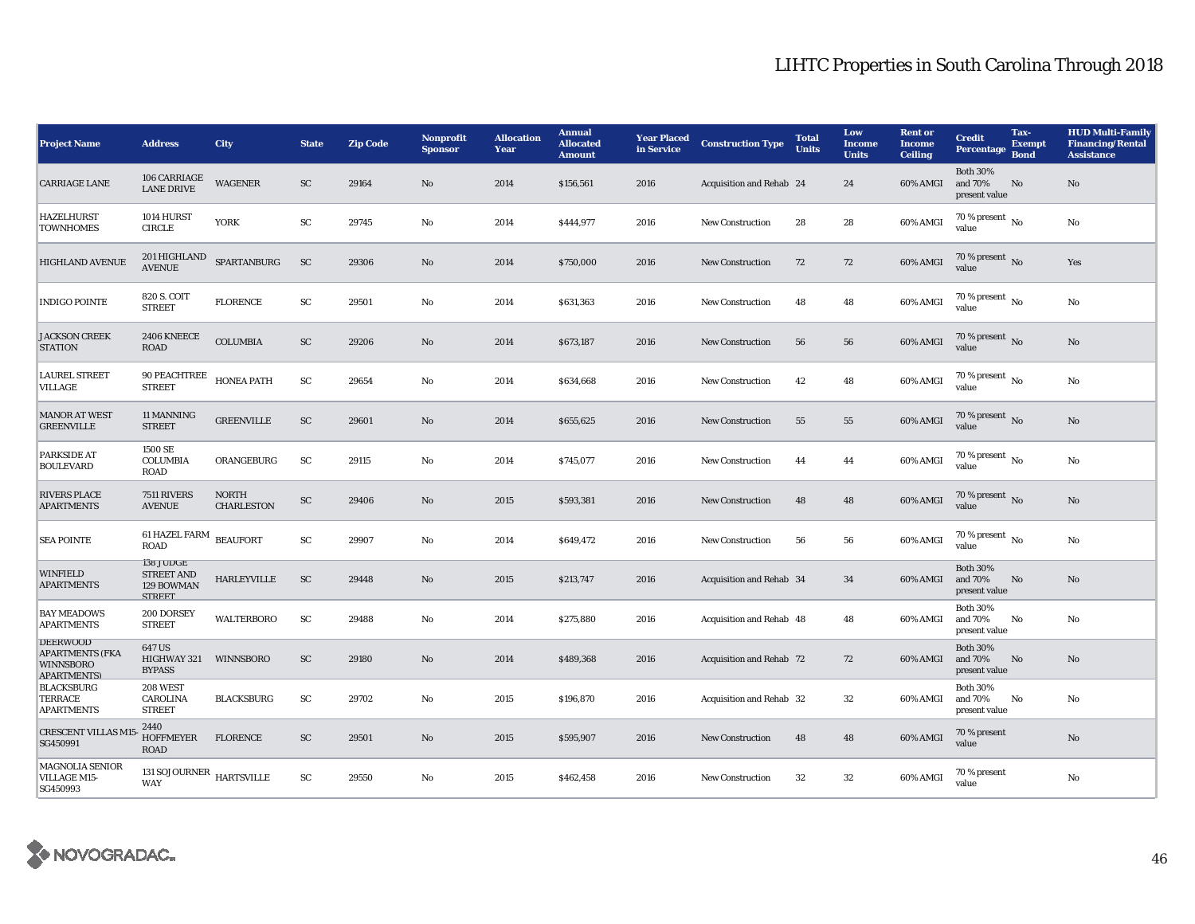| <b>Project Name</b>                                                                 | <b>Address</b>                                                | City                              | <b>State</b> | <b>Zip Code</b> | Nonprofit<br><b>Sponsor</b> | <b>Allocation</b><br>Year | <b>Annual</b><br><b>Allocated</b><br><b>Amount</b> | <b>Year Placed</b><br>in Service | <b>Construction Type</b>        | <b>Total</b><br><b>Units</b> | Low<br><b>Income</b><br><b>Units</b> | <b>Rent or</b><br><b>Income</b><br><b>Ceiling</b> | <b>Credit</b><br><b>Percentage</b>          | Tax-<br><b>Exempt</b><br><b>Bond</b> | <b>HUD Multi-Family</b><br><b>Financing/Rental</b><br><b>Assistance</b> |
|-------------------------------------------------------------------------------------|---------------------------------------------------------------|-----------------------------------|--------------|-----------------|-----------------------------|---------------------------|----------------------------------------------------|----------------------------------|---------------------------------|------------------------------|--------------------------------------|---------------------------------------------------|---------------------------------------------|--------------------------------------|-------------------------------------------------------------------------|
| <b>CARRIAGE LANE</b>                                                                | 106 CARRIAGE<br><b>LANE DRIVE</b>                             | <b>WAGENER</b>                    | SC           | 29164           | No                          | 2014                      | \$156,561                                          | 2016                             | Acquisition and Rehab 24        |                              | 24                                   | 60% AMGI                                          | <b>Both 30%</b><br>and 70%<br>present value | No                                   | No                                                                      |
| <b>HAZELHURST</b><br><b>TOWNHOMES</b>                                               | 1014 HURST<br><b>CIRCLE</b>                                   | <b>YORK</b>                       | ${\rm SC}$   | 29745           | No                          | 2014                      | \$444,977                                          | 2016                             | New Construction                | 28                           | 28                                   | 60% AMGI                                          | 70 % present $\overline{N_0}$<br>value      |                                      | No                                                                      |
| <b>HIGHLAND AVENUE</b>                                                              | 201 HIGHLAND<br>AVENUE                                        | SPARTANBURG                       | <b>SC</b>    | 29306           | No                          | 2014                      | \$750,000                                          | 2016                             | <b>New Construction</b>         | 72                           | 72                                   | 60% AMGI                                          | 70 % present No<br>value                    |                                      | Yes                                                                     |
| <b>INDIGO POINTE</b>                                                                | 820 S. COIT<br><b>STREET</b>                                  | <b>FLORENCE</b>                   | SC           | 29501           | No                          | 2014                      | \$631,363                                          | 2016                             | <b>New Construction</b>         | 48                           | 48                                   | 60% AMGI                                          | 70 % present $\overline{N_0}$<br>value      |                                      | No                                                                      |
| <b>JACKSON CREEK</b><br><b>STATION</b>                                              | 2406 KNEECE<br>ROAD                                           | <b>COLUMBIA</b>                   | SC           | 29206           | $\mathbf{N}\mathbf{o}$      | 2014                      | \$673,187                                          | 2016                             | <b>New Construction</b>         | 56                           | 56                                   | 60% AMGI                                          | 70 % present $\,$ No $\,$<br>value          |                                      | No                                                                      |
| <b>LAUREL STREET</b><br>VILLAGE                                                     | 90 PEACHTREE<br><b>STREET</b>                                 | <b>HONEA PATH</b>                 | ${\rm SC}$   | 29654           | No                          | 2014                      | \$634,668                                          | 2016                             | <b>New Construction</b>         | 42                           | 48                                   | 60% AMGI                                          | 70 % present $\overline{N_0}$<br>value      |                                      | No                                                                      |
| <b>MANOR AT WEST</b><br><b>GREENVILLE</b>                                           | 11 MANNING<br><b>STREET</b>                                   | <b>GREENVILLE</b>                 | ${\rm SC}$   | 29601           | No                          | 2014                      | \$655,625                                          | 2016                             | New Construction                | 55                           | 55                                   | 60% AMGI                                          | 70 % present $\,$ No $\,$<br>value          |                                      | No                                                                      |
| PARKSIDE AT<br><b>BOULEVARD</b>                                                     | 1500 SE<br><b>COLUMBIA</b><br><b>ROAD</b>                     | ORANGEBURG                        | SC           | 29115           | No                          | 2014                      | \$745,077                                          | 2016                             | <b>New Construction</b>         | 44                           | 44                                   | 60% AMGI                                          | 70 % present $\overline{N_0}$<br>value      |                                      | No                                                                      |
| <b>RIVERS PLACE</b><br><b>APARTMENTS</b>                                            | 7511 RIVERS<br><b>AVENUE</b>                                  | <b>NORTH</b><br><b>CHARLESTON</b> | ${\rm SC}$   | 29406           | No                          | 2015                      | \$593,381                                          | 2016                             | <b>New Construction</b>         | 48                           | 48                                   | 60% AMGI                                          | 70 % present No<br>value                    |                                      | No                                                                      |
| <b>SEA POINTE</b>                                                                   | 61 HAZEL FARM<br><b>ROAD</b>                                  | <b>BEAUFORT</b>                   | ${\rm SC}$   | 29907           | No                          | 2014                      | \$649,472                                          | 2016                             | <b>New Construction</b>         | 56                           | 56                                   | 60% AMGI                                          | 70 % present $\,$ No $\,$<br>value          |                                      | No                                                                      |
| <b>WINFIELD</b><br><b>APARTMENTS</b>                                                | 138 JUDGE<br><b>STREET AND</b><br>129 BOWMAN<br><b>STREET</b> | HARLEYVILLE                       | SC           | 29448           | No                          | 2015                      | \$213,747                                          | 2016                             | Acquisition and Rehab 34        |                              | 34                                   | 60% AMGI                                          | <b>Both 30%</b><br>and 70%<br>present value | No                                   | No                                                                      |
| <b>BAY MEADOWS</b><br><b>APARTMENTS</b>                                             | 200 DORSEY<br><b>STREET</b>                                   | <b>WALTERBORO</b>                 | SC           | 29488           | No                          | 2014                      | \$275,880                                          | 2016                             | Acquisition and Rehab 48        |                              | 48                                   | 60% AMGI                                          | <b>Both 30%</b><br>and 70%<br>present value | No                                   | No                                                                      |
| <b>DEERWOOD</b><br><b>APARTMENTS (FKA</b><br><b>WINNSBORO</b><br><b>APARTMENTS)</b> | 647 US<br>HIGHWAY 321<br><b>BYPASS</b>                        | <b>WINNSBORO</b>                  | <b>SC</b>    | 29180           | No                          | 2014                      | \$489,368                                          | 2016                             | <b>Acquisition and Rehab 72</b> |                              | 72                                   | 60% AMGI                                          | <b>Both 30%</b><br>and 70%<br>present value | No                                   | No                                                                      |
| <b>BLACKSBURG</b><br><b>TERRACE</b><br><b>APARTMENTS</b>                            | 208 WEST<br>CAROLINA<br><b>STREET</b>                         | <b>BLACKSBURG</b>                 | SC           | 29702           | No                          | 2015                      | \$196,870                                          | 2016                             | Acquisition and Rehab 32        |                              | $32\,$                               | 60% AMGI                                          | <b>Both 30%</b><br>and 70%<br>present value | No                                   | No                                                                      |
| <b>CRESCENT VILLAS M1</b><br>SG450991                                               | 2440<br><b>HOFFMEYER</b><br><b>ROAD</b>                       | <b>FLORENCE</b>                   | SC           | 29501           | No                          | 2015                      | \$595,907                                          | 2016                             | <b>New Construction</b>         | 48                           | 48                                   | 60% AMGI                                          | 70 % present<br>value                       |                                      | No                                                                      |
| <b>MAGNOLIA SENIOR</b><br>VILLAGE M15-<br>SG450993                                  | 131 SOJOURNER $$\tt HARTSVILLE$$<br><b>WAY</b>                |                                   | SC           | 29550           | No                          | 2015                      | \$462,458                                          | 2016                             | <b>New Construction</b>         | 32                           | $32\,$                               | 60% AMGI                                          | 70 % present<br>value                       |                                      | No                                                                      |

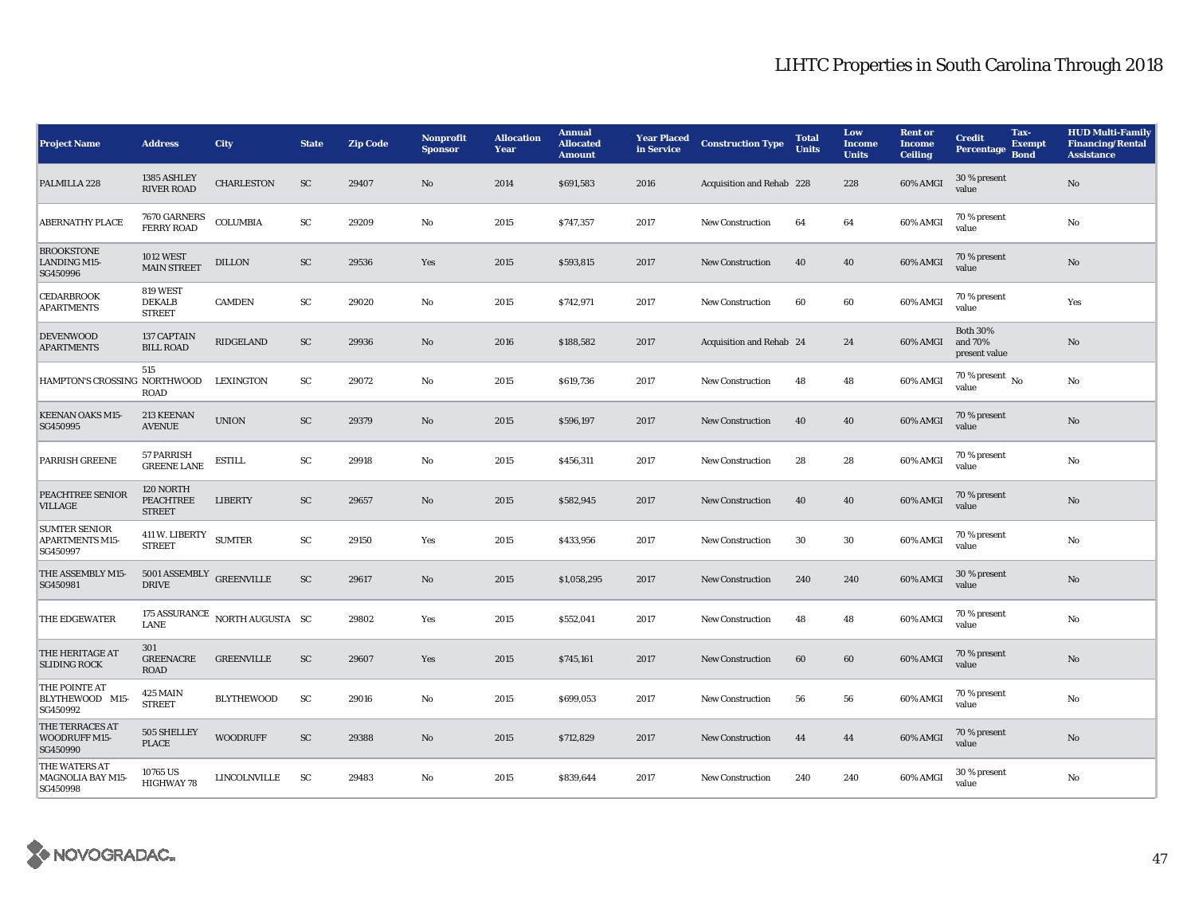| <b>Project Name</b>                                        | <b>Address</b>                                       | City                           | <b>State</b>            | <b>Zip Code</b> | Nonprofit<br><b>Sponsor</b> | <b>Allocation</b><br>Year | <b>Annual</b><br><b>Allocated</b><br><b>Amount</b> | <b>Year Placed</b><br>in Service | <b>Construction Type</b>  | <b>Total</b><br><b>Units</b> | Low<br><b>Income</b><br><b>Units</b> | <b>Rent or</b><br><b>Income</b><br><b>Ceiling</b> | Tax-<br><b>Credit</b><br><b>Exempt</b><br><b>Percentage</b><br><b>Bond</b> | <b>HUD Multi-Family</b><br><b>Financing/Rental</b><br><b>Assistance</b> |
|------------------------------------------------------------|------------------------------------------------------|--------------------------------|-------------------------|-----------------|-----------------------------|---------------------------|----------------------------------------------------|----------------------------------|---------------------------|------------------------------|--------------------------------------|---------------------------------------------------|----------------------------------------------------------------------------|-------------------------------------------------------------------------|
| PALMILLA 228                                               | 1385 ASHLEY<br><b>RIVER ROAD</b>                     | <b>CHARLESTON</b>              | SC                      | 29407           | No                          | 2014                      | \$691,583                                          | 2016                             | Acquisition and Rehab 228 |                              | 228                                  | 60% AMGI                                          | 30 % present<br>value                                                      | $\rm No$                                                                |
| <b>ABERNATHY PLACE</b>                                     | 7670 GARNERS<br><b>FERRY ROAD</b>                    | <b>COLUMBIA</b>                | SC                      | 29209           | No                          | 2015                      | \$747,357                                          | 2017                             | New Construction          | 64                           | 64                                   | 60% AMGI                                          | 70 % present<br>value                                                      | No                                                                      |
| <b>BROOKSTONE</b><br>LANDING M15-<br>SG450996              | <b>1012 WEST</b><br><b>MAIN STREET</b>               | <b>DILLON</b>                  | SC                      | 29536           | Yes                         | 2015                      | \$593,815                                          | 2017                             | <b>New Construction</b>   | 40                           | 40                                   | 60% AMGI                                          | 70 % present<br>value                                                      | No                                                                      |
| <b>CEDARBROOK</b><br><b>APARTMENTS</b>                     | 819 WEST<br><b>DEKALB</b><br><b>STREET</b>           | <b>CAMDEN</b>                  | SC                      | 29020           | No                          | 2015                      | \$742,971                                          | 2017                             | <b>New Construction</b>   | 60                           | 60                                   | 60% AMGI                                          | 70 % present<br>value                                                      | Yes                                                                     |
| <b>DEVENWOOD</b><br><b>APARTMENTS</b>                      | 137 CAPTAIN<br><b>BILL ROAD</b>                      | RIDGELAND                      | ${\rm SC}$              | 29936           | No                          | 2016                      | \$188,582                                          | 2017                             | Acquisition and Rehab 24  |                              | 24                                   | 60% AMGI                                          | <b>Both 30%</b><br>and 70%<br>present value                                | $\mathbf{No}$                                                           |
| HAMPTON'S CROSSING NORTHWOOD                               | 515<br><b>ROAD</b>                                   | <b>LEXINGTON</b>               | SC                      | 29072           | $\mathbf{N}\mathbf{o}$      | 2015                      | \$619,736                                          | 2017                             | <b>New Construction</b>   | 48                           | 48                                   | 60% AMGI                                          | 70 % present $\overline{N_0}$<br>value                                     | No                                                                      |
| <b>KEENAN OAKS M15-</b><br>SG450995                        | 213 KEENAN<br><b>AVENUE</b>                          | <b>UNION</b>                   | $\mathbf{S} \mathbf{C}$ | 29379           | No                          | 2015                      | \$596,197                                          | 2017                             | <b>New Construction</b>   | 40                           | 40                                   | 60% AMGI                                          | 70 % present<br>value                                                      | No                                                                      |
| <b>PARRISH GREENE</b>                                      | 57 PARRISH<br><b>GREENE LANE</b>                     | <b>ESTILL</b>                  | SC                      | 29918           | No                          | 2015                      | \$456,311                                          | 2017                             | <b>New Construction</b>   | 28                           | 28                                   | 60% AMGI                                          | 70 % present<br>value                                                      | No                                                                      |
| PEACHTREE SENIOR<br><b>VILLAGE</b>                         | 120 NORTH<br><b>PEACHTREE</b><br><b>STREET</b>       | <b>LIBERTY</b>                 | ${\rm SC}$              | 29657           | No                          | 2015                      | \$582,945                                          | 2017                             | <b>New Construction</b>   | 40                           | 40                                   | 60% AMGI                                          | 70 % present<br>value                                                      | No                                                                      |
| <b>SUMTER SENIOR</b><br><b>APARTMENTS M15-</b><br>SG450997 | 411 W. LIBERTY<br><b>STREET</b>                      | <b>SUMTER</b>                  | ${\bf SC}$              | 29150           | Yes                         | 2015                      | \$433,956                                          | 2017                             | <b>New Construction</b>   | 30                           | $30\,$                               | 60% AMGI                                          | 70 % present<br>value                                                      | $\rm No$                                                                |
| THE ASSEMBLY M15-<br>SG450981                              | $5001\,\mathrm{ASSEMBLY}$ GREENVILLE<br><b>DRIVE</b> |                                | SC                      | 29617           | $\mathbf{N}\mathbf{o}$      | 2015                      | \$1,058,295                                        | 2017                             | <b>New Construction</b>   | 240                          | 240                                  | 60% AMGI                                          | 30 % present<br>value                                                      | $\mathbf{No}$                                                           |
| THE EDGEWATER                                              | LANE                                                 | 175 ASSURANCE NORTH AUGUSTA SC |                         | 29802           | Yes                         | 2015                      | \$552,041                                          | 2017                             | New Construction          | 48                           | 48                                   | 60% AMGI                                          | 70 % present<br>value                                                      | No                                                                      |
| THE HERITAGE AT<br><b>SLIDING ROCK</b>                     | 301<br><b>GREENACRE</b><br><b>ROAD</b>               | <b>GREENVILLE</b>              | <b>SC</b>               | 29607           | Yes                         | 2015                      | \$745,161                                          | 2017                             | <b>New Construction</b>   | 60                           | 60                                   | 60% AMGI                                          | 70 % present<br>value                                                      | No                                                                      |
| THE POINTE AT<br>BLYTHEWOOD M15-<br>SG450992               | 425 MAIN<br><b>STREET</b>                            | <b>BLYTHEWOOD</b>              | SC                      | 29016           | $\mathbf{N}\mathbf{o}$      | 2015                      | \$699,053                                          | 2017                             | New Construction          | 56                           | 56                                   | 60% AMGI                                          | 70 % present<br>value                                                      | No                                                                      |
| THE TERRACES AT<br>WOODRUFF M15-<br>SG450990               | 505 SHELLEY<br><b>PLACE</b>                          | <b>WOODRUFF</b>                | ${\rm SC}$              | 29388           | No                          | 2015                      | \$712,829                                          | 2017                             | <b>New Construction</b>   | 44                           | 44                                   | 60% AMGI                                          | 70 % present<br>value                                                      | No                                                                      |
| THE WATERS AT<br><b>MAGNOLIA BAY M15-</b><br>SG450998      | 10765 US<br>HIGHWAY 78                               | LINCOLNVILLE                   | SC                      | 29483           | No                          | 2015                      | \$839,644                                          | 2017                             | <b>New Construction</b>   | 240                          | 240                                  | 60% AMGI                                          | 30 % present<br>value                                                      | No                                                                      |

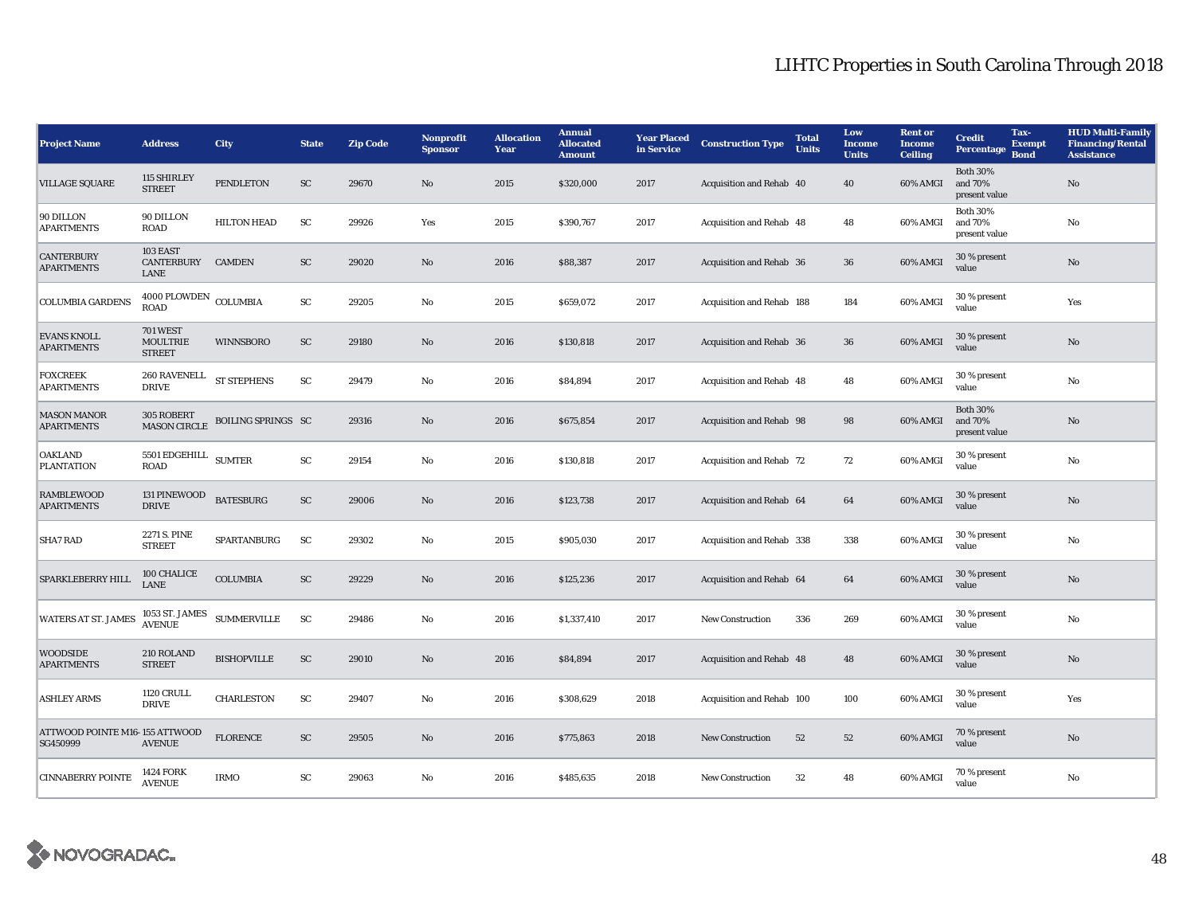| <b>Project Name</b>                        | <b>Address</b>                                      | City                      | <b>State</b>            | <b>Zip Code</b> | Nonprofit<br><b>Sponsor</b> | <b>Allocation</b><br>Year | <b>Annual</b><br><b>Allocated</b><br><b>Amount</b> | <b>Year Placed</b><br>in Service | <b>Construction Type</b>  | <b>Total</b><br><b>Units</b> | Low<br><b>Income</b><br><b>Units</b> | <b>Rent or</b><br><b>Income</b><br><b>Ceiling</b> | Tax-<br><b>Credit</b><br><b>Exempt</b><br><b>Percentage</b><br><b>Bond</b> | <b>HUD Multi-Family</b><br><b>Financing/Rental</b><br><b>Assistance</b> |
|--------------------------------------------|-----------------------------------------------------|---------------------------|-------------------------|-----------------|-----------------------------|---------------------------|----------------------------------------------------|----------------------------------|---------------------------|------------------------------|--------------------------------------|---------------------------------------------------|----------------------------------------------------------------------------|-------------------------------------------------------------------------|
| <b>VILLAGE SQUARE</b>                      | 115 SHIRLEY<br><b>STREET</b>                        | <b>PENDLETON</b>          | ${\rm SC}$              | 29670           | No                          | 2015                      | \$320,000                                          | 2017                             | Acquisition and Rehab 40  |                              | 40                                   | 60% AMGI                                          | <b>Both 30%</b><br>and 70%<br>present value                                | $\rm No$                                                                |
| 90 DILLON<br><b>APARTMENTS</b>             | 90 DILLON<br>ROAD                                   | <b>HILTON HEAD</b>        | SC                      | 29926           | Yes                         | 2015                      | \$390,767                                          | 2017                             | Acquisition and Rehab 48  |                              | 48                                   | 60% AMGI                                          | <b>Both 30%</b><br>and 70%<br>present value                                | No                                                                      |
| <b>CANTERBURY</b><br><b>APARTMENTS</b>     | 103 EAST<br>CANTERBURY CAMDEN<br>LANE               |                           | ${\rm SC}$              | 29020           | No                          | 2016                      | \$88,387                                           | 2017                             | Acquisition and Rehab 36  |                              | 36                                   | 60% AMGI                                          | 30 % present<br>value                                                      | $\rm No$                                                                |
| <b>COLUMBIA GARDENS</b>                    | $4000$ PLOWDEN $\,$ COLUMBIA<br><b>ROAD</b>         |                           | SC                      | 29205           | No                          | 2015                      | \$659,072                                          | 2017                             | Acquisition and Rehab 188 |                              | 184                                  | 60% AMGI                                          | 30 % present<br>value                                                      | Yes                                                                     |
| <b>EVANS KNOLL</b><br><b>APARTMENTS</b>    | <b>701 WEST</b><br><b>MOULTRIE</b><br><b>STREET</b> | <b>WINNSBORO</b>          | $\mathbf{S} \mathbf{C}$ | 29180           | No                          | 2016                      | \$130,818                                          | 2017                             | Acquisition and Rehab 36  |                              | 36                                   | 60% AMGI                                          | 30 % present<br>value                                                      | $\rm No$                                                                |
| <b>FOXCREEK</b><br><b>APARTMENTS</b>       | 260 RAVENELL<br><b>DRIVE</b>                        | ST STEPHENS               | SC                      | 29479           | No                          | 2016                      | \$84,894                                           | 2017                             | Acquisition and Rehab 48  |                              | 48                                   | 60% AMGI                                          | 30 % present<br>value                                                      | $\rm No$                                                                |
| <b>MASON MANOR</b><br><b>APARTMENTS</b>    | 305 ROBERT<br><b>MASON CIRCLE</b>                   | <b>BOILING SPRINGS SC</b> |                         | 29316           | No                          | 2016                      | \$675,854                                          | 2017                             | Acquisition and Rehab 98  |                              | 98                                   | 60% AMGI                                          | <b>Both 30%</b><br>and 70%<br>present value                                | $\rm No$                                                                |
| <b>OAKLAND</b><br><b>PLANTATION</b>        | 5501 EDGEHILL $$\rm \,SUMTER$$<br><b>ROAD</b>       |                           | SC                      | 29154           | No                          | 2016                      | \$130,818                                          | 2017                             | Acquisition and Rehab 72  |                              | 72                                   | 60% AMGI                                          | 30 % present<br>value                                                      | $\rm No$                                                                |
| <b>RAMBLEWOOD</b><br><b>APARTMENTS</b>     | 131 PINEWOOD<br><b>DRIVE</b>                        | <b>BATESBURG</b>          | ${\rm SC}$              | 29006           | $\mathbf{N}\mathbf{o}$      | 2016                      | \$123,738                                          | 2017                             | Acquisition and Rehab 64  |                              | 64                                   | 60% AMGI                                          | 30 % present<br>value                                                      | No                                                                      |
| <b>SHA7 RAD</b>                            | 2271 S. PINE<br><b>STREET</b>                       | SPARTANBURG               | <b>SC</b>               | 29302           | No                          | 2015                      | \$905,030                                          | 2017                             | Acquisition and Rehab 338 |                              | 338                                  | 60% AMGI                                          | 30 % present<br>value                                                      | $\rm No$                                                                |
| SPARKLEBERRY HILL                          | 100 CHALICE<br>LANE                                 | <b>COLUMBIA</b>           | $\mathbf{S} \mathbf{C}$ | 29229           | No                          | 2016                      | \$125,236                                          | 2017                             | Acquisition and Rehab 64  |                              | 64                                   | 60% AMGI                                          | 30 % present<br>value                                                      | $\rm No$                                                                |
| <b>WATERS AT ST. JAMES</b>                 | 1053 ST. JAMES<br>AVENUE                            | <b>SUMMERVILLE</b>        | <b>SC</b>               | 29486           | No                          | 2016                      | \$1,337,410                                        | 2017                             | <b>New Construction</b>   | 336                          | 269                                  | 60% AMGI                                          | 30 % present<br>value                                                      | $\rm No$                                                                |
| <b>WOODSIDE</b><br><b>APARTMENTS</b>       | 210 ROLAND<br><b>STREET</b>                         | <b>BISHOPVILLE</b>        | SC                      | 29010           | No                          | 2016                      | \$84,894                                           | 2017                             | Acquisition and Rehab 48  |                              | 48                                   | 60% AMGI                                          | 30 % present<br>value                                                      | $\rm No$                                                                |
| <b>ASHLEY ARMS</b>                         | <b>1120 CRULL</b><br><b>DRIVE</b>                   | <b>CHARLESTON</b>         | SC                      | 29407           | No                          | 2016                      | \$308,629                                          | 2018                             | Acquisition and Rehab 100 |                              | 100                                  | 60% AMGI                                          | 30 % present<br>value                                                      | Yes                                                                     |
| ATTWOOD POINTE M16-155 ATTWOOD<br>SG450999 | <b>AVENUE</b>                                       | <b>FLORENCE</b>           | SC                      | 29505           | No                          | 2016                      | \$775,863                                          | 2018                             | <b>New Construction</b>   | 52                           | 52                                   | 60% AMGI                                          | 70 % present<br>value                                                      | $\rm No$                                                                |
| <b>CINNABERRY POINTE</b>                   | <b>1424 FORK</b><br><b>AVENUE</b>                   | <b>IRMO</b>               | SC                      | 29063           | No                          | 2016                      | \$485,635                                          | 2018                             | <b>New Construction</b>   | 32                           | 48                                   | 60% AMGI                                          | 70 % present<br>value                                                      | $\rm No$                                                                |

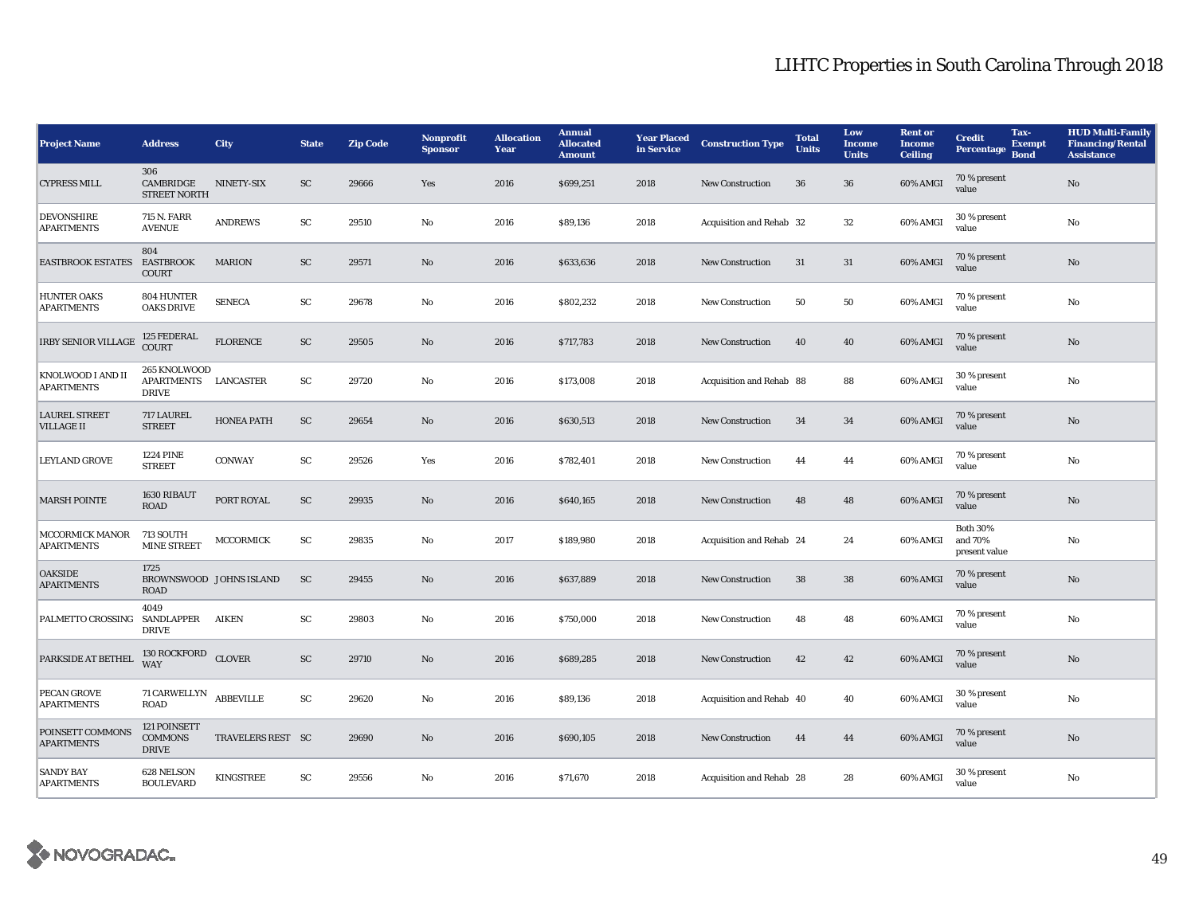| <b>Project Name</b>                       | <b>Address</b>                                    | City                    | <b>State</b> | <b>Zip Code</b> | Nonprofit<br><b>Sponsor</b> | <b>Allocation</b><br>Year | <b>Annual</b><br><b>Allocated</b><br><b>Amount</b> | <b>Year Placed</b><br>in Service | <b>Construction Type</b> | <b>Total</b><br><b>Units</b> | Low<br><b>Income</b><br><b>Units</b> | <b>Rent or</b><br><b>Income</b><br><b>Ceiling</b> | <b>Credit</b><br><b>Percentage</b>          | Tax-<br><b>Exempt</b><br><b>Bond</b> | <b>HUD Multi-Family</b><br><b>Financing/Rental</b><br><b>Assistance</b> |
|-------------------------------------------|---------------------------------------------------|-------------------------|--------------|-----------------|-----------------------------|---------------------------|----------------------------------------------------|----------------------------------|--------------------------|------------------------------|--------------------------------------|---------------------------------------------------|---------------------------------------------|--------------------------------------|-------------------------------------------------------------------------|
| <b>CYPRESS MILL</b>                       | 306<br>CAMBRIDGE<br><b>STREET NORTH</b>           | NINETY-SIX              | <b>SC</b>    | 29666           | Yes                         | 2016                      | \$699,251                                          | 2018                             | <b>New Construction</b>  | 36                           | 36                                   | 60% AMGI                                          | 70 % present<br>value                       |                                      | No                                                                      |
| <b>DEVONSHIRE</b><br><b>APARTMENTS</b>    | 715 N. FARR<br><b>AVENUE</b>                      | <b>ANDREWS</b>          | ${\rm SC}$   | 29510           | $\mathbf{N}\mathbf{o}$      | 2016                      | \$89,136                                           | 2018                             | Acquisition and Rehab 32 |                              | $32\,$                               | 60% AMGI                                          | 30 % present<br>value                       |                                      | $\rm No$                                                                |
| <b>EASTBROOK ESTATES</b>                  | 804<br><b>EASTBROOK</b><br><b>COURT</b>           | <b>MARION</b>           | SC           | 29571           | No                          | 2016                      | \$633,636                                          | 2018                             | New Construction         | 31                           | 31                                   | 60% AMGI                                          | 70 % present<br>value                       |                                      | $\mathbf{No}$                                                           |
| <b>HUNTER OAKS</b><br><b>APARTMENTS</b>   | 804 HUNTER<br><b>OAKS DRIVE</b>                   | <b>SENECA</b>           | SC           | 29678           | No                          | 2016                      | \$802,232                                          | 2018                             | <b>New Construction</b>  | 50                           | 50                                   | $60\%$ AMGI                                       | 70 % present<br>value                       |                                      | No                                                                      |
| <b>IRBY SENIOR VILLAGE</b>                | 125 FEDERAL<br><b>COURT</b>                       | <b>FLORENCE</b>         | SC           | 29505           | No                          | 2016                      | \$717,783                                          | 2018                             | <b>New Construction</b>  | 40                           | 40                                   | 60% AMGI                                          | 70 % present<br>value                       |                                      | $\mathbf{No}$                                                           |
| KNOLWOOD I AND II<br><b>APARTMENTS</b>    | 265 KNOLWOOD<br><b>APARTMENTS</b><br><b>DRIVE</b> | <b>LANCASTER</b>        | SC           | 29720           | $\mathbf{N}\mathbf{o}$      | 2016                      | \$173,008                                          | 2018                             | Acquisition and Rehab 88 |                              | 88                                   | 60% AMGI                                          | 30 % present<br>value                       |                                      | $\mathbf{No}$                                                           |
| <b>LAUREL STREET</b><br><b>VILLAGE II</b> | 717 LAUREL<br><b>STREET</b>                       | <b>HONEA PATH</b>       | SC           | 29654           | No                          | 2016                      | \$630,513                                          | 2018                             | <b>New Construction</b>  | 34                           | 34                                   | 60% AMGI                                          | 70 % present<br>value                       |                                      | No                                                                      |
| <b>LEYLAND GROVE</b>                      | <b>1224 PINE</b><br><b>STREET</b>                 | <b>CONWAY</b>           | SC           | 29526           | Yes                         | 2016                      | \$782,401                                          | 2018                             | <b>New Construction</b>  | 44                           | 44                                   | 60% AMGI                                          | 70 % present<br>value                       |                                      | No                                                                      |
| <b>MARSH POINTE</b>                       | 1630 RIBAUT<br><b>ROAD</b>                        | PORT ROYAL              | SC           | 29935           | No                          | 2016                      | \$640,165                                          | 2018                             | New Construction         | 48                           | 48                                   | 60% AMGI                                          | 70 % present<br>value                       |                                      | $\rm No$                                                                |
| MCCORMICK MANOR<br><b>APARTMENTS</b>      | 713 SOUTH<br><b>MINE STREET</b>                   | <b>MCCORMICK</b>        | ${\rm SC}$   | 29835           | No                          | 2017                      | \$189,980                                          | 2018                             | Acquisition and Rehab 24 |                              | 24                                   | 60% AMGI                                          | <b>Both 30%</b><br>and 70%<br>present value |                                      | No                                                                      |
| <b>OAKSIDE</b><br><b>APARTMENTS</b>       | 1725<br><b>ROAD</b>                               | BROWNSWOOD JOHNS ISLAND | SC           | 29455           | No                          | 2016                      | \$637,889                                          | 2018                             | <b>New Construction</b>  | 38                           | 38                                   | 60% AMGI                                          | 70 % present<br>value                       |                                      | No                                                                      |
| PALMETTO CROSSING                         | 4049<br>SANDLAPPER<br><b>DRIVE</b>                | AIKEN                   | SC           | 29803           | No                          | 2016                      | \$750,000                                          | 2018                             | <b>New Construction</b>  | 48                           | 48                                   | 60% AMGI                                          | 70 % present<br>value                       |                                      | No                                                                      |
| PARKSIDE AT BETHEL                        | 130 ROCKFORD CLOVER<br><b>WAY</b>                 |                         | SC           | 29710           | No                          | 2016                      | \$689,285                                          | 2018                             | New Construction         | 42                           | 42                                   | 60% AMGI                                          | 70 % present<br>value                       |                                      | No                                                                      |
| <b>PECAN GROVE</b><br><b>APARTMENTS</b>   | 71 CARWELLYN<br>ROAD                              | <b>ABBEVILLE</b>        | ${\rm SC}$   | 29620           | No                          | 2016                      | \$89,136                                           | 2018                             | Acquisition and Rehab 40 |                              | 40                                   | 60% AMGI                                          | 30 % present<br>value                       |                                      | No                                                                      |
| POINSETT COMMONS<br><b>APARTMENTS</b>     | 121 POINSETT<br><b>COMMONS</b><br><b>DRIVE</b>    | TRAVELERS REST SC       |              | 29690           | No                          | 2016                      | \$690,105                                          | 2018                             | <b>New Construction</b>  | 44                           | 44                                   | 60% AMGI                                          | 70 % present<br>value                       |                                      | No                                                                      |
| <b>SANDY BAY</b><br><b>APARTMENTS</b>     | 628 NELSON<br><b>BOULEVARD</b>                    | <b>KINGSTREE</b>        | SC           | 29556           | No                          | 2016                      | \$71,670                                           | 2018                             | Acquisition and Rehab 28 |                              | 28                                   | 60% AMGI                                          | 30 % present<br>value                       |                                      | No                                                                      |